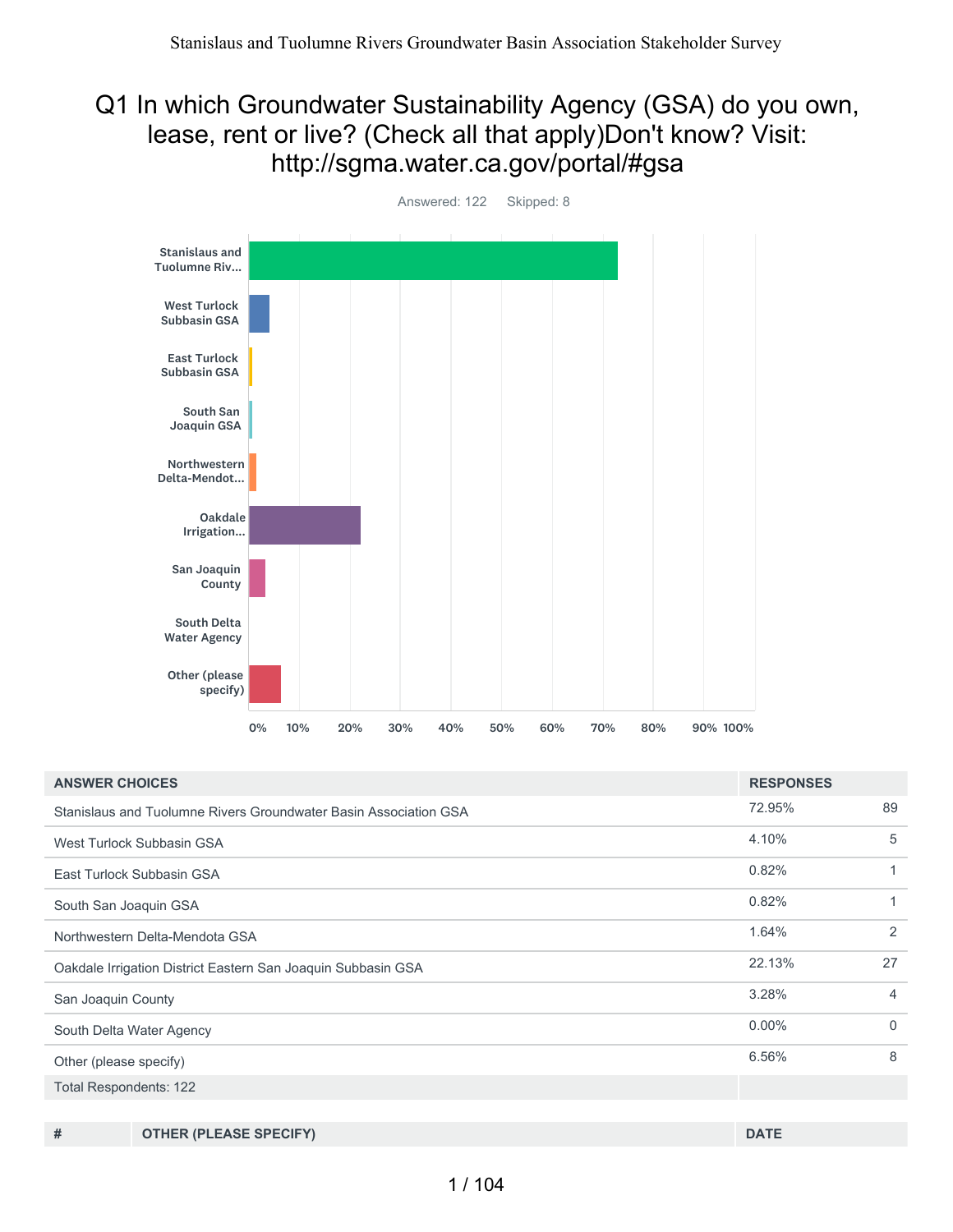#### Q1 In which Groundwater Sustainability Agency (GSA) do you own, lease, rent or live? (Check all that apply)Don't know? Visit: http://sgma.water.ca.gov/portal/#gsa



72.95% 89 4.10% 5 0.82% 1 0.82% 1 1.64% 2 22.13% 27 3.28% 4 0.00% 0 6.56% 8 Total Respondents: 122 **ANSWER CHOICES RESPONSES** Stanislaus and Tuolumne Rivers Groundwater Basin Association GSA West Turlock Subbasin GSA East Turlock Subbasin GSA South San Joaquin GSA Northwestern Delta-Mendota GSA Oakdale Irrigation District Eastern San Joaquin Subbasin GSA San Joaquin County South Delta Water Agency Other (please specify)

**# OTHER (PLEASE SPECIFY) DATE**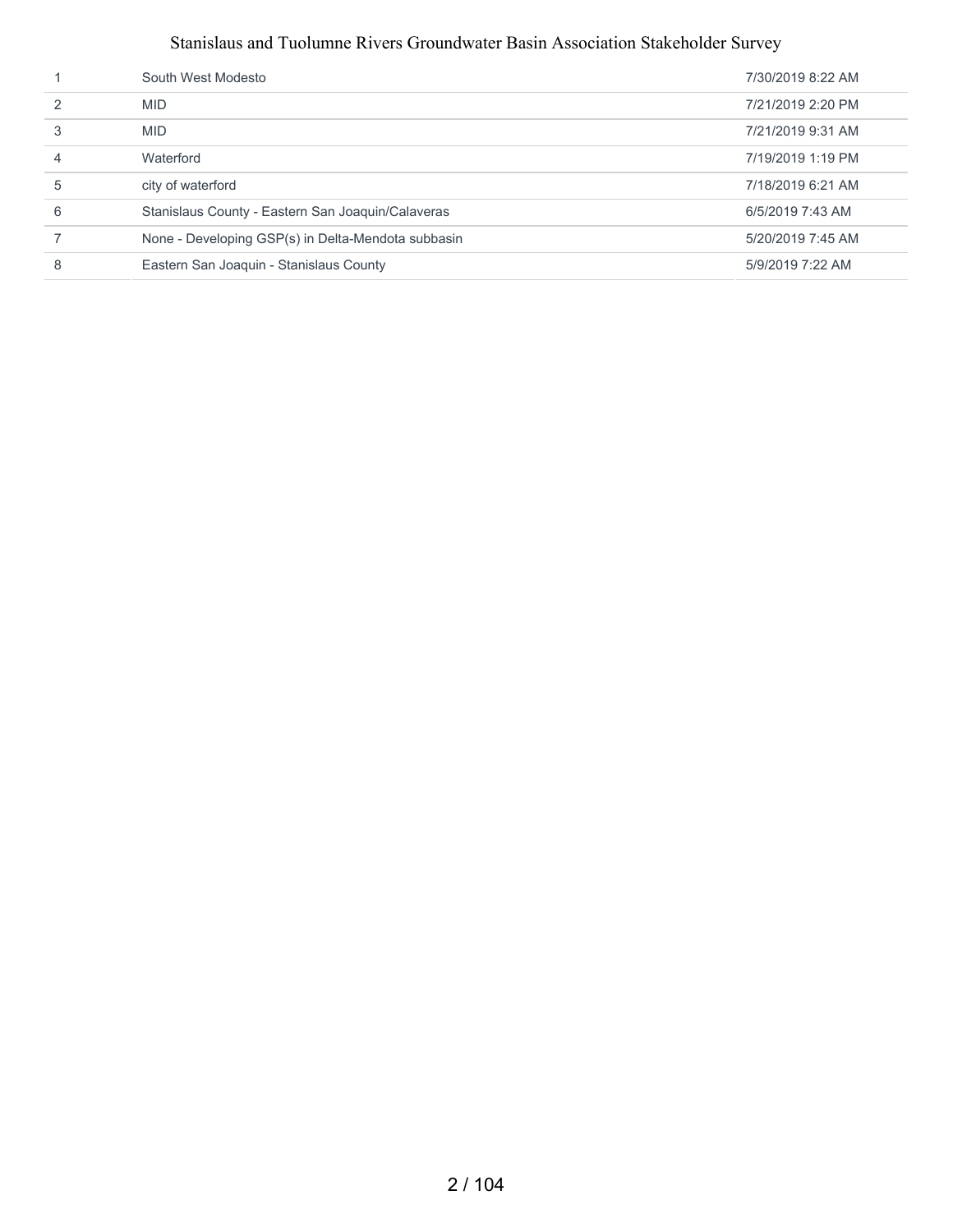|               | South West Modesto                                 | 7/30/2019 8:22 AM |
|---------------|----------------------------------------------------|-------------------|
| $\mathcal{P}$ | <b>MID</b>                                         | 7/21/2019 2:20 PM |
| 3             | <b>MID</b>                                         | 7/21/2019 9:31 AM |
|               | Waterford                                          | 7/19/2019 1:19 PM |
| 5             | city of waterford                                  | 7/18/2019 6:21 AM |
| 6             | Stanislaus County - Eastern San Joaquin/Calaveras  | 6/5/2019 7:43 AM  |
|               | None - Developing GSP(s) in Delta-Mendota subbasin | 5/20/2019 7:45 AM |
| 8             | Eastern San Joaquin - Stanislaus County            | 5/9/2019 7:22 AM  |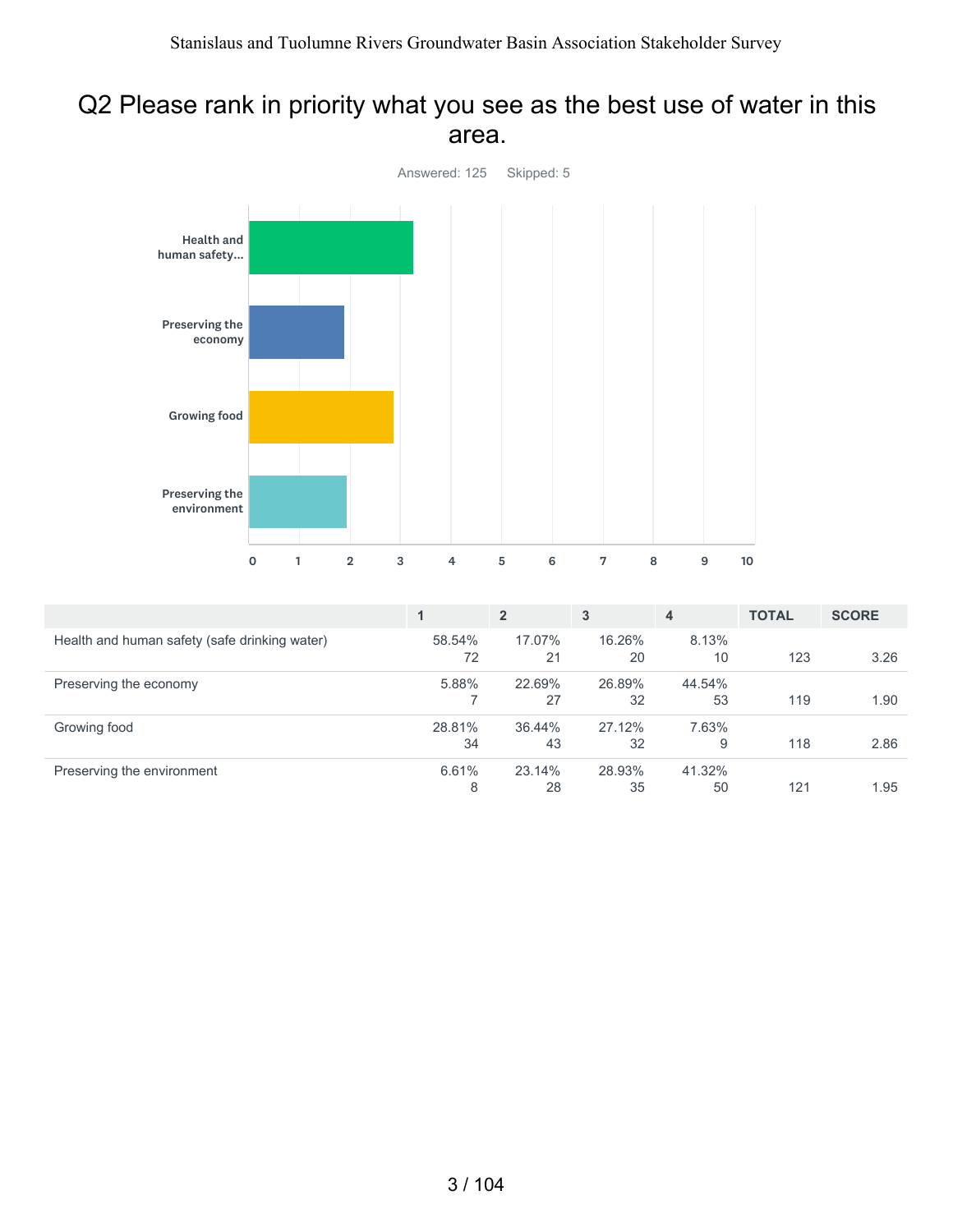#### Q2 Please rank in priority what you see as the best use of water in this area.



|                                               |              | $\overline{2}$ | 3            | 4            | <b>TOTAL</b> | <b>SCORE</b> |
|-----------------------------------------------|--------------|----------------|--------------|--------------|--------------|--------------|
| Health and human safety (safe drinking water) | 58.54%<br>72 | 17.07%<br>21   | 16.26%<br>20 | 8.13%<br>10  | 123          | 3.26         |
| Preserving the economy                        | 5.88%        | 22.69%<br>27   | 26.89%<br>32 | 44.54%<br>53 | 119          | 1.90         |
| Growing food                                  | 28.81%<br>34 | 36.44%<br>43   | 27.12%<br>32 | 7.63%<br>9   | 118          | 2.86         |
| Preserving the environment                    | 6.61%<br>8   | 23.14%<br>28   | 28.93%<br>35 | 41.32%<br>50 | 121          | 1.95         |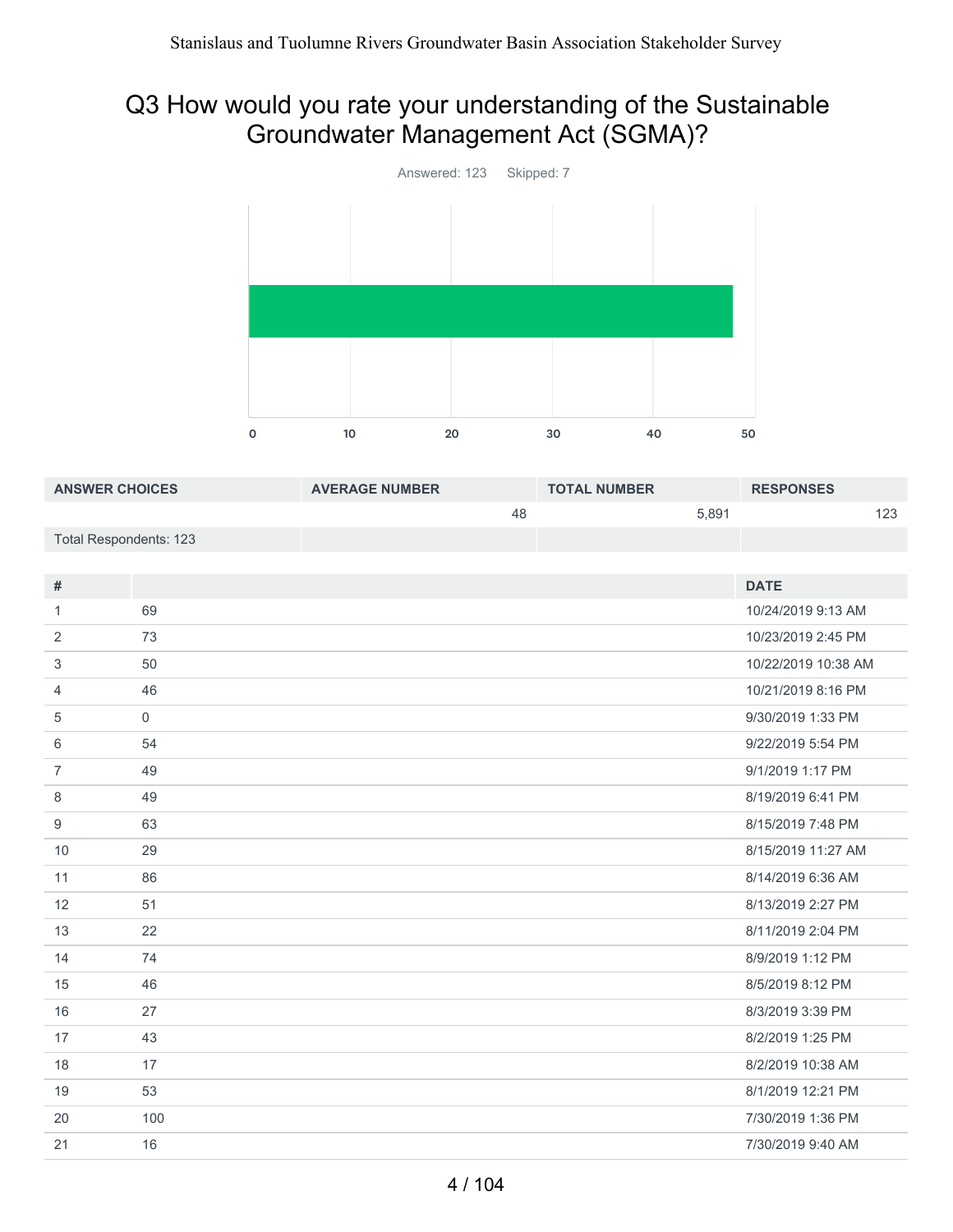# Q3 How would you rate your understanding of the Sustainable Groundwater Management Act (SGMA)?



| <b>ANSWER CHOICES</b>         |                     | <b>AVERAGE NUMBER</b> |    | <b>TOTAL NUMBER</b> |       | <b>RESPONSES</b>    |     |
|-------------------------------|---------------------|-----------------------|----|---------------------|-------|---------------------|-----|
|                               |                     |                       | 48 |                     | 5,891 |                     | 123 |
| <b>Total Respondents: 123</b> |                     |                       |    |                     |       |                     |     |
|                               |                     |                       |    |                     |       |                     |     |
| #                             |                     |                       |    |                     |       | <b>DATE</b>         |     |
| 1                             | 69                  |                       |    |                     |       | 10/24/2019 9:13 AM  |     |
| $\overline{2}$                | 73                  |                       |    |                     |       | 10/23/2019 2:45 PM  |     |
| 3                             | 50                  |                       |    |                     |       | 10/22/2019 10:38 AM |     |
| $\overline{4}$                | 46                  |                       |    |                     |       | 10/21/2019 8:16 PM  |     |
| 5                             | $\mathsf{O}\xspace$ |                       |    |                     |       | 9/30/2019 1:33 PM   |     |
| 6                             | 54                  |                       |    |                     |       | 9/22/2019 5:54 PM   |     |
| $\overline{7}$                | 49                  |                       |    |                     |       | 9/1/2019 1:17 PM    |     |
| 8                             | 49                  |                       |    |                     |       | 8/19/2019 6:41 PM   |     |
| $\boldsymbol{9}$              | 63                  |                       |    |                     |       | 8/15/2019 7:48 PM   |     |
| 10                            | 29                  |                       |    |                     |       | 8/15/2019 11:27 AM  |     |
| 11                            | 86                  |                       |    |                     |       | 8/14/2019 6:36 AM   |     |
| 12                            | 51                  |                       |    |                     |       | 8/13/2019 2:27 PM   |     |
| 13                            | 22                  |                       |    |                     |       | 8/11/2019 2:04 PM   |     |
| 14                            | 74                  |                       |    |                     |       | 8/9/2019 1:12 PM    |     |
| 15                            | 46                  |                       |    |                     |       | 8/5/2019 8:12 PM    |     |
| 16                            | 27                  |                       |    |                     |       | 8/3/2019 3:39 PM    |     |
| 17                            | 43                  |                       |    |                     |       | 8/2/2019 1:25 PM    |     |
| 18                            | 17                  |                       |    |                     |       | 8/2/2019 10:38 AM   |     |
| 19                            | 53                  |                       |    |                     |       | 8/1/2019 12:21 PM   |     |
| 20                            | 100                 |                       |    |                     |       | 7/30/2019 1:36 PM   |     |
| 21                            | 16                  |                       |    |                     |       | 7/30/2019 9:40 AM   |     |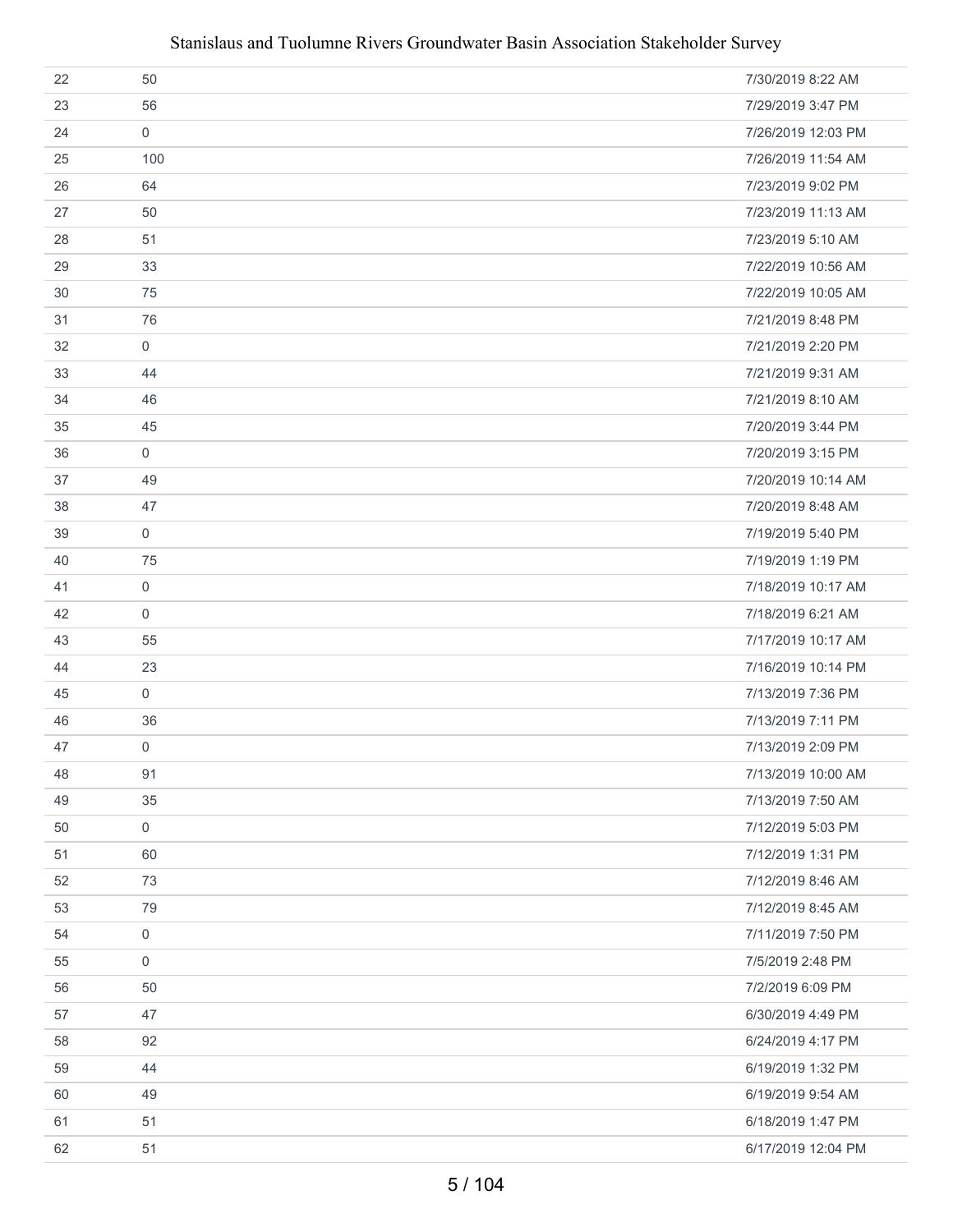| 22 | 50                  | 7/30/2019 8:22 AM  |
|----|---------------------|--------------------|
| 23 | 56                  | 7/29/2019 3:47 PM  |
| 24 | $\mathbf 0$         | 7/26/2019 12:03 PM |
| 25 | 100                 | 7/26/2019 11:54 AM |
| 26 | 64                  | 7/23/2019 9:02 PM  |
| 27 | 50                  | 7/23/2019 11:13 AM |
| 28 | 51                  | 7/23/2019 5:10 AM  |
| 29 | 33                  | 7/22/2019 10:56 AM |
| 30 | 75                  | 7/22/2019 10:05 AM |
| 31 | 76                  | 7/21/2019 8:48 PM  |
| 32 | $\mathbf 0$         | 7/21/2019 2:20 PM  |
| 33 | 44                  | 7/21/2019 9:31 AM  |
| 34 | 46                  | 7/21/2019 8:10 AM  |
| 35 | 45                  | 7/20/2019 3:44 PM  |
| 36 | $\mathbf 0$         | 7/20/2019 3:15 PM  |
| 37 | 49                  | 7/20/2019 10:14 AM |
| 38 | 47                  | 7/20/2019 8:48 AM  |
| 39 | $\mathbf 0$         | 7/19/2019 5:40 PM  |
| 40 | 75                  | 7/19/2019 1:19 PM  |
| 41 | $\mathsf{O}\xspace$ | 7/18/2019 10:17 AM |
| 42 | $\mathsf{O}$        | 7/18/2019 6:21 AM  |
| 43 | 55                  | 7/17/2019 10:17 AM |
| 44 | 23                  | 7/16/2019 10:14 PM |
| 45 | $\mathbf 0$         | 7/13/2019 7:36 PM  |
| 46 | 36                  | 7/13/2019 7:11 PM  |
| 47 | $\mathbf 0$         | 7/13/2019 2:09 PM  |
| 48 | 91                  | 7/13/2019 10:00 AM |
| 49 | 35                  | 7/13/2019 7:50 AM  |
| 50 | $\mathsf{O}\xspace$ | 7/12/2019 5:03 PM  |
| 51 | 60                  | 7/12/2019 1:31 PM  |
| 52 | 73                  | 7/12/2019 8:46 AM  |
| 53 | 79                  | 7/12/2019 8:45 AM  |
| 54 | $\mathsf{O}\xspace$ | 7/11/2019 7:50 PM  |
| 55 | $\mathsf{O}$        | 7/5/2019 2:48 PM   |
| 56 | 50                  | 7/2/2019 6:09 PM   |
| 57 | 47                  | 6/30/2019 4:49 PM  |
| 58 | 92                  | 6/24/2019 4:17 PM  |
| 59 | 44                  | 6/19/2019 1:32 PM  |
| 60 | 49                  | 6/19/2019 9:54 AM  |
| 61 | 51                  | 6/18/2019 1:47 PM  |
| 62 | 51                  | 6/17/2019 12:04 PM |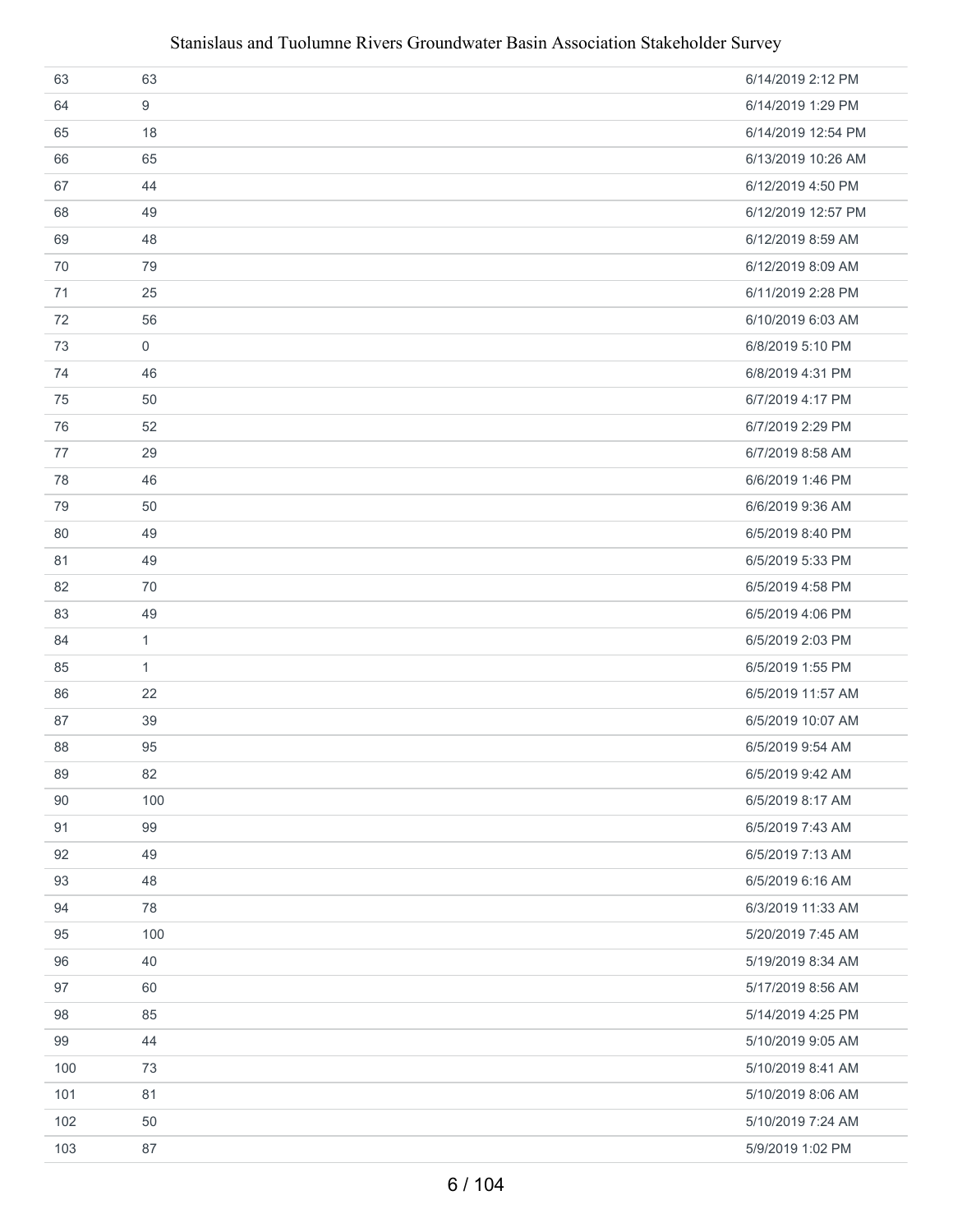| 63  | 63           | 6/14/2019 2:12 PM  |
|-----|--------------|--------------------|
| 64  | 9            | 6/14/2019 1:29 PM  |
| 65  | 18           | 6/14/2019 12:54 PM |
| 66  | 65           | 6/13/2019 10:26 AM |
| 67  | 44           | 6/12/2019 4:50 PM  |
| 68  | 49           | 6/12/2019 12:57 PM |
| 69  | 48           | 6/12/2019 8:59 AM  |
| 70  | 79           | 6/12/2019 8:09 AM  |
| 71  | 25           | 6/11/2019 2:28 PM  |
| 72  | 56           | 6/10/2019 6:03 AM  |
| 73  | $\mathbf 0$  | 6/8/2019 5:10 PM   |
| 74  | 46           | 6/8/2019 4:31 PM   |
| 75  | 50           | 6/7/2019 4:17 PM   |
| 76  | 52           | 6/7/2019 2:29 PM   |
| 77  | 29           | 6/7/2019 8:58 AM   |
| 78  | 46           | 6/6/2019 1:46 PM   |
| 79  | 50           | 6/6/2019 9:36 AM   |
| 80  | 49           | 6/5/2019 8:40 PM   |
| 81  | 49           | 6/5/2019 5:33 PM   |
| 82  | 70           | 6/5/2019 4:58 PM   |
| 83  | 49           | 6/5/2019 4:06 PM   |
| 84  | $\mathbf{1}$ | 6/5/2019 2:03 PM   |
| 85  | $\mathbf{1}$ | 6/5/2019 1:55 PM   |
| 86  | 22           | 6/5/2019 11:57 AM  |
| 87  | 39           | 6/5/2019 10:07 AM  |
| 88  | 95           | 6/5/2019 9:54 AM   |
| 89  | 82           | 6/5/2019 9:42 AM   |
| 90  | 100          | 6/5/2019 8:17 AM   |
| 91  | 99           | 6/5/2019 7:43 AM   |
| 92  | 49           | 6/5/2019 7:13 AM   |
| 93  | 48           | 6/5/2019 6:16 AM   |
| 94  | 78           | 6/3/2019 11:33 AM  |
| 95  | 100          | 5/20/2019 7:45 AM  |
| 96  | 40           | 5/19/2019 8:34 AM  |
| 97  | 60           | 5/17/2019 8:56 AM  |
| 98  | 85           | 5/14/2019 4:25 PM  |
| 99  | 44           | 5/10/2019 9:05 AM  |
| 100 | 73           | 5/10/2019 8:41 AM  |
| 101 | 81           | 5/10/2019 8:06 AM  |
| 102 | 50           | 5/10/2019 7:24 AM  |
| 103 | 87           | 5/9/2019 1:02 PM   |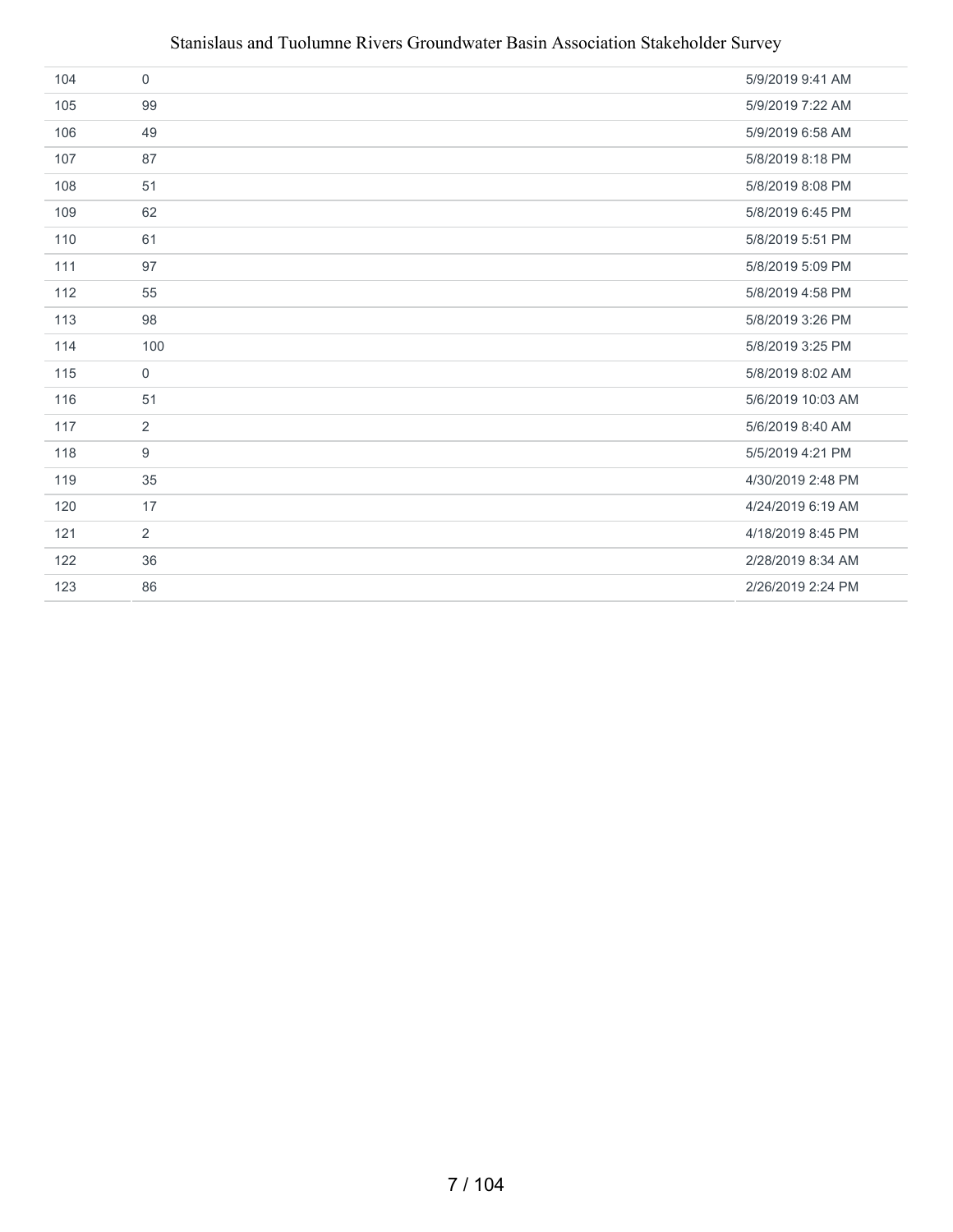| 104 | $\mathbf 0$    | 5/9/2019 9:41 AM  |
|-----|----------------|-------------------|
| 105 | 99             | 5/9/2019 7:22 AM  |
| 106 | 49             | 5/9/2019 6:58 AM  |
| 107 | 87             | 5/8/2019 8:18 PM  |
| 108 | 51             | 5/8/2019 8:08 PM  |
| 109 | 62             | 5/8/2019 6:45 PM  |
| 110 | 61             | 5/8/2019 5:51 PM  |
| 111 | 97             | 5/8/2019 5:09 PM  |
| 112 | 55             | 5/8/2019 4:58 PM  |
| 113 | 98             | 5/8/2019 3:26 PM  |
| 114 | 100            | 5/8/2019 3:25 PM  |
| 115 | $\mathbf 0$    | 5/8/2019 8:02 AM  |
| 116 | 51             | 5/6/2019 10:03 AM |
| 117 | $\overline{2}$ | 5/6/2019 8:40 AM  |
| 118 | 9              | 5/5/2019 4:21 PM  |
| 119 | 35             | 4/30/2019 2:48 PM |
| 120 | 17             | 4/24/2019 6:19 AM |
| 121 | $\overline{2}$ | 4/18/2019 8:45 PM |
| 122 | 36             | 2/28/2019 8:34 AM |
| 123 | 86             | 2/26/2019 2:24 PM |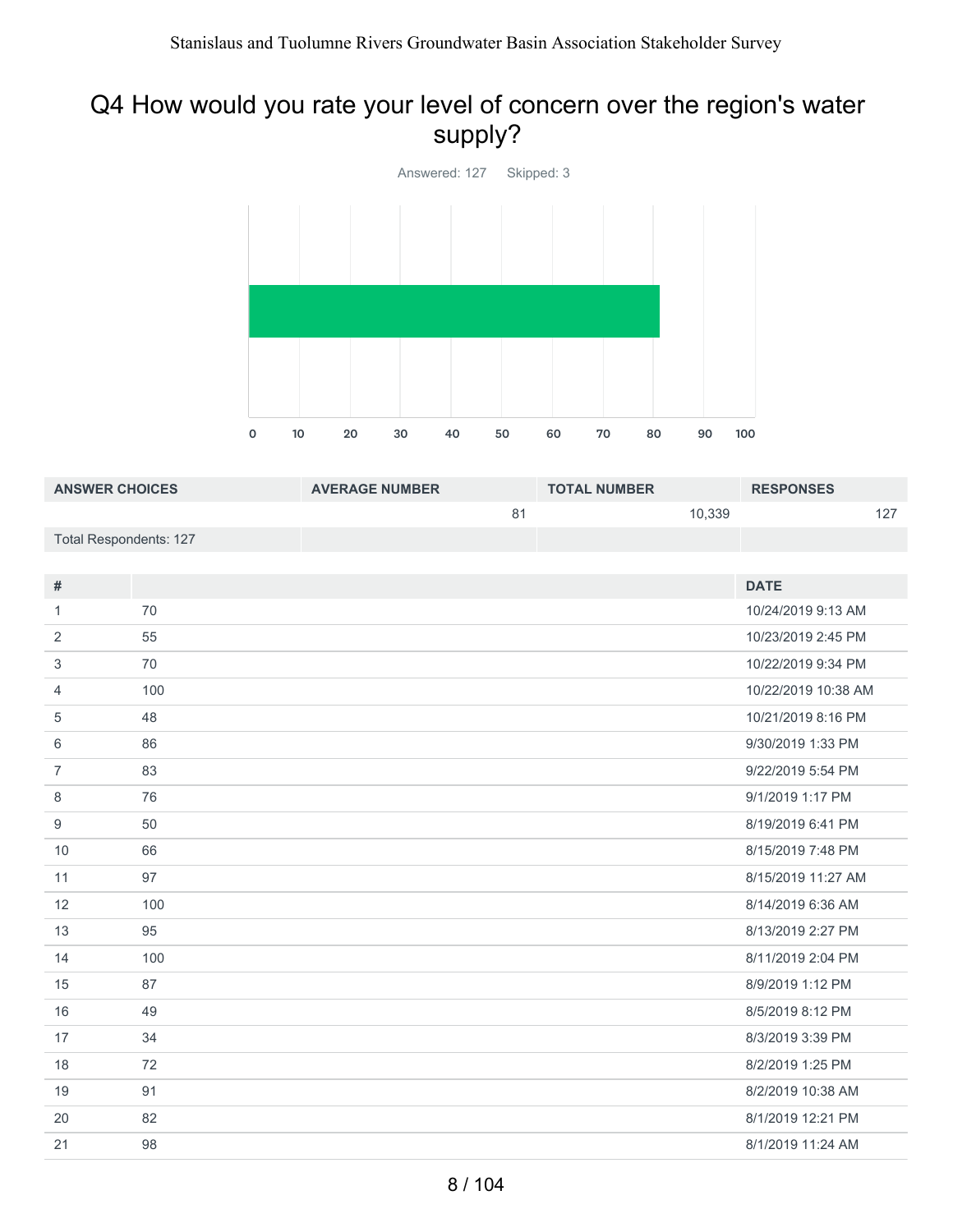### Q4 How would you rate your level of concern over the region's water supply?



| <b>ANSWER CHOICES</b>  | <b>AVERAGE NUMBER</b> | <b>TOTAL NUMBER</b> | <b>RESPONSES</b> |
|------------------------|-----------------------|---------------------|------------------|
|                        | 81                    | 10,339              | 127              |
| Total Respondents: 127 |                       |                     |                  |

| $\#$           |     | <b>DATE</b>         |
|----------------|-----|---------------------|
| 1              | 70  | 10/24/2019 9:13 AM  |
| 2              | 55  | 10/23/2019 2:45 PM  |
| 3              | 70  | 10/22/2019 9:34 PM  |
| 4              | 100 | 10/22/2019 10:38 AM |
| 5              | 48  | 10/21/2019 8:16 PM  |
| 6              | 86  | 9/30/2019 1:33 PM   |
| $\overline{7}$ | 83  | 9/22/2019 5:54 PM   |
| 8              | 76  | 9/1/2019 1:17 PM    |
| 9              | 50  | 8/19/2019 6:41 PM   |
| 10             | 66  | 8/15/2019 7:48 PM   |
| 11             | 97  | 8/15/2019 11:27 AM  |
| 12             | 100 | 8/14/2019 6:36 AM   |
| 13             | 95  | 8/13/2019 2:27 PM   |
| 14             | 100 | 8/11/2019 2:04 PM   |
| 15             | 87  | 8/9/2019 1:12 PM    |
| 16             | 49  | 8/5/2019 8:12 PM    |
| 17             | 34  | 8/3/2019 3:39 PM    |
| 18             | 72  | 8/2/2019 1:25 PM    |
| 19             | 91  | 8/2/2019 10:38 AM   |
| 20             | 82  | 8/1/2019 12:21 PM   |
| 21             | 98  | 8/1/2019 11:24 AM   |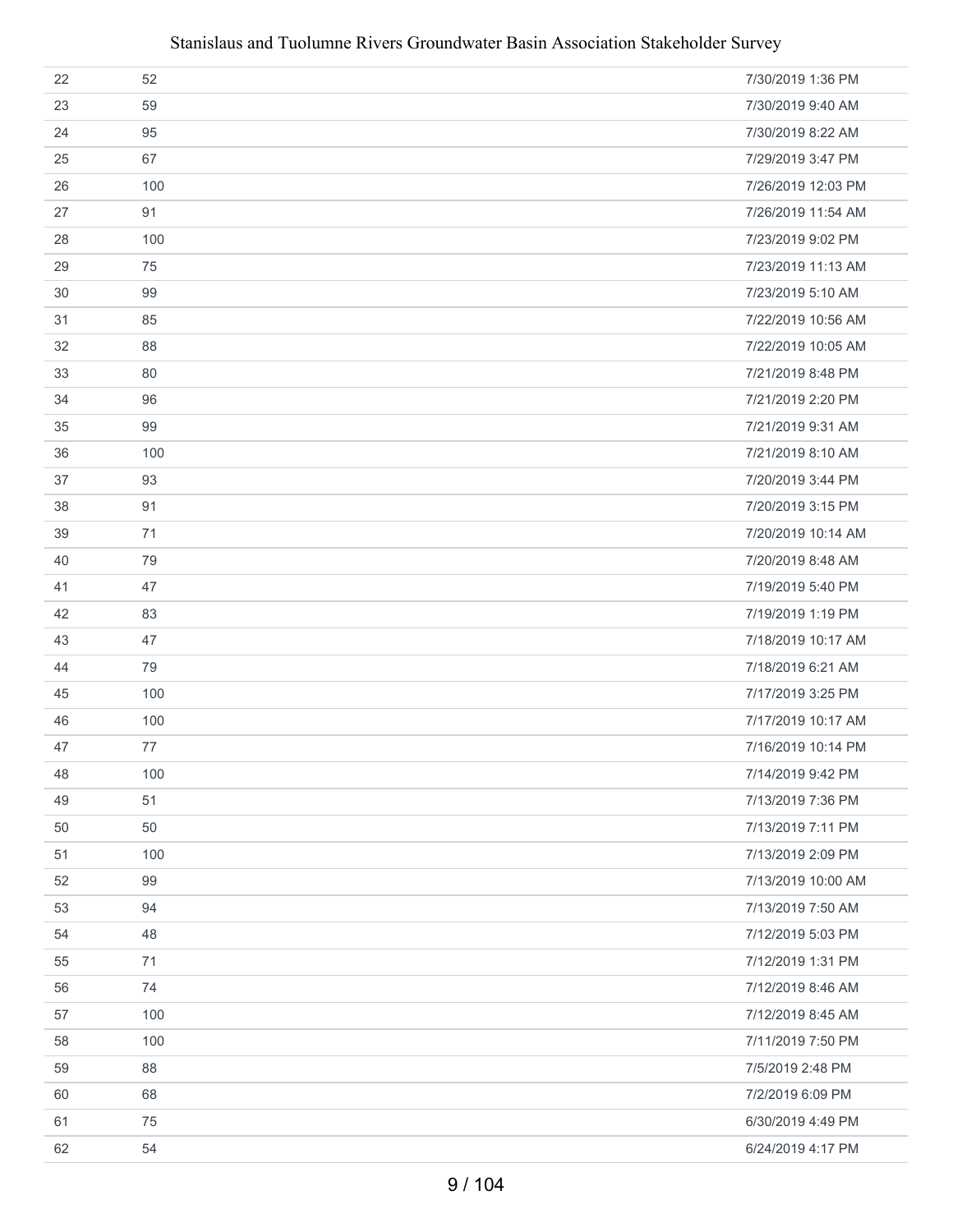| 22 | 52  | 7/30/2019 1:36 PM  |
|----|-----|--------------------|
| 23 | 59  | 7/30/2019 9:40 AM  |
| 24 | 95  | 7/30/2019 8:22 AM  |
| 25 | 67  | 7/29/2019 3:47 PM  |
| 26 | 100 | 7/26/2019 12:03 PM |
| 27 | 91  | 7/26/2019 11:54 AM |
| 28 | 100 | 7/23/2019 9:02 PM  |
| 29 | 75  | 7/23/2019 11:13 AM |
| 30 | 99  | 7/23/2019 5:10 AM  |
| 31 | 85  | 7/22/2019 10:56 AM |
| 32 | 88  | 7/22/2019 10:05 AM |
| 33 | 80  | 7/21/2019 8:48 PM  |
| 34 | 96  | 7/21/2019 2:20 PM  |
| 35 | 99  | 7/21/2019 9:31 AM  |
| 36 | 100 | 7/21/2019 8:10 AM  |
| 37 | 93  | 7/20/2019 3:44 PM  |
| 38 | 91  | 7/20/2019 3:15 PM  |
| 39 | 71  | 7/20/2019 10:14 AM |
| 40 | 79  | 7/20/2019 8:48 AM  |
| 41 | 47  | 7/19/2019 5:40 PM  |
| 42 | 83  | 7/19/2019 1:19 PM  |
| 43 | 47  | 7/18/2019 10:17 AM |
| 44 | 79  | 7/18/2019 6:21 AM  |
| 45 | 100 | 7/17/2019 3:25 PM  |
| 46 | 100 | 7/17/2019 10:17 AM |
| 47 | 77  | 7/16/2019 10:14 PM |
| 48 | 100 | 7/14/2019 9:42 PM  |
| 49 | 51  | 7/13/2019 7:36 PM  |
| 50 | 50  | 7/13/2019 7:11 PM  |
| 51 | 100 | 7/13/2019 2:09 PM  |
| 52 | 99  | 7/13/2019 10:00 AM |
| 53 | 94  | 7/13/2019 7:50 AM  |
| 54 | 48  | 7/12/2019 5:03 PM  |
| 55 | 71  | 7/12/2019 1:31 PM  |
| 56 | 74  | 7/12/2019 8:46 AM  |
| 57 | 100 | 7/12/2019 8:45 AM  |
| 58 | 100 | 7/11/2019 7:50 PM  |
| 59 | 88  | 7/5/2019 2:48 PM   |
| 60 | 68  | 7/2/2019 6:09 PM   |
| 61 | 75  | 6/30/2019 4:49 PM  |
| 62 | 54  | 6/24/2019 4:17 PM  |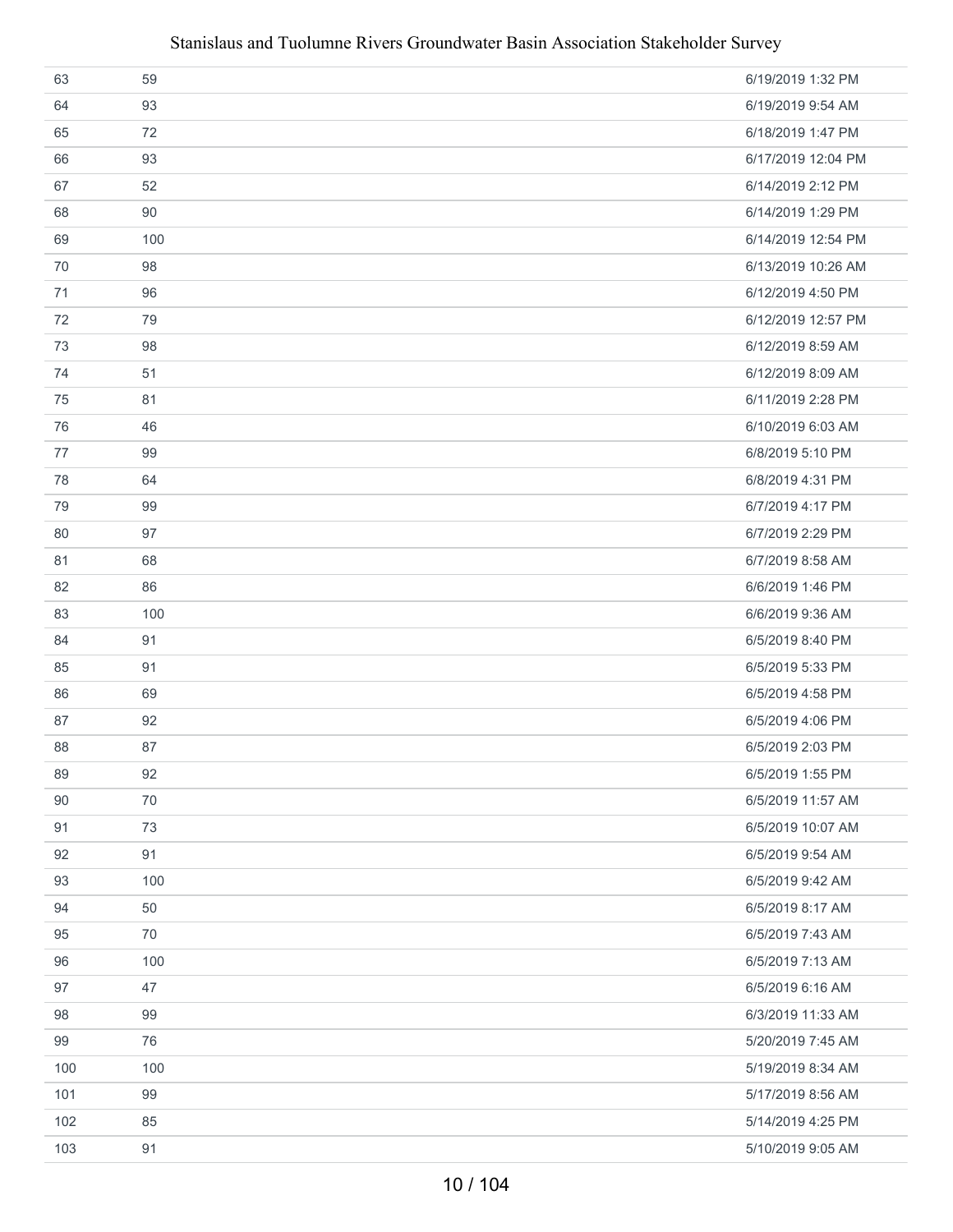| 63  | 59  | 6/19/2019 1:32 PM  |
|-----|-----|--------------------|
| 64  | 93  | 6/19/2019 9:54 AM  |
| 65  | 72  | 6/18/2019 1:47 PM  |
| 66  | 93  | 6/17/2019 12:04 PM |
| 67  | 52  | 6/14/2019 2:12 PM  |
| 68  | 90  | 6/14/2019 1:29 PM  |
| 69  | 100 | 6/14/2019 12:54 PM |
| 70  | 98  | 6/13/2019 10:26 AM |
| 71  | 96  | 6/12/2019 4:50 PM  |
| 72  | 79  | 6/12/2019 12:57 PM |
| 73  | 98  | 6/12/2019 8:59 AM  |
| 74  | 51  | 6/12/2019 8:09 AM  |
| 75  | 81  | 6/11/2019 2:28 PM  |
| 76  | 46  | 6/10/2019 6:03 AM  |
| 77  | 99  | 6/8/2019 5:10 PM   |
| 78  | 64  | 6/8/2019 4:31 PM   |
| 79  | 99  | 6/7/2019 4:17 PM   |
| 80  | 97  | 6/7/2019 2:29 PM   |
| 81  | 68  | 6/7/2019 8:58 AM   |
| 82  | 86  | 6/6/2019 1:46 PM   |
| 83  | 100 | 6/6/2019 9:36 AM   |
| 84  | 91  | 6/5/2019 8:40 PM   |
| 85  | 91  | 6/5/2019 5:33 PM   |
| 86  | 69  | 6/5/2019 4:58 PM   |
| 87  | 92  | 6/5/2019 4:06 PM   |
| 88  | 87  | 6/5/2019 2:03 PM   |
| 89  | 92  | 6/5/2019 1:55 PM   |
| 90  | 70  | 6/5/2019 11:57 AM  |
| 91  | 73  | 6/5/2019 10:07 AM  |
| 92  | 91  | 6/5/2019 9:54 AM   |
| 93  | 100 | 6/5/2019 9:42 AM   |
| 94  | 50  | 6/5/2019 8:17 AM   |
| 95  | 70  | 6/5/2019 7:43 AM   |
| 96  | 100 | 6/5/2019 7:13 AM   |
| 97  | 47  | 6/5/2019 6:16 AM   |
| 98  | 99  | 6/3/2019 11:33 AM  |
| 99  | 76  | 5/20/2019 7:45 AM  |
| 100 | 100 | 5/19/2019 8:34 AM  |
| 101 | 99  | 5/17/2019 8:56 AM  |
| 102 | 85  | 5/14/2019 4:25 PM  |
| 103 | 91  | 5/10/2019 9:05 AM  |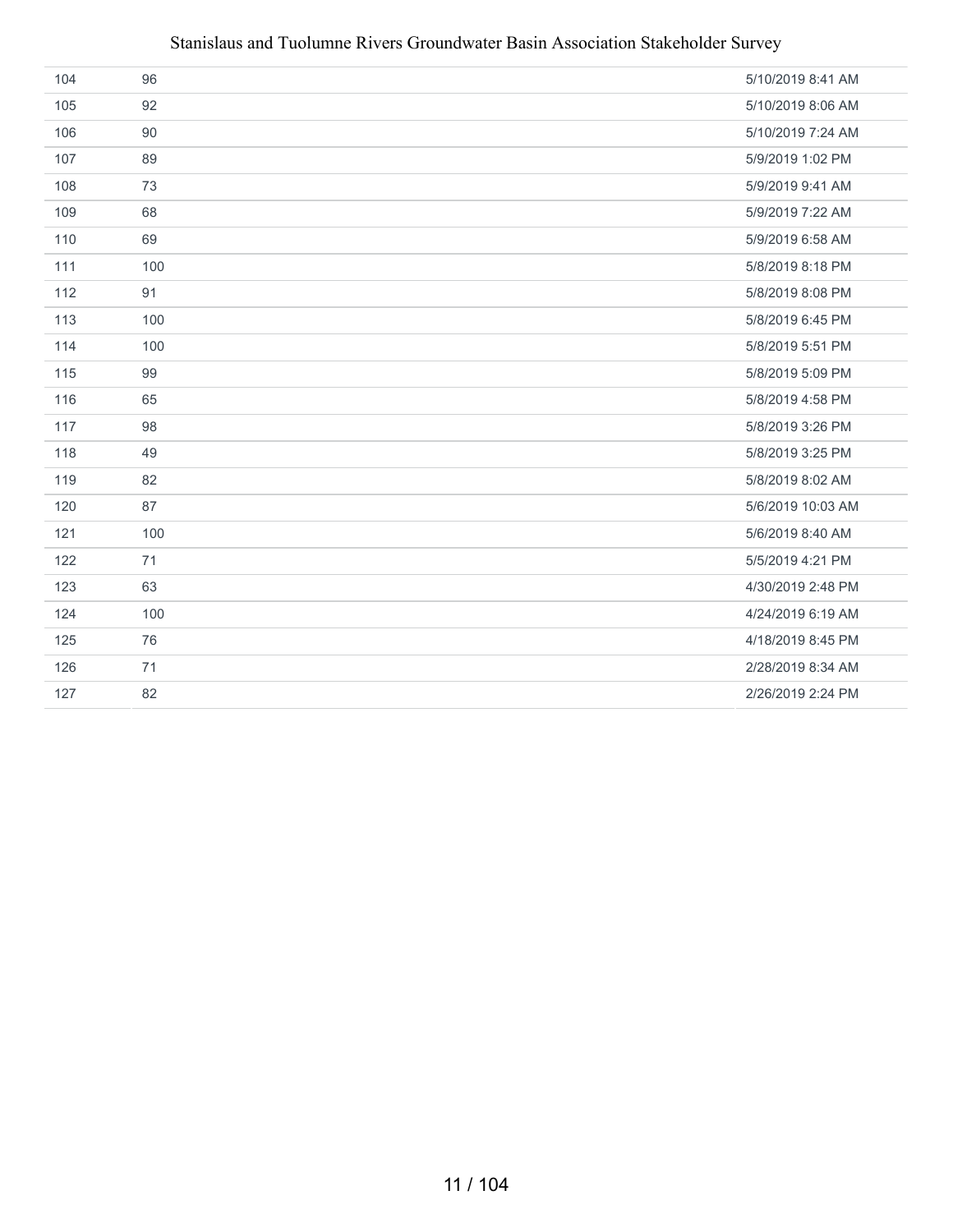| 104 | 96  | 5/10/2019 8:41 AM |
|-----|-----|-------------------|
| 105 | 92  | 5/10/2019 8:06 AM |
| 106 | 90  | 5/10/2019 7:24 AM |
| 107 | 89  | 5/9/2019 1:02 PM  |
| 108 | 73  | 5/9/2019 9:41 AM  |
| 109 | 68  | 5/9/2019 7:22 AM  |
| 110 | 69  | 5/9/2019 6:58 AM  |
| 111 | 100 | 5/8/2019 8:18 PM  |
| 112 | 91  | 5/8/2019 8:08 PM  |
| 113 | 100 | 5/8/2019 6:45 PM  |
| 114 | 100 | 5/8/2019 5:51 PM  |
| 115 | 99  | 5/8/2019 5:09 PM  |
| 116 | 65  | 5/8/2019 4:58 PM  |
| 117 | 98  | 5/8/2019 3:26 PM  |
| 118 | 49  | 5/8/2019 3:25 PM  |
| 119 | 82  | 5/8/2019 8:02 AM  |
| 120 | 87  | 5/6/2019 10:03 AM |
| 121 | 100 | 5/6/2019 8:40 AM  |
| 122 | 71  | 5/5/2019 4:21 PM  |
| 123 | 63  | 4/30/2019 2:48 PM |
| 124 | 100 | 4/24/2019 6:19 AM |
| 125 | 76  | 4/18/2019 8:45 PM |
| 126 | 71  | 2/28/2019 8:34 AM |
| 127 | 82  | 2/26/2019 2:24 PM |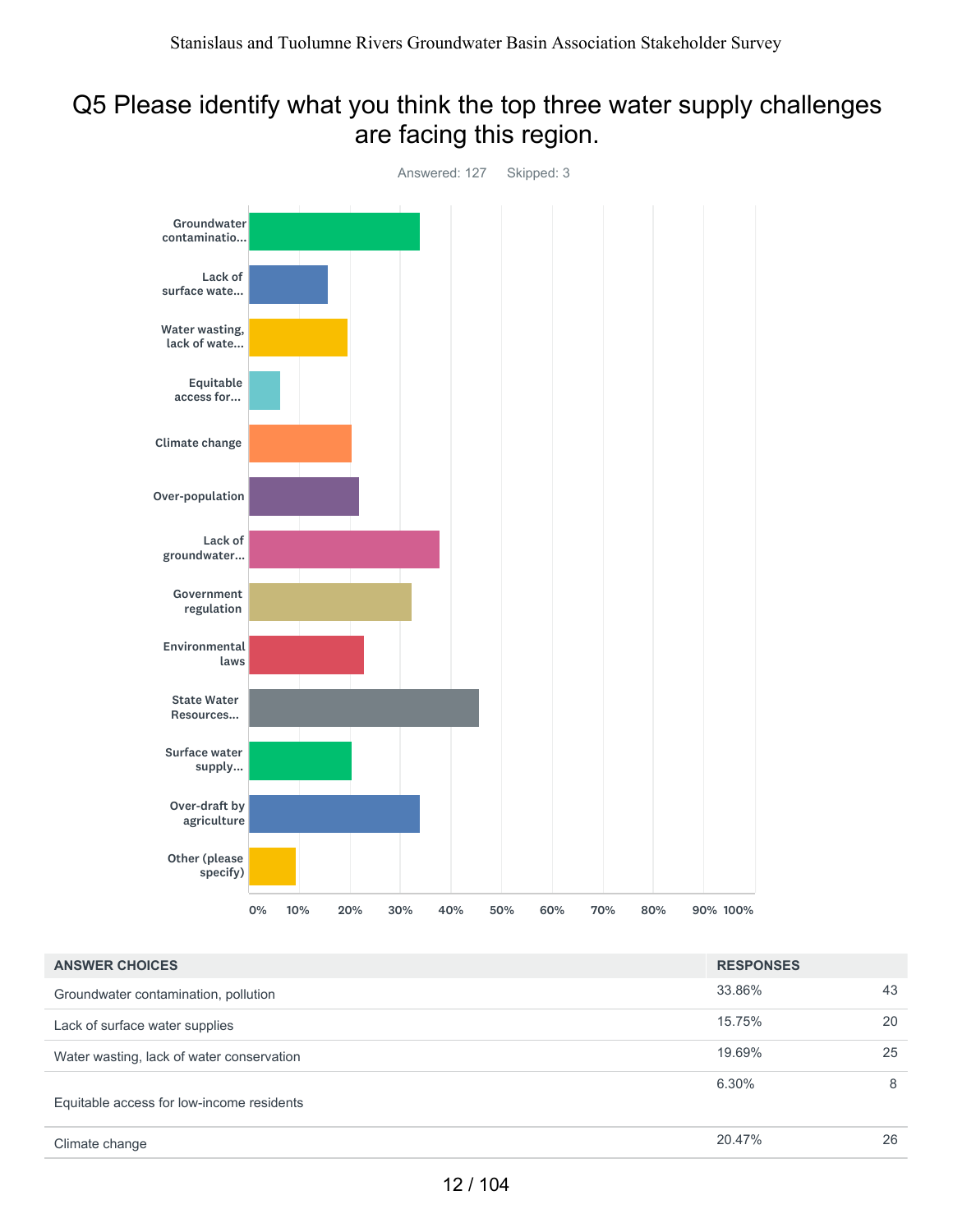### Q5 Please identify what you think the top three water supply challenges are facing this region.



| <b>ANSWER CHOICES</b>                     | <b>RESPONSES</b> |    |
|-------------------------------------------|------------------|----|
| Groundwater contamination, pollution      | 33.86%           | 43 |
| Lack of surface water supplies            | 15.75%           | 20 |
| Water wasting, lack of water conservation | 19.69%           | 25 |
| Equitable access for low-income residents | 6.30%            | 8  |
| Climate change                            | 20.47%           | 26 |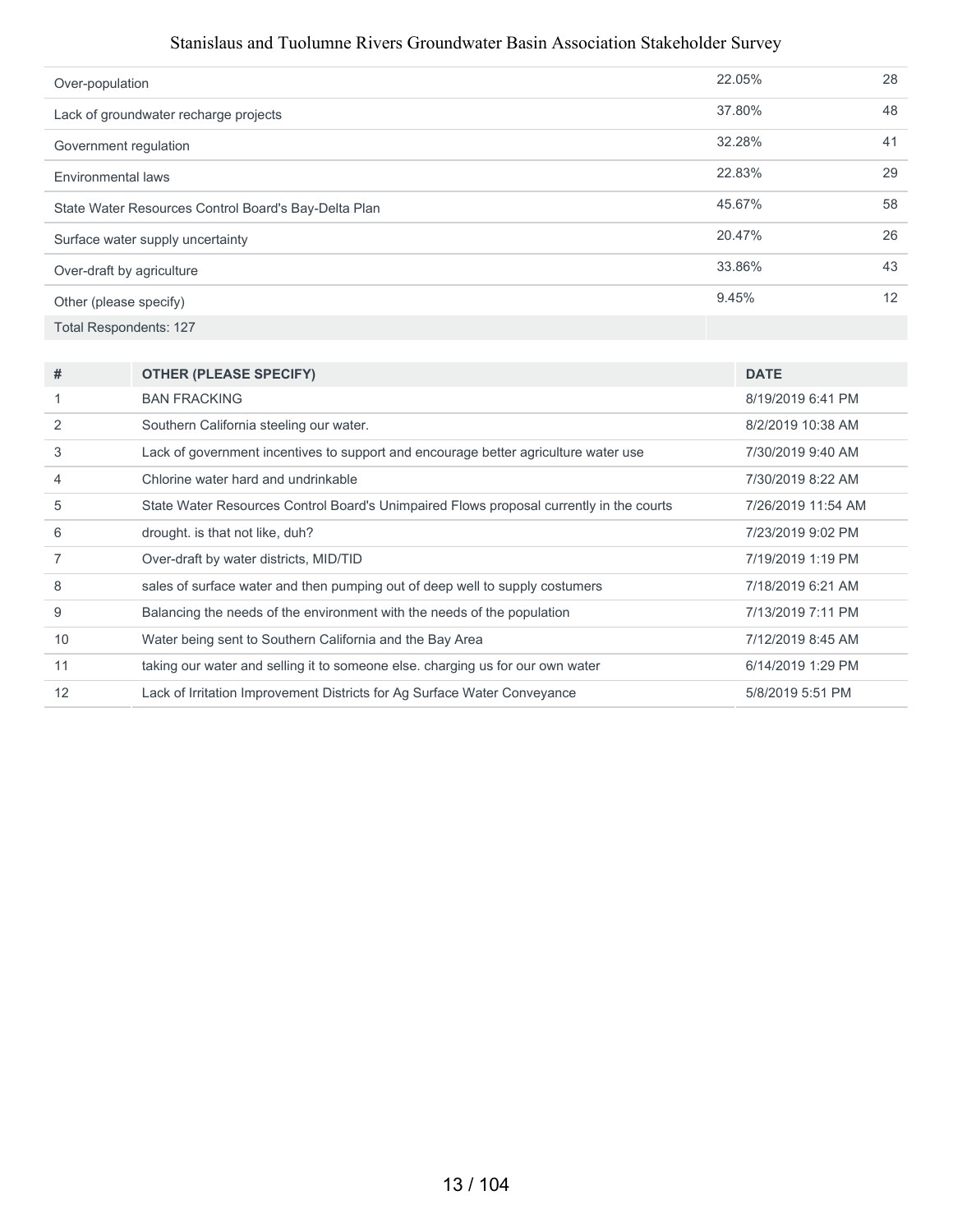| Over-population                                      | 22.05% | 28 |
|------------------------------------------------------|--------|----|
| Lack of groundwater recharge projects                | 37.80% | 48 |
| Government regulation                                | 32.28% | 41 |
| Environmental laws                                   | 22.83% | 29 |
| State Water Resources Control Board's Bay-Delta Plan | 45.67% | 58 |
| Surface water supply uncertainty                     | 20.47% | 26 |
| Over-draft by agriculture                            | 33.86% | 43 |
| Other (please specify)                               | 9.45%  | 12 |
| <b>Total Respondents: 127</b>                        |        |    |

| #  | <b>OTHER (PLEASE SPECIFY)</b>                                                           | <b>DATE</b>        |
|----|-----------------------------------------------------------------------------------------|--------------------|
|    | <b>BAN FRACKING</b>                                                                     | 8/19/2019 6:41 PM  |
|    | Southern California steeling our water.                                                 | 8/2/2019 10:38 AM  |
| 3  | Lack of government incentives to support and encourage better agriculture water use     | 7/30/2019 9:40 AM  |
| 4  | Chlorine water hard and undrinkable                                                     | 7/30/2019 8:22 AM  |
| 5  | State Water Resources Control Board's Unimpaired Flows proposal currently in the courts | 7/26/2019 11:54 AM |
| 6  | drought. is that not like, duh?                                                         | 7/23/2019 9:02 PM  |
|    | Over-draft by water districts, MID/TID                                                  | 7/19/2019 1:19 PM  |
| 8  | sales of surface water and then pumping out of deep well to supply costumers            | 7/18/2019 6:21 AM  |
| 9  | Balancing the needs of the environment with the needs of the population                 | 7/13/2019 7:11 PM  |
| 10 | Water being sent to Southern California and the Bay Area                                | 7/12/2019 8:45 AM  |
| 11 | taking our water and selling it to someone else. charging us for our own water          | 6/14/2019 1:29 PM  |
| 12 | Lack of Irritation Improvement Districts for Ag Surface Water Conveyance                | 5/8/2019 5:51 PM   |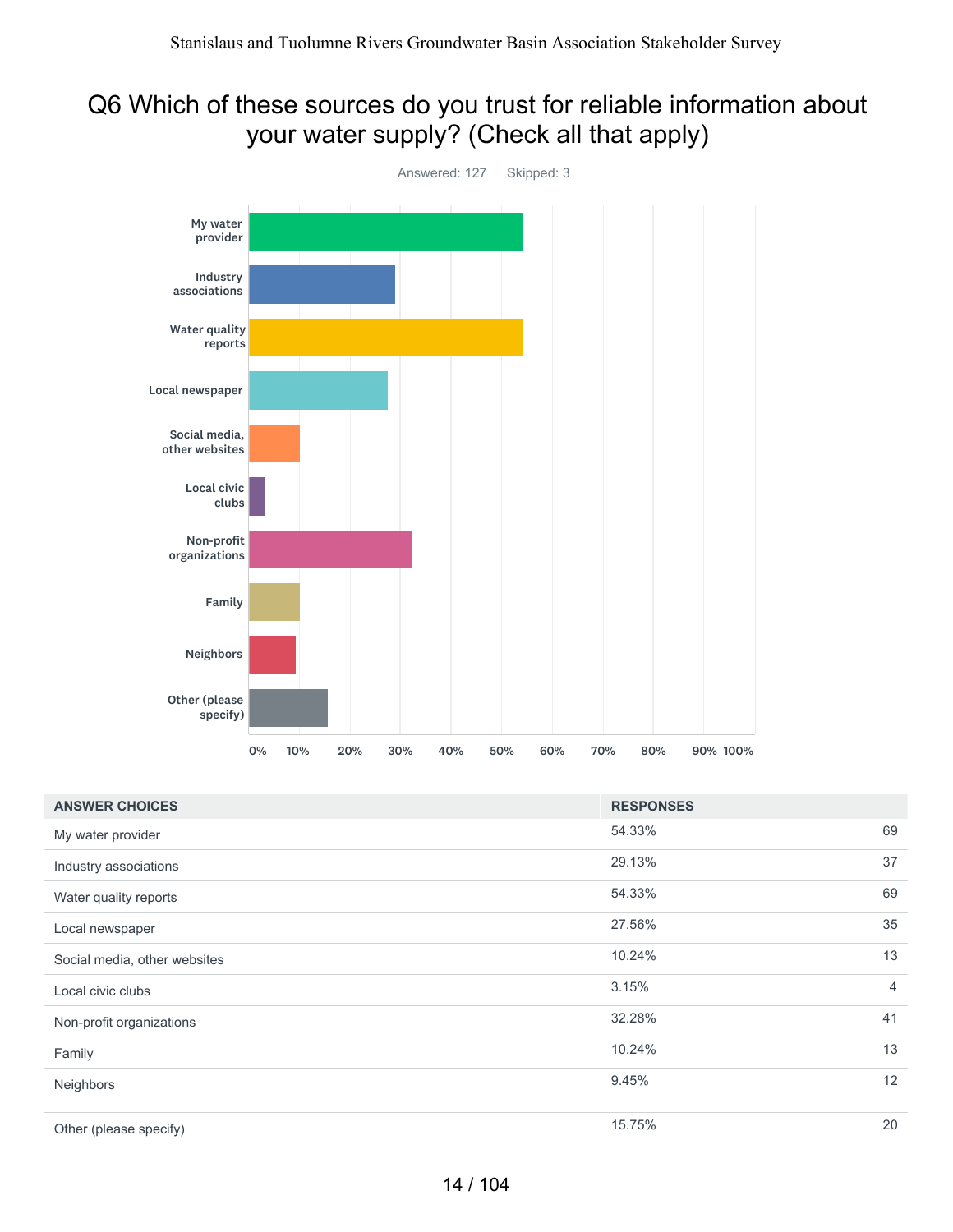#### Q6 Which of these sources do you trust for reliable information about your water supply? (Check all that apply)



| <b>ANSWER CHOICES</b>        | <b>RESPONSES</b> |                |
|------------------------------|------------------|----------------|
| My water provider            | 54.33%           | 69             |
| Industry associations        | 29.13%           | 37             |
| Water quality reports        | 54.33%           | 69             |
| Local newspaper              | 27.56%           | 35             |
| Social media, other websites | 10.24%           | 13             |
| Local civic clubs            | 3.15%            | $\overline{4}$ |
| Non-profit organizations     | 32.28%           | 41             |
| Family                       | 10.24%           | 13             |
| Neighbors                    | 9.45%            | 12             |
| Other (please specify)       | 15.75%           | 20             |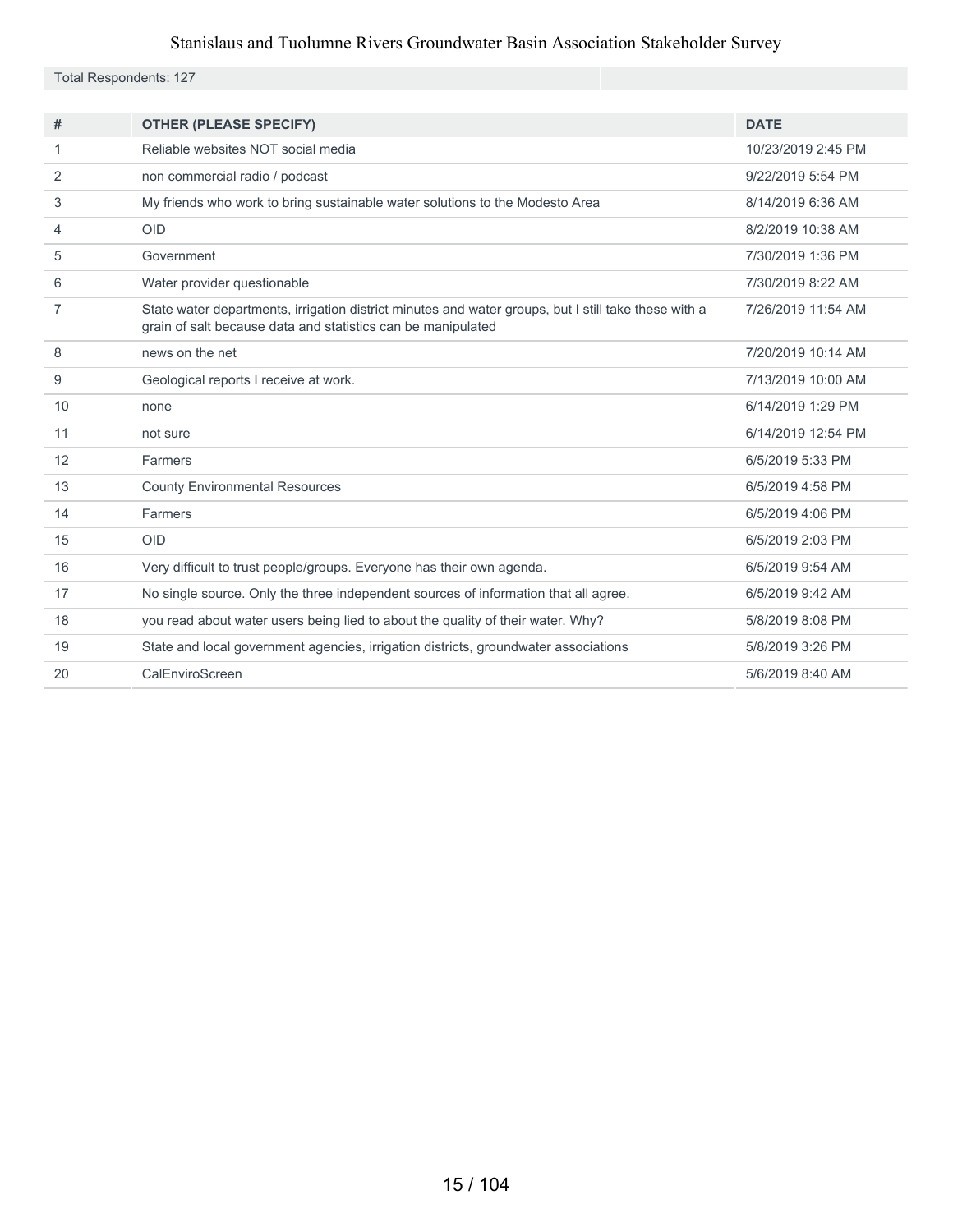Total Respondents: 127

| #  | <b>OTHER (PLEASE SPECIFY)</b>                                                                                                                                        | <b>DATE</b>        |
|----|----------------------------------------------------------------------------------------------------------------------------------------------------------------------|--------------------|
| 1  | Reliable websites NOT social media                                                                                                                                   | 10/23/2019 2:45 PM |
| 2  | non commercial radio / podcast                                                                                                                                       | 9/22/2019 5:54 PM  |
| 3  | My friends who work to bring sustainable water solutions to the Modesto Area                                                                                         | 8/14/2019 6:36 AM  |
| 4  | <b>OID</b>                                                                                                                                                           | 8/2/2019 10:38 AM  |
| 5  | Government                                                                                                                                                           | 7/30/2019 1:36 PM  |
| 6  | Water provider questionable                                                                                                                                          | 7/30/2019 8:22 AM  |
| 7  | State water departments, irrigation district minutes and water groups, but I still take these with a<br>grain of salt because data and statistics can be manipulated | 7/26/2019 11:54 AM |
| 8  | news on the net                                                                                                                                                      | 7/20/2019 10:14 AM |
| 9  | Geological reports I receive at work.                                                                                                                                | 7/13/2019 10:00 AM |
| 10 | none                                                                                                                                                                 | 6/14/2019 1:29 PM  |
| 11 | not sure                                                                                                                                                             | 6/14/2019 12:54 PM |
| 12 | Farmers                                                                                                                                                              | 6/5/2019 5:33 PM   |
| 13 | <b>County Environmental Resources</b>                                                                                                                                | 6/5/2019 4:58 PM   |
| 14 | Farmers                                                                                                                                                              | 6/5/2019 4:06 PM   |
| 15 | <b>OID</b>                                                                                                                                                           | 6/5/2019 2:03 PM   |
| 16 | Very difficult to trust people/groups. Everyone has their own agenda.                                                                                                | 6/5/2019 9:54 AM   |
| 17 | No single source. Only the three independent sources of information that all agree.                                                                                  | 6/5/2019 9:42 AM   |
| 18 | you read about water users being lied to about the quality of their water. Why?                                                                                      | 5/8/2019 8:08 PM   |
| 19 | State and local government agencies, irrigation districts, groundwater associations                                                                                  | 5/8/2019 3:26 PM   |
| 20 | CalEnviroScreen                                                                                                                                                      | 5/6/2019 8:40 AM   |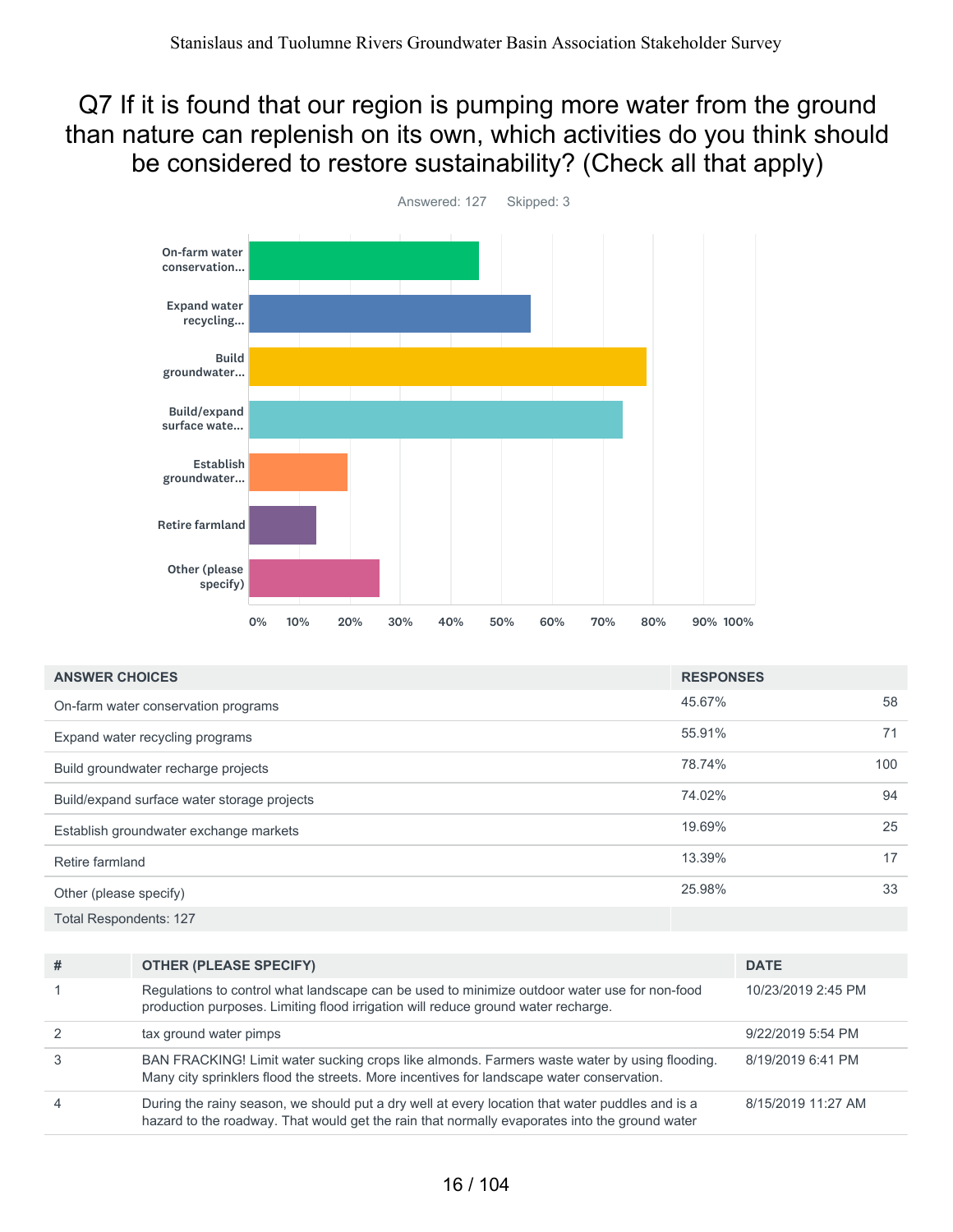#### Q7 If it is found that our region is pumping more water from the ground than nature can replenish on its own, which activities do you think should be considered to restore sustainability? (Check all that apply)



| <b>ANSWER CHOICES</b>                       | <b>RESPONSES</b> |     |
|---------------------------------------------|------------------|-----|
| On-farm water conservation programs         | 45.67%           | 58  |
| Expand water recycling programs             | 55.91%           | 71  |
| Build groundwater recharge projects         | 78.74%           | 100 |
| Build/expand surface water storage projects | 74.02%           | 94  |
| Establish groundwater exchange markets      | 19.69%           | 25  |
| Retire farmland                             | 13.39%           | 17  |
| Other (please specify)                      | 25.98%           | 33  |
| <b>Total Respondents: 127</b>               |                  |     |

| # | <b>OTHER (PLEASE SPECIFY)</b>                                                                                                                                                                    | <b>DATE</b>        |
|---|--------------------------------------------------------------------------------------------------------------------------------------------------------------------------------------------------|--------------------|
|   | Regulations to control what landscape can be used to minimize outdoor water use for non-food<br>production purposes. Limiting flood irrigation will reduce ground water recharge.                | 10/23/2019 2:45 PM |
|   | tax ground water pimps                                                                                                                                                                           | 9/22/2019 5:54 PM  |
|   | BAN FRACKING! Limit water sucking crops like almonds. Farmers waste water by using flooding.<br>Many city sprinklers flood the streets. More incentives for landscape water conservation.        | 8/19/2019 6:41 PM  |
| 4 | During the rainy season, we should put a dry well at every location that water puddles and is a<br>hazard to the roadway. That would get the rain that normally evaporates into the ground water | 8/15/2019 11:27 AM |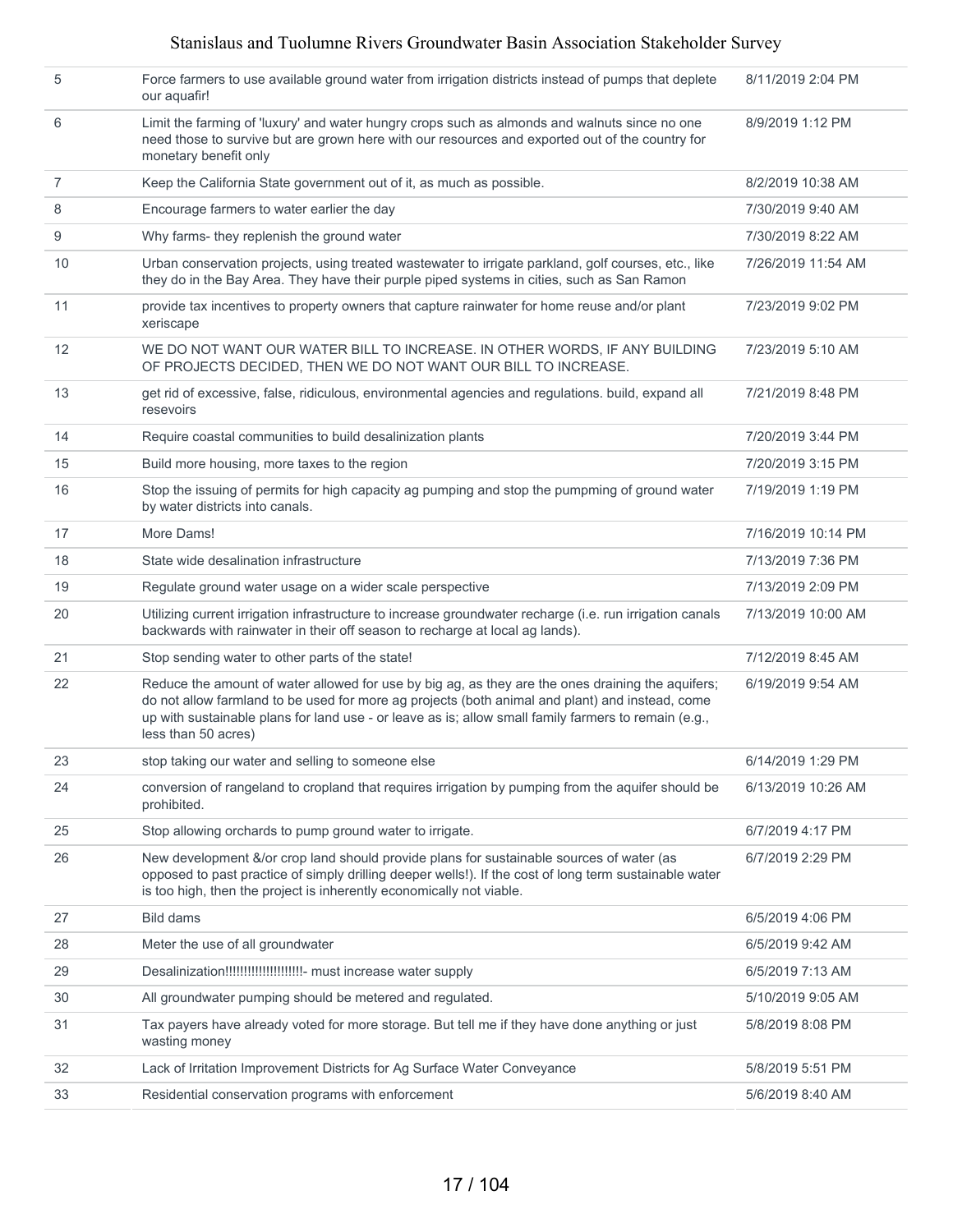| 5  | Force farmers to use available ground water from irrigation districts instead of pumps that deplete<br>our aquafir!                                                                                                                                                                                                                 | 8/11/2019 2:04 PM  |
|----|-------------------------------------------------------------------------------------------------------------------------------------------------------------------------------------------------------------------------------------------------------------------------------------------------------------------------------------|--------------------|
| 6  | Limit the farming of 'luxury' and water hungry crops such as almonds and walnuts since no one<br>need those to survive but are grown here with our resources and exported out of the country for<br>monetary benefit only                                                                                                           | 8/9/2019 1:12 PM   |
| 7  | Keep the California State government out of it, as much as possible.                                                                                                                                                                                                                                                                | 8/2/2019 10:38 AM  |
| 8  | Encourage farmers to water earlier the day                                                                                                                                                                                                                                                                                          | 7/30/2019 9:40 AM  |
| 9  | Why farms- they replenish the ground water                                                                                                                                                                                                                                                                                          | 7/30/2019 8:22 AM  |
| 10 | Urban conservation projects, using treated wastewater to irrigate parkland, golf courses, etc., like<br>they do in the Bay Area. They have their purple piped systems in cities, such as San Ramon                                                                                                                                  | 7/26/2019 11:54 AM |
| 11 | provide tax incentives to property owners that capture rainwater for home reuse and/or plant<br>xeriscape                                                                                                                                                                                                                           | 7/23/2019 9:02 PM  |
| 12 | WE DO NOT WANT OUR WATER BILL TO INCREASE. IN OTHER WORDS, IF ANY BUILDING<br>OF PROJECTS DECIDED, THEN WE DO NOT WANT OUR BILL TO INCREASE.                                                                                                                                                                                        | 7/23/2019 5:10 AM  |
| 13 | get rid of excessive, false, ridiculous, environmental agencies and regulations. build, expand all<br>resevoirs                                                                                                                                                                                                                     | 7/21/2019 8:48 PM  |
| 14 | Require coastal communities to build desalinization plants                                                                                                                                                                                                                                                                          | 7/20/2019 3:44 PM  |
| 15 | Build more housing, more taxes to the region                                                                                                                                                                                                                                                                                        | 7/20/2019 3:15 PM  |
| 16 | Stop the issuing of permits for high capacity ag pumping and stop the pumpming of ground water<br>by water districts into canals.                                                                                                                                                                                                   | 7/19/2019 1:19 PM  |
| 17 | More Dams!                                                                                                                                                                                                                                                                                                                          | 7/16/2019 10:14 PM |
| 18 | State wide desalination infrastructure                                                                                                                                                                                                                                                                                              | 7/13/2019 7:36 PM  |
| 19 | Regulate ground water usage on a wider scale perspective                                                                                                                                                                                                                                                                            | 7/13/2019 2:09 PM  |
| 20 | Utilizing current irrigation infrastructure to increase groundwater recharge (i.e. run irrigation canals<br>backwards with rainwater in their off season to recharge at local ag lands).                                                                                                                                            | 7/13/2019 10:00 AM |
| 21 | Stop sending water to other parts of the state!                                                                                                                                                                                                                                                                                     | 7/12/2019 8:45 AM  |
| 22 | Reduce the amount of water allowed for use by big ag, as they are the ones draining the aquifers;<br>do not allow farmland to be used for more ag projects (both animal and plant) and instead, come<br>up with sustainable plans for land use - or leave as is; allow small family farmers to remain (e.g.,<br>less than 50 acres) | 6/19/2019 9:54 AM  |
| 23 | stop taking our water and selling to someone else                                                                                                                                                                                                                                                                                   | 6/14/2019 1:29 PM  |
| 24 | conversion of rangeland to cropland that requires irrigation by pumping from the aquifer should be<br>prohibited.                                                                                                                                                                                                                   | 6/13/2019 10:26 AM |
| 25 | Stop allowing orchards to pump ground water to irrigate.                                                                                                                                                                                                                                                                            | 6/7/2019 4:17 PM   |
| 26 | New development &/or crop land should provide plans for sustainable sources of water (as<br>opposed to past practice of simply drilling deeper wells!). If the cost of long term sustainable water<br>is too high, then the project is inherently economically not viable.                                                          | 6/7/2019 2:29 PM   |
| 27 | <b>Bild dams</b>                                                                                                                                                                                                                                                                                                                    | 6/5/2019 4:06 PM   |
| 28 | Meter the use of all groundwater                                                                                                                                                                                                                                                                                                    | 6/5/2019 9:42 AM   |
| 29 |                                                                                                                                                                                                                                                                                                                                     | 6/5/2019 7:13 AM   |
| 30 | All groundwater pumping should be metered and regulated.                                                                                                                                                                                                                                                                            | 5/10/2019 9:05 AM  |
| 31 | Tax payers have already voted for more storage. But tell me if they have done anything or just<br>wasting money                                                                                                                                                                                                                     | 5/8/2019 8:08 PM   |
| 32 | Lack of Irritation Improvement Districts for Ag Surface Water Conveyance                                                                                                                                                                                                                                                            | 5/8/2019 5:51 PM   |
| 33 | Residential conservation programs with enforcement                                                                                                                                                                                                                                                                                  | 5/6/2019 8:40 AM   |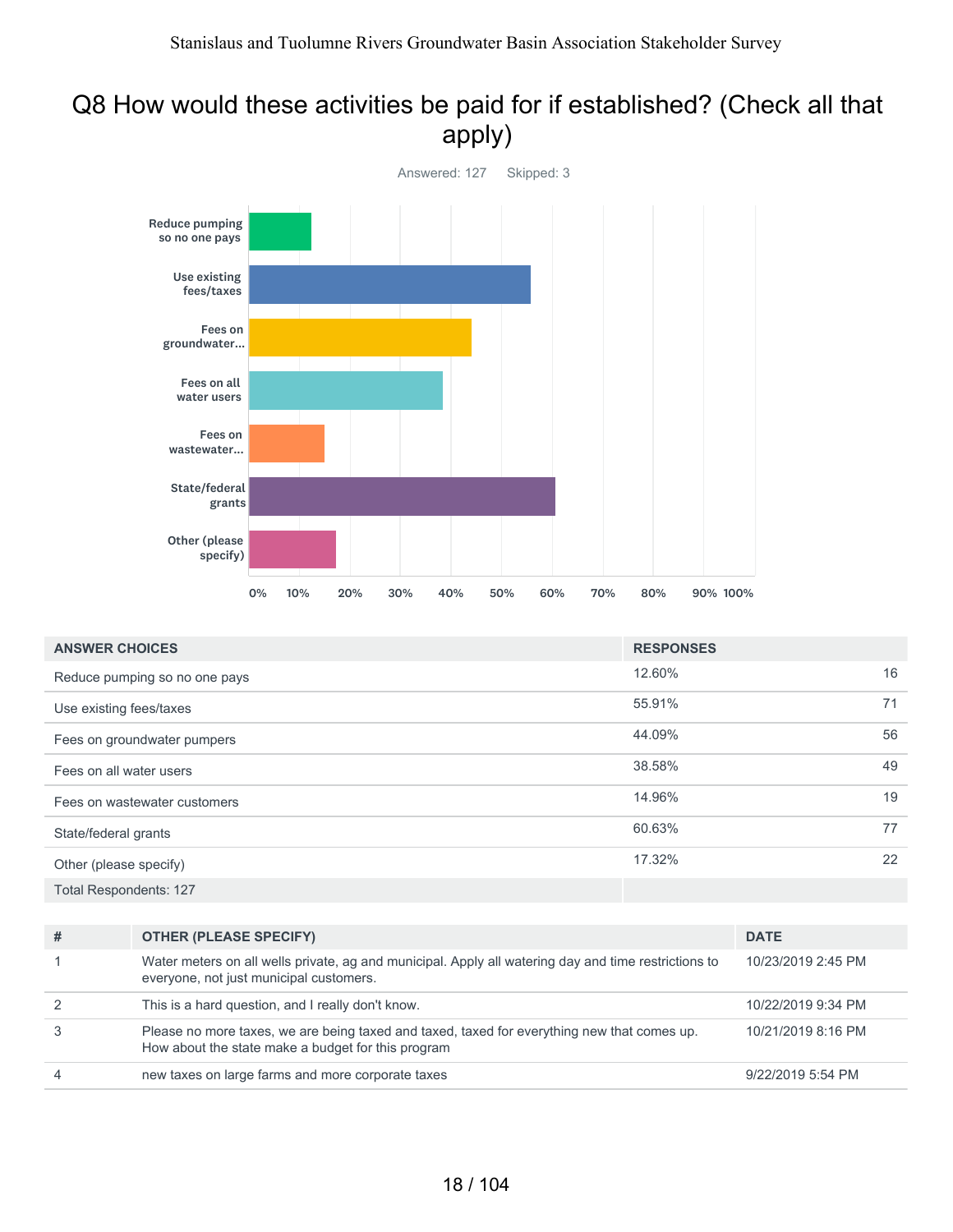#### Q8 How would these activities be paid for if established? (Check all that apply)



| <b>ANSWER CHOICES</b>         | <b>RESPONSES</b> |    |
|-------------------------------|------------------|----|
| Reduce pumping so no one pays | 12.60%           | 16 |
| Use existing fees/taxes       | 55.91%           | 71 |
| Fees on groundwater pumpers   | 44.09%           | 56 |
| Fees on all water users       | 38.58%           | 49 |
| Fees on wastewater customers  | 14.96%           | 19 |
| State/federal grants          | 60.63%           | 77 |
| Other (please specify)        | 17.32%           | 22 |
| <b>Total Respondents: 127</b> |                  |    |

| # | <b>OTHER (PLEASE SPECIFY)</b>                                                                                                                     | <b>DATE</b>        |
|---|---------------------------------------------------------------------------------------------------------------------------------------------------|--------------------|
|   | Water meters on all wells private, ag and municipal. Apply all watering day and time restrictions to<br>everyone, not just municipal customers.   | 10/23/2019 2:45 PM |
|   | This is a hard question, and I really don't know.                                                                                                 | 10/22/2019 9:34 PM |
|   | Please no more taxes, we are being taxed and taxed, taxed for everything new that comes up.<br>How about the state make a budget for this program | 10/21/2019 8:16 PM |
| 4 | new taxes on large farms and more corporate taxes                                                                                                 | 9/22/2019 5:54 PM  |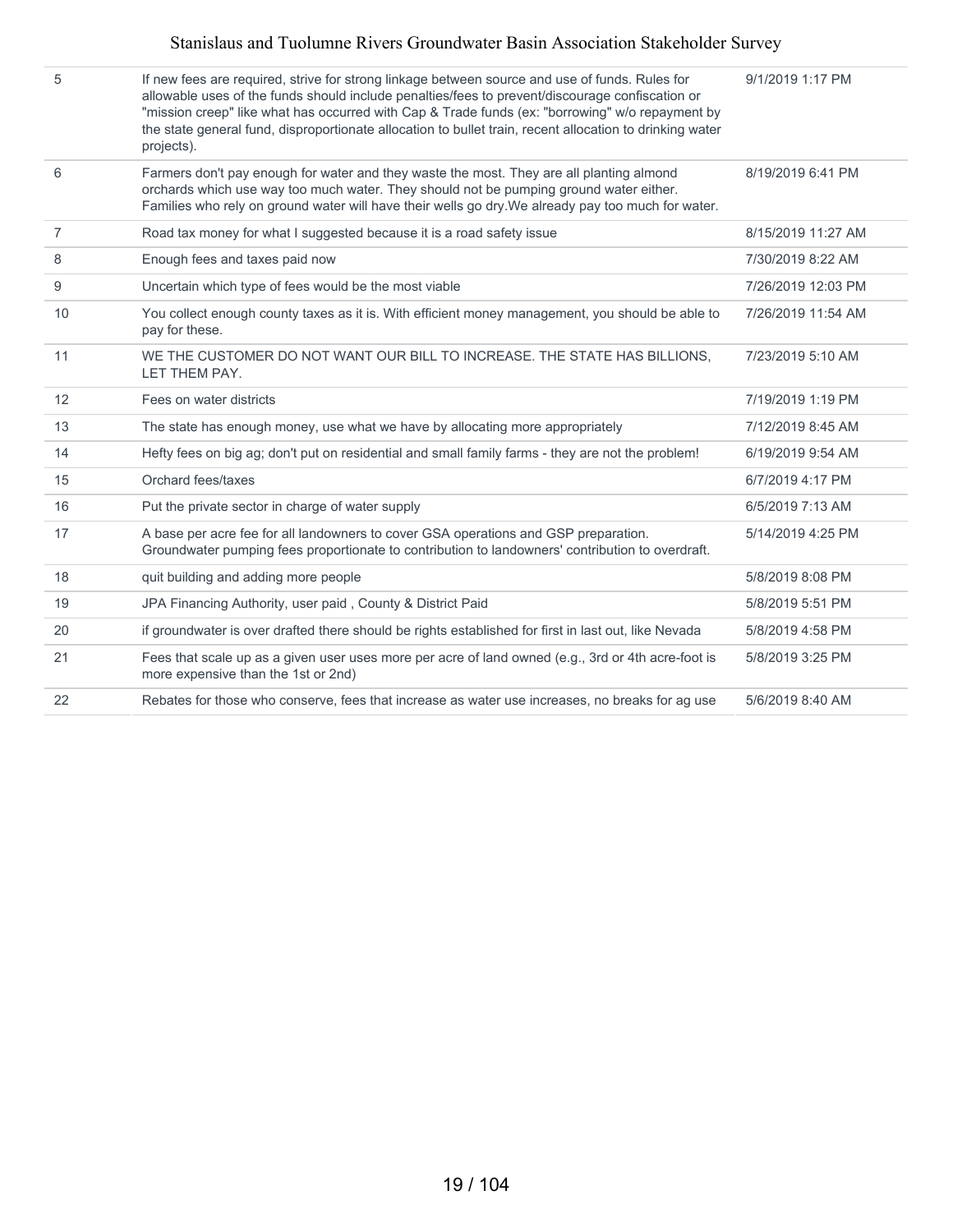| 5              | If new fees are required, strive for strong linkage between source and use of funds. Rules for<br>allowable uses of the funds should include penalties/fees to prevent/discourage confiscation or<br>"mission creep" like what has occurred with Cap & Trade funds (ex: "borrowing" w/o repayment by<br>the state general fund, disproportionate allocation to bullet train, recent allocation to drinking water<br>projects). | 9/1/2019 1:17 PM   |
|----------------|--------------------------------------------------------------------------------------------------------------------------------------------------------------------------------------------------------------------------------------------------------------------------------------------------------------------------------------------------------------------------------------------------------------------------------|--------------------|
| 6              | Farmers don't pay enough for water and they waste the most. They are all planting almond<br>orchards which use way too much water. They should not be pumping ground water either.<br>Families who rely on ground water will have their wells go dry. We already pay too much for water.                                                                                                                                       | 8/19/2019 6:41 PM  |
| $\overline{7}$ | Road tax money for what I suggested because it is a road safety issue                                                                                                                                                                                                                                                                                                                                                          | 8/15/2019 11:27 AM |
| 8              | Enough fees and taxes paid now                                                                                                                                                                                                                                                                                                                                                                                                 | 7/30/2019 8:22 AM  |
| 9              | Uncertain which type of fees would be the most viable                                                                                                                                                                                                                                                                                                                                                                          | 7/26/2019 12:03 PM |
| 10             | You collect enough county taxes as it is. With efficient money management, you should be able to<br>pay for these.                                                                                                                                                                                                                                                                                                             | 7/26/2019 11:54 AM |
| 11             | WE THE CUSTOMER DO NOT WANT OUR BILL TO INCREASE. THE STATE HAS BILLIONS.                                                                                                                                                                                                                                                                                                                                                      | 7/23/2019 5:10 AM  |
|                | LET THEM PAY.                                                                                                                                                                                                                                                                                                                                                                                                                  |                    |
| 12             | Fees on water districts                                                                                                                                                                                                                                                                                                                                                                                                        | 7/19/2019 1:19 PM  |
| 13             | The state has enough money, use what we have by allocating more appropriately                                                                                                                                                                                                                                                                                                                                                  | 7/12/2019 8:45 AM  |
| 14             | Hefty fees on big ag; don't put on residential and small family farms - they are not the problem!                                                                                                                                                                                                                                                                                                                              | 6/19/2019 9:54 AM  |
| 15             | Orchard fees/taxes                                                                                                                                                                                                                                                                                                                                                                                                             | 6/7/2019 4:17 PM   |
| 16             | Put the private sector in charge of water supply                                                                                                                                                                                                                                                                                                                                                                               | 6/5/2019 7:13 AM   |
| 17             | A base per acre fee for all landowners to cover GSA operations and GSP preparation.<br>Groundwater pumping fees proportionate to contribution to landowners' contribution to overdraft.                                                                                                                                                                                                                                        | 5/14/2019 4:25 PM  |
| 18             | quit building and adding more people                                                                                                                                                                                                                                                                                                                                                                                           | 5/8/2019 8:08 PM   |
| 19             | JPA Financing Authority, user paid, County & District Paid                                                                                                                                                                                                                                                                                                                                                                     | 5/8/2019 5:51 PM   |
| 20             | if groundwater is over drafted there should be rights established for first in last out, like Nevada                                                                                                                                                                                                                                                                                                                           | 5/8/2019 4:58 PM   |
| 21             | Fees that scale up as a given user uses more per acre of land owned (e.g., 3rd or 4th acre-foot is<br>more expensive than the 1st or 2nd)                                                                                                                                                                                                                                                                                      | 5/8/2019 3:25 PM   |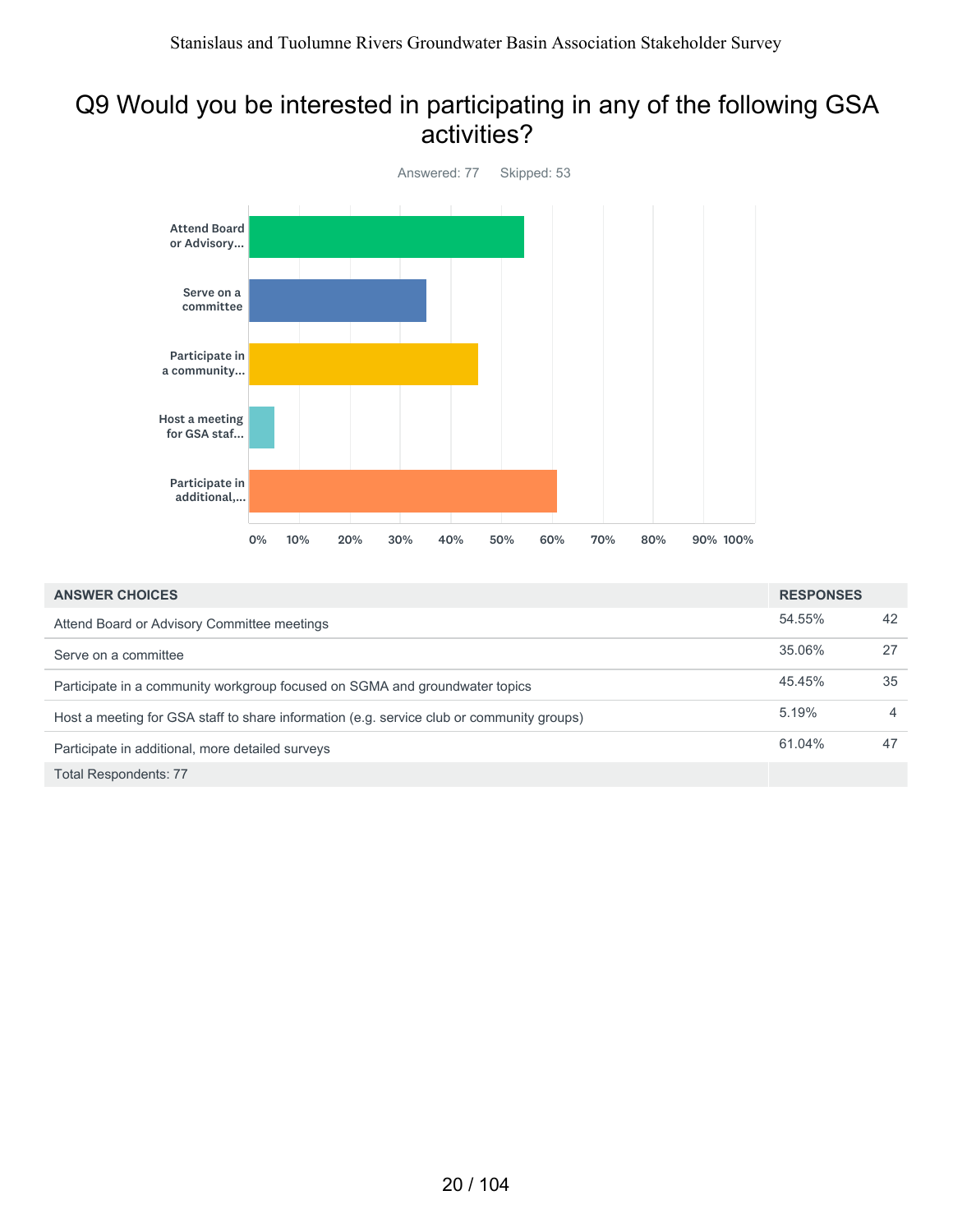#### Q9 Would you be interested in participating in any of the following GSA activities?



| <b>ANSWER CHOICES</b>                                                                     | <b>RESPONSES</b> |                |
|-------------------------------------------------------------------------------------------|------------------|----------------|
| Attend Board or Advisory Committee meetings                                               | 54.55%           | 42             |
| Serve on a committee                                                                      | 35.06%           | 27             |
| Participate in a community workgroup focused on SGMA and groundwater topics               | 45.45%           | 35             |
| Host a meeting for GSA staff to share information (e.g. service club or community groups) | 5.19%            | $\overline{4}$ |
| Participate in additional, more detailed surveys                                          | 61.04%           | 47             |
| <b>Total Respondents: 77</b>                                                              |                  |                |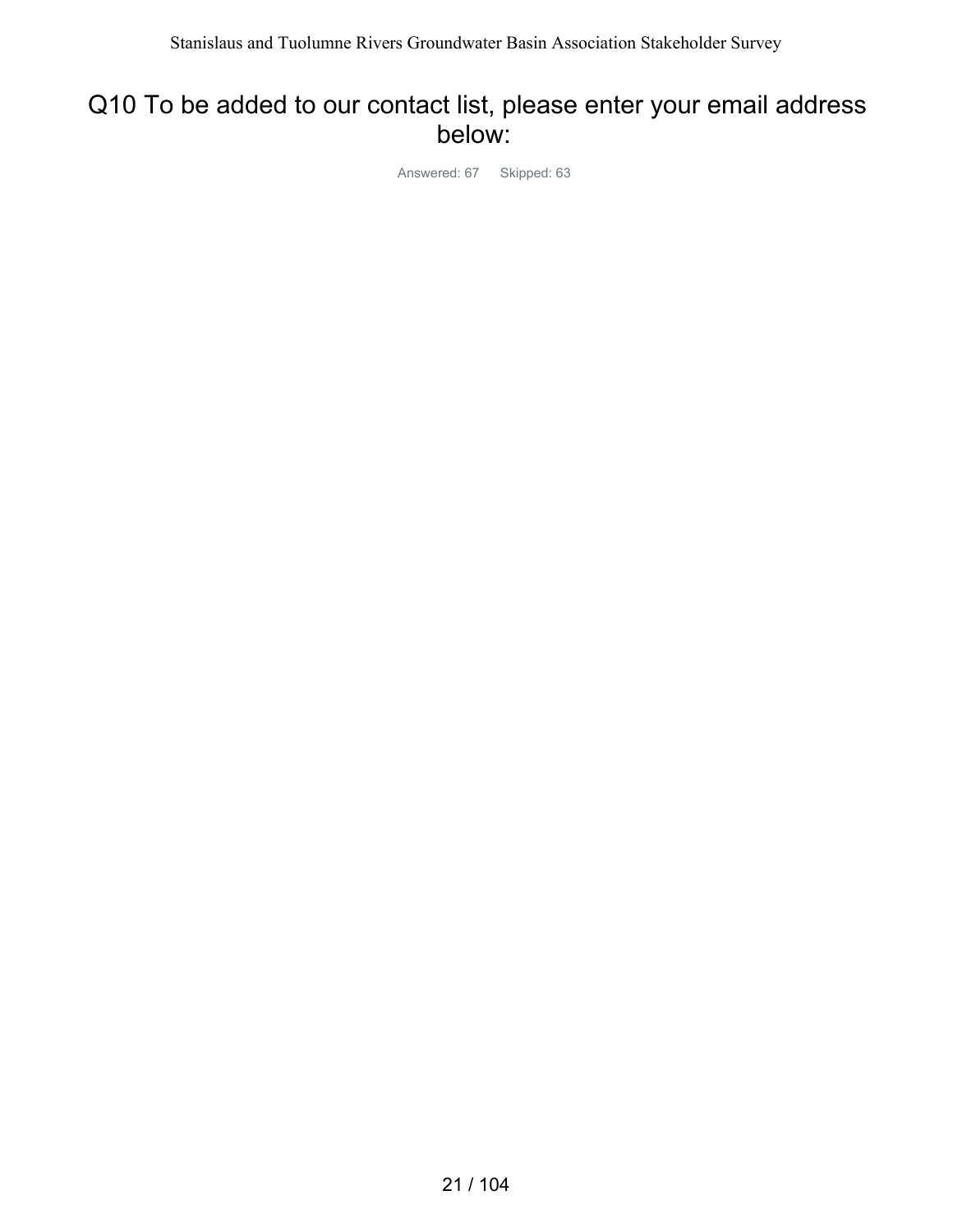#### Q10 To be added to our contact list, please enter your email address below:

Answered: 67 Skipped: 63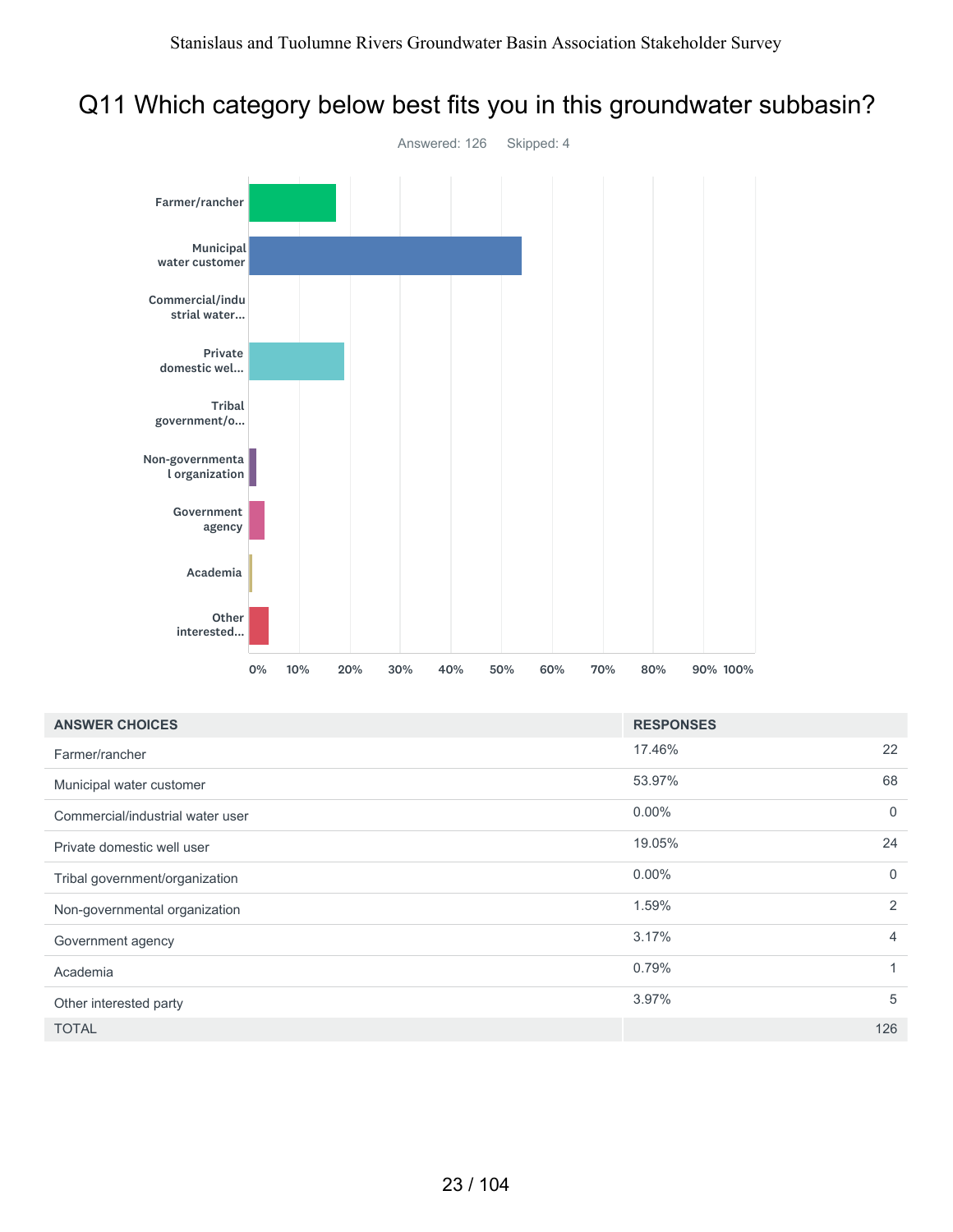### Q11 Which category below best fits you in this groundwater subbasin?



| <b>ANSWER CHOICES</b>            | <b>RESPONSES</b>         |
|----------------------------------|--------------------------|
| Farmer/rancher                   | 17.46%<br>22             |
| Municipal water customer         | 53.97%<br>68             |
| Commercial/industrial water user | $0.00\%$<br>$\mathbf{0}$ |
| Private domestic well user       | 24<br>19.05%             |
| Tribal government/organization   | $0.00\%$<br>$\mathbf{0}$ |
| Non-governmental organization    | $\overline{2}$<br>1.59%  |
| Government agency                | 3.17%<br>4               |
| Academia                         | 0.79%<br>1               |
| Other interested party           | 5<br>3.97%               |
| <b>TOTAL</b>                     | 126                      |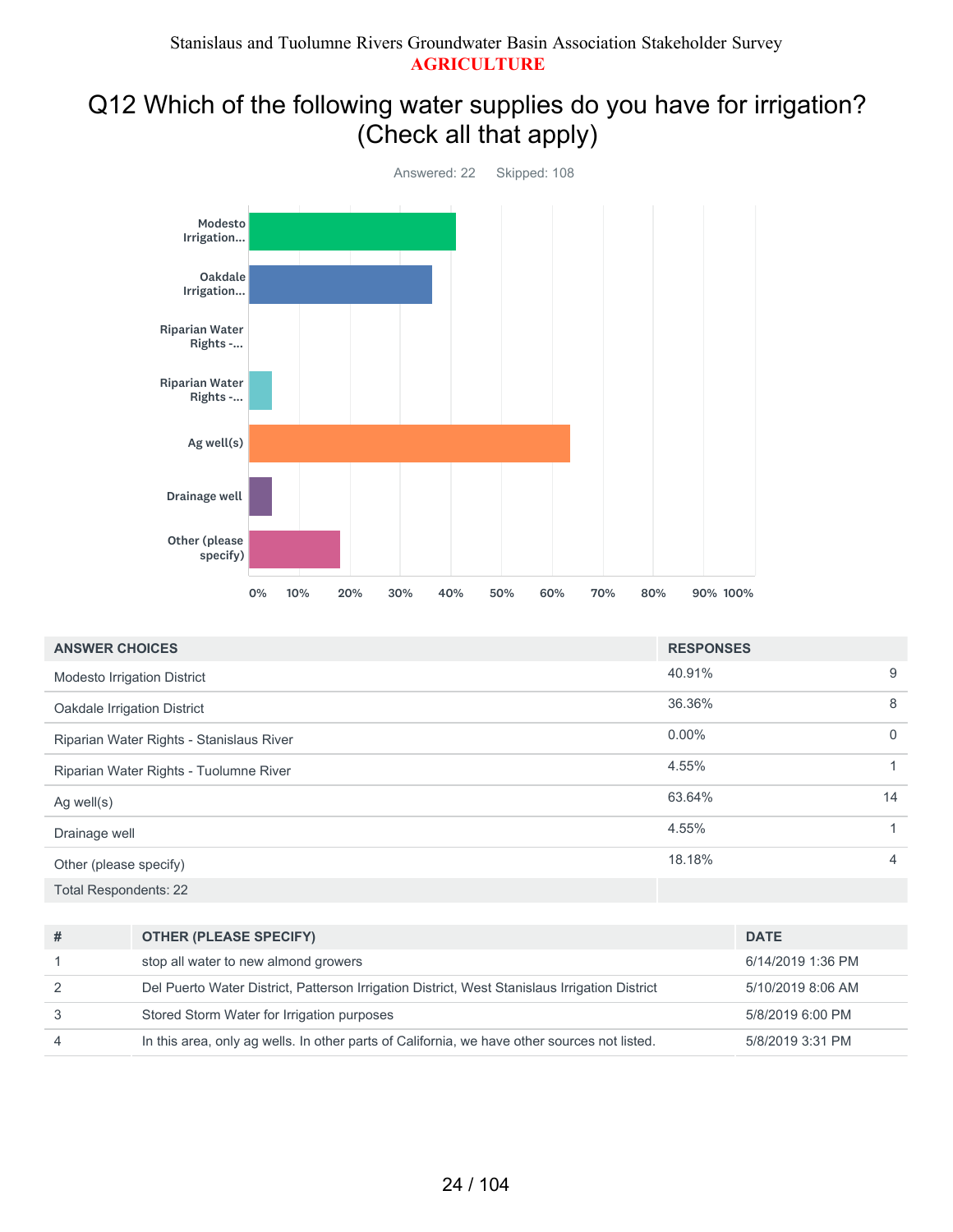# Q12 Which of the following water supplies do you have for irrigation? (Check all that apply)



| <b>ANSWER CHOICES</b>                    | <b>RESPONSES</b> |              |
|------------------------------------------|------------------|--------------|
| Modesto Irrigation District              | 40.91%           | 9            |
| Oakdale Irrigation District              | 36.36%           | 8            |
| Riparian Water Rights - Stanislaus River | $0.00\%$         | $\mathbf{0}$ |
| Riparian Water Rights - Tuolumne River   | 4.55%            | $\mathbf{1}$ |
| Ag well $(s)$                            | 63.64%           | 14           |
| Drainage well                            | 4.55%            |              |
| Other (please specify)                   | 18.18%           | 4            |
| <b>Total Respondents: 22</b>             |                  |              |

| #              | <b>OTHER (PLEASE SPECIFY)</b>                                                                 | <b>DATE</b>       |
|----------------|-----------------------------------------------------------------------------------------------|-------------------|
|                | stop all water to new almond growers                                                          | 6/14/2019 1:36 PM |
| -2             | Del Puerto Water District, Patterson Irrigation District, West Stanislaus Irrigation District | 5/10/2019 8:06 AM |
| 3              | Stored Storm Water for Irrigation purposes                                                    | 5/8/2019 6:00 PM  |
| $\overline{4}$ | In this area, only ag wells. In other parts of California, we have other sources not listed.  | 5/8/2019 3:31 PM  |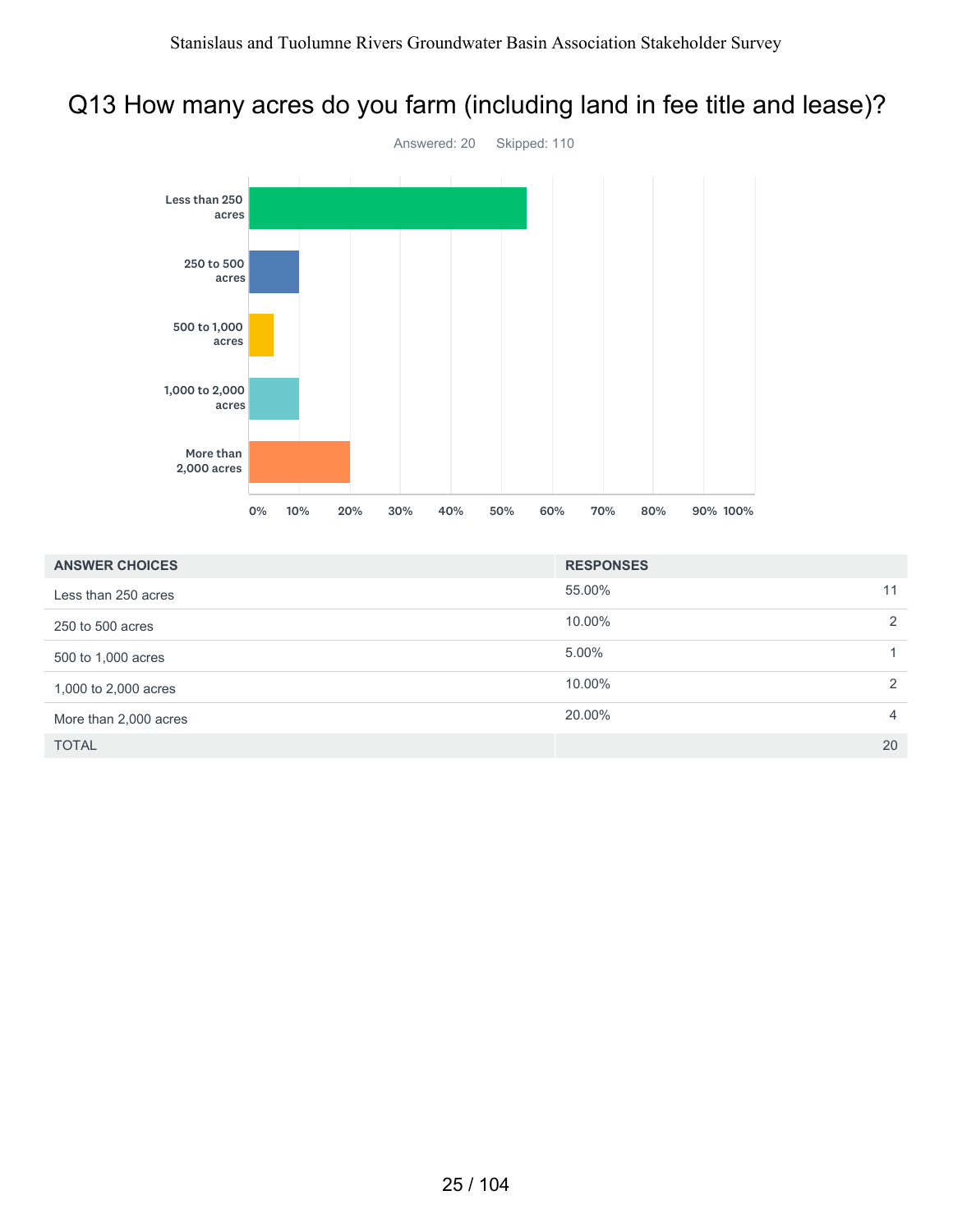# Q13 How many acres do you farm (including land in fee title and lease)?



| <b>ANSWER CHOICES</b> | <b>RESPONSES</b> |                |
|-----------------------|------------------|----------------|
| Less than 250 acres   | 55.00%           | 11             |
| 250 to 500 acres      | 10.00%           | 2              |
| 500 to 1,000 acres    | 5.00%            |                |
| 1,000 to 2,000 acres  | 10.00%           | 2              |
| More than 2,000 acres | 20.00%           | $\overline{4}$ |
| <b>TOTAL</b>          |                  | 20             |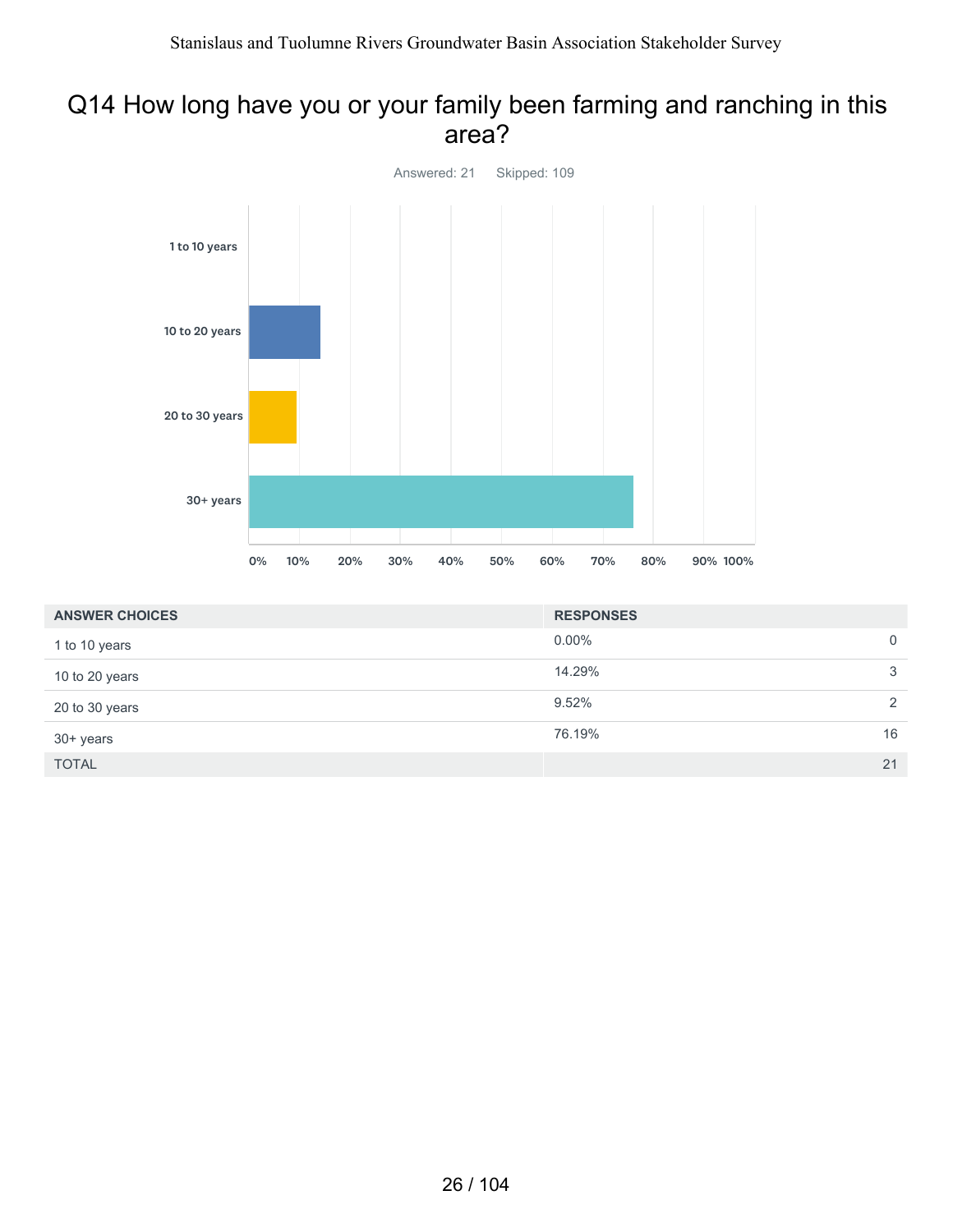#### Q14 How long have you or your family been farming and ranching in this area?



| <b>ANSWER CHOICES</b> | <b>RESPONSES</b> |               |
|-----------------------|------------------|---------------|
| 1 to 10 years         | $0.00\%$         | $\mathbf 0$   |
| 10 to 20 years        | 14.29%           | 3             |
| 20 to 30 years        | 9.52%            | $\mathcal{L}$ |
| 30+ years             | 76.19%           | 16            |
| <b>TOTAL</b>          |                  | 21            |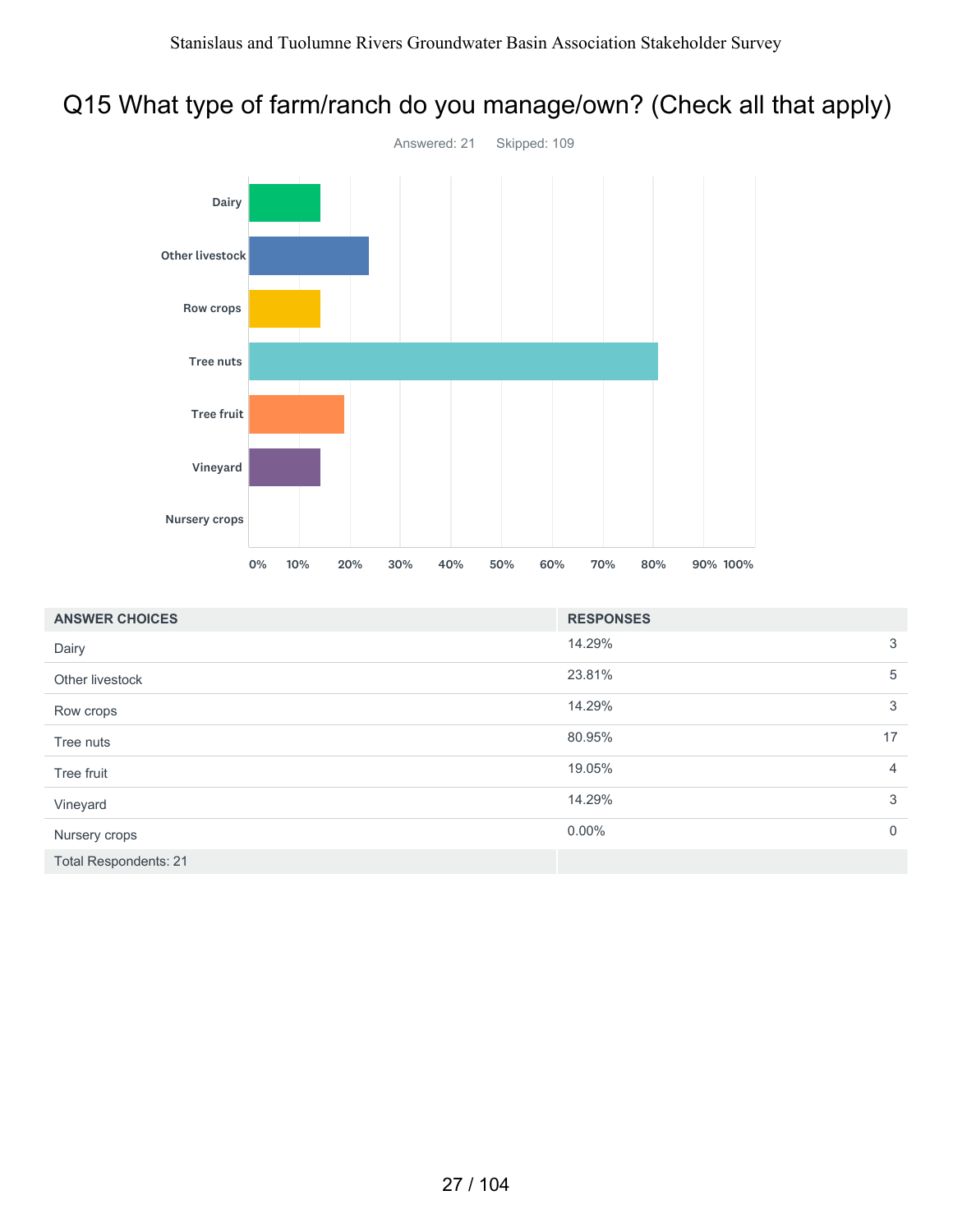# Q15 What type of farm/ranch do you manage/own? (Check all that apply)



| <b>ANSWER CHOICES</b>        | <b>RESPONSES</b> |                |
|------------------------------|------------------|----------------|
| Dairy                        | 14.29%           | 3              |
| Other livestock              | 23.81%           | 5              |
| Row crops                    | 14.29%           | 3              |
| Tree nuts                    | 80.95%           | 17             |
| Tree fruit                   | 19.05%           | $\overline{4}$ |
| Vineyard                     | 14.29%           | 3              |
| Nursery crops                | $0.00\%$         | $\mathbf 0$    |
| <b>Total Respondents: 21</b> |                  |                |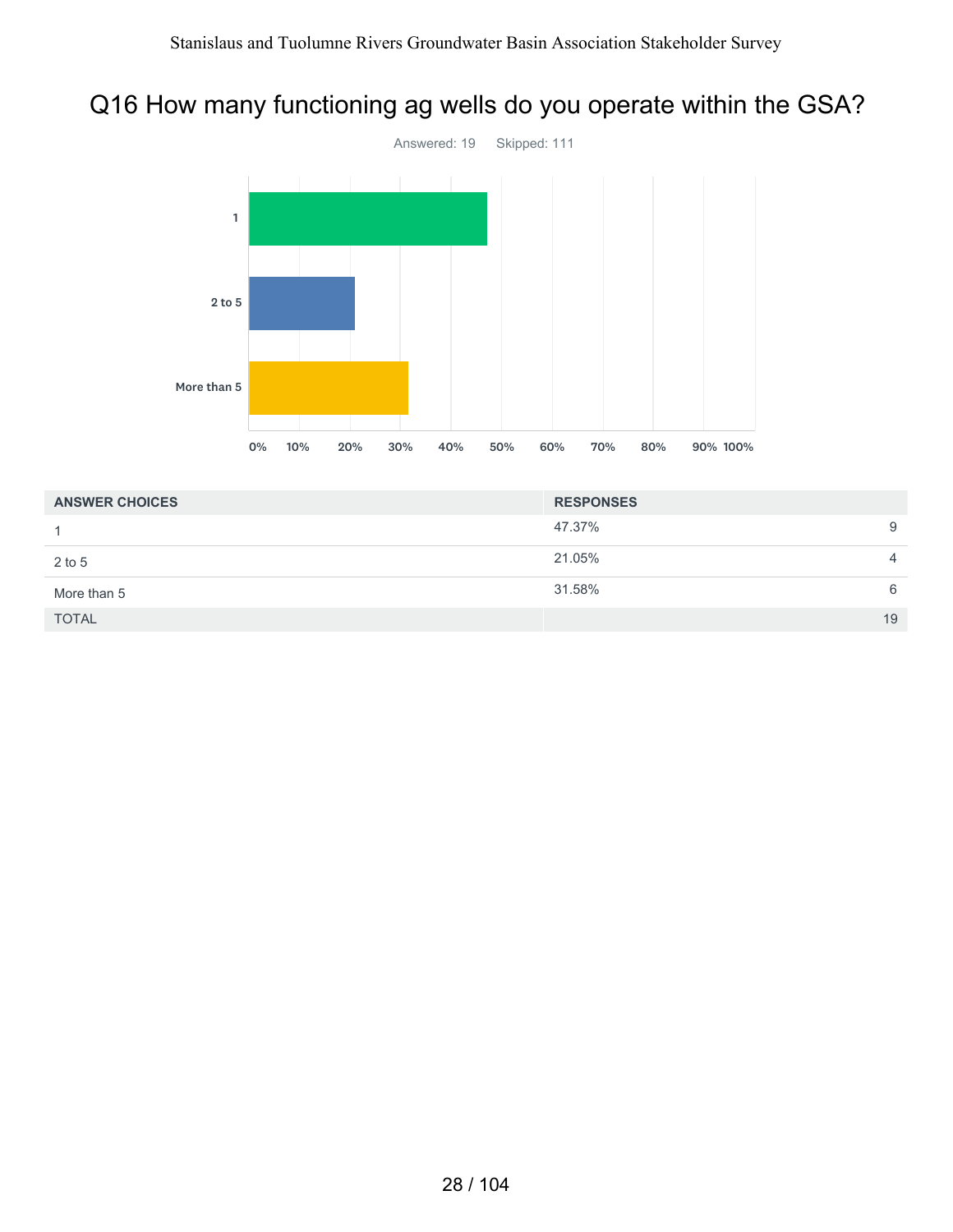# Q16 How many functioning ag wells do you operate within the GSA?



| <b>ANSWER CHOICES</b> | <b>RESPONSES</b> |                |
|-----------------------|------------------|----------------|
|                       | 47.37%           | 9              |
| $2$ to 5              | 21.05%           | $\overline{4}$ |
| More than 5           | 31.58%           | 6              |
| <b>TOTAL</b>          |                  | 19             |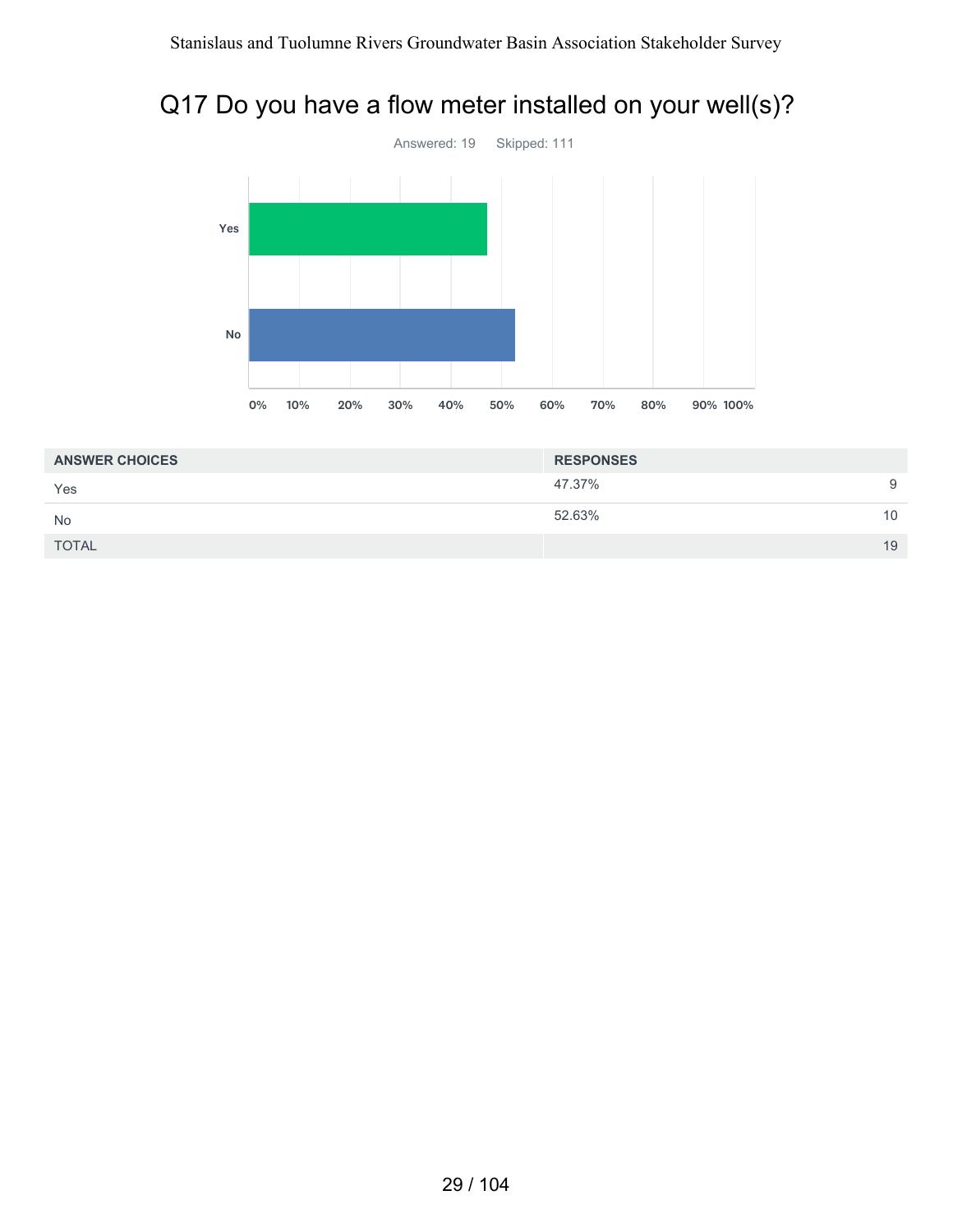# Q17 Do you have a flow meter installed on your well(s)?



| <b>ANSWER CHOICES</b> | <b>RESPONSES</b> |    |
|-----------------------|------------------|----|
| Yes                   | 47.37%           | 9  |
| <b>No</b>             | 52.63%           | 10 |
| <b>TOTAL</b>          |                  | 19 |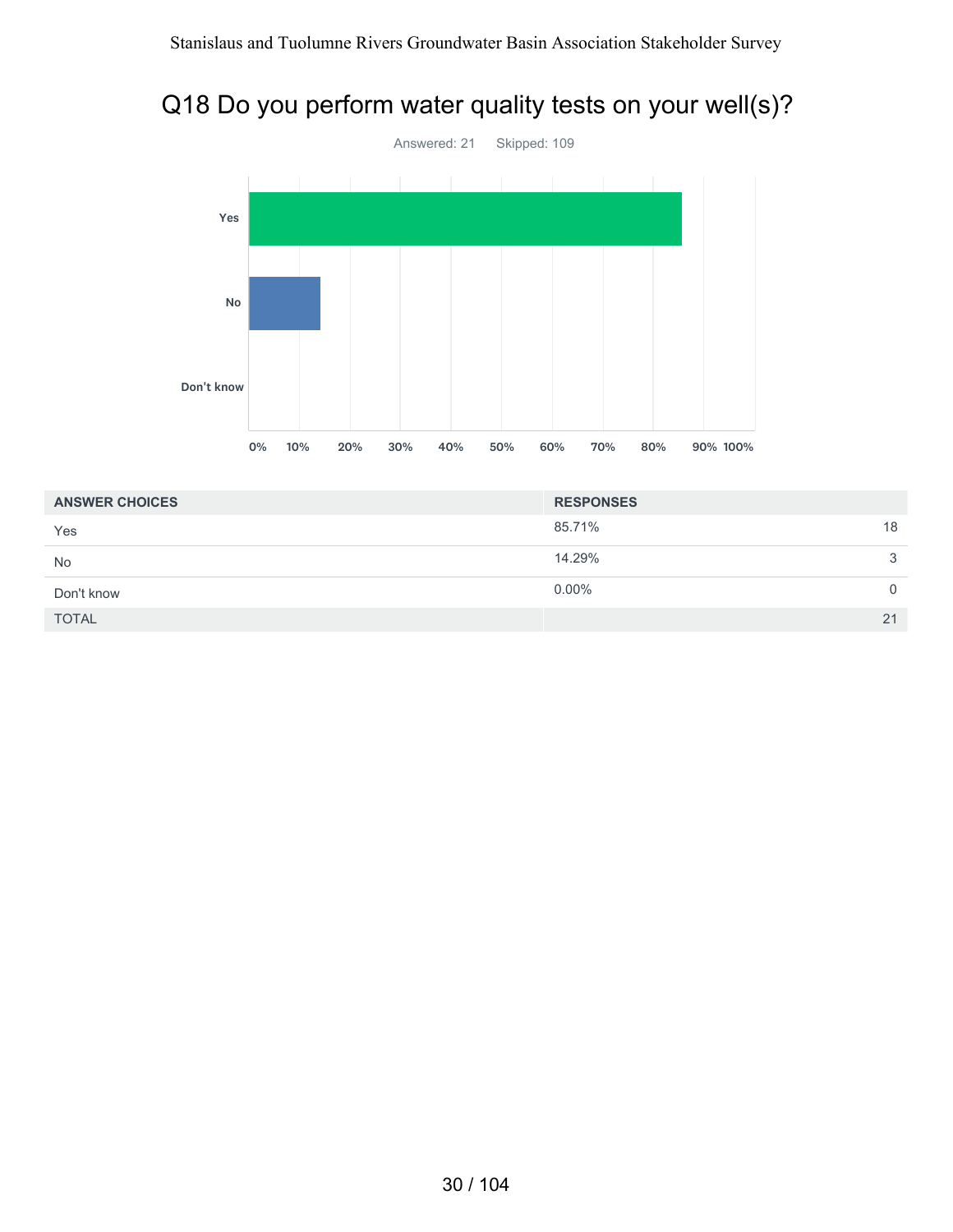# Q18 Do you perform water quality tests on your well(s)?



| <b>ANSWER CHOICES</b> | <b>RESPONSES</b> |              |
|-----------------------|------------------|--------------|
| Yes                   | 85.71%           | 18           |
| <b>No</b>             | 14.29%           | $\mathbf{3}$ |
| Don't know            | $0.00\%$         | $\mathbf{0}$ |
| <b>TOTAL</b>          |                  | 21           |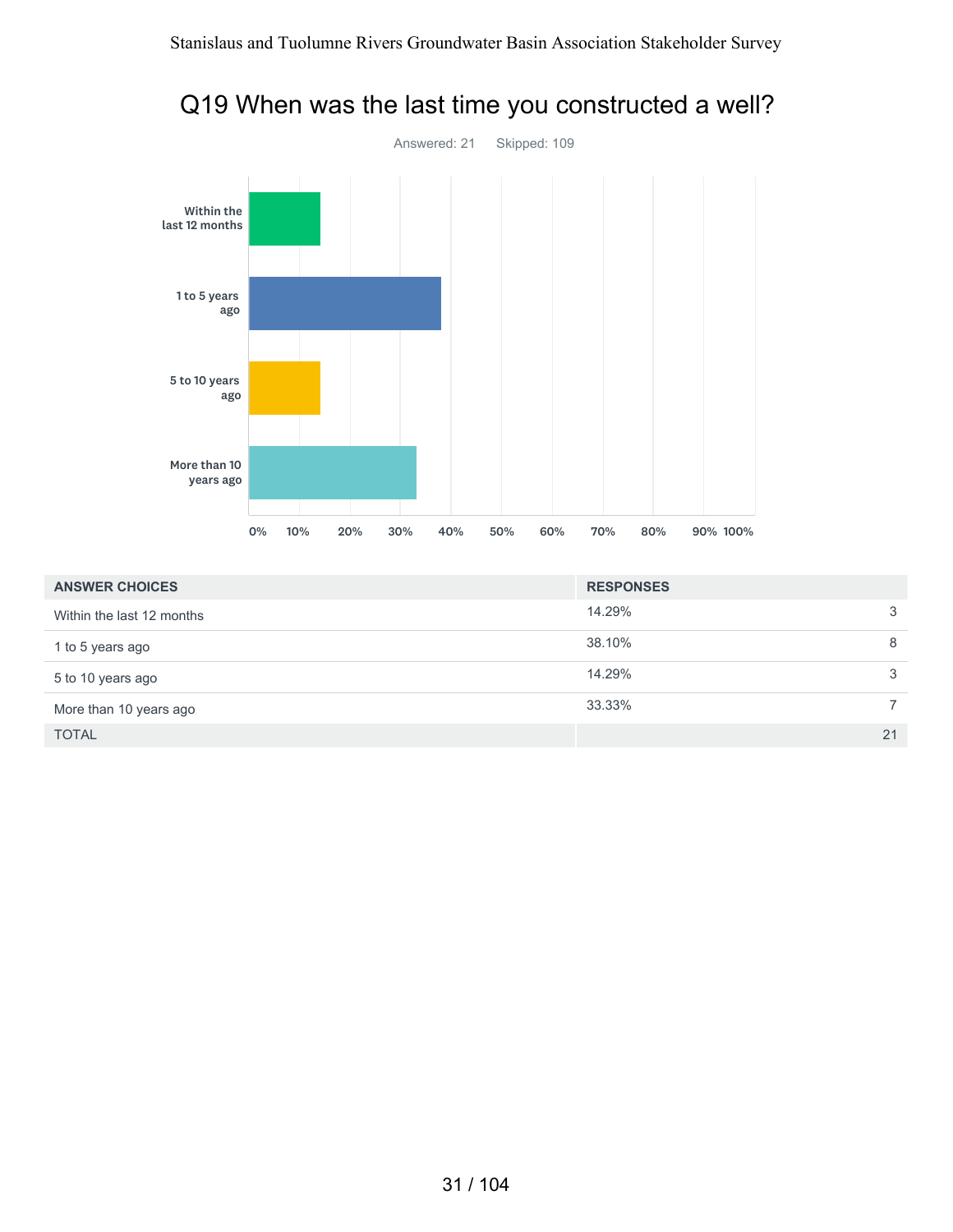Q19 When was the last time you constructed a well?



| $rac{1}{2}$         |  |  |  |
|---------------------|--|--|--|
|                     |  |  |  |
|                     |  |  |  |
|                     |  |  |  |
|                     |  |  |  |
|                     |  |  |  |
|                     |  |  |  |
| 1 to 5 years<br>ago |  |  |  |
|                     |  |  |  |
|                     |  |  |  |

| <b>ANSWER CHOICES</b>     | <b>RESPONSES</b> |    |
|---------------------------|------------------|----|
| Within the last 12 months | 14.29%           | 3  |
| 1 to 5 years ago          | 38.10%           | 8  |
| 5 to 10 years ago         | 14.29%           | 3  |
| More than 10 years ago    | 33.33%           |    |
| <b>TOTAL</b>              |                  | 21 |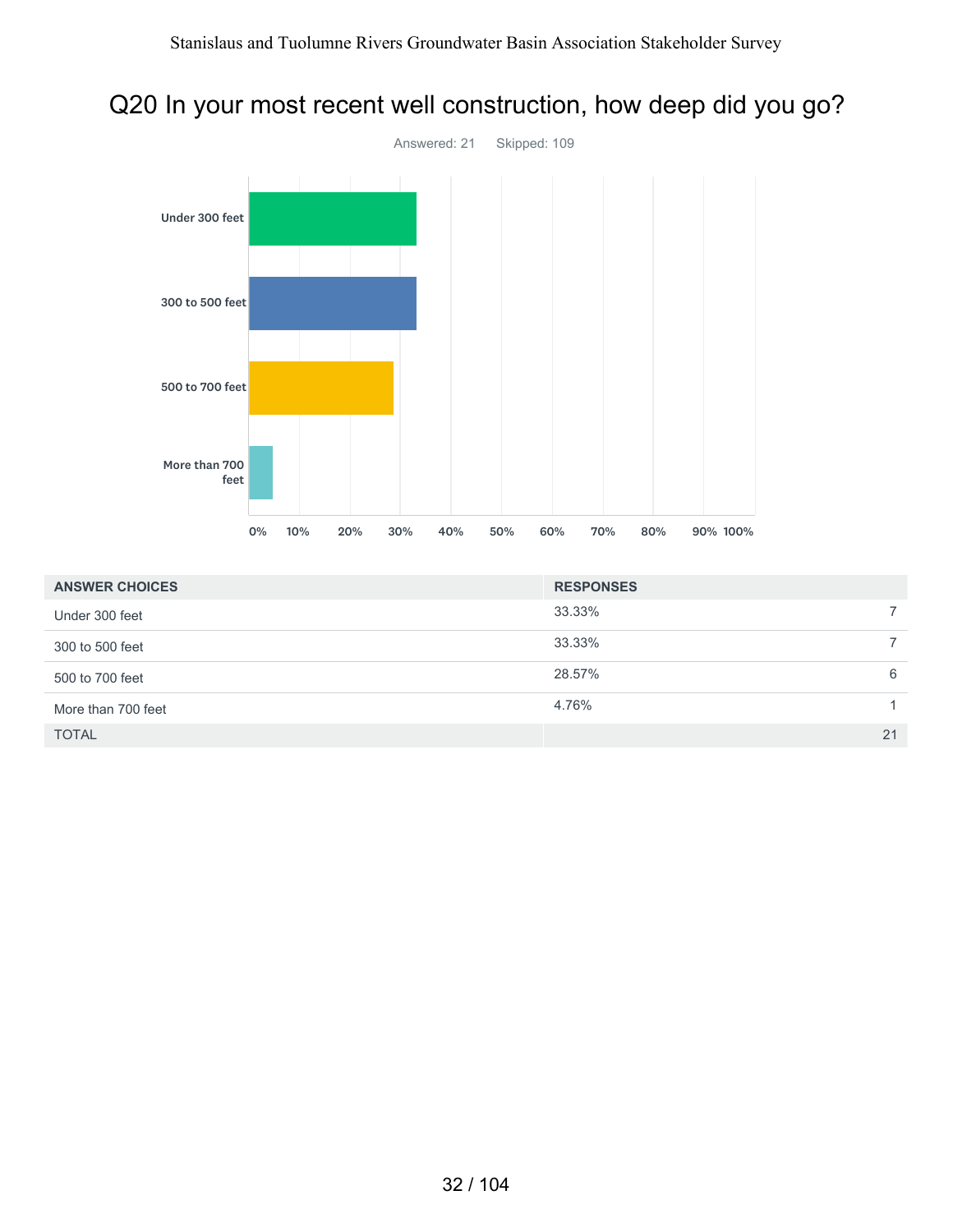# Q20 In your most recent well construction, how deep did you go?



| <b>ANSWER CHOICES</b> | <b>RESPONSES</b> |    |
|-----------------------|------------------|----|
| Under 300 feet        | 33.33%           |    |
| 300 to 500 feet       | 33.33%           |    |
| 500 to 700 feet       | 28.57%           | 6  |
| More than 700 feet    | 4.76%            |    |
| <b>TOTAL</b>          |                  | 21 |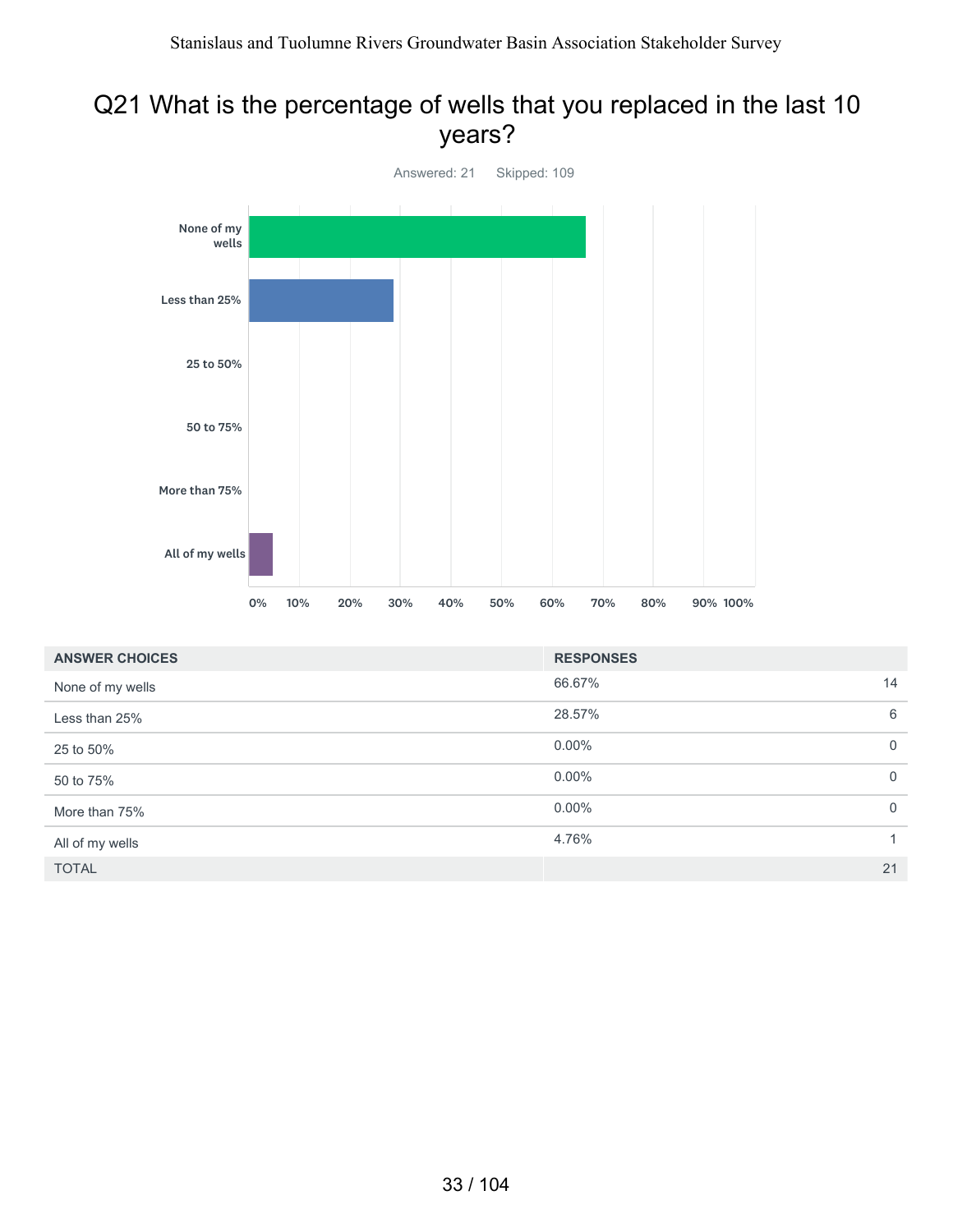#### Q21 What is the percentage of wells that you replaced in the last 10 years?



| <b>ANSWER CHOICES</b> | <b>RESPONSES</b> |             |
|-----------------------|------------------|-------------|
| None of my wells      | 66.67%           | 14          |
| Less than 25%         | 28.57%           | 6           |
| 25 to 50%             | $0.00\%$         | $\mathbf 0$ |
| 50 to 75%             | $0.00\%$         | $\mathbf 0$ |
| More than 75%         | $0.00\%$         | $\mathbf 0$ |
| All of my wells       | 4.76%            | 1           |
| <b>TOTAL</b>          |                  | 21          |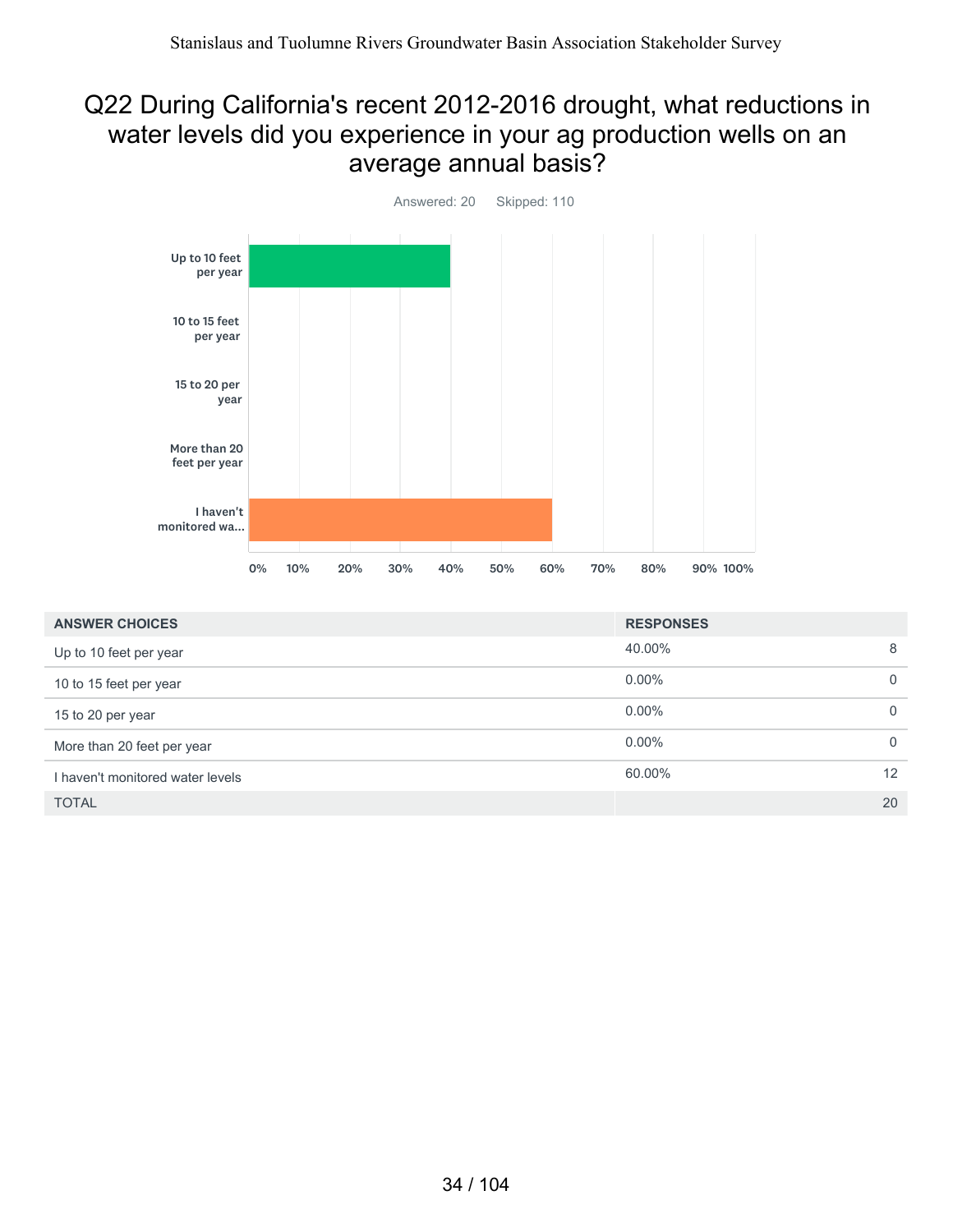#### Q22 During California's recent 2012-2016 drought, what reductions in water levels did you experience in your ag production wells on an average annual basis?



| <b>ANSWER CHOICES</b>            | <b>RESPONSES</b> |          |
|----------------------------------|------------------|----------|
| Up to 10 feet per year           | 40.00%           | 8        |
| 10 to 15 feet per year           | $0.00\%$         | $\Omega$ |
| 15 to 20 per year                | $0.00\%$         | $\Omega$ |
| More than 20 feet per year       | $0.00\%$         | $\Omega$ |
| I haven't monitored water levels | 60.00%           | 12       |
| <b>TOTAL</b>                     |                  | 20       |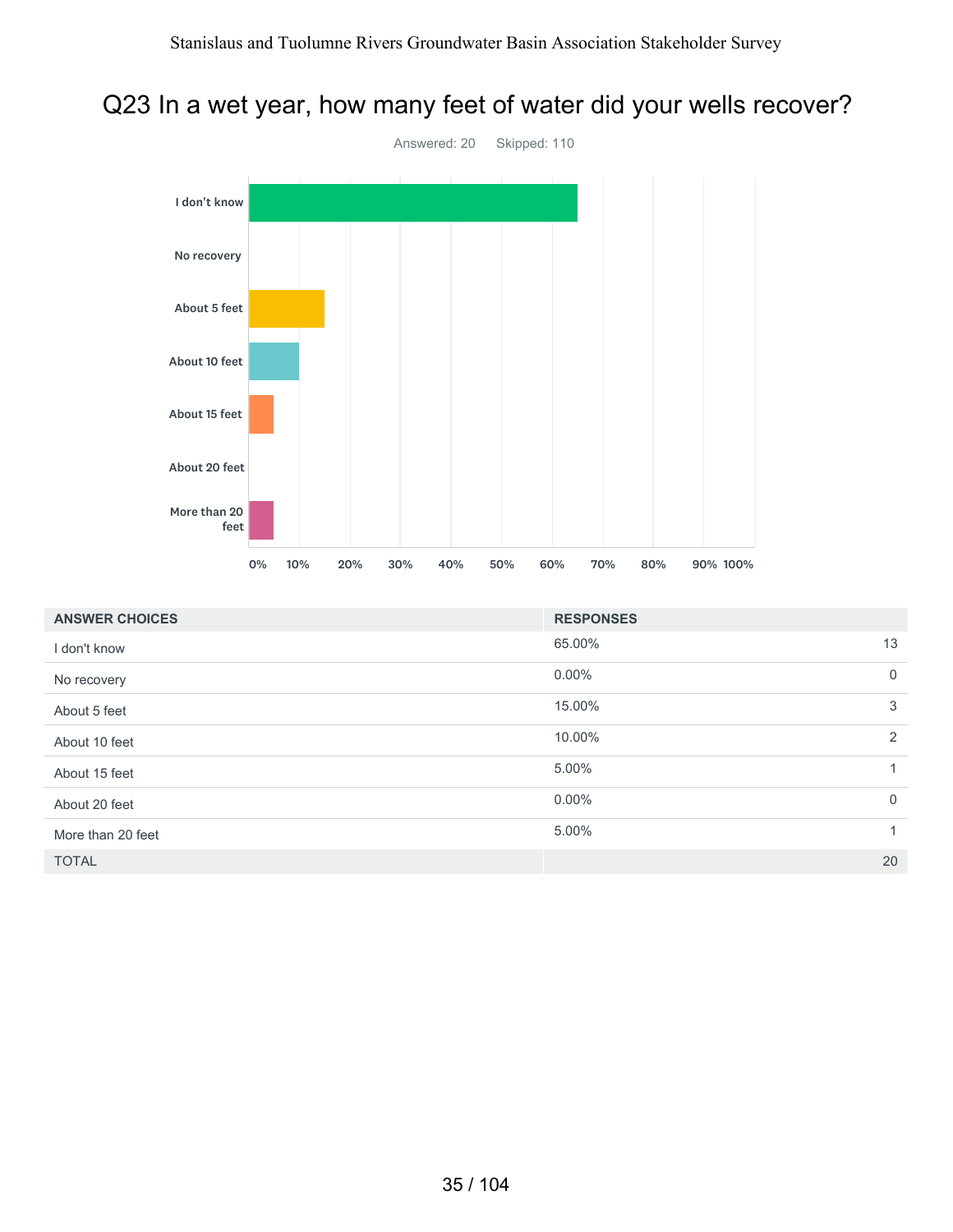### Q23 In a wet year, how many feet of water did your wells recover?



| <b>ANSWER CHOICES</b> | <b>RESPONSES</b> |             |
|-----------------------|------------------|-------------|
| I don't know          | 65.00%           | 13          |
| No recovery           | $0.00\%$         | $\mathbf 0$ |
| About 5 feet          | 15.00%           | 3           |
| About 10 feet         | 10.00%           | 2           |
| About 15 feet         | 5.00%            | 1           |
| About 20 feet         | $0.00\%$         | $\mathbf 0$ |
| More than 20 feet     | 5.00%            | 1           |
| <b>TOTAL</b>          |                  | 20          |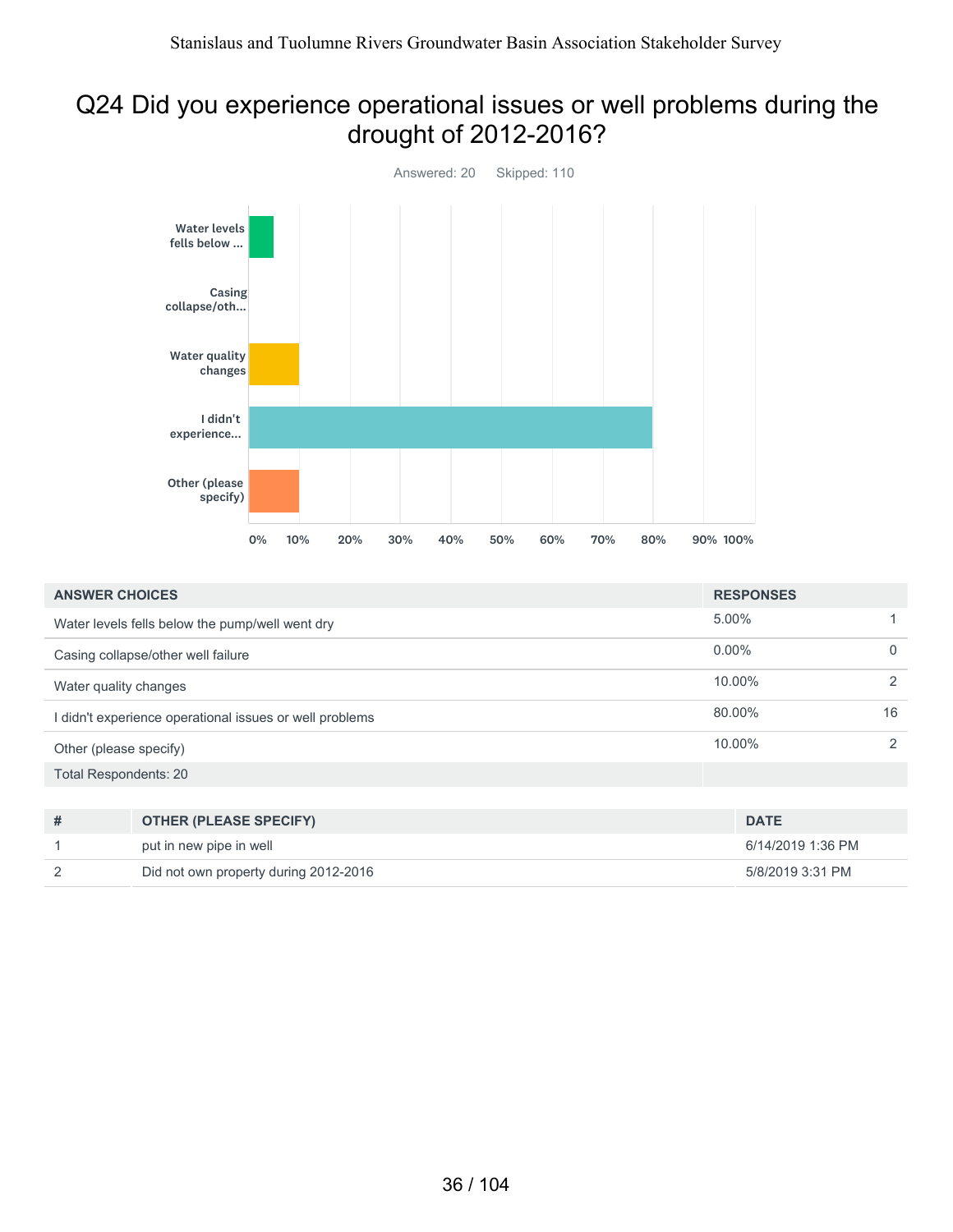### Q24 Did you experience operational issues or well problems during the drought of 2012-2016?



| <b>ANSWER CHOICES</b>        |                                                       | <b>RESPONSES</b>  |             |
|------------------------------|-------------------------------------------------------|-------------------|-------------|
|                              | Water levels fells below the pump/well went dry       | 5.00%             |             |
|                              | Casing collapse/other well failure                    | $0.00\%$          | $\mathbf 0$ |
| Water quality changes        |                                                       | 10.00%            | 2           |
|                              | didn't experience operational issues or well problems | 80.00%            | 16          |
| Other (please specify)       |                                                       | 10.00%            | 2           |
| <b>Total Respondents: 20</b> |                                                       |                   |             |
|                              |                                                       |                   |             |
| #                            | <b>OTHER (PLEASE SPECIFY)</b>                         | <b>DATE</b>       |             |
|                              | put in new pipe in well                               | 6/14/2019 1:36 PM |             |
| 2                            | Did not own property during 2012-2016                 | 5/8/2019 3:31 PM  |             |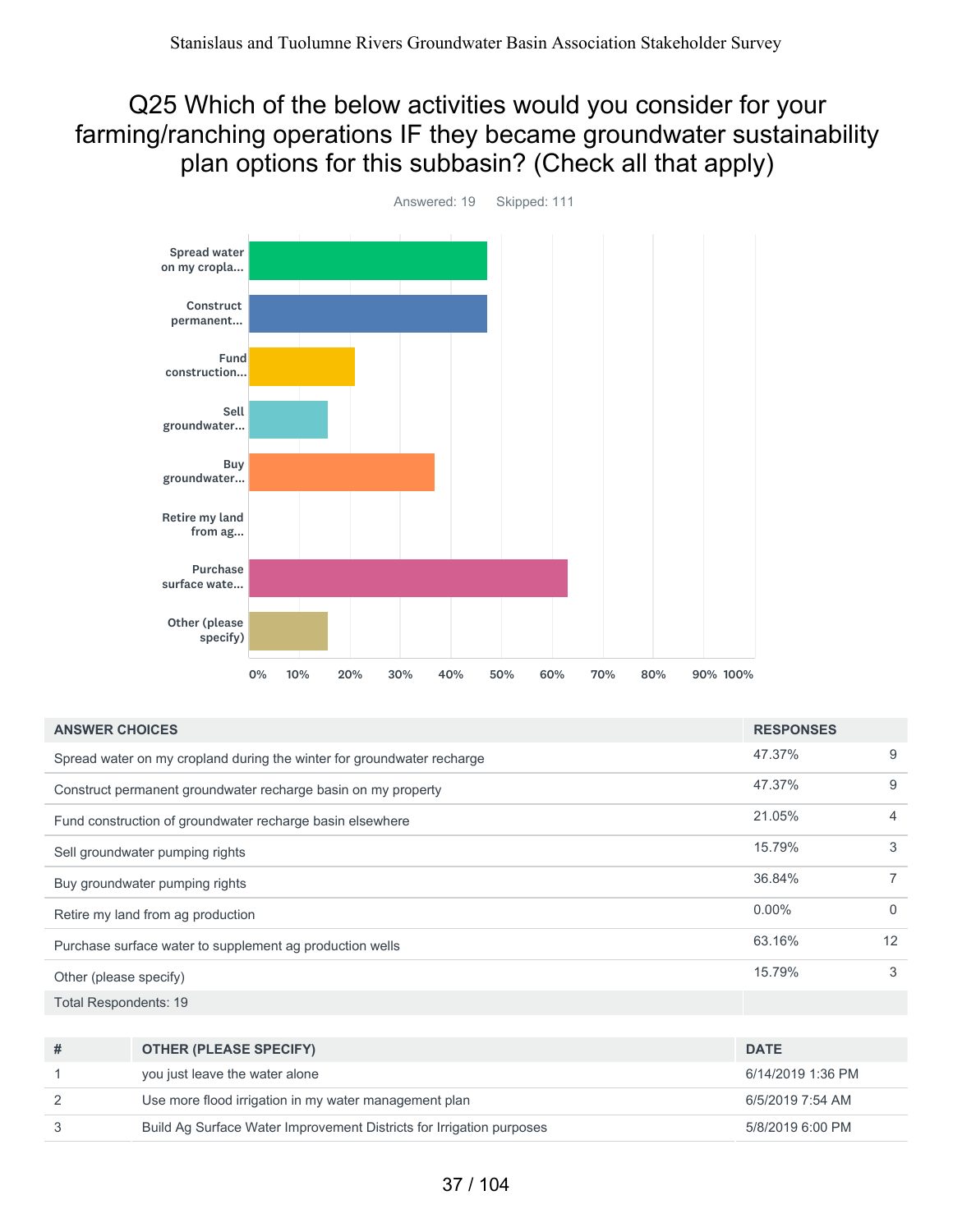#### Q25 Which of the below activities would you consider for your farming/ranching operations IF they became groundwater sustainability plan options for this subbasin? (Check all that apply)



Answered: 19 Skipped: 111

| <b>ANSWER CHOICES</b>                                                   | <b>RESPONSES</b>                                                     |                   |                |  |  |
|-------------------------------------------------------------------------|----------------------------------------------------------------------|-------------------|----------------|--|--|
| Spread water on my cropland during the winter for groundwater recharge  |                                                                      |                   | 9              |  |  |
|                                                                         | Construct permanent groundwater recharge basin on my property        | 47.37%            | 9              |  |  |
|                                                                         | Fund construction of groundwater recharge basin elsewhere            | 21.05%            | $\overline{4}$ |  |  |
|                                                                         | Sell groundwater pumping rights                                      | 15.79%            | 3              |  |  |
| Buy groundwater pumping rights                                          |                                                                      | 36.84%            | $\overline{7}$ |  |  |
| Retire my land from ag production                                       |                                                                      | $0.00\%$          | $\mathbf{0}$   |  |  |
| Purchase surface water to supplement ag production wells                |                                                                      | 63.16%            | 12             |  |  |
| Other (please specify)                                                  |                                                                      | 15.79%            | 3              |  |  |
| <b>Total Respondents: 19</b>                                            |                                                                      |                   |                |  |  |
|                                                                         |                                                                      |                   |                |  |  |
| #                                                                       | <b>DATE</b>                                                          |                   |                |  |  |
| 1                                                                       | you just leave the water alone                                       | 6/14/2019 1:36 PM |                |  |  |
| $\overline{2}$<br>Use more flood irrigation in my water management plan |                                                                      | 6/5/2019 7:54 AM  |                |  |  |
| 3                                                                       | Build Ag Surface Water Improvement Districts for Irrigation purposes | 5/8/2019 6:00 PM  |                |  |  |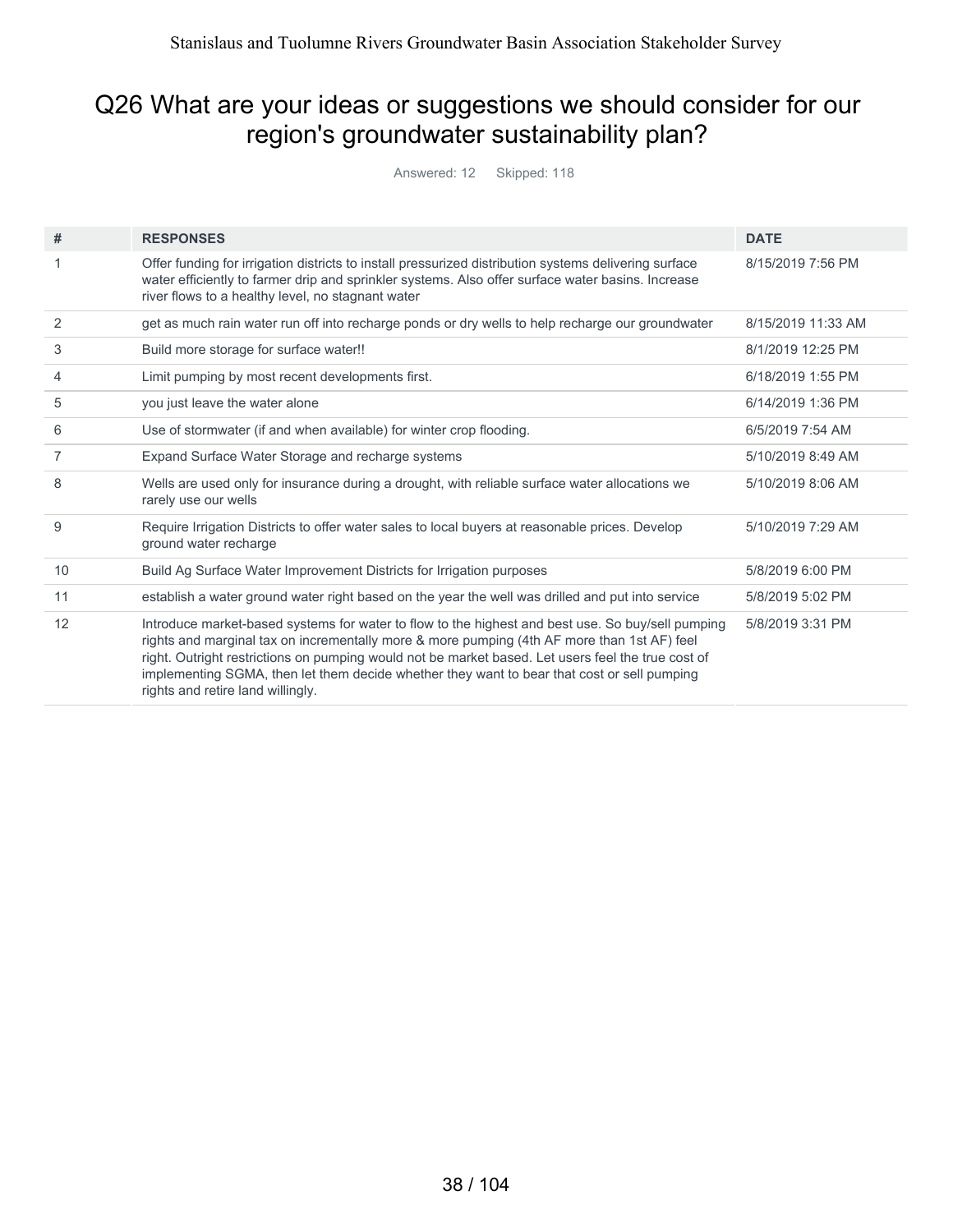#### Q26 What are your ideas or suggestions we should consider for our region's groundwater sustainability plan?

Answered: 12 Skipped: 118

| #              | <b>RESPONSES</b>                                                                                                                                                                                                                                                                                                                                                                                                                           | <b>DATE</b>        |
|----------------|--------------------------------------------------------------------------------------------------------------------------------------------------------------------------------------------------------------------------------------------------------------------------------------------------------------------------------------------------------------------------------------------------------------------------------------------|--------------------|
|                | Offer funding for irrigation districts to install pressurized distribution systems delivering surface<br>water efficiently to farmer drip and sprinkler systems. Also offer surface water basins. Increase<br>river flows to a healthy level, no stagnant water                                                                                                                                                                            | 8/15/2019 7:56 PM  |
| 2              | get as much rain water run off into recharge ponds or dry wells to help recharge our groundwater                                                                                                                                                                                                                                                                                                                                           | 8/15/2019 11:33 AM |
| 3              | Build more storage for surface water!!                                                                                                                                                                                                                                                                                                                                                                                                     | 8/1/2019 12:25 PM  |
| 4              | Limit pumping by most recent developments first.                                                                                                                                                                                                                                                                                                                                                                                           | 6/18/2019 1:55 PM  |
| 5              | you just leave the water alone                                                                                                                                                                                                                                                                                                                                                                                                             | 6/14/2019 1:36 PM  |
| 6              | Use of stormwater (if and when available) for winter crop flooding.                                                                                                                                                                                                                                                                                                                                                                        | 6/5/2019 7:54 AM   |
| $\overline{7}$ | Expand Surface Water Storage and recharge systems                                                                                                                                                                                                                                                                                                                                                                                          | 5/10/2019 8:49 AM  |
| 8              | Wells are used only for insurance during a drought, with reliable surface water allocations we<br>rarely use our wells                                                                                                                                                                                                                                                                                                                     | 5/10/2019 8:06 AM  |
| 9              | Require Irrigation Districts to offer water sales to local buyers at reasonable prices. Develop<br>ground water recharge                                                                                                                                                                                                                                                                                                                   | 5/10/2019 7:29 AM  |
| 10             | Build Ag Surface Water Improvement Districts for Irrigation purposes                                                                                                                                                                                                                                                                                                                                                                       | 5/8/2019 6:00 PM   |
| 11             | establish a water ground water right based on the year the well was drilled and put into service                                                                                                                                                                                                                                                                                                                                           | 5/8/2019 5:02 PM   |
| 12             | Introduce market-based systems for water to flow to the highest and best use. So buy/sell pumping<br>rights and marginal tax on incrementally more & more pumping (4th AF more than 1st AF) feel<br>right. Outright restrictions on pumping would not be market based. Let users feel the true cost of<br>implementing SGMA, then let them decide whether they want to bear that cost or sell pumping<br>rights and retire land willingly. | 5/8/2019 3:31 PM   |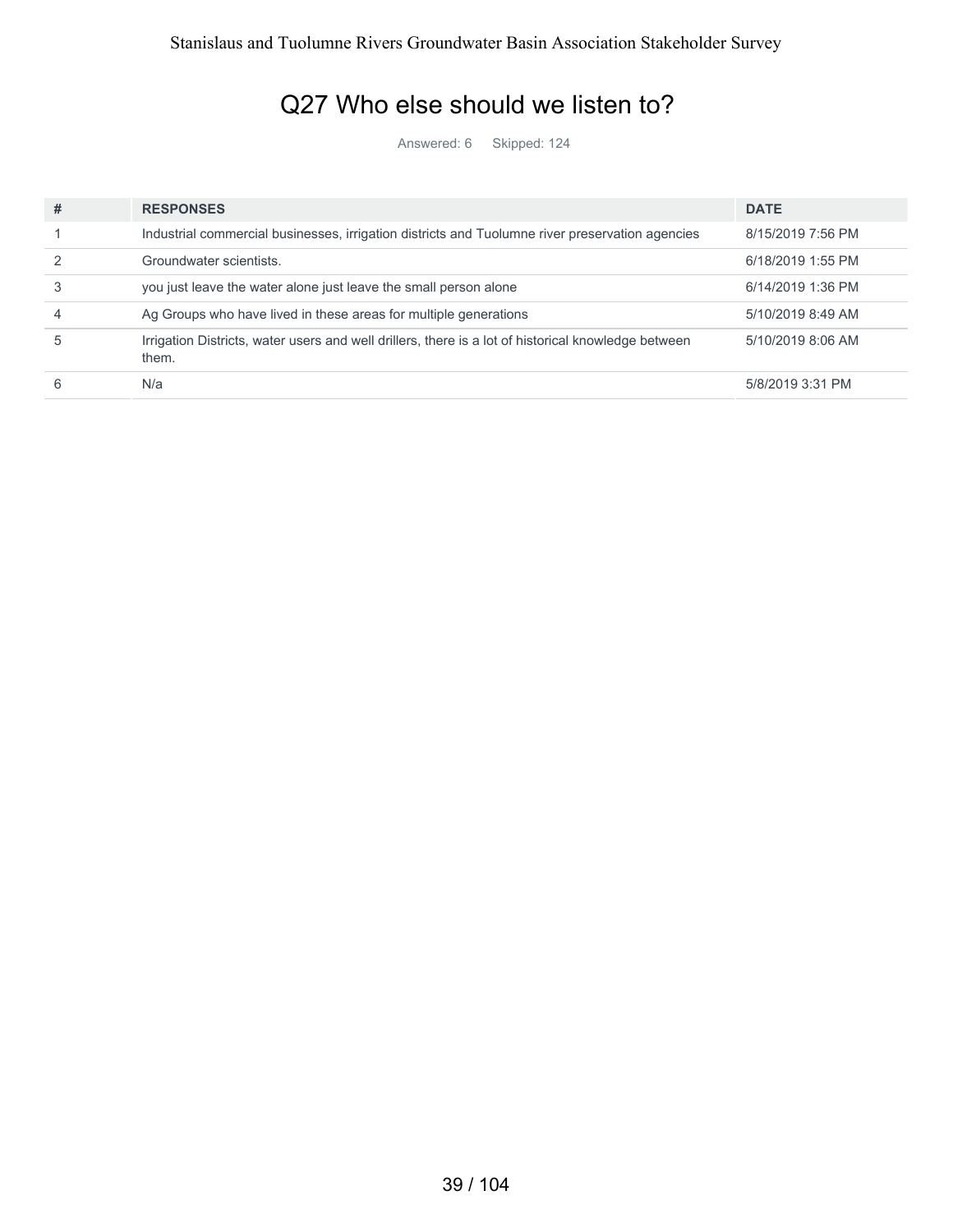#### Q27 Who else should we listen to?

Answered: 6 Skipped: 124

| # | <b>RESPONSES</b>                                                                                             | <b>DATE</b>       |
|---|--------------------------------------------------------------------------------------------------------------|-------------------|
|   | Industrial commercial businesses, irrigation districts and Tuolumne river preservation agencies              | 8/15/2019 7:56 PM |
|   | Groundwater scientists.                                                                                      | 6/18/2019 1:55 PM |
|   | you just leave the water alone just leave the small person alone                                             | 6/14/2019 1:36 PM |
|   | Ag Groups who have lived in these areas for multiple generations                                             | 5/10/2019 8:49 AM |
| 5 | Irrigation Districts, water users and well drillers, there is a lot of historical knowledge between<br>them. | 5/10/2019 8:06 AM |
|   | N/a                                                                                                          | 5/8/2019 3:31 PM  |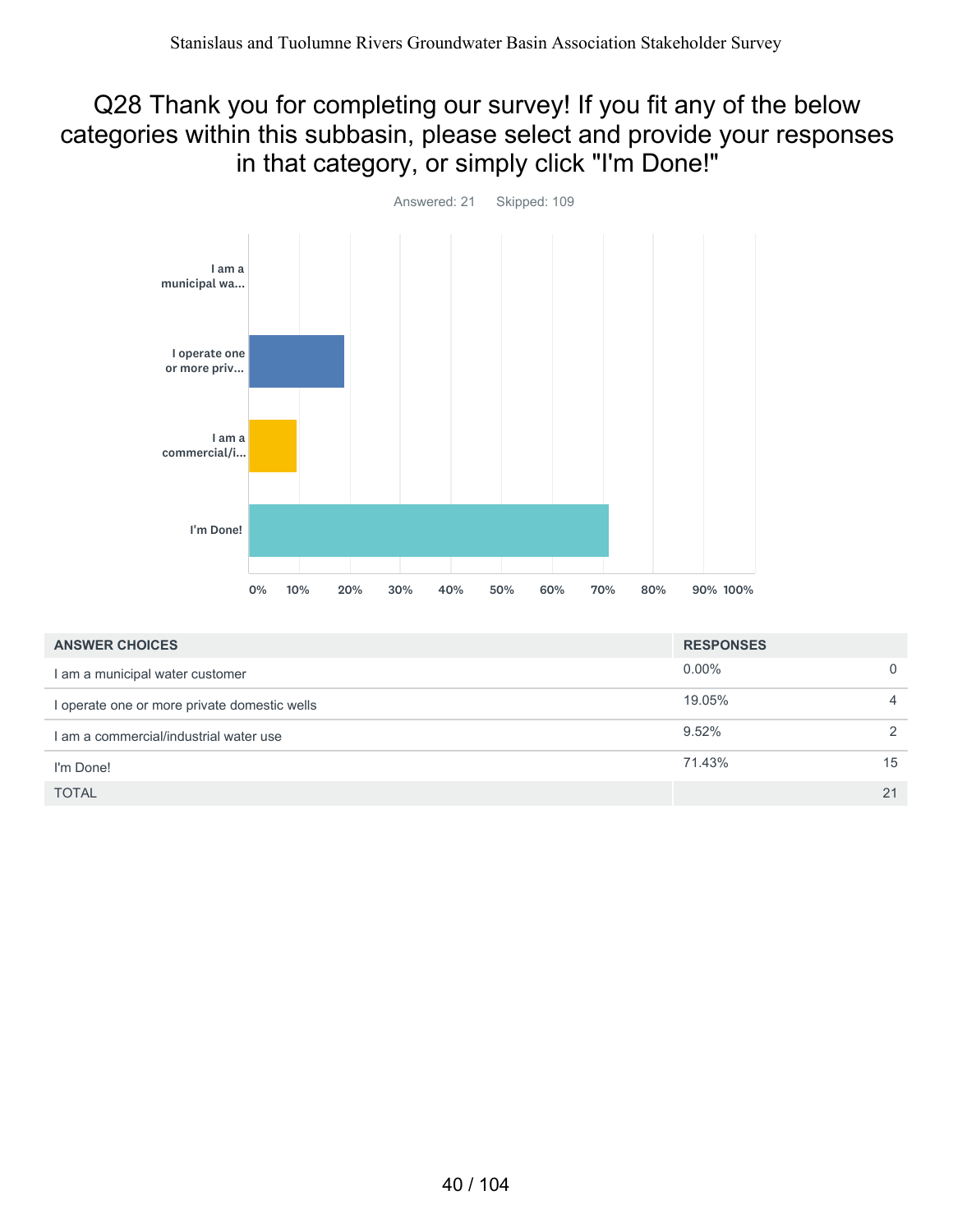#### Q28 Thank you for completing our survey! If you fit any of the below categories within this subbasin, please select and provide your responses in that category, or simply click "I'm Done!"



| <b>ANSWER CHOICES</b>                        | <b>RESPONSES</b> |               |
|----------------------------------------------|------------------|---------------|
| I am a municipal water customer              | $0.00\%$         | $\Omega$      |
| I operate one or more private domestic wells | 19.05%           | 4             |
| I am a commercial/industrial water use       | 9.52%            | $\mathcal{P}$ |
| I'm Done!                                    | 71.43%           | 15            |
| <b>TOTAL</b>                                 |                  | 21            |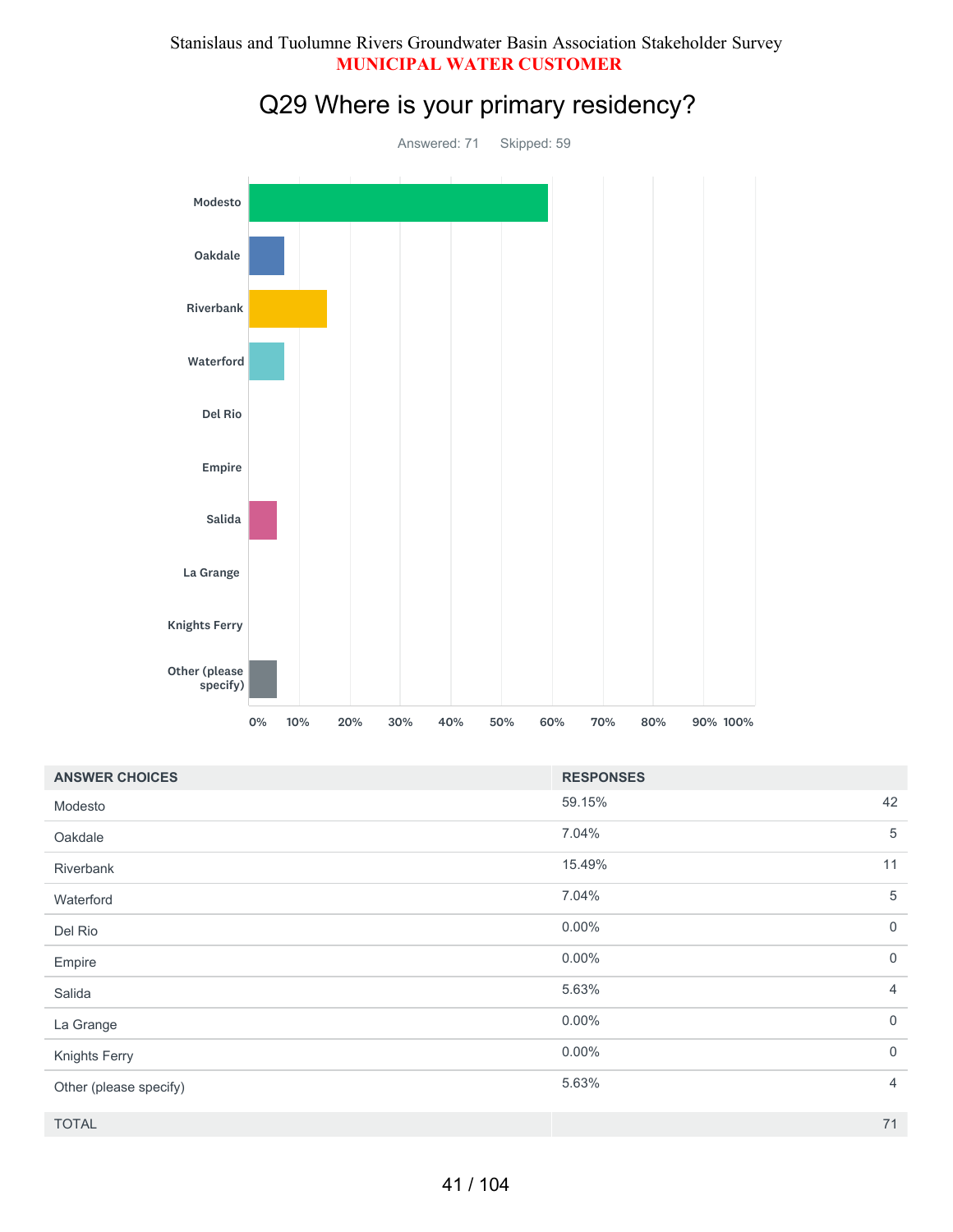#### Stanislaus and Tuolumne Rivers Groundwater Basin Association Stakeholder Survey **MUNICIPAL WATER CUSTOMER**



## Q29 Where is your primary residency?

| <b>ANSWER CHOICES</b>  | <b>RESPONSES</b>        |
|------------------------|-------------------------|
| Modesto                | 42<br>59.15%            |
| Oakdale                | 7.04%<br>5              |
| Riverbank              | 15.49%<br>11            |
| Waterford              | 5<br>7.04%              |
| Del Rio                | $0.00\%$<br>$\mathbf 0$ |
| Empire                 | $\mathbf 0$<br>$0.00\%$ |
| Salida                 | 5.63%<br>$\overline{4}$ |
| La Grange              | $0.00\%$<br>$\mathbf 0$ |
| Knights Ferry          | $\mathbf 0$<br>$0.00\%$ |
| Other (please specify) | 5.63%<br>$\overline{4}$ |
| <b>TOTAL</b>           | 71                      |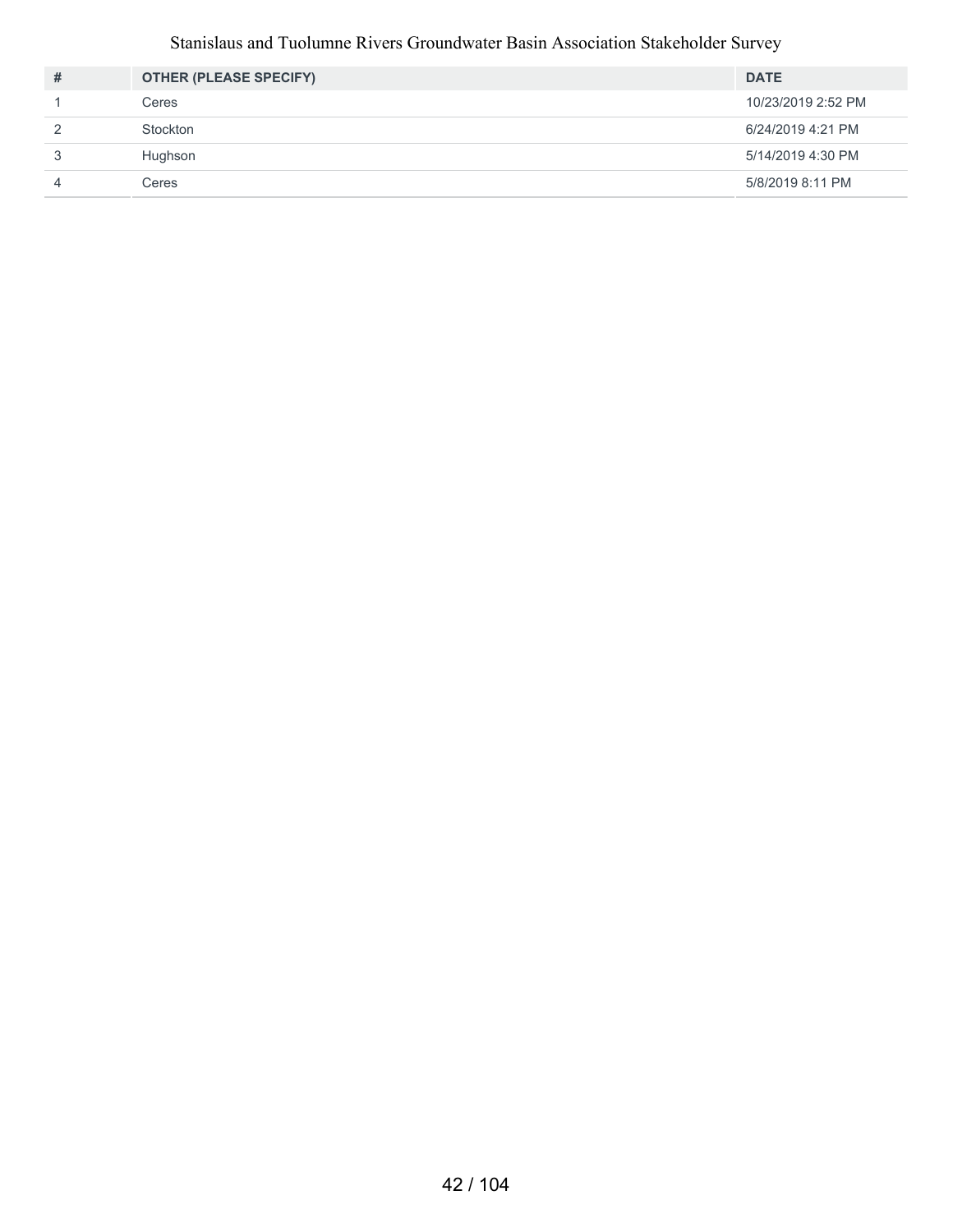#### Stanislaus and Tuolumne Rivers Groundwater Basin Association Stakeholder Survey

| # | <b>OTHER (PLEASE SPECIFY)</b> | <b>DATE</b>        |
|---|-------------------------------|--------------------|
|   | Ceres                         | 10/23/2019 2:52 PM |
| 2 | Stockton                      | 6/24/2019 4:21 PM  |
| 3 | Hughson                       | 5/14/2019 4:30 PM  |
|   | Ceres                         | 5/8/2019 8:11 PM   |
|   |                               |                    |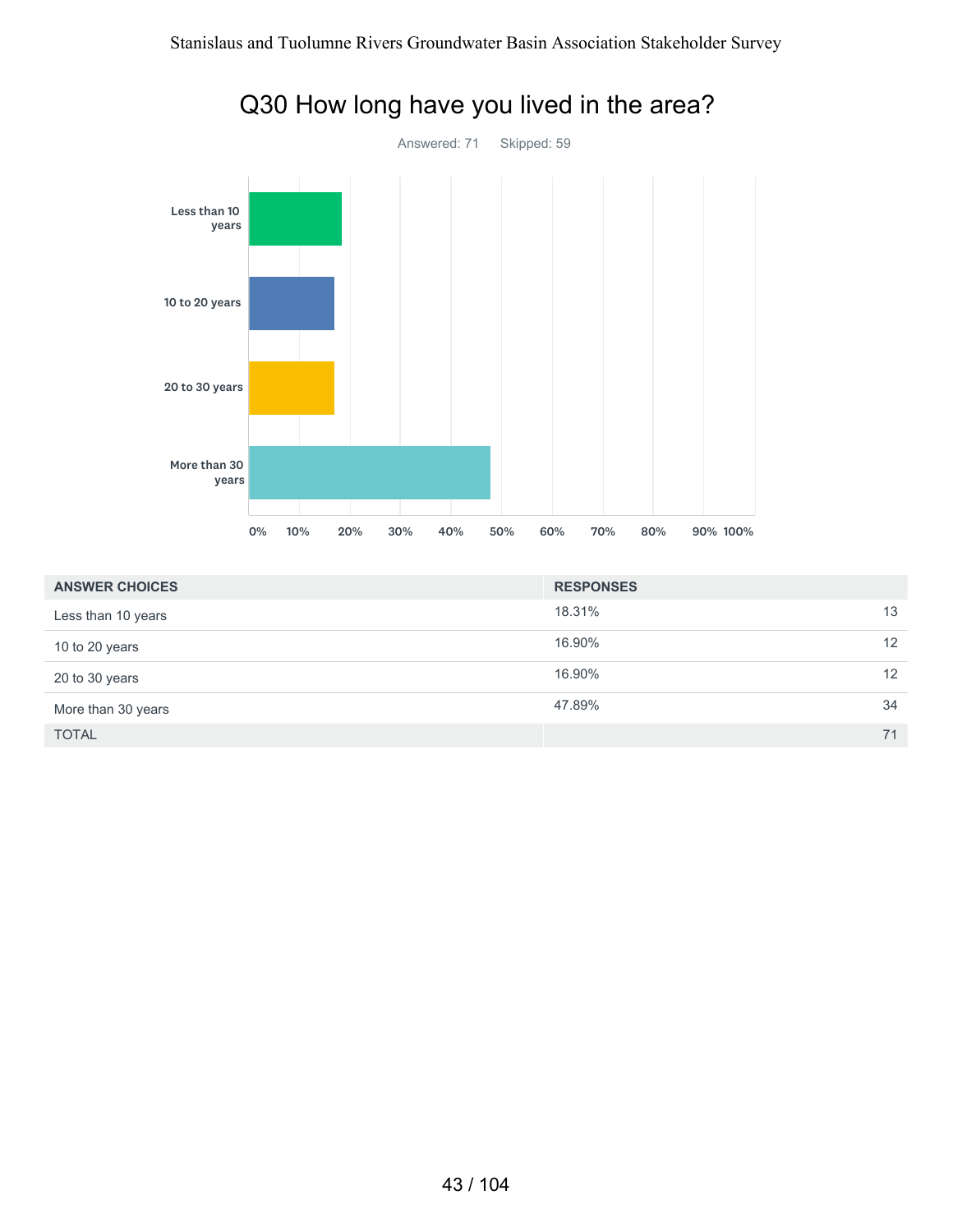

### Q30 How long have you lived in the area?

| <b>ANSWER CHOICES</b> | <b>RESPONSES</b> |    |
|-----------------------|------------------|----|
| Less than 10 years    | 18.31%           | 13 |
| 10 to 20 years        | 16.90%           | 12 |
| 20 to 30 years        | 16.90%           | 12 |
| More than 30 years    | 47.89%           | 34 |
| <b>TOTAL</b>          |                  | 71 |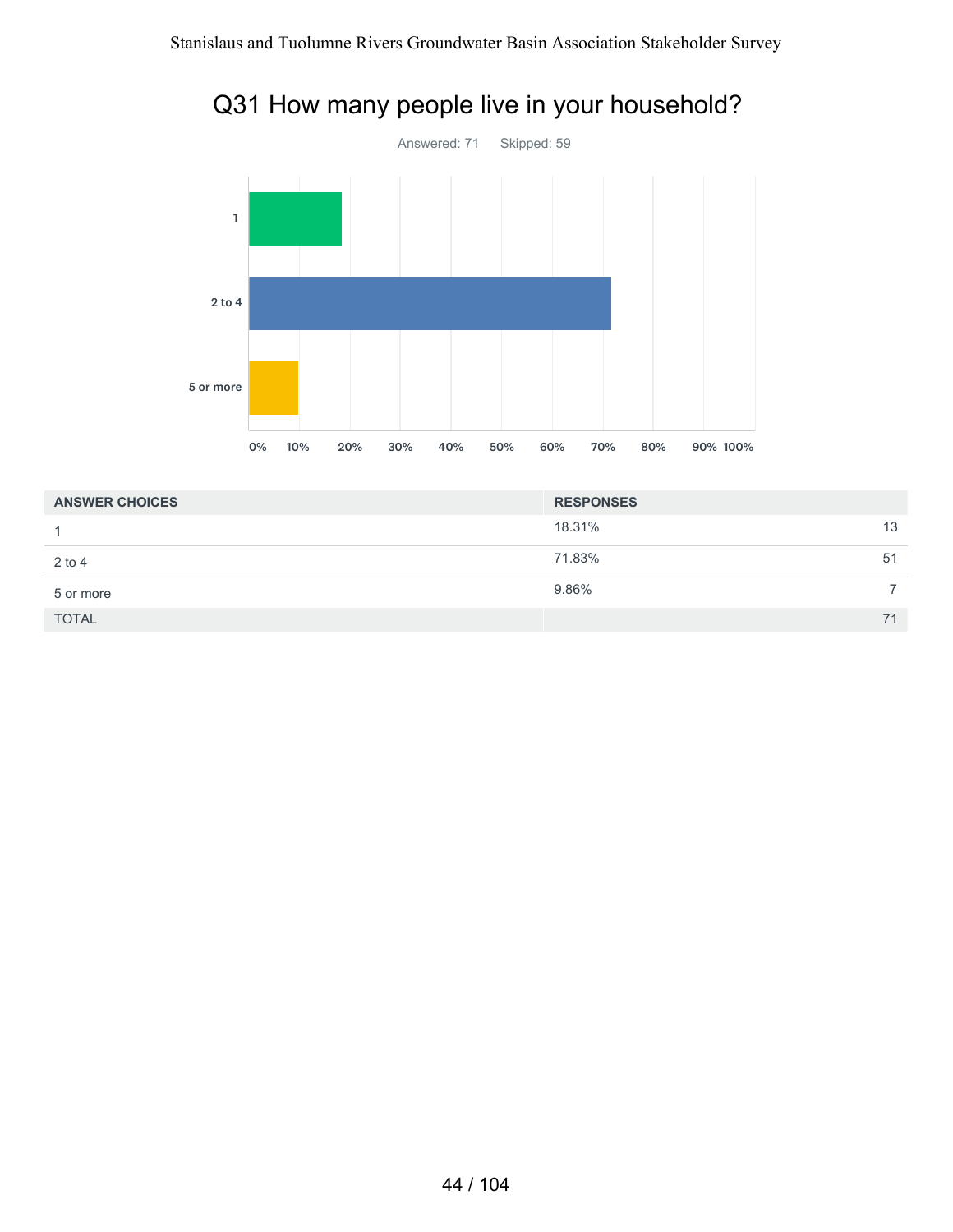

#### Q31 How many people live in your household?

| <b>ANSWER CHOICES</b> | <b>RESPONSES</b> |    |
|-----------------------|------------------|----|
| 1                     | 18.31%           | 13 |
| $2$ to 4              | 71.83%           | 51 |
| 5 or more             | 9.86%            | ⇁  |
| <b>TOTAL</b>          |                  | 71 |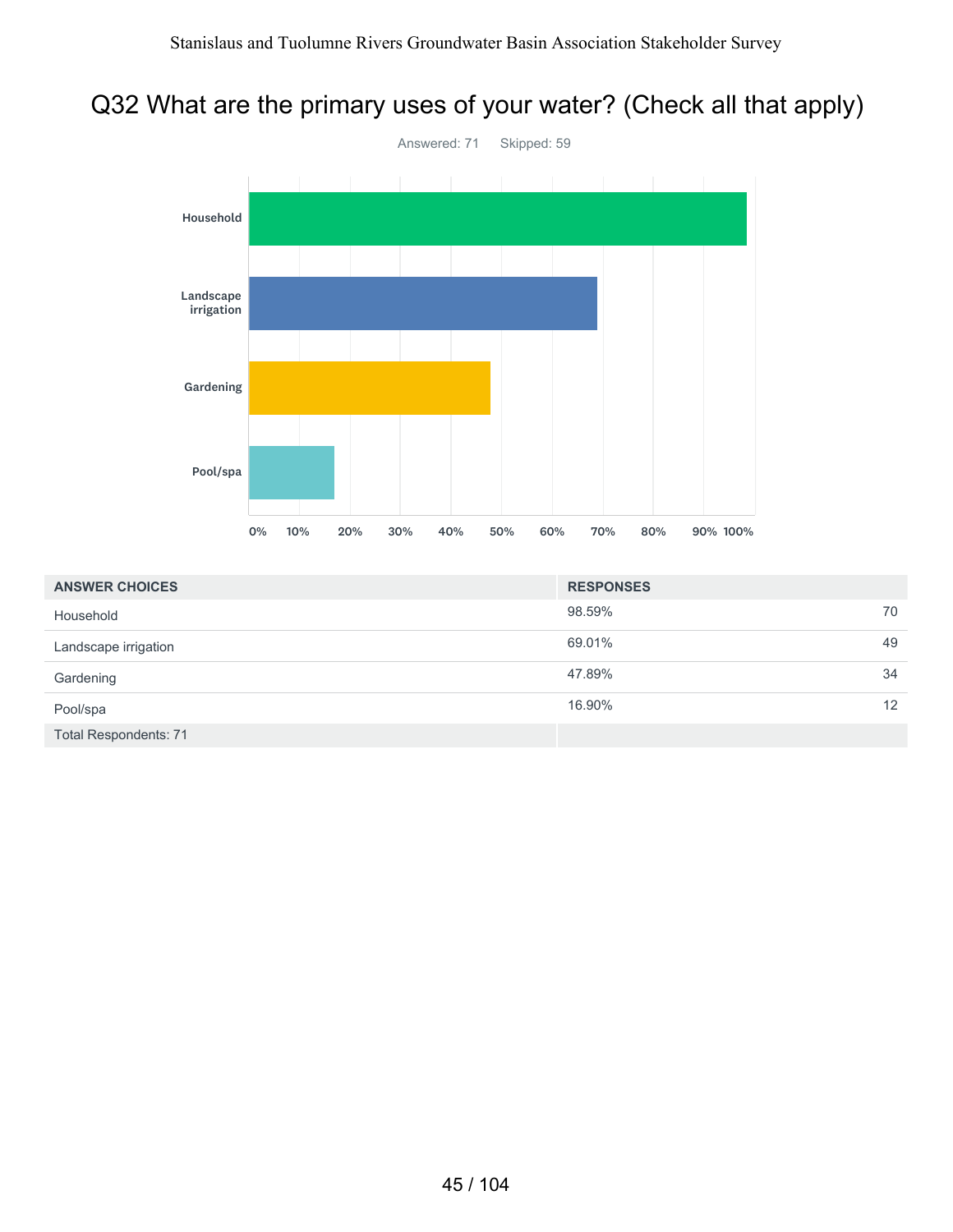### Q32 What are the primary uses of your water? (Check all that apply)



| <b>ANSWER CHOICES</b>        | <b>RESPONSES</b> |                   |
|------------------------------|------------------|-------------------|
| Household                    | 98.59%           | 70                |
| Landscape irrigation         | 69.01%           | 49                |
| Gardening                    | 47.89%           | 34                |
| Pool/spa                     | 16.90%           | $12 \overline{ }$ |
| <b>Total Respondents: 71</b> |                  |                   |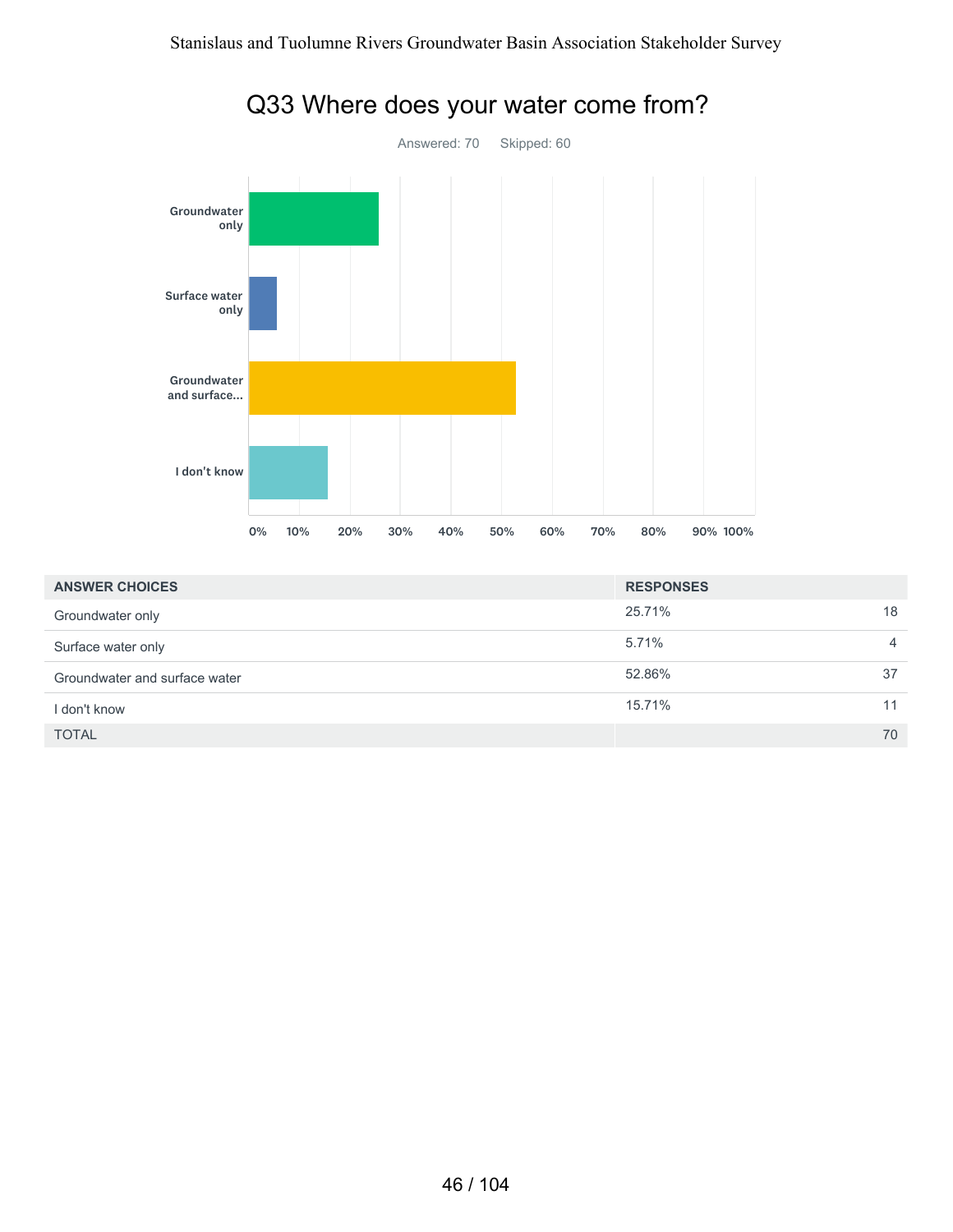

#### Q33 Where does your water come from?

| <b>ANSWER CHOICES</b>         | <b>RESPONSES</b> |    |
|-------------------------------|------------------|----|
| Groundwater only              | 25.71%           | 18 |
| Surface water only            | 5.71%            | 4  |
| Groundwater and surface water | 52.86%           | 37 |
| I don't know                  | 15.71%           | 11 |
| <b>TOTAL</b>                  |                  | 70 |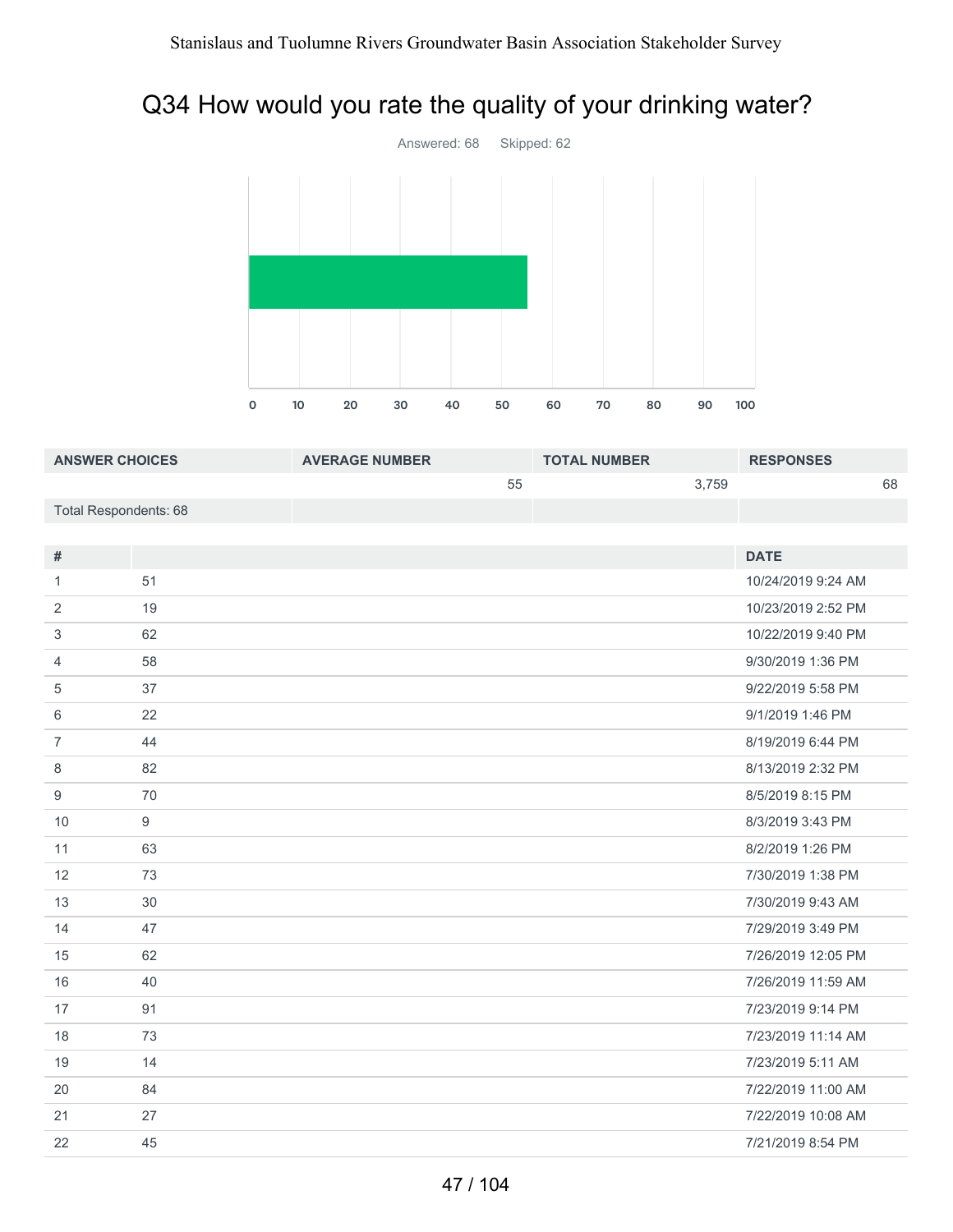### Q34 How would you rate the quality of your drinking water?



| <b>ANSWER CHOICES</b>        |    | <b>AVERAGE NUMBER</b> |    | <b>TOTAL NUMBER</b> |       | <b>RESPONSES</b>   |    |
|------------------------------|----|-----------------------|----|---------------------|-------|--------------------|----|
|                              |    |                       | 55 |                     | 3,759 |                    | 68 |
| <b>Total Respondents: 68</b> |    |                       |    |                     |       |                    |    |
|                              |    |                       |    |                     |       |                    |    |
| $\#$                         |    |                       |    |                     |       | <b>DATE</b>        |    |
| $\mathbf{1}$                 | 51 |                       |    |                     |       | 10/24/2019 9:24 AM |    |
| 2                            | 19 |                       |    |                     |       | 10/23/2019 2:52 PM |    |
| 3                            | 62 |                       |    |                     |       | 10/22/2019 9:40 PM |    |
| $\overline{4}$               | 58 |                       |    |                     |       | 9/30/2019 1:36 PM  |    |
| 5                            | 37 |                       |    |                     |       | 9/22/2019 5:58 PM  |    |
| 6                            | 22 |                       |    |                     |       | 9/1/2019 1:46 PM   |    |
| $\overline{7}$               | 44 |                       |    |                     |       | 8/19/2019 6:44 PM  |    |
| 8                            | 82 |                       |    |                     |       | 8/13/2019 2:32 PM  |    |
| $\boldsymbol{9}$             | 70 |                       |    |                     |       | 8/5/2019 8:15 PM   |    |
| 10                           | 9  |                       |    |                     |       | 8/3/2019 3:43 PM   |    |
| 11                           | 63 |                       |    |                     |       | 8/2/2019 1:26 PM   |    |
| 12                           | 73 |                       |    |                     |       | 7/30/2019 1:38 PM  |    |
| 13                           | 30 |                       |    |                     |       | 7/30/2019 9:43 AM  |    |
| 14                           | 47 |                       |    |                     |       | 7/29/2019 3:49 PM  |    |
| 15                           | 62 |                       |    |                     |       | 7/26/2019 12:05 PM |    |
| 16                           | 40 |                       |    |                     |       | 7/26/2019 11:59 AM |    |
| 17                           | 91 |                       |    |                     |       | 7/23/2019 9:14 PM  |    |
| 18                           | 73 |                       |    |                     |       | 7/23/2019 11:14 AM |    |
| 19                           | 14 |                       |    |                     |       | 7/23/2019 5:11 AM  |    |
| 20                           | 84 |                       |    |                     |       | 7/22/2019 11:00 AM |    |
| 21                           | 27 |                       |    |                     |       | 7/22/2019 10:08 AM |    |
| 22                           | 45 |                       |    |                     |       | 7/21/2019 8:54 PM  |    |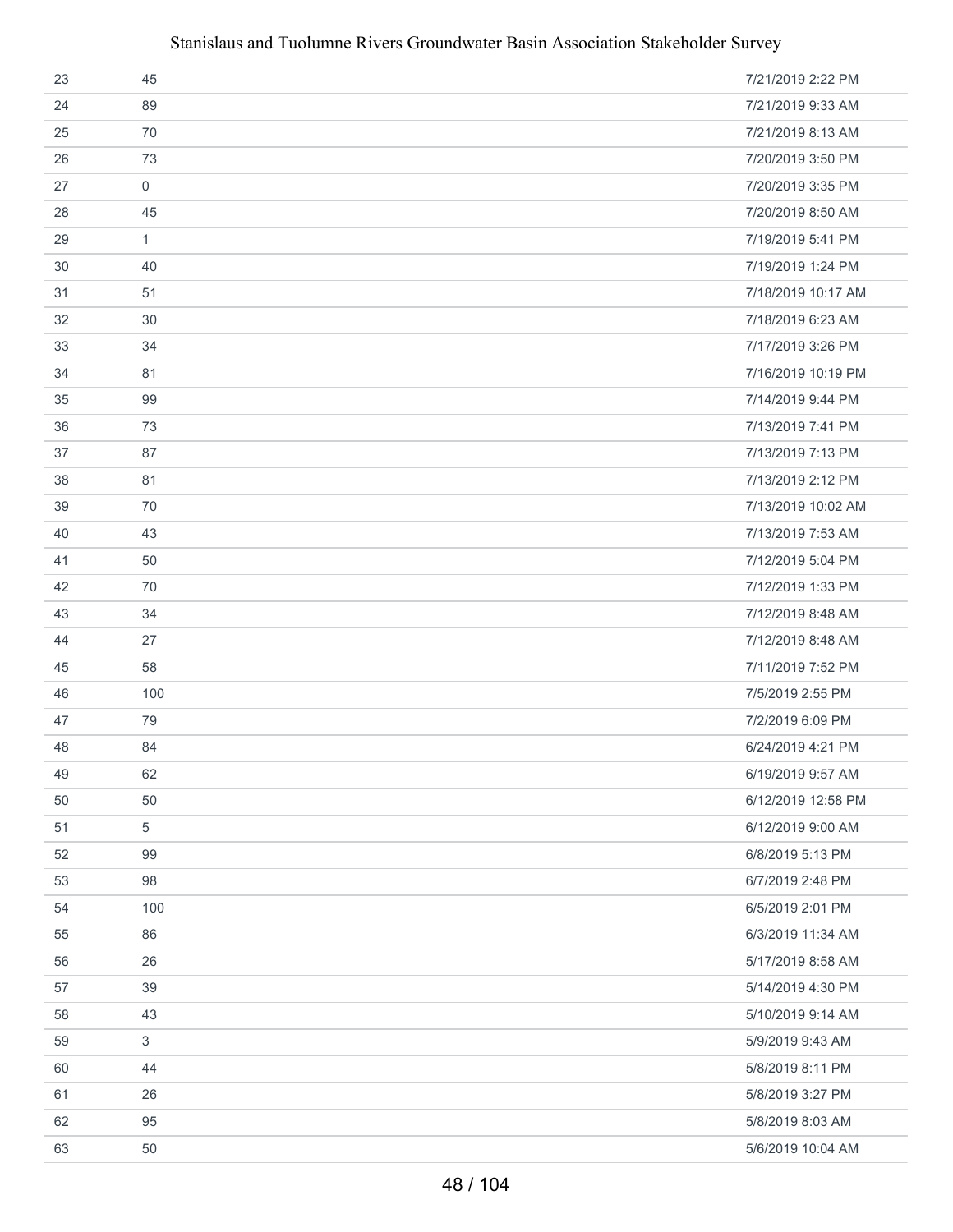#### Stanislaus and Tuolumne Rivers Groundwater Basin Association Stakeholder Survey

| 23 | 45           | 7/21/2019 2:22 PM  |
|----|--------------|--------------------|
| 24 | 89           | 7/21/2019 9:33 AM  |
| 25 | 70           | 7/21/2019 8:13 AM  |
| 26 | 73           | 7/20/2019 3:50 PM  |
| 27 | $\mathsf{O}$ | 7/20/2019 3:35 PM  |
| 28 | 45           | 7/20/2019 8:50 AM  |
| 29 | $\mathbf{1}$ | 7/19/2019 5:41 PM  |
| 30 | 40           | 7/19/2019 1:24 PM  |
| 31 | 51           | 7/18/2019 10:17 AM |
| 32 | 30           | 7/18/2019 6:23 AM  |
| 33 | 34           | 7/17/2019 3:26 PM  |
| 34 | 81           | 7/16/2019 10:19 PM |
| 35 | 99           | 7/14/2019 9:44 PM  |
| 36 | 73           | 7/13/2019 7:41 PM  |
| 37 | 87           | 7/13/2019 7:13 PM  |
| 38 | 81           | 7/13/2019 2:12 PM  |
| 39 | 70           | 7/13/2019 10:02 AM |
| 40 | 43           | 7/13/2019 7:53 AM  |
| 41 | 50           | 7/12/2019 5:04 PM  |
| 42 | 70           | 7/12/2019 1:33 PM  |
| 43 | 34           | 7/12/2019 8:48 AM  |
| 44 | 27           | 7/12/2019 8:48 AM  |
| 45 | 58           | 7/11/2019 7:52 PM  |
| 46 | 100          | 7/5/2019 2:55 PM   |
| 47 | 79           | 7/2/2019 6:09 PM   |
| 48 | 84           | 6/24/2019 4:21 PM  |
| 49 | 62           | 6/19/2019 9:57 AM  |
| 50 | 50           | 6/12/2019 12:58 PM |
| 51 | 5            | 6/12/2019 9:00 AM  |
| 52 | 99           | 6/8/2019 5:13 PM   |
| 53 | 98           | 6/7/2019 2:48 PM   |
| 54 | 100          | 6/5/2019 2:01 PM   |
| 55 | 86           | 6/3/2019 11:34 AM  |
| 56 | 26           | 5/17/2019 8:58 AM  |
| 57 | 39           | 5/14/2019 4:30 PM  |
| 58 | 43           | 5/10/2019 9:14 AM  |
| 59 | $\mathbf{3}$ | 5/9/2019 9:43 AM   |
| 60 | 44           | 5/8/2019 8:11 PM   |
| 61 | 26           | 5/8/2019 3:27 PM   |
| 62 | 95           | 5/8/2019 8:03 AM   |
| 63 | 50           | 5/6/2019 10:04 AM  |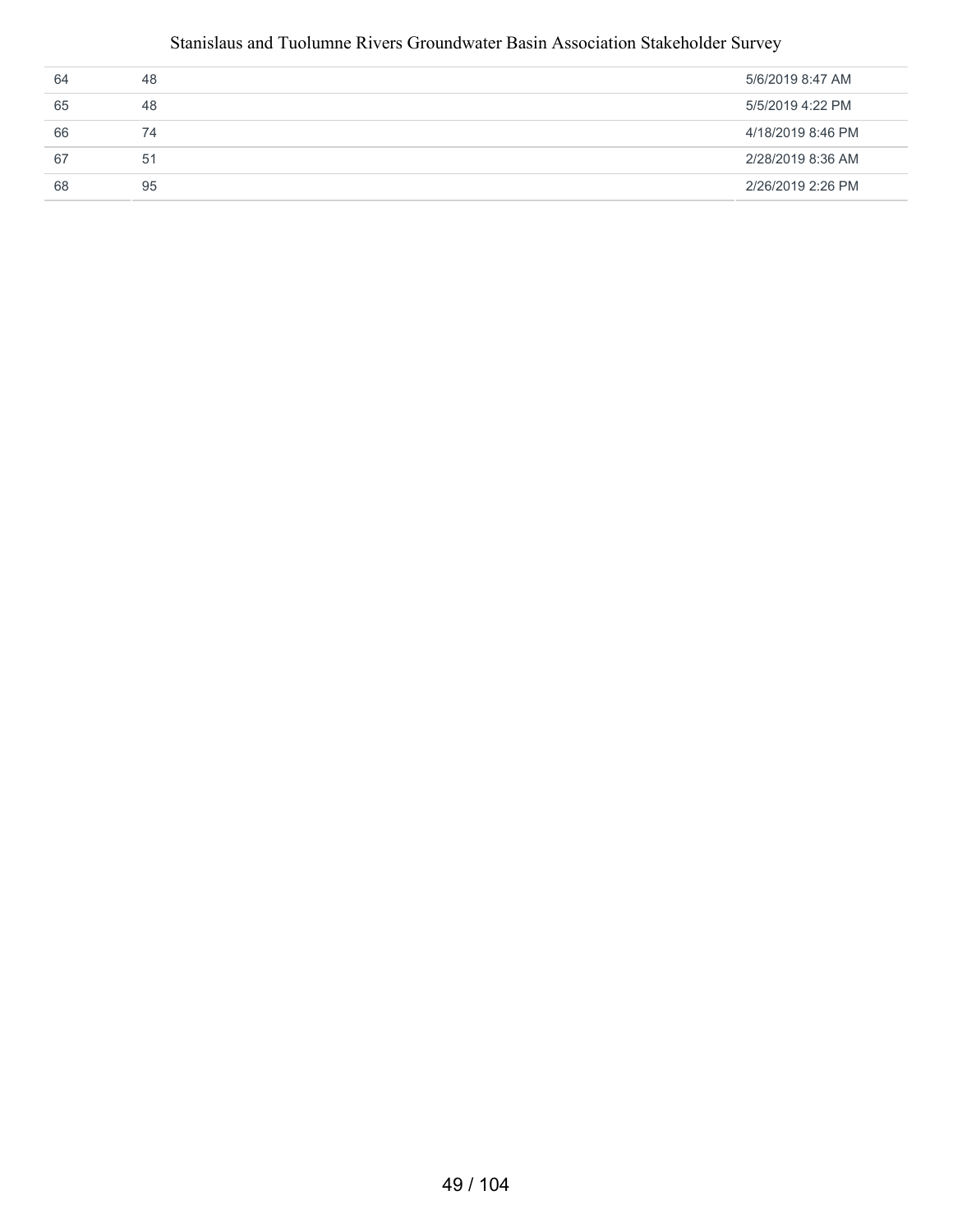#### Stanislaus and Tuolumne Rivers Groundwater Basin Association Stakeholder Survey

| 64 | 48 | 5/6/2019 8:47 AM  |
|----|----|-------------------|
| 65 | 48 | 5/5/2019 4:22 PM  |
| 66 | 74 | 4/18/2019 8:46 PM |
| 67 | 51 | 2/28/2019 8:36 AM |
| 68 | 95 | 2/26/2019 2:26 PM |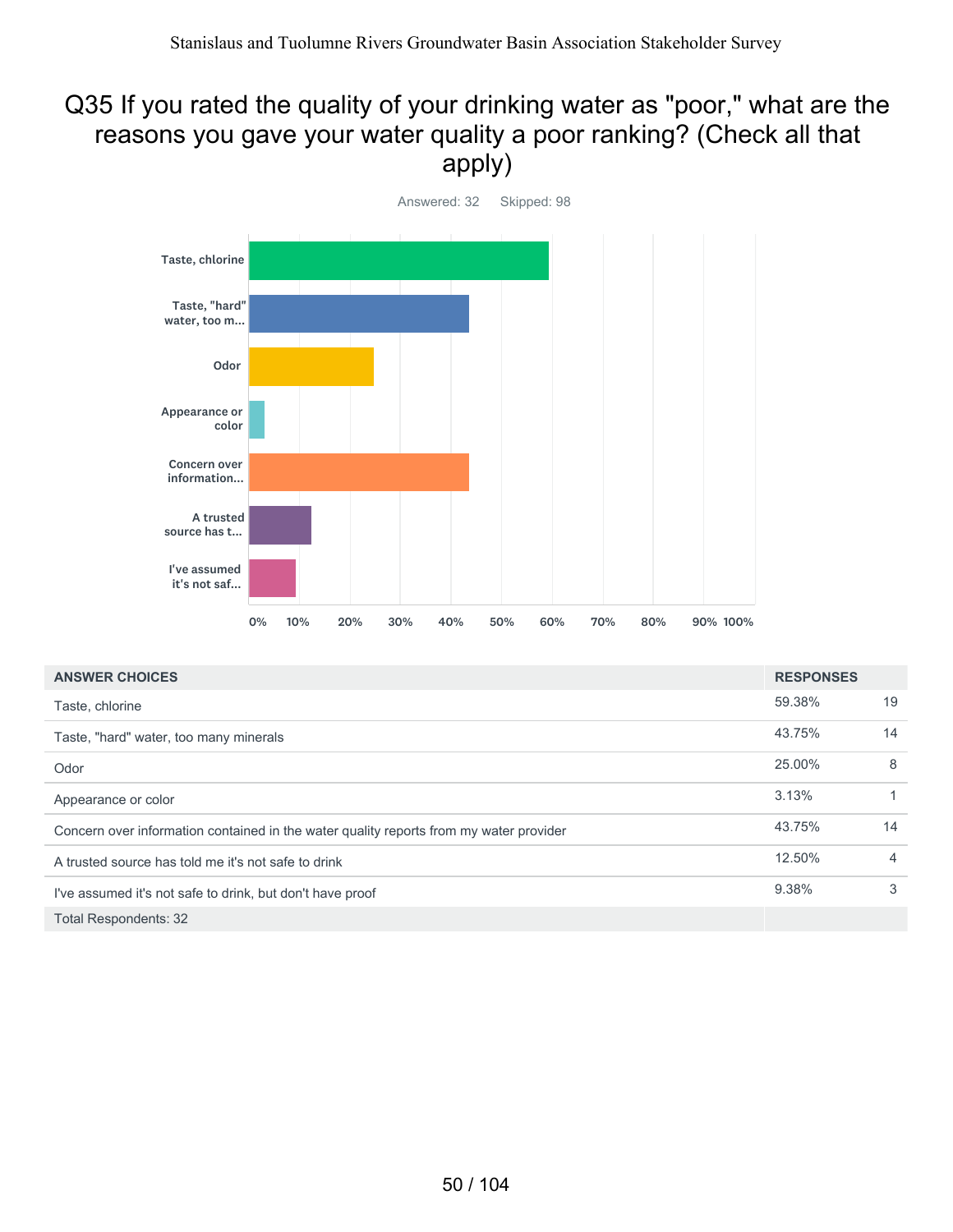#### Q35 If you rated the quality of your drinking water as "poor," what are the reasons you gave your water quality a poor ranking? (Check all that apply)



| <b>ANSWER CHOICES</b>                                                                  | <b>RESPONSES</b> |    |
|----------------------------------------------------------------------------------------|------------------|----|
| Taste, chlorine                                                                        | 59.38%           | 19 |
| Taste, "hard" water, too many minerals                                                 | 43.75%           | 14 |
| Odor                                                                                   | 25.00%           | 8  |
| Appearance or color                                                                    | 3.13%            | 1  |
| Concern over information contained in the water quality reports from my water provider | 43.75%           | 14 |
| A trusted source has told me it's not safe to drink                                    | 12.50%           | 4  |
| I've assumed it's not safe to drink, but don't have proof                              | 9.38%            | 3  |
| <b>Total Respondents: 32</b>                                                           |                  |    |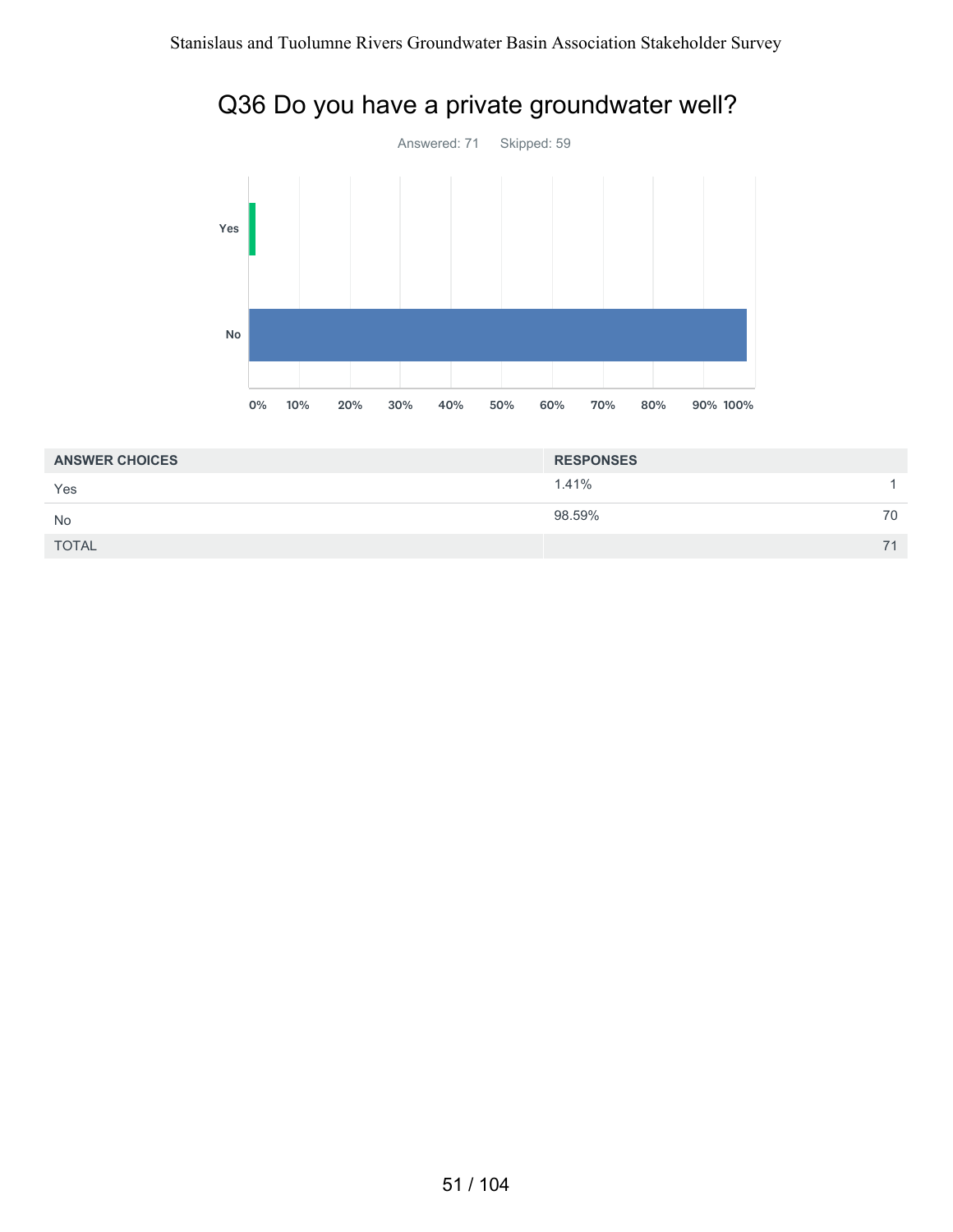



| <b>ANSWER CHOICES</b> | <b>RESPONSES</b> |    |
|-----------------------|------------------|----|
| Yes                   | 1.41%            |    |
| <b>No</b>             | 98.59%           | 70 |
| <b>TOTAL</b>          |                  | 71 |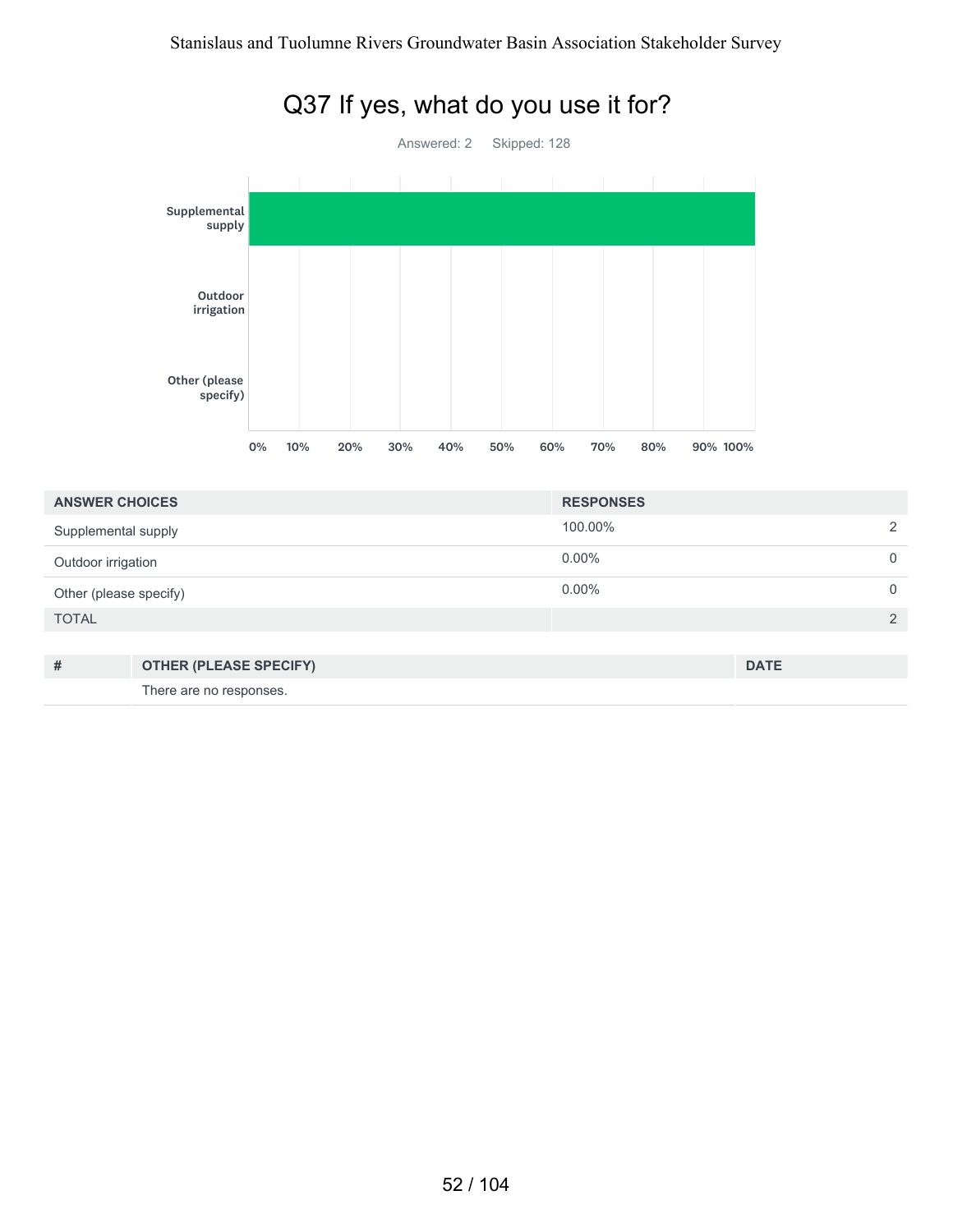

#### Q37 If yes, what do you use it for?

| <b>ANSWER CHOICES</b>  |                               | <b>RESPONSES</b> |             |          |
|------------------------|-------------------------------|------------------|-------------|----------|
| Supplemental supply    |                               | 100.00%          |             | っ        |
| Outdoor irrigation     |                               | $0.00\%$         |             | 0        |
| Other (please specify) |                               | $0.00\%$         |             | $\Omega$ |
| <b>TOTAL</b>           |                               |                  |             | 2        |
|                        |                               |                  |             |          |
| #                      | <b>OTHER (PLEASE SPECIFY)</b> |                  | <b>DATE</b> |          |

There are no responses.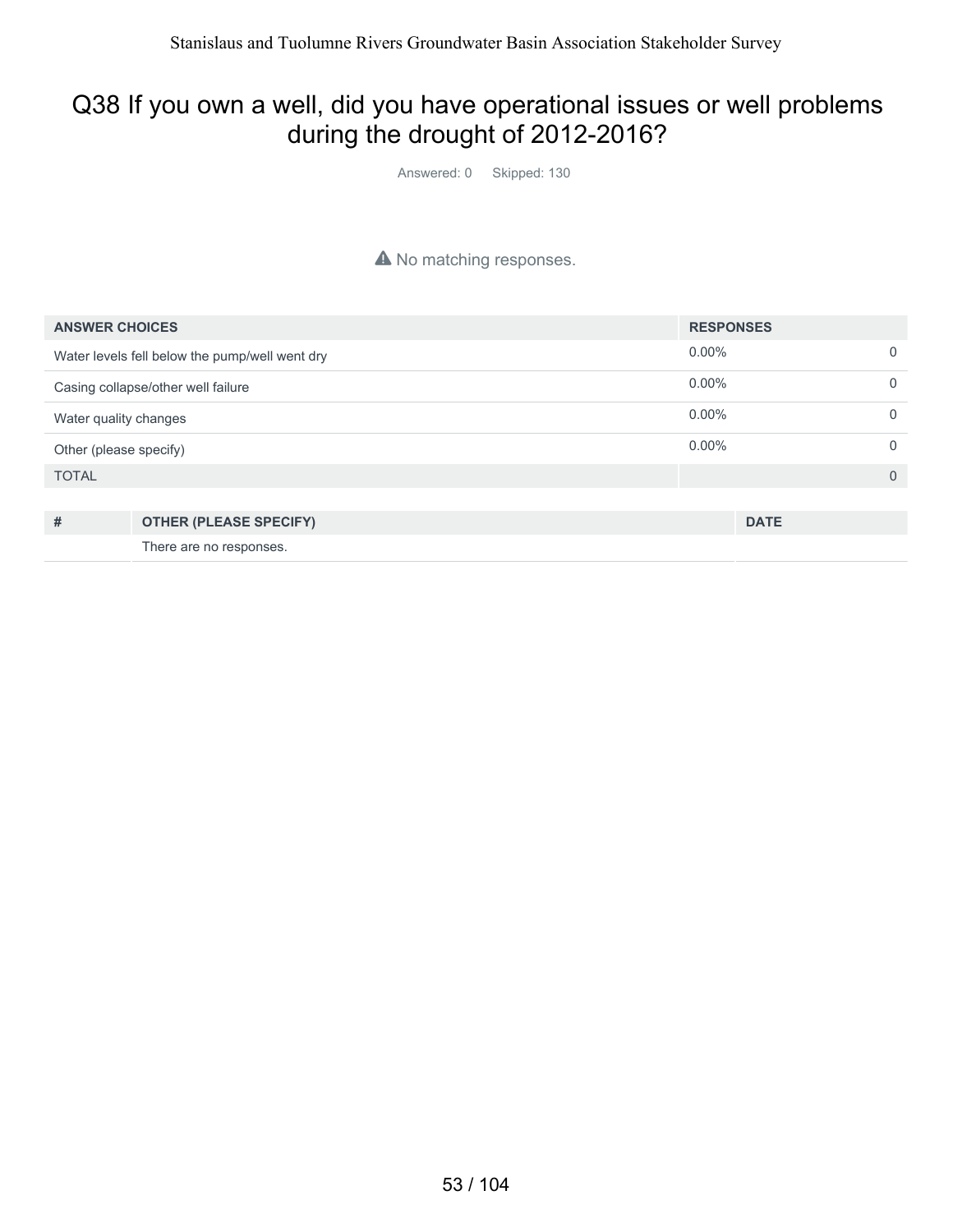#### Q38 If you own a well, did you have operational issues or well problems during the drought of 2012-2016?

Answered: 0 Skipped: 130

#### A No matching responses.

| <b>ANSWER CHOICES</b>                          | <b>RESPONSES</b> |          |
|------------------------------------------------|------------------|----------|
| Water levels fell below the pump/well went dry | $0.00\%$         | $\Omega$ |
| Casing collapse/other well failure             | $0.00\%$         | $\Omega$ |
| Water quality changes                          | $0.00\%$         | $\Omega$ |
| Other (please specify)                         | $0.00\%$         | $\Omega$ |
| <b>TOTAL</b>                                   |                  | $\Omega$ |
|                                                |                  |          |
| #<br><b>OTHER (PLEASE SPECIFY)</b>             | <b>DATE</b>      |          |

There are no responses.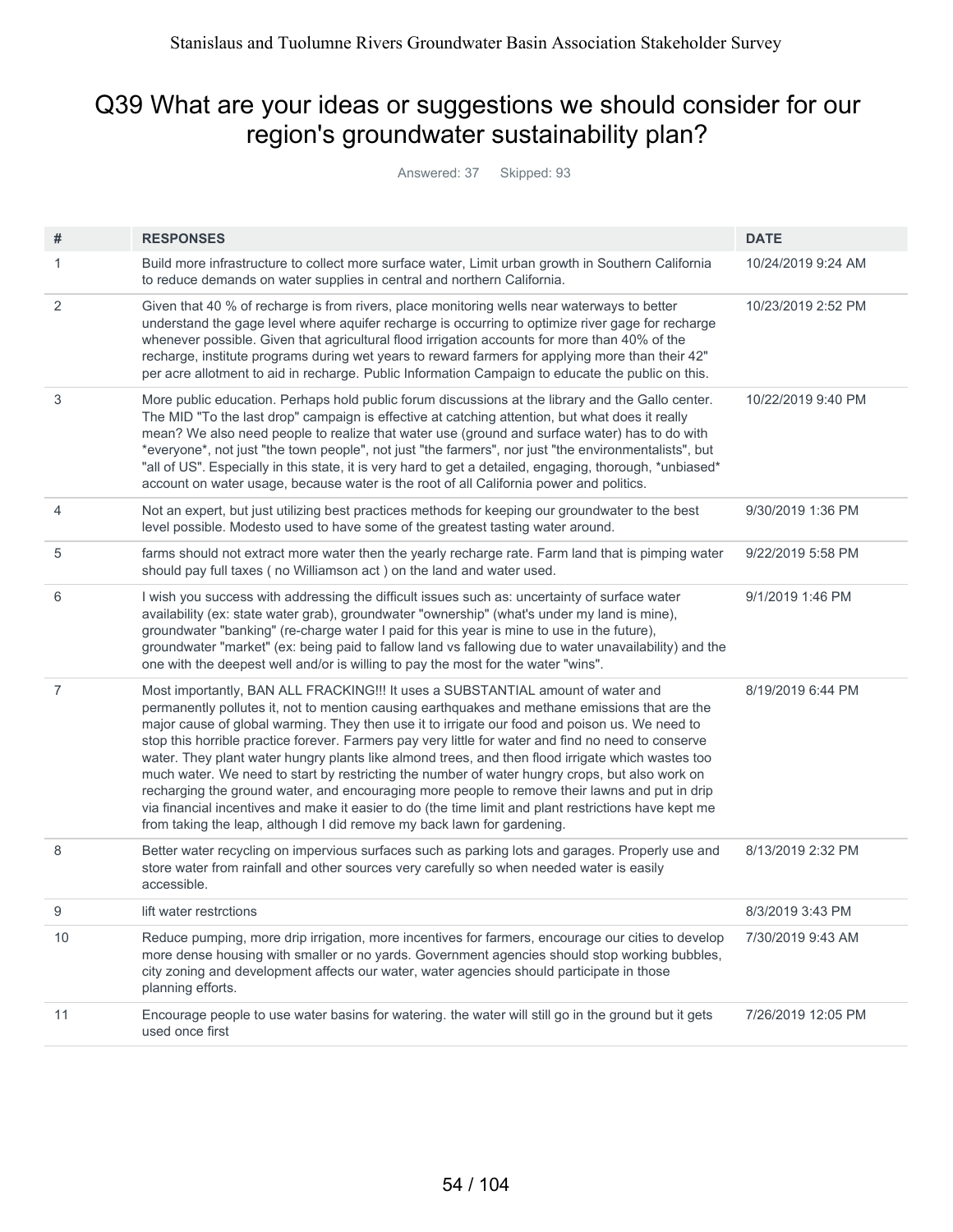#### Q39 What are your ideas or suggestions we should consider for our region's groundwater sustainability plan?

Answered: 37 Skipped: 93

| #              | <b>RESPONSES</b>                                                                                                                                                                                                                                                                                                                                                                                                                                                                                                                                                                                                                                                                                                                                                                                                                                                                        | <b>DATE</b>        |
|----------------|-----------------------------------------------------------------------------------------------------------------------------------------------------------------------------------------------------------------------------------------------------------------------------------------------------------------------------------------------------------------------------------------------------------------------------------------------------------------------------------------------------------------------------------------------------------------------------------------------------------------------------------------------------------------------------------------------------------------------------------------------------------------------------------------------------------------------------------------------------------------------------------------|--------------------|
| 1              | Build more infrastructure to collect more surface water, Limit urban growth in Southern California<br>to reduce demands on water supplies in central and northern California.                                                                                                                                                                                                                                                                                                                                                                                                                                                                                                                                                                                                                                                                                                           | 10/24/2019 9:24 AM |
| 2              | Given that 40 % of recharge is from rivers, place monitoring wells near waterways to better<br>understand the gage level where aquifer recharge is occurring to optimize river gage for recharge<br>whenever possible. Given that agricultural flood irrigation accounts for more than 40% of the<br>recharge, institute programs during wet years to reward farmers for applying more than their 42"<br>per acre allotment to aid in recharge. Public Information Campaign to educate the public on this.                                                                                                                                                                                                                                                                                                                                                                              | 10/23/2019 2:52 PM |
| 3              | More public education. Perhaps hold public forum discussions at the library and the Gallo center.<br>The MID "To the last drop" campaign is effective at catching attention, but what does it really<br>mean? We also need people to realize that water use (ground and surface water) has to do with<br>*everyone*, not just "the town people", not just "the farmers", nor just "the environmentalists", but<br>"all of US". Especially in this state, it is very hard to get a detailed, engaging, thorough, *unbiased*<br>account on water usage, because water is the root of all California power and politics.                                                                                                                                                                                                                                                                   | 10/22/2019 9:40 PM |
| 4              | Not an expert, but just utilizing best practices methods for keeping our groundwater to the best<br>level possible. Modesto used to have some of the greatest tasting water around.                                                                                                                                                                                                                                                                                                                                                                                                                                                                                                                                                                                                                                                                                                     | 9/30/2019 1:36 PM  |
| 5              | farms should not extract more water then the yearly recharge rate. Farm land that is pimping water<br>should pay full taxes (no Williamson act) on the land and water used.                                                                                                                                                                                                                                                                                                                                                                                                                                                                                                                                                                                                                                                                                                             | 9/22/2019 5:58 PM  |
| 6              | I wish you success with addressing the difficult issues such as: uncertainty of surface water<br>availability (ex: state water grab), groundwater "ownership" (what's under my land is mine),<br>groundwater "banking" (re-charge water I paid for this year is mine to use in the future),<br>groundwater "market" (ex: being paid to fallow land vs fallowing due to water unavailability) and the<br>one with the deepest well and/or is willing to pay the most for the water "wins".                                                                                                                                                                                                                                                                                                                                                                                               | 9/1/2019 1:46 PM   |
| $\overline{7}$ | Most importantly, BAN ALL FRACKING!!! It uses a SUBSTANTIAL amount of water and<br>permanently pollutes it, not to mention causing earthquakes and methane emissions that are the<br>major cause of global warming. They then use it to irrigate our food and poison us. We need to<br>stop this horrible practice forever. Farmers pay very little for water and find no need to conserve<br>water. They plant water hungry plants like almond trees, and then flood irrigate which wastes too<br>much water. We need to start by restricting the number of water hungry crops, but also work on<br>recharging the ground water, and encouraging more people to remove their lawns and put in drip<br>via financial incentives and make it easier to do (the time limit and plant restrictions have kept me<br>from taking the leap, although I did remove my back lawn for gardening. | 8/19/2019 6:44 PM  |
| 8              | Better water recycling on impervious surfaces such as parking lots and garages. Properly use and<br>store water from rainfall and other sources very carefully so when needed water is easily<br>accessible.                                                                                                                                                                                                                                                                                                                                                                                                                                                                                                                                                                                                                                                                            | 8/13/2019 2:32 PM  |
| 9              | lift water restrctions                                                                                                                                                                                                                                                                                                                                                                                                                                                                                                                                                                                                                                                                                                                                                                                                                                                                  | 8/3/2019 3:43 PM   |
| 10             | Reduce pumping, more drip irrigation, more incentives for farmers, encourage our cities to develop<br>more dense housing with smaller or no yards. Government agencies should stop working bubbles,<br>city zoning and development affects our water, water agencies should participate in those<br>planning efforts.                                                                                                                                                                                                                                                                                                                                                                                                                                                                                                                                                                   | 7/30/2019 9:43 AM  |
| 11             | Encourage people to use water basins for watering. the water will still go in the ground but it gets<br>used once first                                                                                                                                                                                                                                                                                                                                                                                                                                                                                                                                                                                                                                                                                                                                                                 | 7/26/2019 12:05 PM |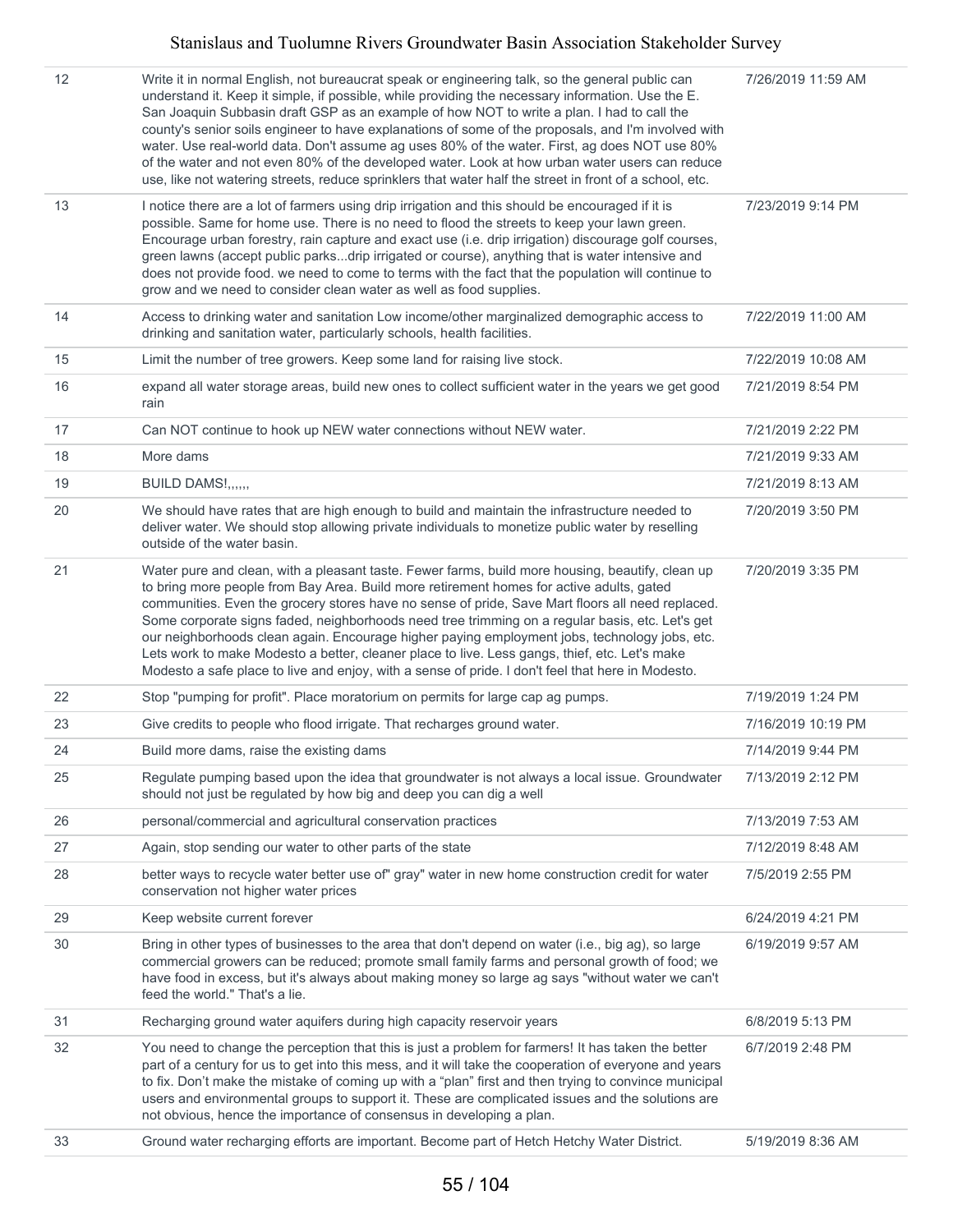#### Stanislaus and Tuolumne Rivers Groundwater Basin Association Stakeholder Survey

| 12 | Write it in normal English, not bureaucrat speak or engineering talk, so the general public can<br>understand it. Keep it simple, if possible, while providing the necessary information. Use the E.<br>San Joaquin Subbasin draft GSP as an example of how NOT to write a plan. I had to call the<br>county's senior soils engineer to have explanations of some of the proposals, and I'm involved with<br>water. Use real-world data. Don't assume ag uses 80% of the water. First, ag does NOT use 80%<br>of the water and not even 80% of the developed water. Look at how urban water users can reduce<br>use, like not watering streets, reduce sprinklers that water half the street in front of a school, etc. | 7/26/2019 11:59 AM |
|----|-------------------------------------------------------------------------------------------------------------------------------------------------------------------------------------------------------------------------------------------------------------------------------------------------------------------------------------------------------------------------------------------------------------------------------------------------------------------------------------------------------------------------------------------------------------------------------------------------------------------------------------------------------------------------------------------------------------------------|--------------------|
| 13 | I notice there are a lot of farmers using drip irrigation and this should be encouraged if it is<br>possible. Same for home use. There is no need to flood the streets to keep your lawn green.<br>Encourage urban forestry, rain capture and exact use (i.e. drip irrigation) discourage golf courses,<br>green lawns (accept public parksdrip irrigated or course), anything that is water intensive and<br>does not provide food. we need to come to terms with the fact that the population will continue to<br>grow and we need to consider clean water as well as food supplies.                                                                                                                                  | 7/23/2019 9:14 PM  |
| 14 | Access to drinking water and sanitation Low income/other marginalized demographic access to<br>drinking and sanitation water, particularly schools, health facilities.                                                                                                                                                                                                                                                                                                                                                                                                                                                                                                                                                  | 7/22/2019 11:00 AM |
| 15 | Limit the number of tree growers. Keep some land for raising live stock.                                                                                                                                                                                                                                                                                                                                                                                                                                                                                                                                                                                                                                                | 7/22/2019 10:08 AM |
| 16 | expand all water storage areas, build new ones to collect sufficient water in the years we get good<br>rain                                                                                                                                                                                                                                                                                                                                                                                                                                                                                                                                                                                                             | 7/21/2019 8:54 PM  |
| 17 | Can NOT continue to hook up NEW water connections without NEW water.                                                                                                                                                                                                                                                                                                                                                                                                                                                                                                                                                                                                                                                    | 7/21/2019 2:22 PM  |
| 18 | More dams                                                                                                                                                                                                                                                                                                                                                                                                                                                                                                                                                                                                                                                                                                               | 7/21/2019 9:33 AM  |
| 19 | BUILD DAMS!,,,,,,                                                                                                                                                                                                                                                                                                                                                                                                                                                                                                                                                                                                                                                                                                       | 7/21/2019 8:13 AM  |
| 20 | We should have rates that are high enough to build and maintain the infrastructure needed to<br>deliver water. We should stop allowing private individuals to monetize public water by reselling<br>outside of the water basin.                                                                                                                                                                                                                                                                                                                                                                                                                                                                                         | 7/20/2019 3:50 PM  |
| 21 | Water pure and clean, with a pleasant taste. Fewer farms, build more housing, beautify, clean up<br>to bring more people from Bay Area. Build more retirement homes for active adults, gated<br>communities. Even the grocery stores have no sense of pride, Save Mart floors all need replaced.<br>Some corporate signs faded, neighborhoods need tree trimming on a regular basis, etc. Let's get<br>our neighborhoods clean again. Encourage higher paying employment jobs, technology jobs, etc.<br>Lets work to make Modesto a better, cleaner place to live. Less gangs, thief, etc. Let's make<br>Modesto a safe place to live and enjoy, with a sense of pride. I don't feel that here in Modesto.              | 7/20/2019 3:35 PM  |
| 22 | Stop "pumping for profit". Place moratorium on permits for large cap ag pumps.                                                                                                                                                                                                                                                                                                                                                                                                                                                                                                                                                                                                                                          | 7/19/2019 1:24 PM  |
| 23 | Give credits to people who flood irrigate. That recharges ground water.                                                                                                                                                                                                                                                                                                                                                                                                                                                                                                                                                                                                                                                 | 7/16/2019 10:19 PM |
| 24 | Build more dams, raise the existing dams                                                                                                                                                                                                                                                                                                                                                                                                                                                                                                                                                                                                                                                                                | 7/14/2019 9:44 PM  |
| 25 | Regulate pumping based upon the idea that groundwater is not always a local issue. Groundwater<br>should not just be regulated by how big and deep you can dig a well                                                                                                                                                                                                                                                                                                                                                                                                                                                                                                                                                   | 7/13/2019 2:12 PM  |
| 26 | personal/commercial and agricultural conservation practices                                                                                                                                                                                                                                                                                                                                                                                                                                                                                                                                                                                                                                                             | 7/13/2019 7:53 AM  |
| 27 | Again, stop sending our water to other parts of the state                                                                                                                                                                                                                                                                                                                                                                                                                                                                                                                                                                                                                                                               | 7/12/2019 8:48 AM  |
| 28 | better ways to recycle water better use of" gray" water in new home construction credit for water<br>conservation not higher water prices                                                                                                                                                                                                                                                                                                                                                                                                                                                                                                                                                                               | 7/5/2019 2:55 PM   |
| 29 | Keep website current forever                                                                                                                                                                                                                                                                                                                                                                                                                                                                                                                                                                                                                                                                                            | 6/24/2019 4:21 PM  |
| 30 | Bring in other types of businesses to the area that don't depend on water (i.e., big ag), so large<br>commercial growers can be reduced; promote small family farms and personal growth of food; we<br>have food in excess, but it's always about making money so large ag says "without water we can't<br>feed the world." That's a lie.                                                                                                                                                                                                                                                                                                                                                                               | 6/19/2019 9:57 AM  |
| 31 | Recharging ground water aquifers during high capacity reservoir years                                                                                                                                                                                                                                                                                                                                                                                                                                                                                                                                                                                                                                                   | 6/8/2019 5:13 PM   |
| 32 | You need to change the perception that this is just a problem for farmers! It has taken the better<br>part of a century for us to get into this mess, and it will take the cooperation of everyone and years<br>to fix. Don't make the mistake of coming up with a "plan" first and then trying to convince municipal<br>users and environmental groups to support it. These are complicated issues and the solutions are<br>not obvious, hence the importance of consensus in developing a plan.                                                                                                                                                                                                                       | 6/7/2019 2:48 PM   |
| 33 | Ground water recharging efforts are important. Become part of Hetch Hetchy Water District.                                                                                                                                                                                                                                                                                                                                                                                                                                                                                                                                                                                                                              | 5/19/2019 8:36 AM  |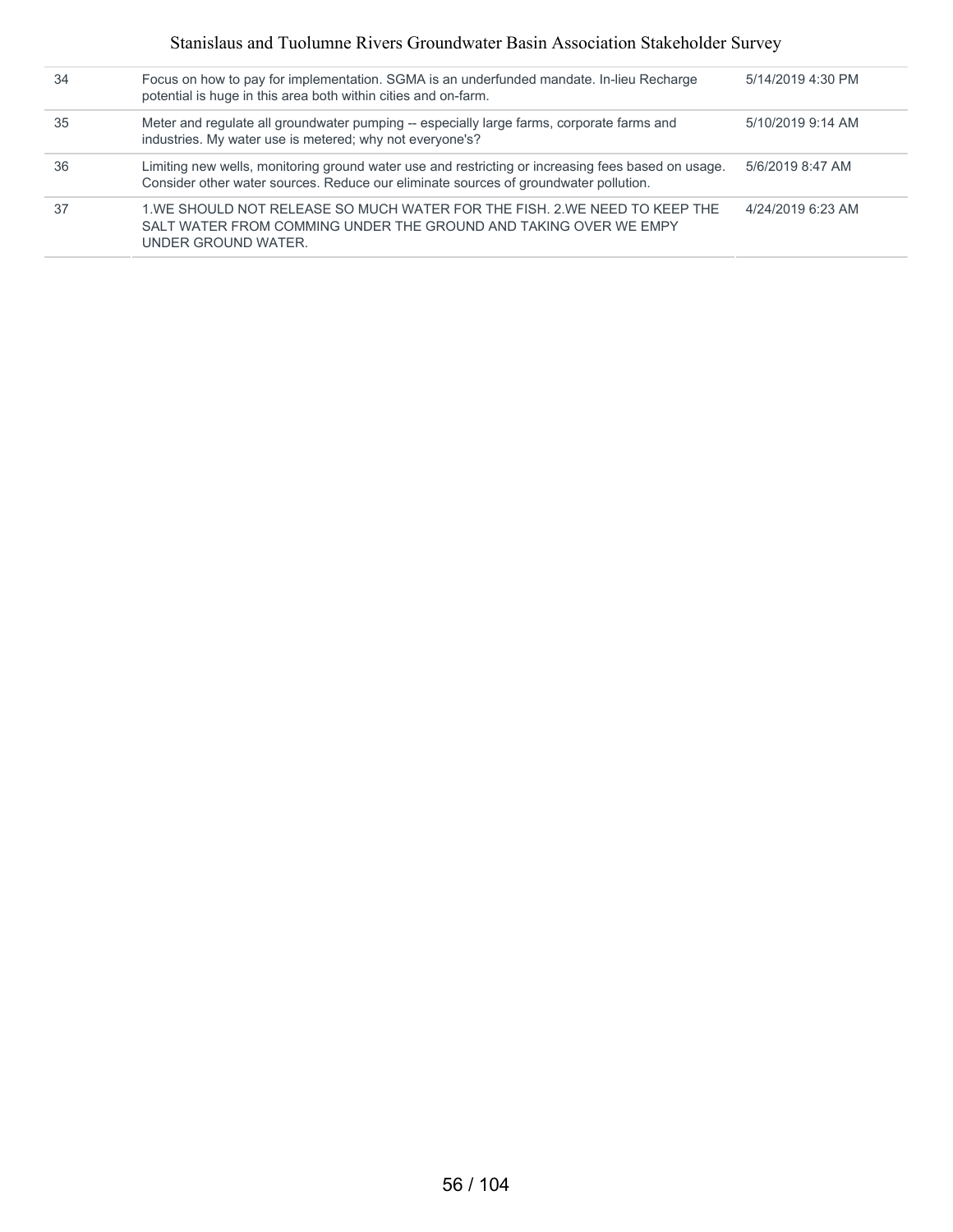#### Stanislaus and Tuolumne Rivers Groundwater Basin Association Stakeholder Survey

| 34 | Focus on how to pay for implementation. SGMA is an underfunded mandate. In-lieu Recharge<br>potential is huge in this area both within cities and on-farm.                                 | 5/14/2019 4:30 PM |
|----|--------------------------------------------------------------------------------------------------------------------------------------------------------------------------------------------|-------------------|
| 35 | Meter and regulate all groundwater pumping -- especially large farms, corporate farms and<br>industries. My water use is metered; why not everyone's?                                      | $5/10/2019914$ AM |
| 36 | Limiting new wells, monitoring ground water use and restricting or increasing fees based on usage.<br>Consider other water sources. Reduce our eliminate sources of groundwater pollution. | 5/6/2019 8:47 AM  |
| 37 | 1. WE SHOULD NOT RELEASE SO MUCH WATER FOR THE FISH, 2. WE NEED TO KEEP THE<br>SALT WATER FROM COMMING UNDER THE GROUND AND TAKING OVER WE EMPY<br>UNDER GROUND WATER.                     | 4/24/2019 6:23 AM |
|    |                                                                                                                                                                                            |                   |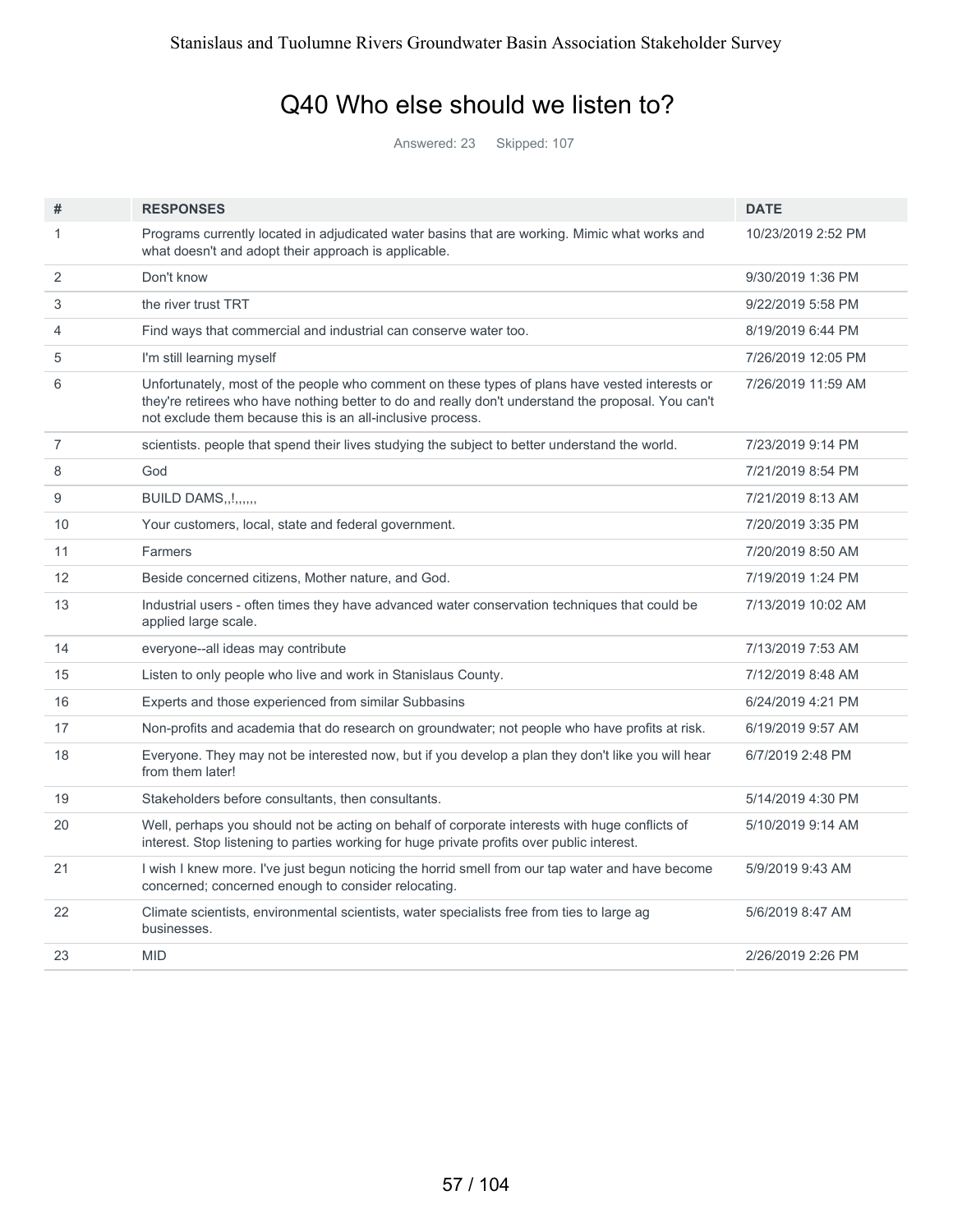#### Q40 Who else should we listen to?

Answered: 23 Skipped: 107

| #              | <b>RESPONSES</b>                                                                                                                                                                                                                                                   | <b>DATE</b>        |
|----------------|--------------------------------------------------------------------------------------------------------------------------------------------------------------------------------------------------------------------------------------------------------------------|--------------------|
| 1              | Programs currently located in adjudicated water basins that are working. Mimic what works and<br>what doesn't and adopt their approach is applicable.                                                                                                              | 10/23/2019 2:52 PM |
| 2              | Don't know                                                                                                                                                                                                                                                         | 9/30/2019 1:36 PM  |
| 3              | the river trust TRT                                                                                                                                                                                                                                                | 9/22/2019 5:58 PM  |
| 4              | Find ways that commercial and industrial can conserve water too.                                                                                                                                                                                                   | 8/19/2019 6:44 PM  |
| 5              | I'm still learning myself                                                                                                                                                                                                                                          | 7/26/2019 12:05 PM |
| 6              | Unfortunately, most of the people who comment on these types of plans have vested interests or<br>they're retirees who have nothing better to do and really don't understand the proposal. You can't<br>not exclude them because this is an all-inclusive process. | 7/26/2019 11:59 AM |
| $\overline{7}$ | scientists, people that spend their lives studying the subject to better understand the world.                                                                                                                                                                     | 7/23/2019 9:14 PM  |
| 8              | God                                                                                                                                                                                                                                                                | 7/21/2019 8:54 PM  |
| 9              | BUILD DAMS!                                                                                                                                                                                                                                                        | 7/21/2019 8:13 AM  |
| 10             | Your customers, local, state and federal government.                                                                                                                                                                                                               | 7/20/2019 3:35 PM  |
| 11             | Farmers                                                                                                                                                                                                                                                            | 7/20/2019 8:50 AM  |
| 12             | Beside concerned citizens, Mother nature, and God.                                                                                                                                                                                                                 | 7/19/2019 1:24 PM  |
| 13             | Industrial users - often times they have advanced water conservation techniques that could be<br>applied large scale.                                                                                                                                              | 7/13/2019 10:02 AM |
| 14             | everyone--all ideas may contribute                                                                                                                                                                                                                                 | 7/13/2019 7:53 AM  |
| 15             | Listen to only people who live and work in Stanislaus County.                                                                                                                                                                                                      | 7/12/2019 8:48 AM  |
| 16             | Experts and those experienced from similar Subbasins                                                                                                                                                                                                               | 6/24/2019 4:21 PM  |
| 17             | Non-profits and academia that do research on groundwater; not people who have profits at risk.                                                                                                                                                                     | 6/19/2019 9:57 AM  |
| 18             | Everyone. They may not be interested now, but if you develop a plan they don't like you will hear<br>from them later!                                                                                                                                              | 6/7/2019 2:48 PM   |
| 19             | Stakeholders before consultants, then consultants.                                                                                                                                                                                                                 | 5/14/2019 4:30 PM  |
| 20             | Well, perhaps you should not be acting on behalf of corporate interests with huge conflicts of<br>interest. Stop listening to parties working for huge private profits over public interest.                                                                       | 5/10/2019 9:14 AM  |
| 21             | I wish I knew more. I've just begun noticing the horrid smell from our tap water and have become<br>concerned; concerned enough to consider relocating.                                                                                                            | 5/9/2019 9:43 AM   |
| 22             | Climate scientists, environmental scientists, water specialists free from ties to large ag<br>businesses.                                                                                                                                                          | 5/6/2019 8:47 AM   |
| 23             | <b>MID</b>                                                                                                                                                                                                                                                         | 2/26/2019 2:26 PM  |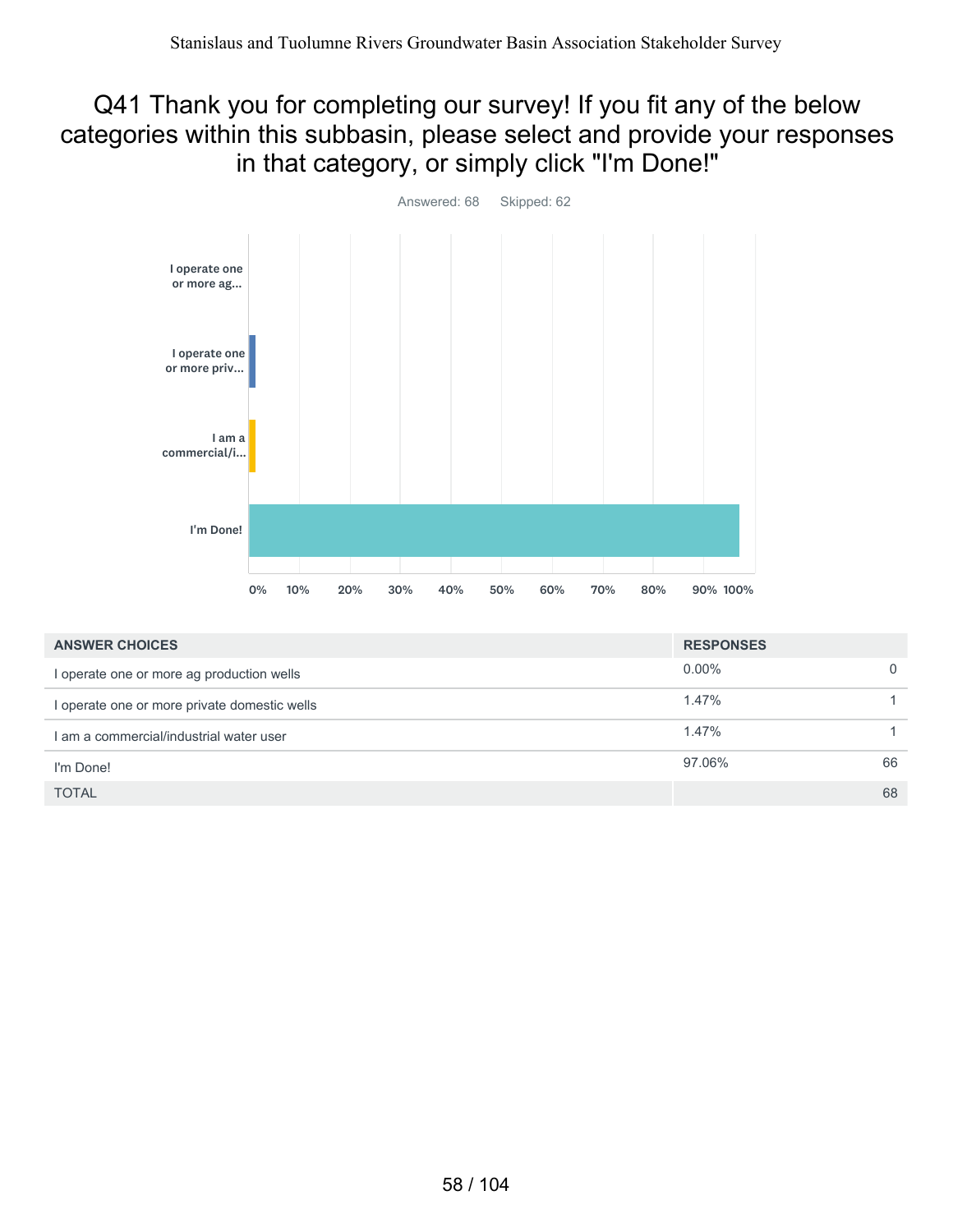#### Q41 Thank you for completing our survey! If you fit any of the below categories within this subbasin, please select and provide your responses in that category, or simply click "I'm Done!"



| <b>ANSWER CHOICES</b>                        | <b>RESPONSES</b> |    |
|----------------------------------------------|------------------|----|
| I operate one or more ag production wells    | $0.00\%$         | 0  |
| l operate one or more private domestic wells | 1.47%            |    |
| I am a commercial/industrial water user      | 1.47%            |    |
| I'm Done!                                    | 97.06%           | 66 |
| <b>TOTAL</b>                                 |                  | 68 |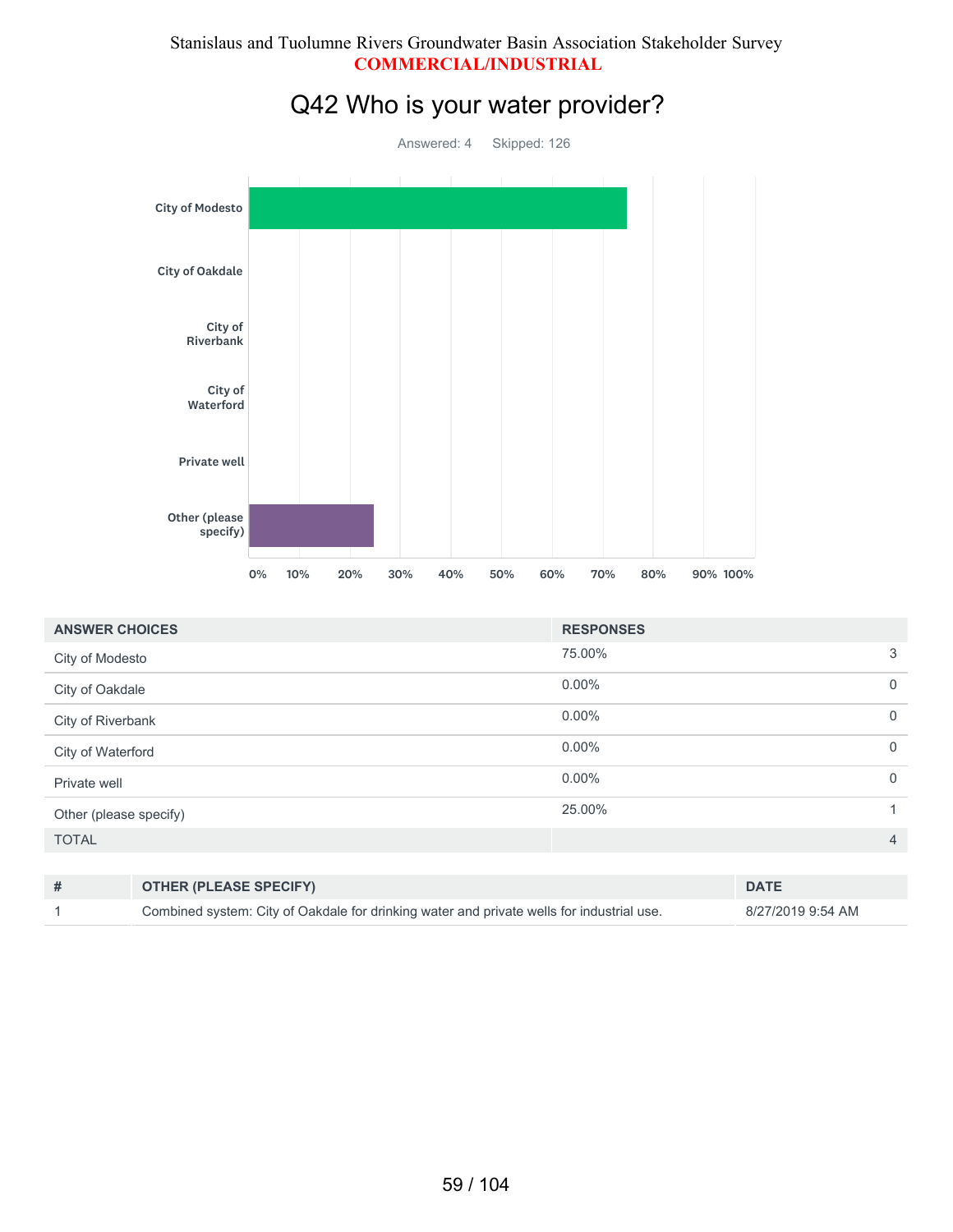#### Stanislaus and Tuolumne Rivers Groundwater Basin Association Stakeholder Survey **COMMERCIAL/INDUSTRIAL**



| <b>ANSWER CHOICES</b>  | <b>RESPONSES</b> |                |
|------------------------|------------------|----------------|
| City of Modesto        | 75.00%           | 3              |
| City of Oakdale        | $0.00\%$         | $\overline{0}$ |
| City of Riverbank      | $0.00\%$         | $\overline{0}$ |
| City of Waterford      | $0.00\%$         | $\overline{0}$ |
| Private well           | $0.00\%$         | $\overline{0}$ |
| Other (please specify) | 25.00%           | -1             |
| <b>TOTAL</b>           |                  | $\overline{4}$ |
|                        |                  |                |

| <b>OTHER (PLEASE SPECIFY)</b>                                                             | <b>DATE</b>       |
|-------------------------------------------------------------------------------------------|-------------------|
| Combined system: City of Oakdale for drinking water and private wells for industrial use. | 8/27/2019 9:54 AM |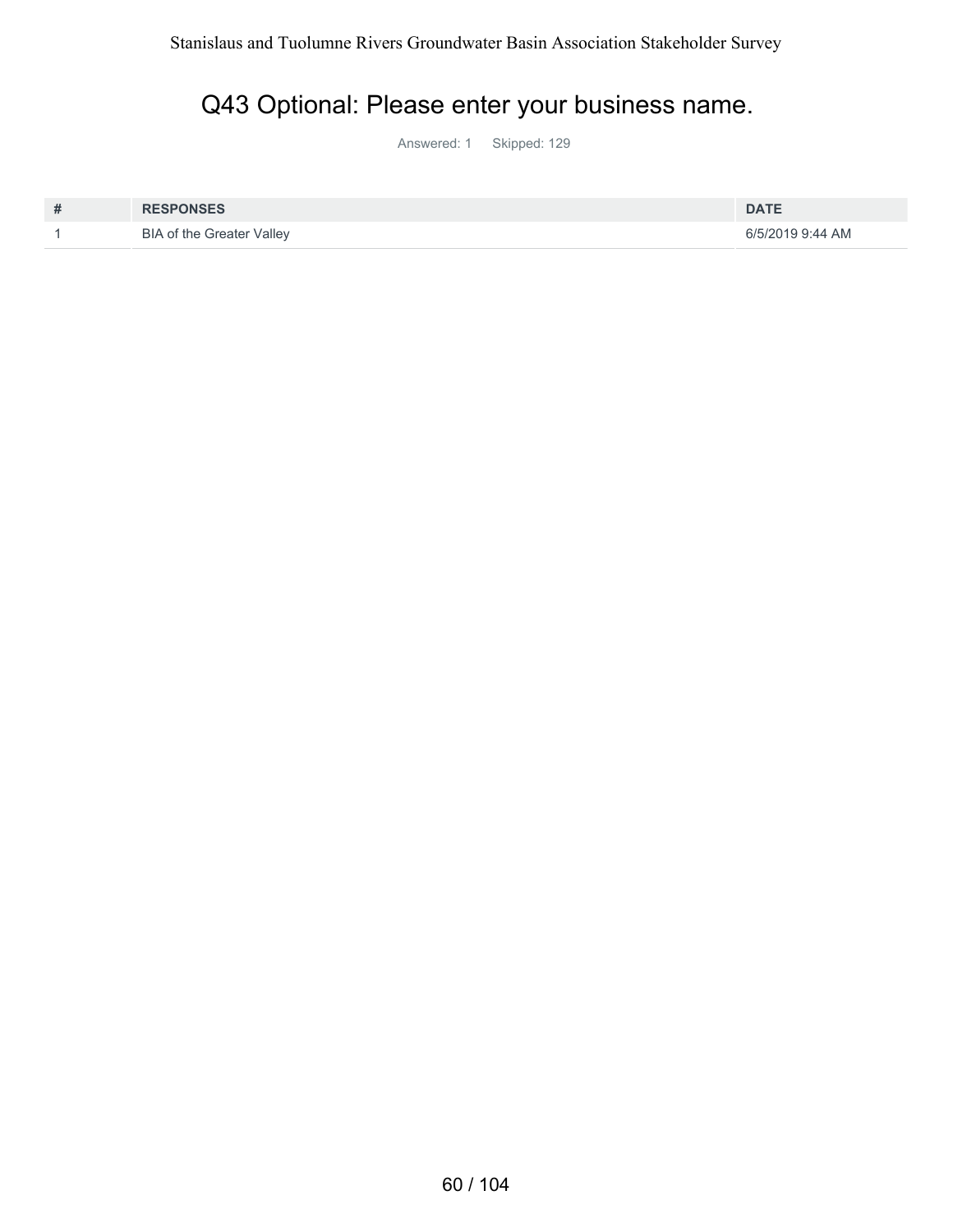# Q43 Optional: Please enter your business name.

Answered: 1 Skipped: 129

| # | <b>RESPONSES</b>                 | <b>DATE</b>      |
|---|----------------------------------|------------------|
|   | <b>BIA of the Greater Valley</b> | 6/5/2019 9:44 AM |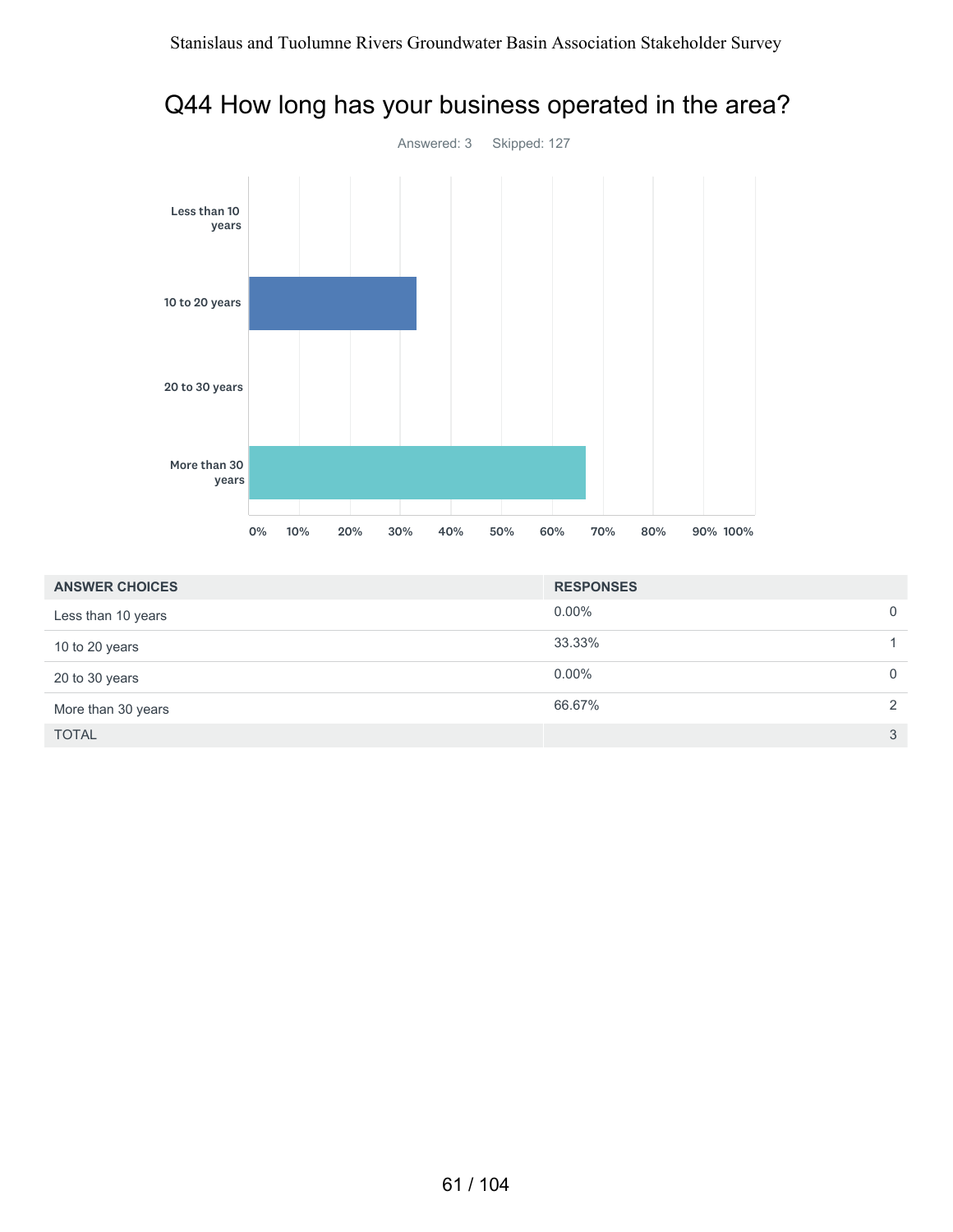

#### Q44 How long has your business operated in the area?

| <b>ANSWER CHOICES</b> | <b>RESPONSES</b> |             |
|-----------------------|------------------|-------------|
| Less than 10 years    | $0.00\%$         | $\mathbf 0$ |
| 10 to 20 years        | 33.33%           |             |
| 20 to 30 years        | $0.00\%$         | $\mathbf 0$ |
| More than 30 years    | 66.67%           | 2           |
| <b>TOTAL</b>          |                  | 3           |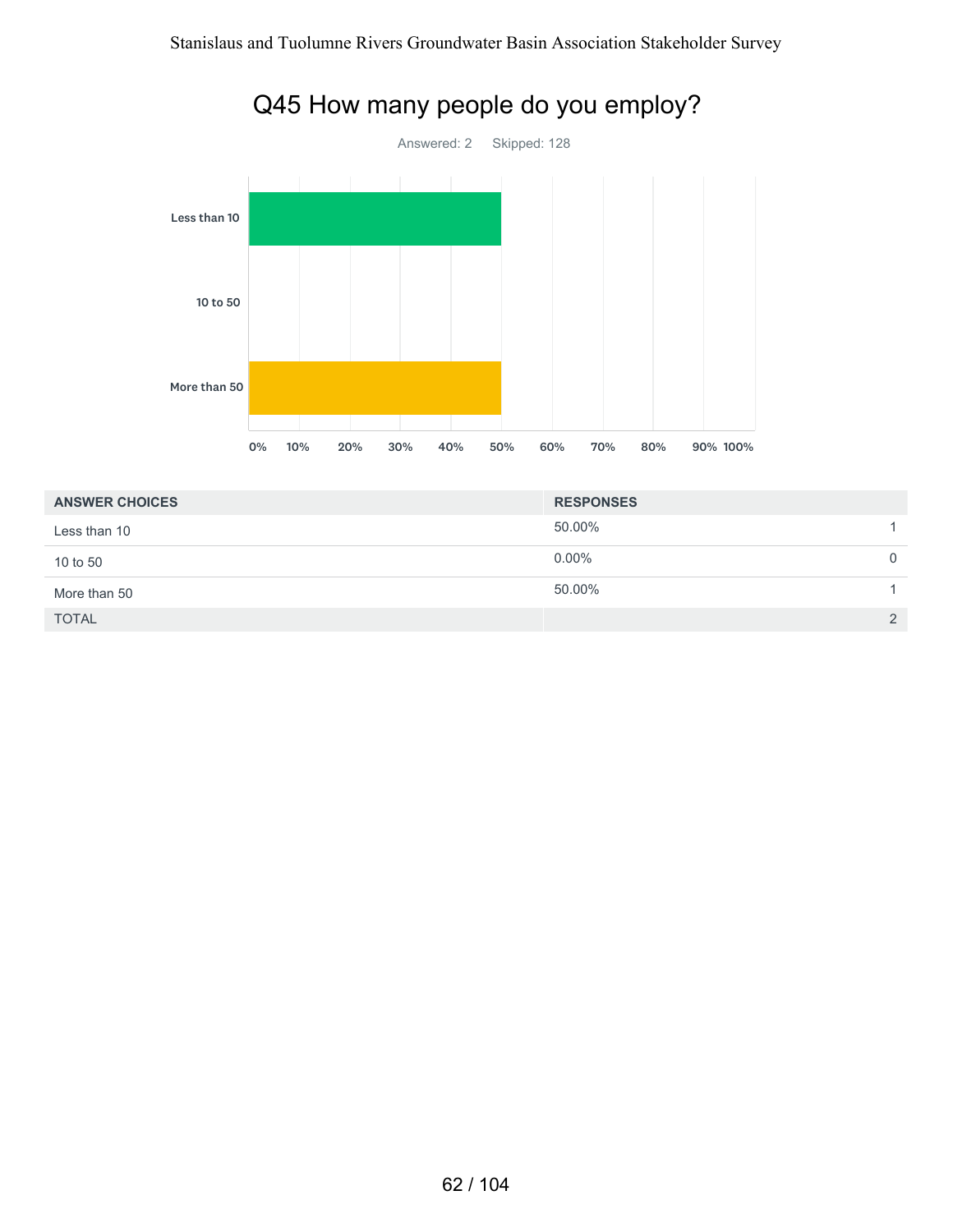

## Q45 How many people do you employ?

| <b>ANSWER CHOICES</b> | <b>RESPONSES</b> |               |
|-----------------------|------------------|---------------|
| Less than 10          | 50.00%           |               |
| 10 to 50              | $0.00\%$         | $\Omega$      |
| More than 50          | 50.00%           |               |
| <b>TOTAL</b>          |                  | $\mathcal{P}$ |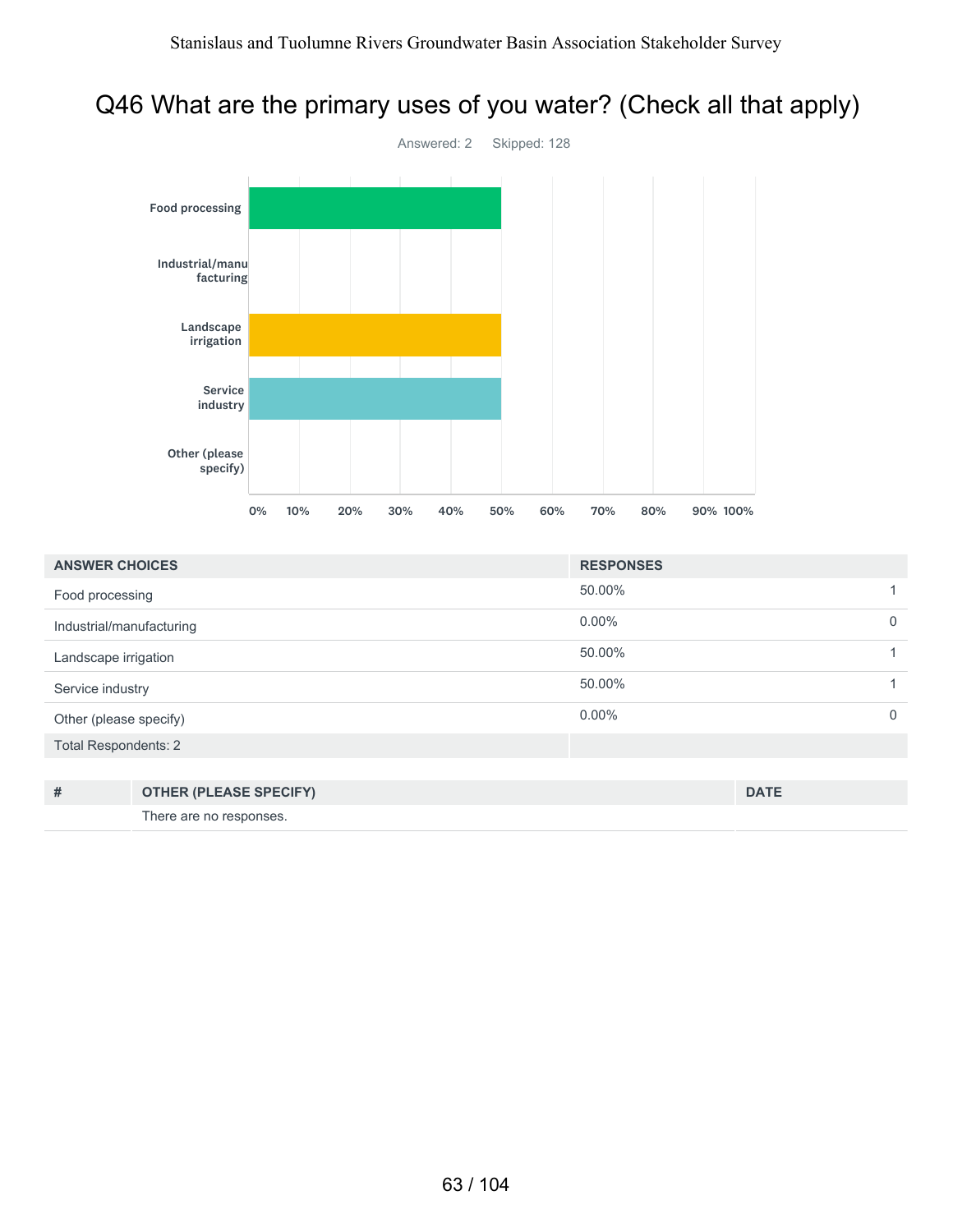# Q46 What are the primary uses of you water? (Check all that apply)



| <b>ANSWER CHOICES</b>       |                               | <b>RESPONSES</b> |             |             |
|-----------------------------|-------------------------------|------------------|-------------|-------------|
| Food processing             |                               | 50.00%           |             |             |
| Industrial/manufacturing    |                               | $0.00\%$         |             | $\mathbf 0$ |
| Landscape irrigation        |                               | 50.00%           |             |             |
| Service industry            |                               | 50.00%           |             |             |
| Other (please specify)      |                               | $0.00\%$         |             | $\mathbf 0$ |
| <b>Total Respondents: 2</b> |                               |                  |             |             |
|                             |                               |                  |             |             |
| #                           | <b>OTHER (PLEASE SPECIFY)</b> |                  | <b>DATE</b> |             |

There are no responses.

63 / 104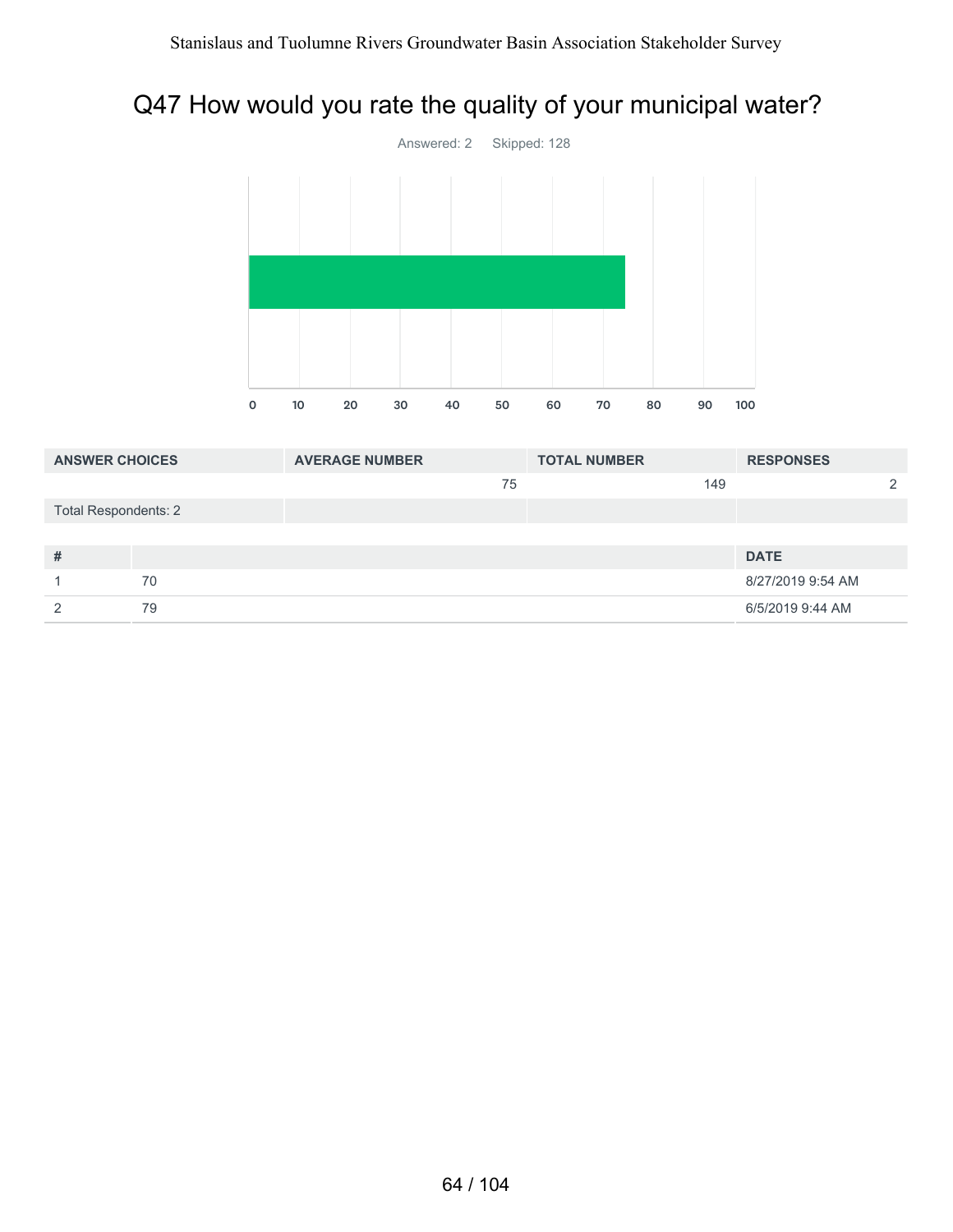### Q47 How would you rate the quality of your municipal water?



| <b>ANSWER CHOICES</b>       |    | <b>AVERAGE NUMBER</b> |    | <b>TOTAL NUMBER</b> |     | <b>RESPONSES</b>  |   |
|-----------------------------|----|-----------------------|----|---------------------|-----|-------------------|---|
|                             |    |                       | 75 |                     | 149 |                   | っ |
| <b>Total Respondents: 2</b> |    |                       |    |                     |     |                   |   |
|                             |    |                       |    |                     |     |                   |   |
| #                           |    |                       |    |                     |     | <b>DATE</b>       |   |
|                             | 70 |                       |    |                     |     | 8/27/2019 9:54 AM |   |
| ◠                           | 79 |                       |    |                     |     | 6/5/2019 9:44 AM  |   |
|                             |    |                       |    |                     |     |                   |   |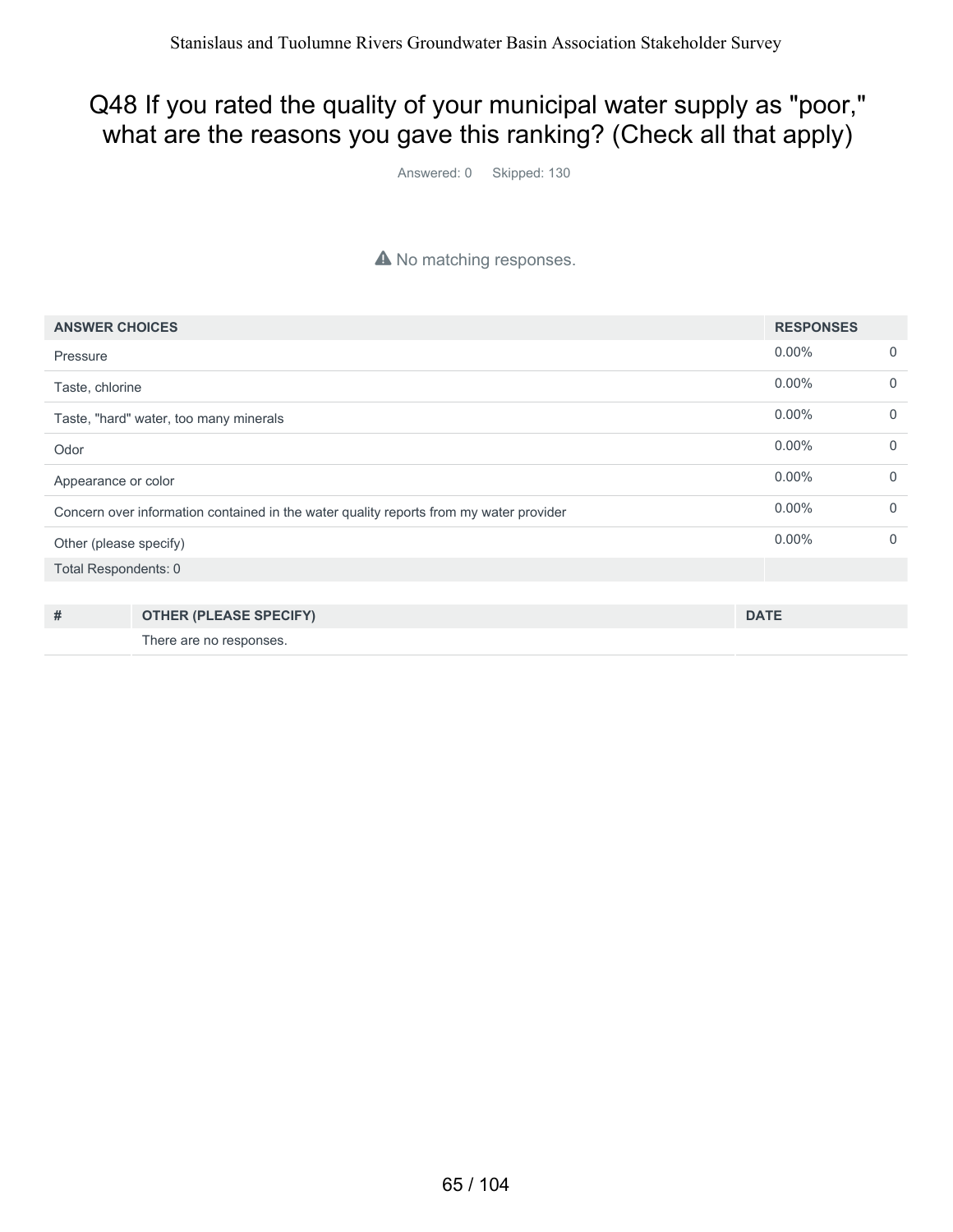#### Q48 If you rated the quality of your municipal water supply as "poor," what are the reasons you gave this ranking? (Check all that apply)

Answered: 0 Skipped: 130

#### A No matching responses.

| <b>ANSWER CHOICES</b>                                                                  |                                        | <b>RESPONSES</b> |             |
|----------------------------------------------------------------------------------------|----------------------------------------|------------------|-------------|
| Pressure                                                                               |                                        | $0.00\%$         | $\mathbf 0$ |
| Taste, chlorine                                                                        |                                        | $0.00\%$         | $\mathbf 0$ |
|                                                                                        | Taste, "hard" water, too many minerals | $0.00\%$         | $\mathbf 0$ |
| Odor                                                                                   |                                        | $0.00\%$         | $\Omega$    |
| Appearance or color                                                                    |                                        | $0.00\%$         | $\mathbf 0$ |
| Concern over information contained in the water quality reports from my water provider |                                        | $0.00\%$         | $\Omega$    |
| Other (please specify)                                                                 |                                        | $0.00\%$         | $\mathbf 0$ |
| Total Respondents: 0                                                                   |                                        |                  |             |
|                                                                                        |                                        |                  |             |
| #                                                                                      | <b>OTHER (PLEASE SPECIFY)</b>          | <b>DATE</b>      |             |
|                                                                                        | There are no responses.                |                  |             |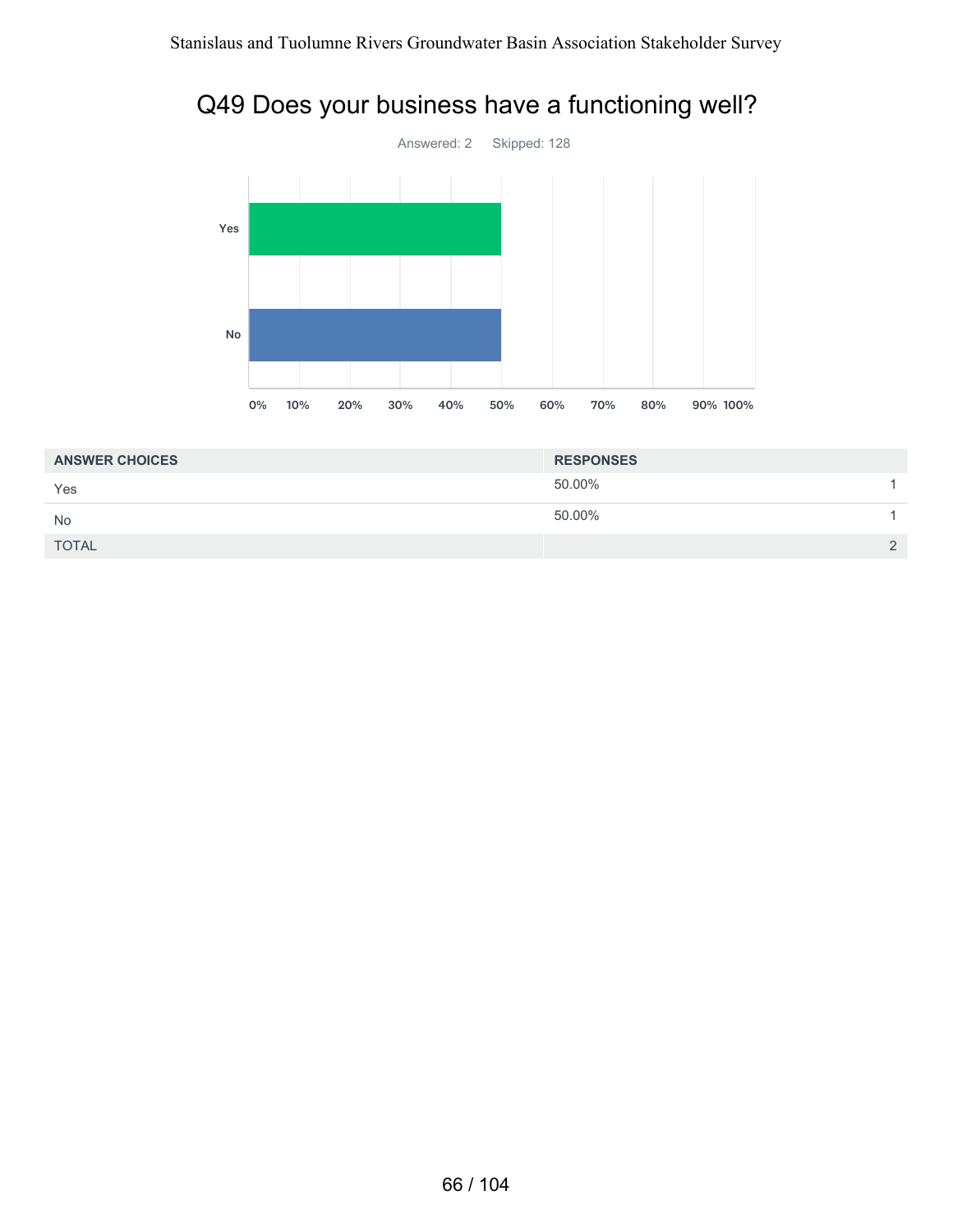### Q49 Does your business have a functioning well?



| <b>ANSWER CHOICES</b> | <b>RESPONSES</b> |          |
|-----------------------|------------------|----------|
| Yes                   | 50.00%           |          |
| <b>No</b>             | 50.00%           |          |
| <b>TOTAL</b>          |                  | $\Omega$ |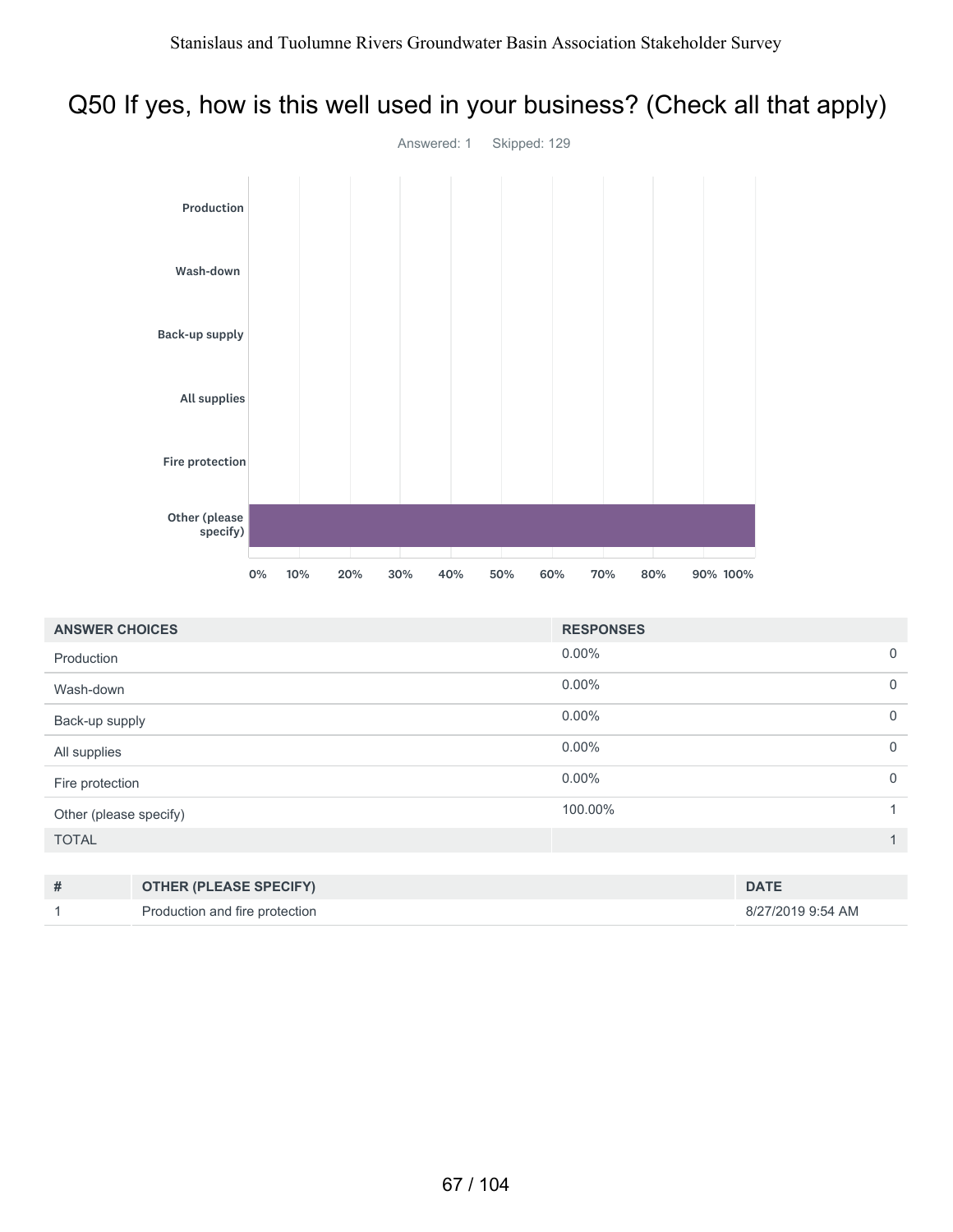### Q50 If yes, how is this well used in your business? (Check all that apply)



| <b>ANSWER CHOICES</b>  | <b>RESPONSES</b> |             |
|------------------------|------------------|-------------|
| Production             | $0.00\%$         | $\mathbf 0$ |
| Wash-down              | $0.00\%$         | $\mathbf 0$ |
| Back-up supply         | $0.00\%$         | $\mathbf 0$ |
| All supplies           | $0.00\%$         | $\mathbf 0$ |
| Fire protection        | $0.00\%$         | $\mathbf 0$ |
| Other (please specify) | 100.00%          |             |
| <b>TOTAL</b>           |                  | 1           |
|                        |                  |             |

| <b>OTHER (PLEASE SPECIFY)</b>  | <b>DATE</b>       |
|--------------------------------|-------------------|
| Production and fire protection | 8/27/2019 9:54 AM |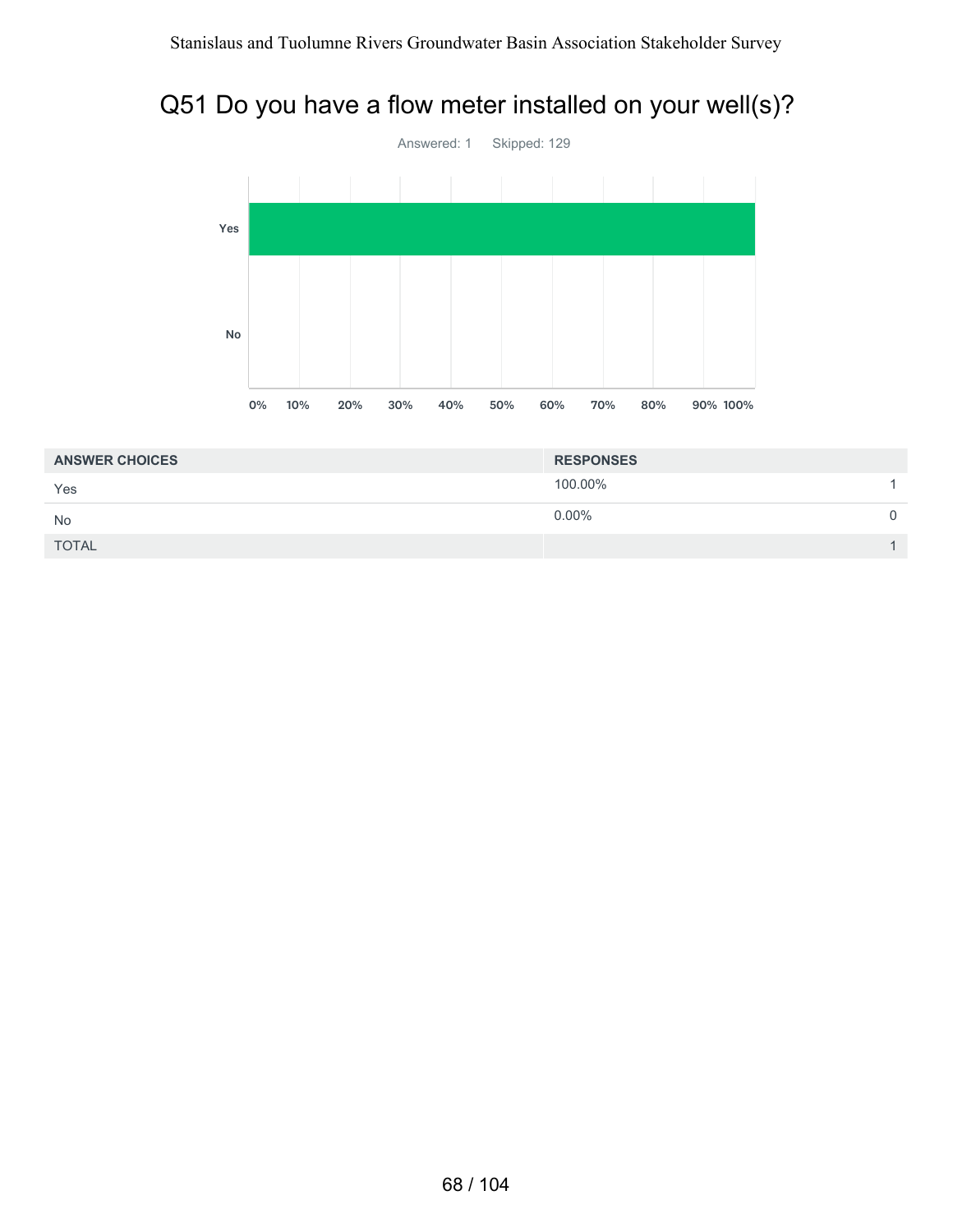### Q51 Do you have a flow meter installed on your well(s)?



| <b>ANSWER CHOICES</b> | <b>RESPONSES</b> |  |
|-----------------------|------------------|--|
| Yes                   | 100.00%          |  |
| No                    | $0.00\%$         |  |
| <b>TOTAL</b>          |                  |  |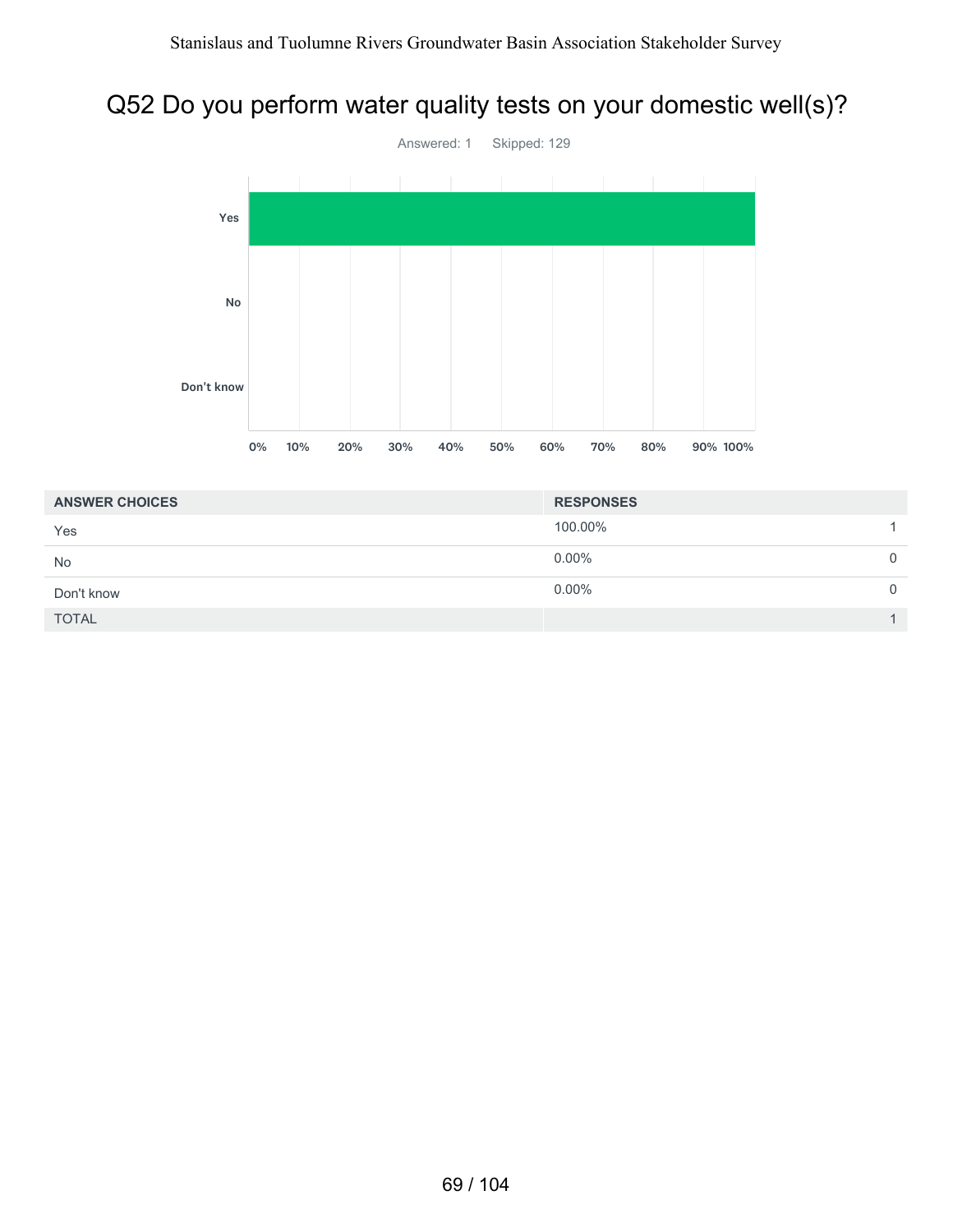# Q52 Do you perform water quality tests on your domestic well(s)?



| <b>ANSWER CHOICES</b> | <b>RESPONSES</b> |          |
|-----------------------|------------------|----------|
| Yes                   | 100.00%          |          |
| <b>No</b>             | $0.00\%$         | $\Omega$ |
| Don't know            | $0.00\%$         | $\Omega$ |
| <b>TOTAL</b>          |                  |          |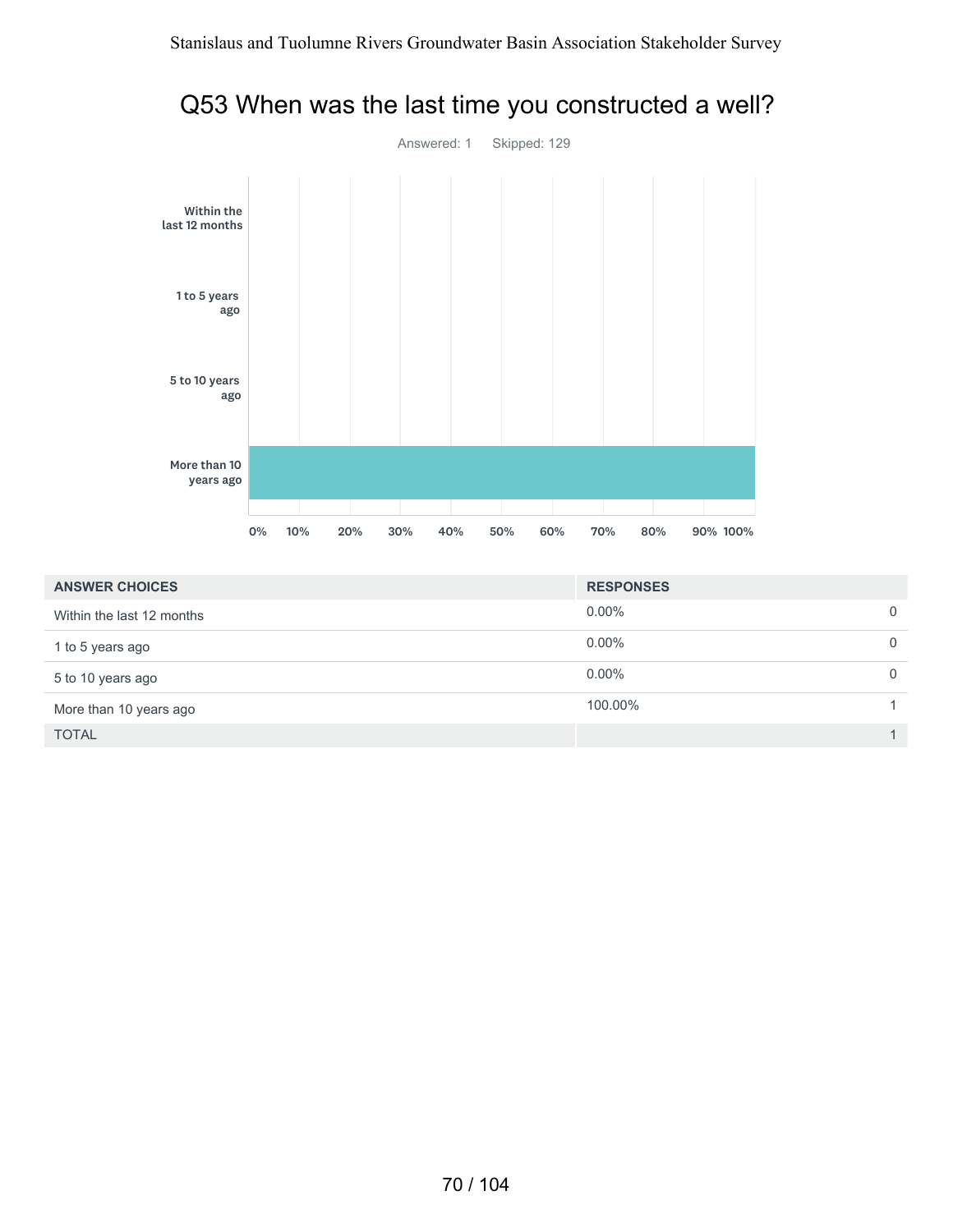

### Q53 When was the last time you constructed a well?

| <b>ANSWER CHOICES</b>     | <b>RESPONSES</b> |                |
|---------------------------|------------------|----------------|
| Within the last 12 months | $0.00\%$         | $\mathbf 0$    |
| 1 to 5 years ago          | $0.00\%$         | $\Omega$       |
| 5 to 10 years ago         | $0.00\%$         | $\overline{0}$ |
| More than 10 years ago    | 100.00%          |                |
| <b>TOTAL</b>              |                  |                |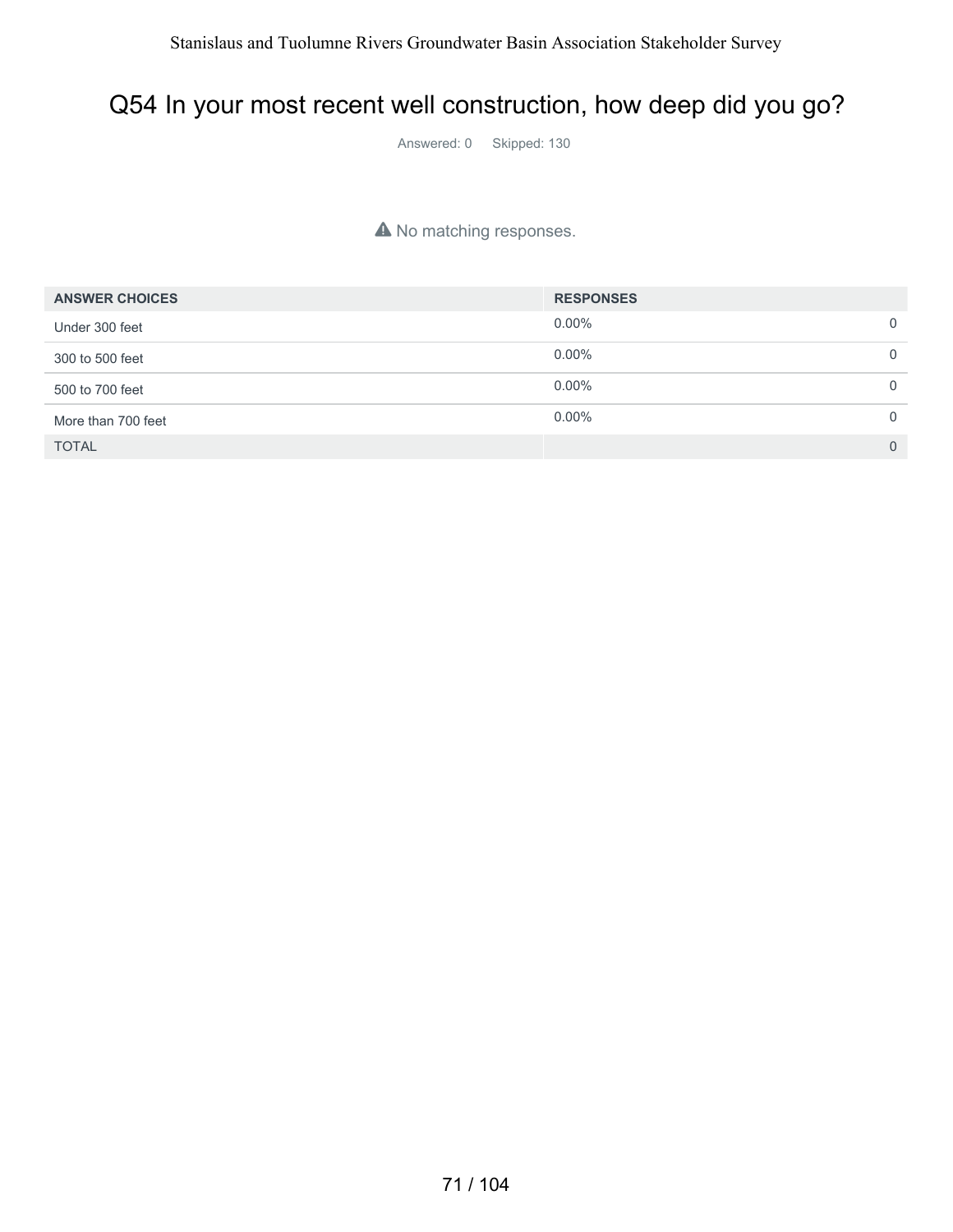#### Q54 In your most recent well construction, how deep did you go?

Answered: 0 Skipped: 130

#### A No matching responses.

| <b>ANSWER CHOICES</b> | <b>RESPONSES</b> |                |
|-----------------------|------------------|----------------|
| Under 300 feet        | $0.00\%$         | $\mathbf 0$    |
| 300 to 500 feet       | $0.00\%$         | $\mathbf 0$    |
| 500 to 700 feet       | $0.00\%$         | $\mathbf 0$    |
| More than 700 feet    | $0.00\%$         | $\mathbf 0$    |
| <b>TOTAL</b>          |                  | $\overline{0}$ |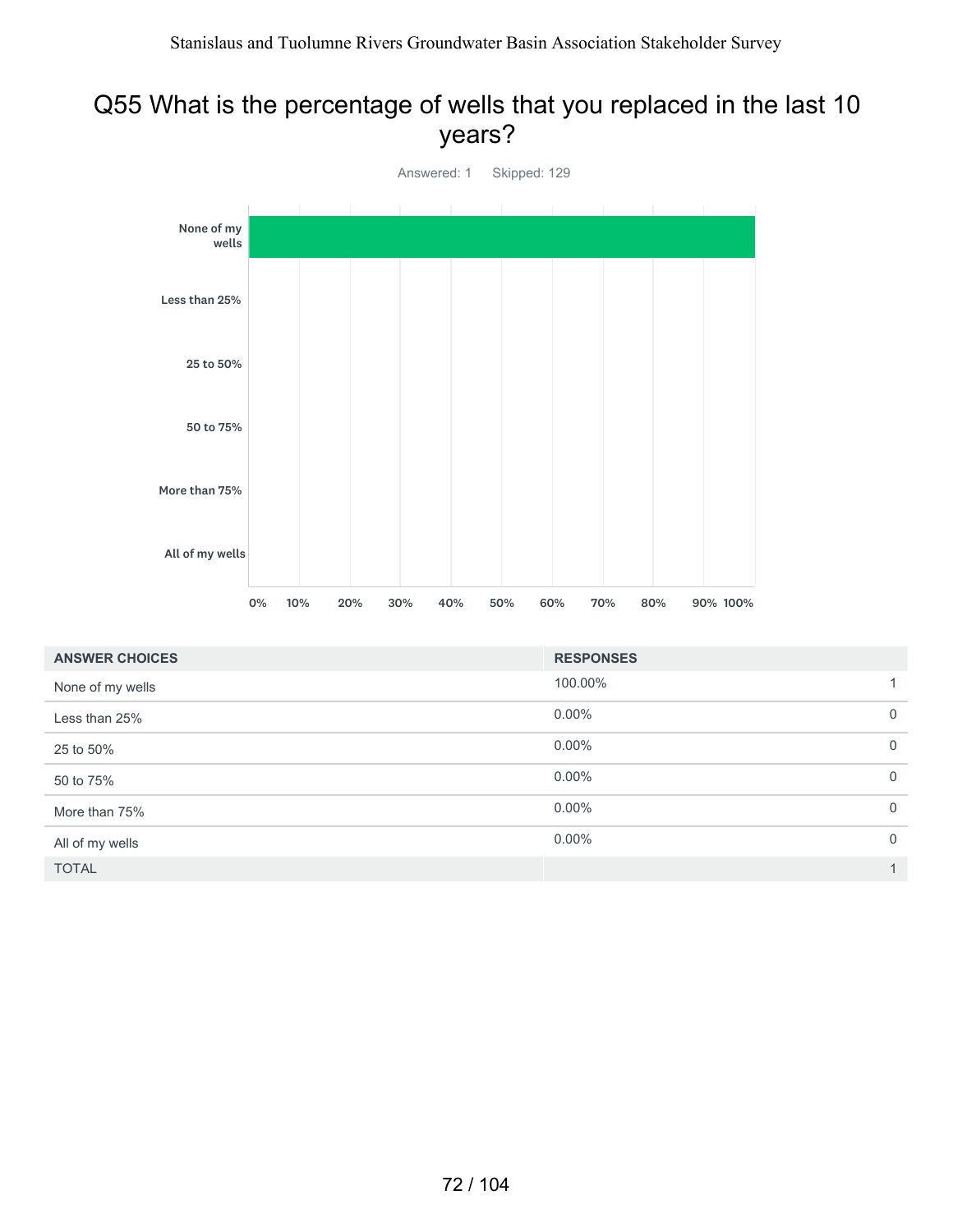#### Q55 What is the percentage of wells that you replaced in the last 10 years?



| <b>ANSWER CHOICES</b> | <b>RESPONSES</b> |                |
|-----------------------|------------------|----------------|
| None of my wells      | 100.00%          | 1.             |
| Less than 25%         | $0.00\%$         | $\mathbf 0$    |
| 25 to 50%             | $0.00\%$         | $\mathbf 0$    |
| 50 to 75%             | $0.00\%$         | $\mathbf 0$    |
| More than 75%         | $0.00\%$         | $\overline{0}$ |
| All of my wells       | $0.00\%$         | $\overline{0}$ |
| <b>TOTAL</b>          |                  | $\mathbf{1}$   |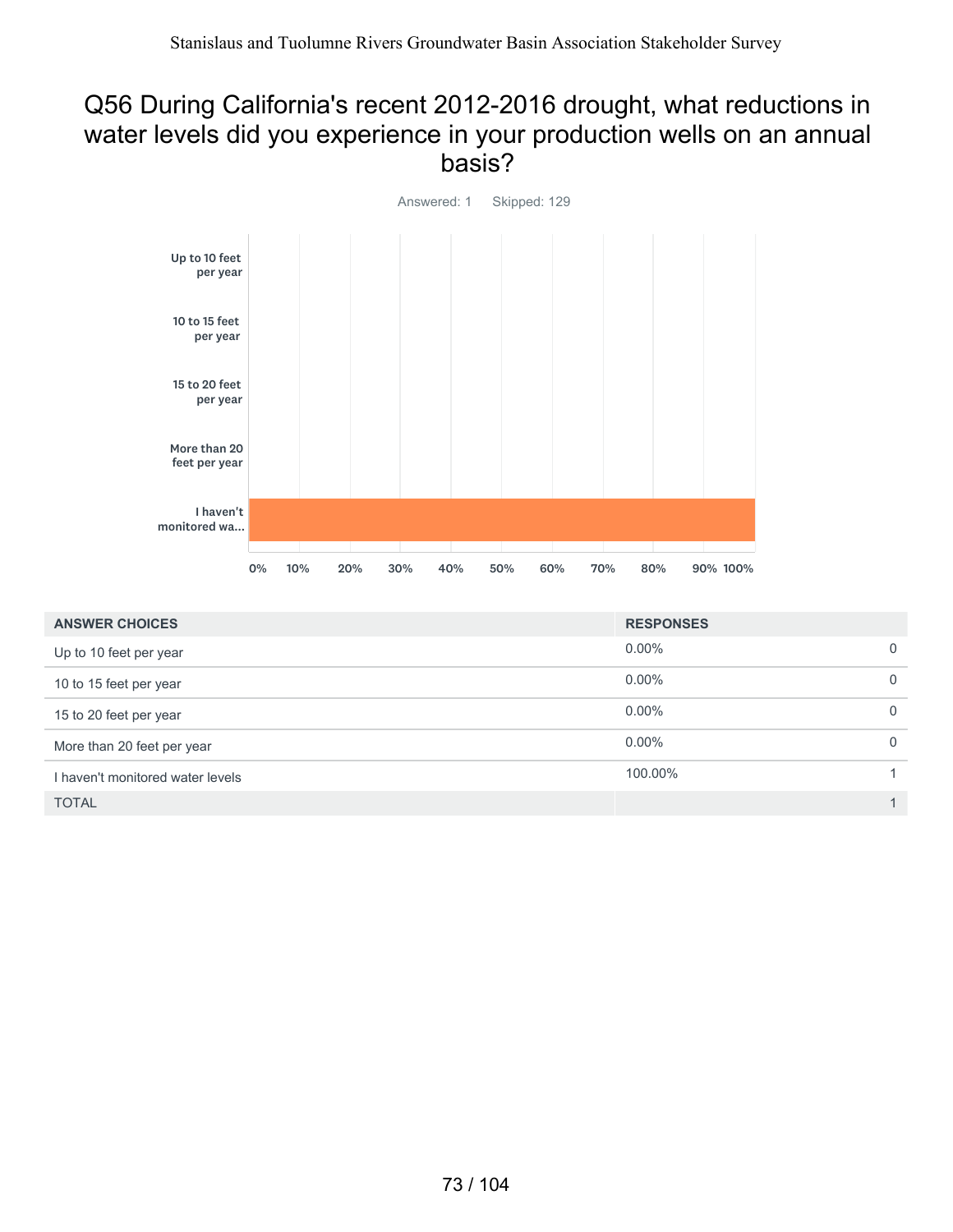#### Q56 During California's recent 2012-2016 drought, what reductions in water levels did you experience in your production wells on an annual basis?



| <b>ANSWER CHOICES</b>            | <b>RESPONSES</b> |              |
|----------------------------------|------------------|--------------|
| Up to 10 feet per year           | $0.00\%$         | $\Omega$     |
| 10 to 15 feet per year           | $0.00\%$         | $\mathbf{0}$ |
| 15 to 20 feet per year           | $0.00\%$         | $\mathbf{0}$ |
| More than 20 feet per year       | $0.00\%$         | $\mathbf{0}$ |
| I haven't monitored water levels | 100.00%          |              |
| <b>TOTAL</b>                     |                  |              |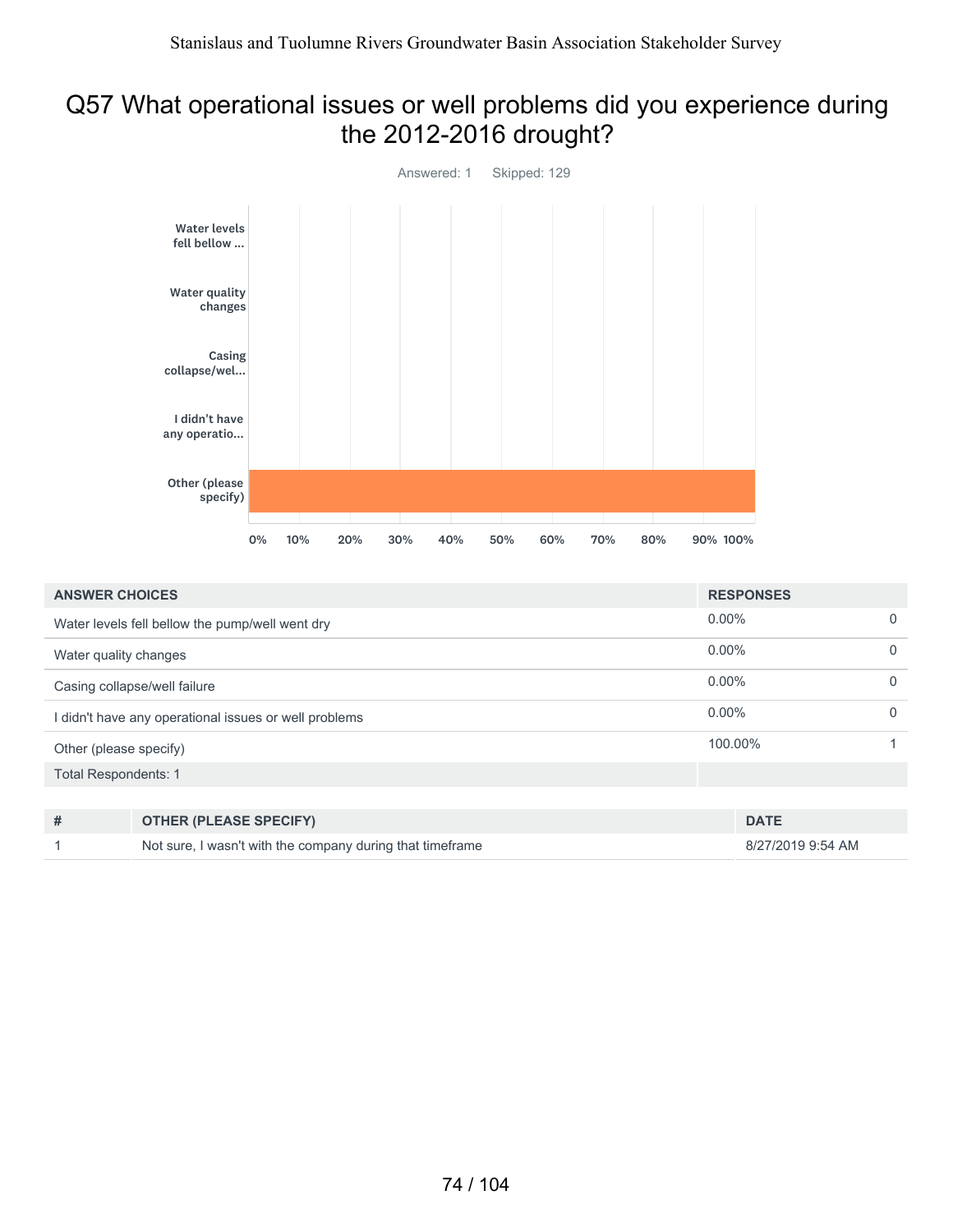#### Q57 What operational issues or well problems did you experience during the 2012-2016 drought?



| <b>ANSWER CHOICES</b>       |                                                           | <b>RESPONSES</b>  |             |
|-----------------------------|-----------------------------------------------------------|-------------------|-------------|
|                             | Water levels fell bellow the pump/well went dry           | $0.00\%$          | $\Omega$    |
| Water quality changes       |                                                           | $0.00\%$          | $\Omega$    |
|                             | Casing collapse/well failure                              | $0.00\%$          | $\mathbf 0$ |
|                             | didn't have any operational issues or well problems       | $0.00\%$          | $\mathbf 0$ |
| Other (please specify)      |                                                           | 100.00%           |             |
| <b>Total Respondents: 1</b> |                                                           |                   |             |
|                             |                                                           |                   |             |
| #                           | <b>OTHER (PLEASE SPECIFY)</b>                             | <b>DATE</b>       |             |
|                             | Not sure, I wasn't with the company during that timeframe | 8/27/2019 9:54 AM |             |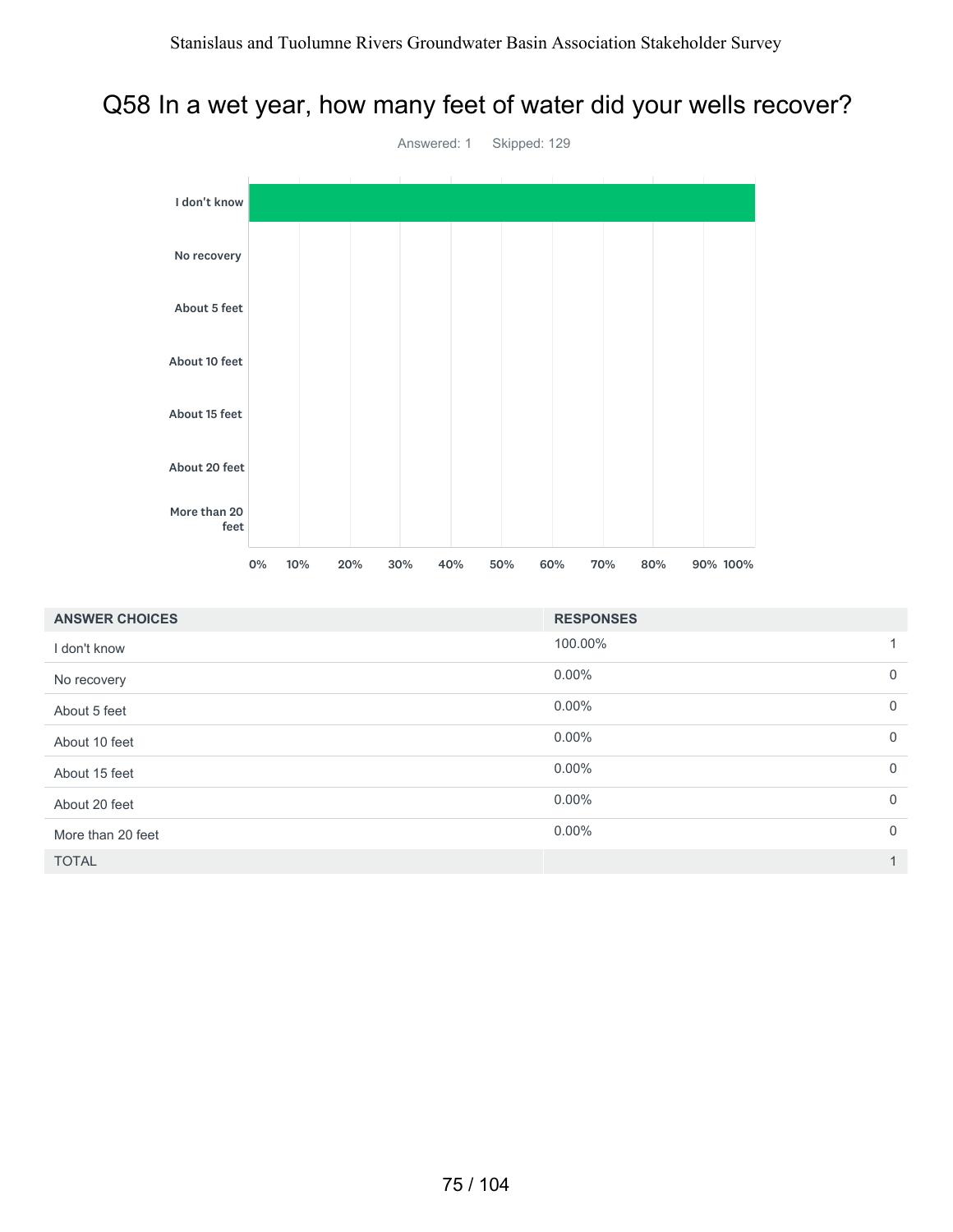### Q58 In a wet year, how many feet of water did your wells recover?



| <b>ANSWER CHOICES</b> | <b>RESPONSES</b> |                |
|-----------------------|------------------|----------------|
| I don't know          | 100.00%          |                |
| No recovery           | $0.00\%$         | $\overline{0}$ |
| About 5 feet          | $0.00\%$         | $\overline{0}$ |
| About 10 feet         | $0.00\%$         | $\mathbf 0$    |
| About 15 feet         | $0.00\%$         | $\overline{0}$ |
| About 20 feet         | $0.00\%$         | $\overline{0}$ |
| More than 20 feet     | $0.00\%$         | $\overline{0}$ |
| <b>TOTAL</b>          |                  | 1              |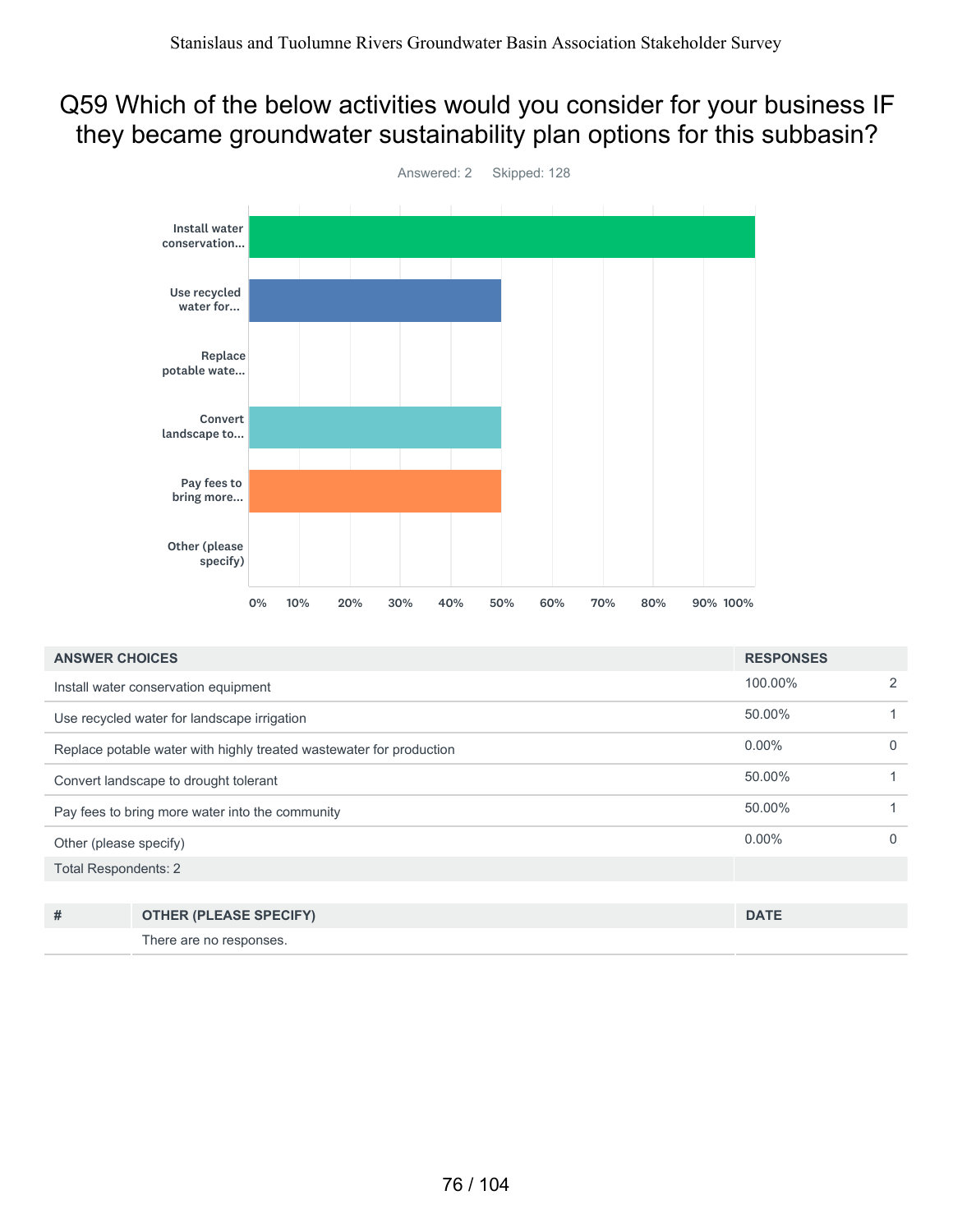#### Q59 Which of the below activities would you consider for your business IF they became groundwater sustainability plan options for this subbasin?



| <b>ANSWER CHOICES</b>                           |                                                                     | <b>RESPONSES</b> |          |
|-------------------------------------------------|---------------------------------------------------------------------|------------------|----------|
|                                                 | Install water conservation equipment                                | 100.00%          | 2        |
| Use recycled water for landscape irrigation     |                                                                     | 50.00%           |          |
|                                                 | Replace potable water with highly treated wastewater for production | $0.00\%$         | $\Omega$ |
| Convert landscape to drought tolerant           |                                                                     | 50.00%           |          |
| Pay fees to bring more water into the community |                                                                     | 50.00%           |          |
| Other (please specify)                          |                                                                     | $0.00\%$         | $\Omega$ |
| <b>Total Respondents: 2</b>                     |                                                                     |                  |          |
|                                                 |                                                                     |                  |          |
| #                                               | <b>OTHER (PLEASE SPECIFY)</b>                                       | <b>DATE</b>      |          |
|                                                 | There are no responses.                                             |                  |          |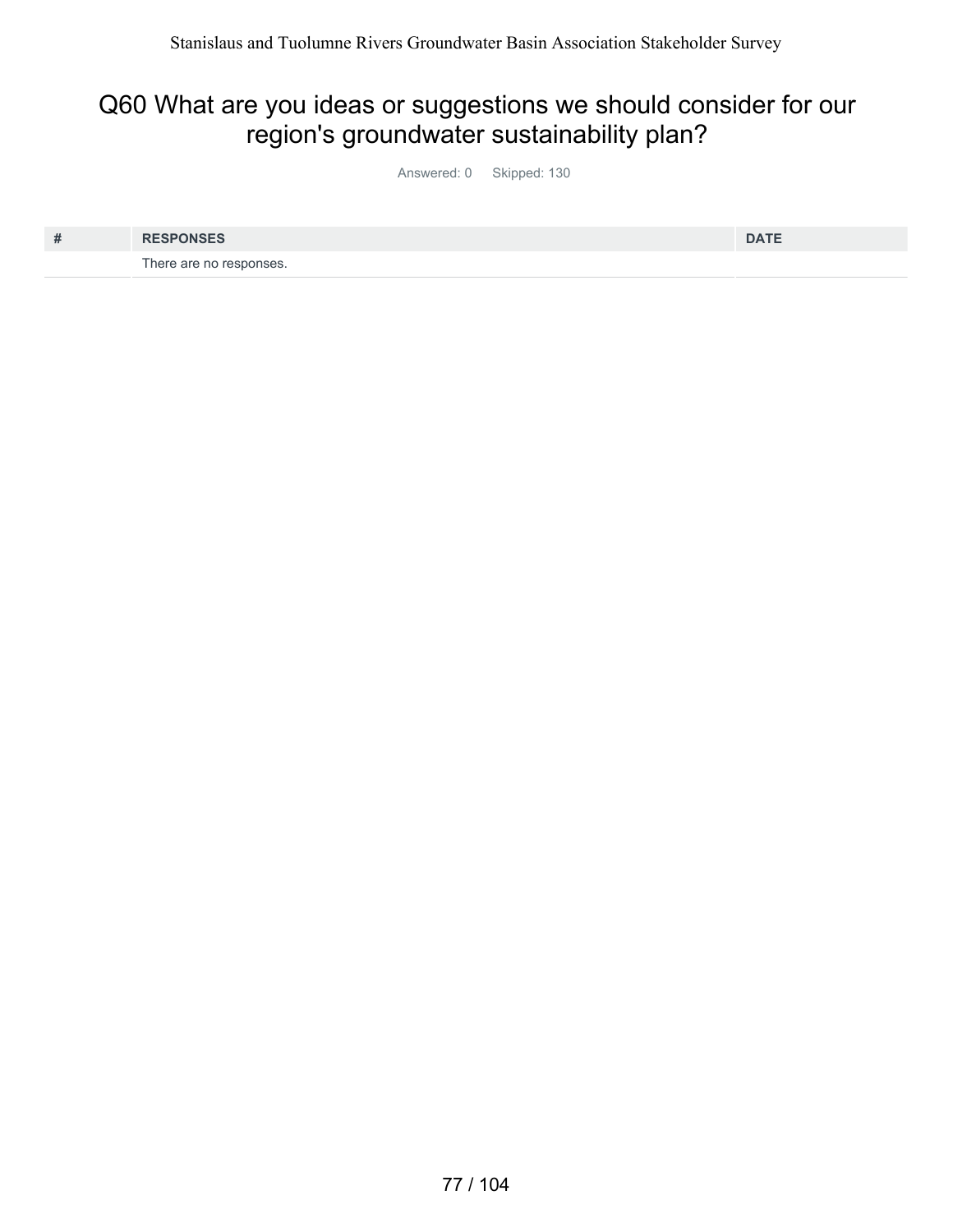#### Q60 What are you ideas or suggestions we should consider for our region's groundwater sustainability plan?

Answered: 0 Skipped: 130

| # | <b>RESPONSES</b>        | <b>DATE</b> |
|---|-------------------------|-------------|
|   | There are no responses. |             |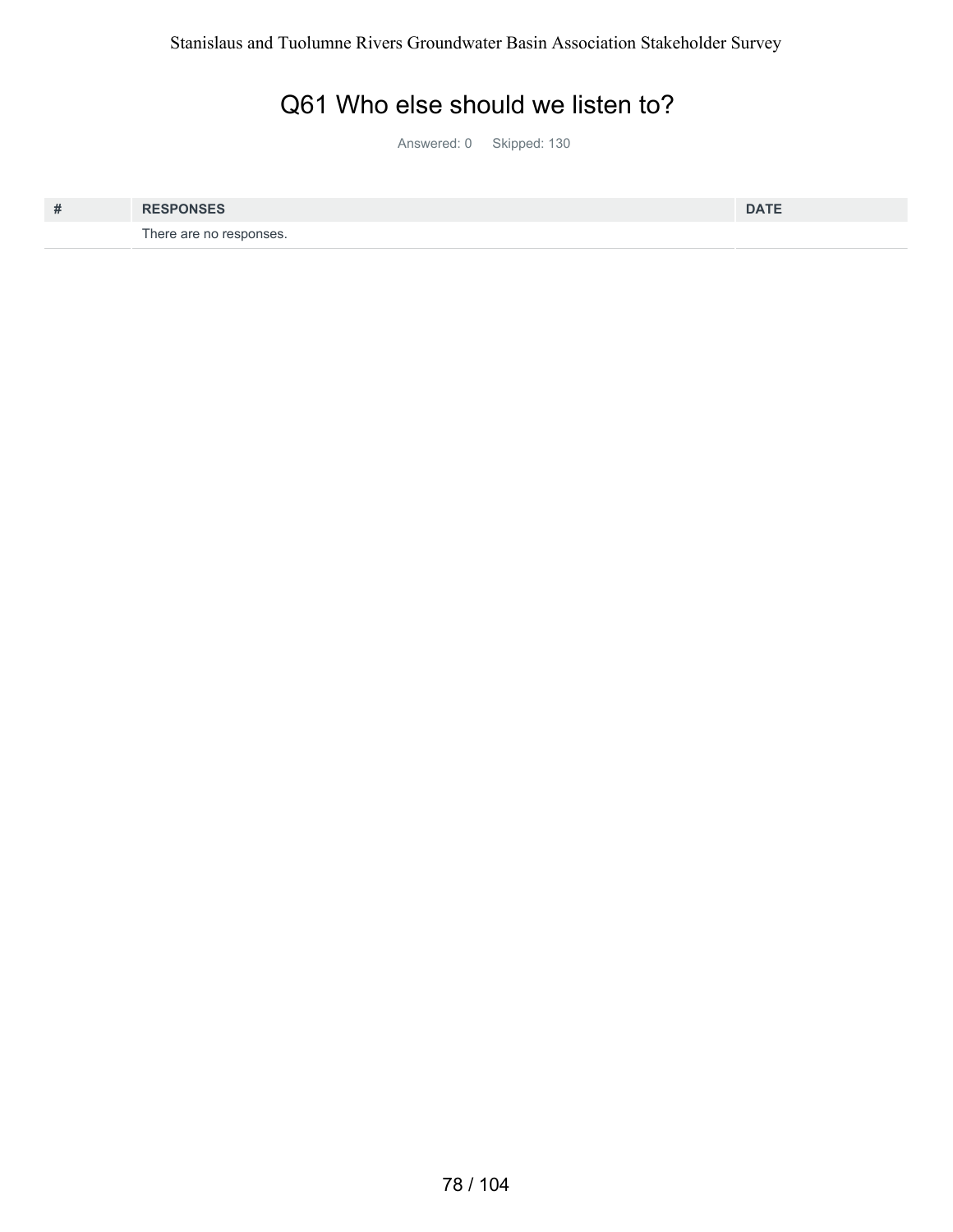#### Q61 Who else should we listen to?

Answered: 0 Skipped: 130

| # | <b>RESPONSES</b>        | <b>DATE</b> |
|---|-------------------------|-------------|
|   | There are no responses. |             |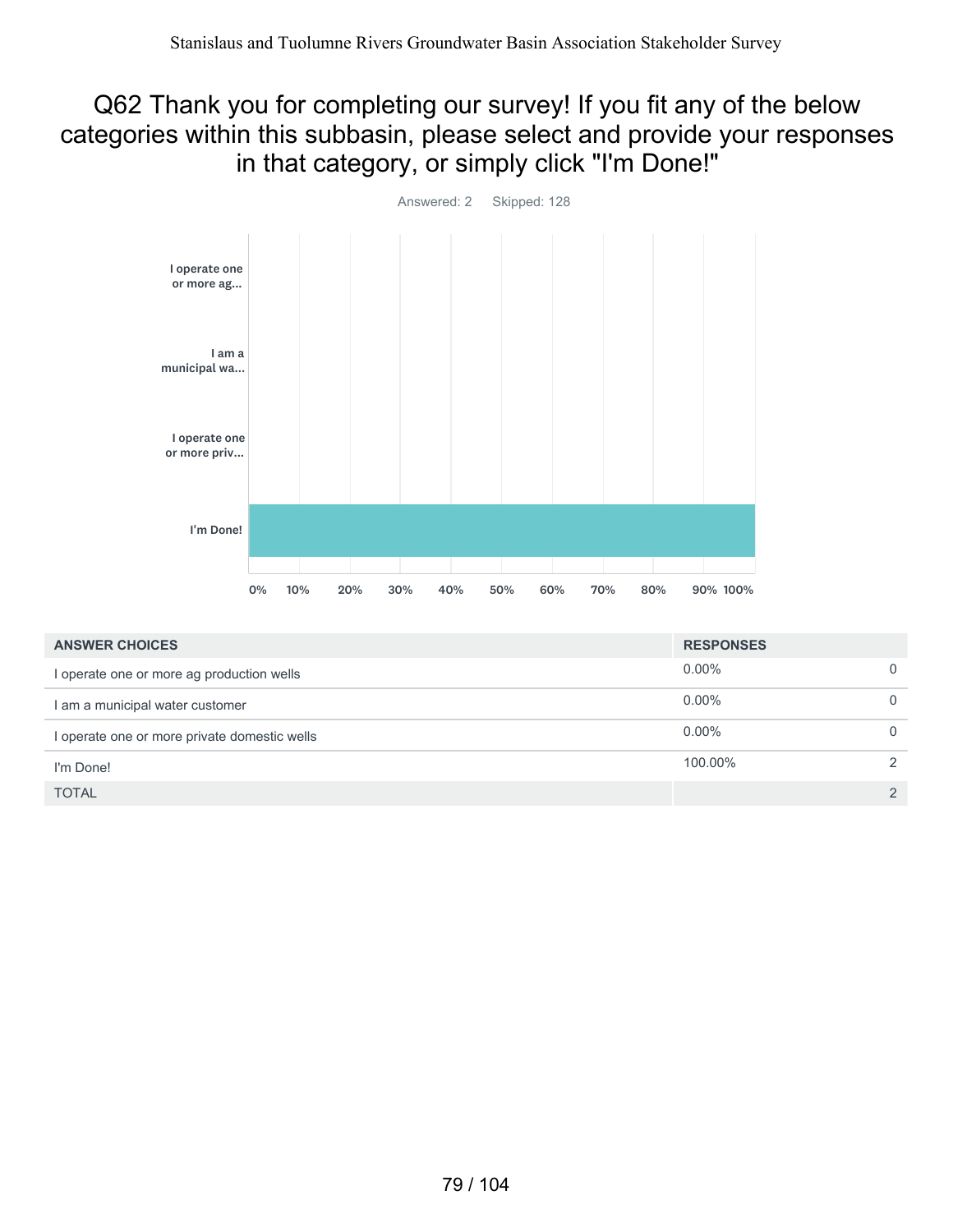#### Q62 Thank you for completing our survey! If you fit any of the below categories within this subbasin, please select and provide your responses in that category, or simply click "I'm Done!"



| <b>ANSWER CHOICES</b>                        | <b>RESPONSES</b> |               |
|----------------------------------------------|------------------|---------------|
| I operate one or more ag production wells    | $0.00\%$         |               |
| I am a municipal water customer              | $0.00\%$         |               |
| I operate one or more private domestic wells | $0.00\%$         |               |
| I'm Done!                                    | 100.00%          |               |
| <b>TOTAL</b>                                 |                  | $\mathcal{P}$ |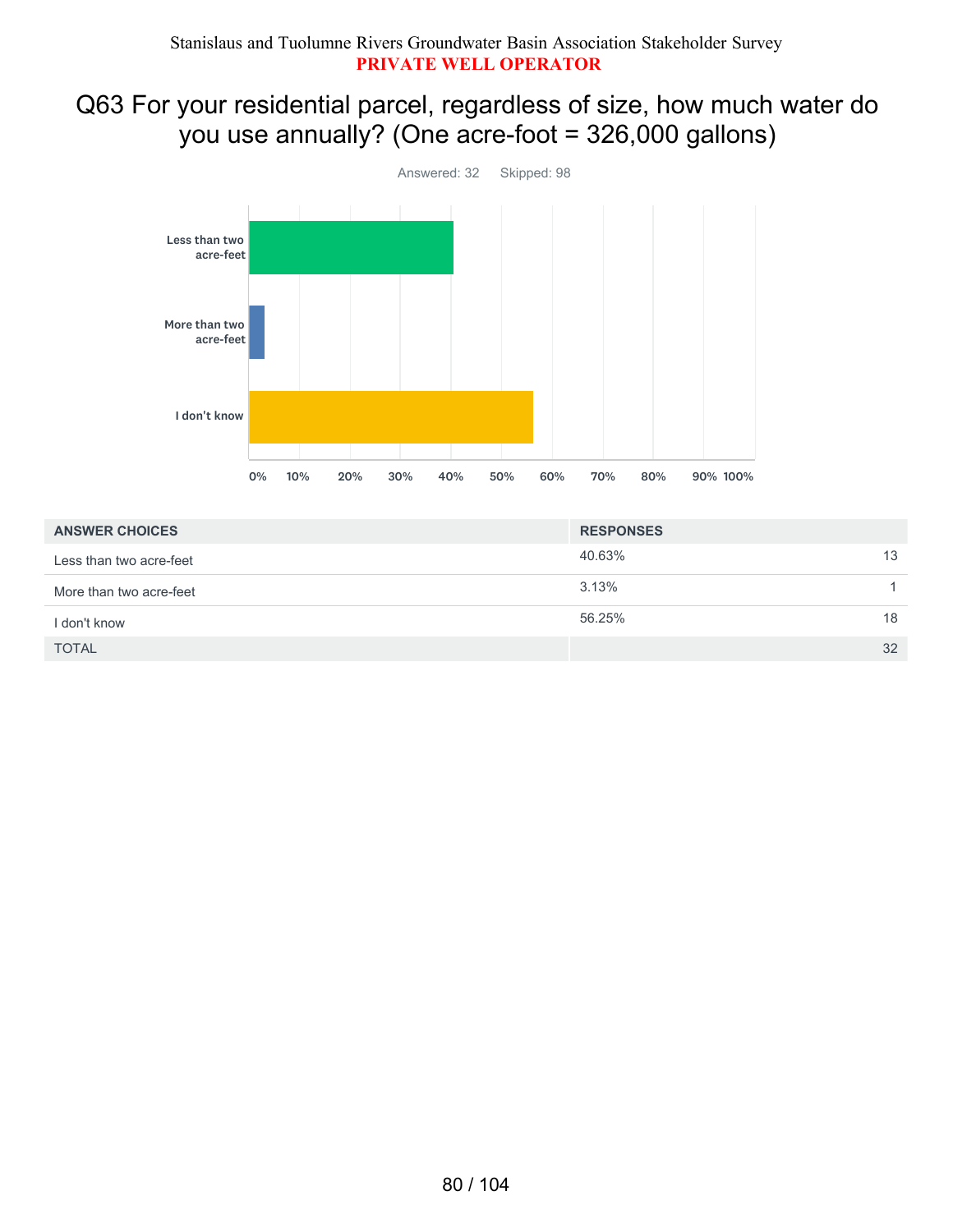#### Q63 For your residential parcel, regardless of size, how much water do you use annually? (One acre-foot = 326,000 gallons)



| <b>ANSWER CHOICES</b>   | <b>RESPONSES</b> |  |
|-------------------------|------------------|--|
| Less than two acre-feet | 40.63%<br>13     |  |
| More than two acre-feet | 3.13%            |  |
| I don't know            | 56.25%<br>18     |  |
| <b>TOTAL</b>            | 32               |  |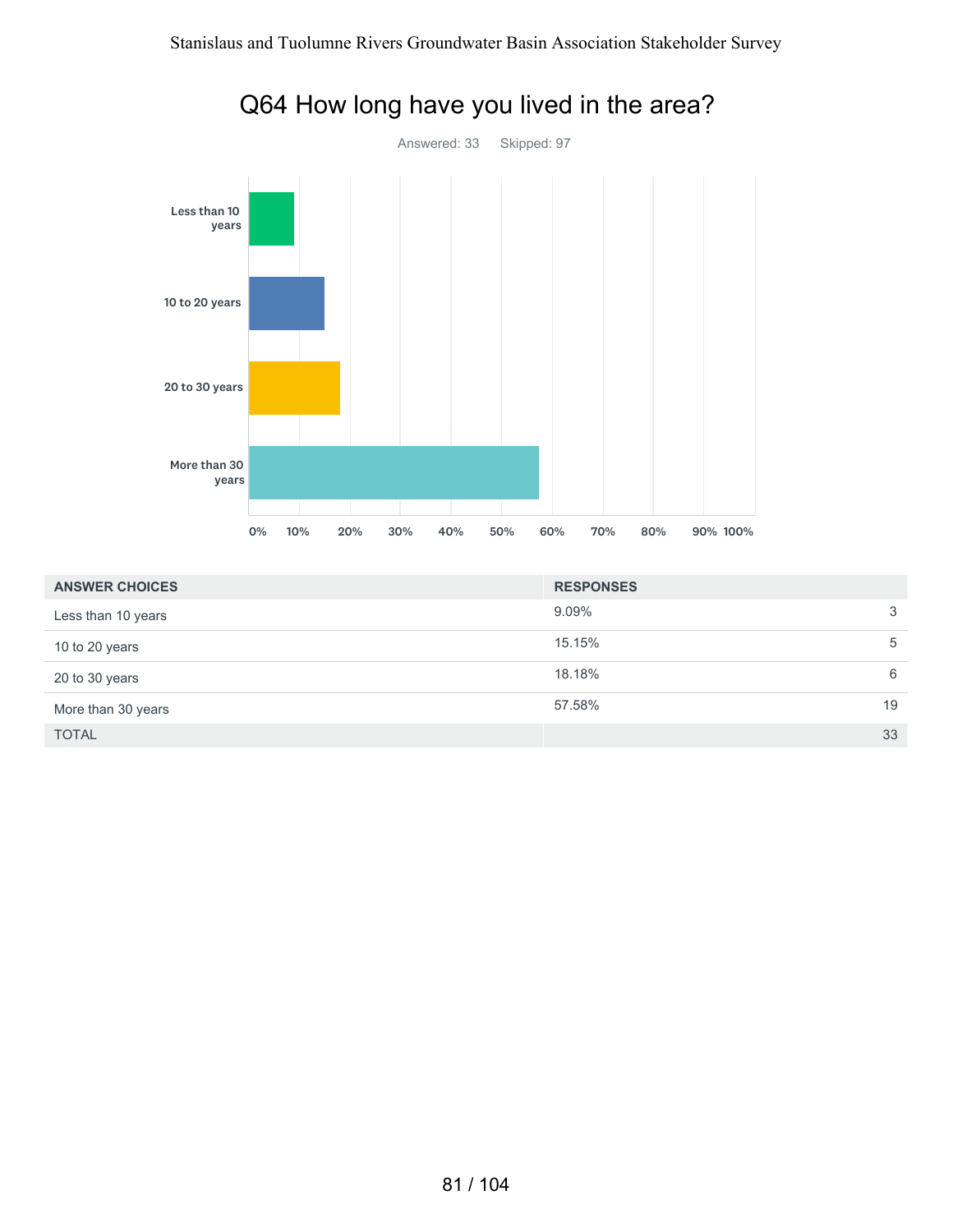

#### Q64 How long have you lived in the area?

| <b>ANSWER CHOICES</b> | <b>RESPONSES</b> |    |
|-----------------------|------------------|----|
| Less than 10 years    | $9.09\%$         | 3  |
| 10 to 20 years        | 15.15%           | 5  |
| 20 to 30 years        | 18.18%           | 6  |
| More than 30 years    | 57.58%           | 19 |
| <b>TOTAL</b>          |                  | 33 |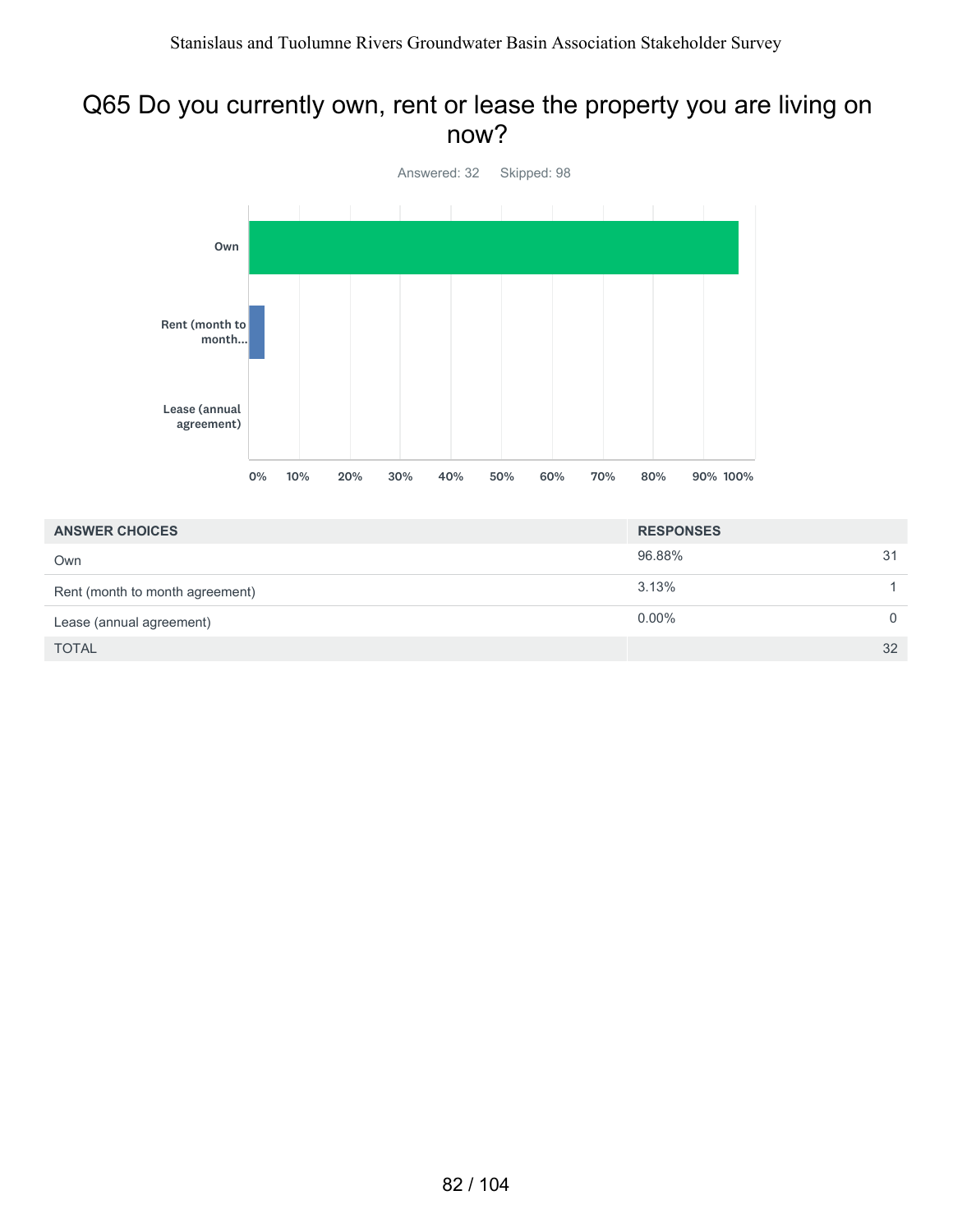#### Q65 Do you currently own, rent or lease the property you are living on now?



| <b>ANSWER CHOICES</b>           | <b>RESPONSES</b> |    |
|---------------------------------|------------------|----|
| Own                             | 96.88%           | 31 |
| Rent (month to month agreement) | 3.13%            |    |
| Lease (annual agreement)        | $0.00\%$         |    |
| <b>TOTAL</b>                    |                  | 32 |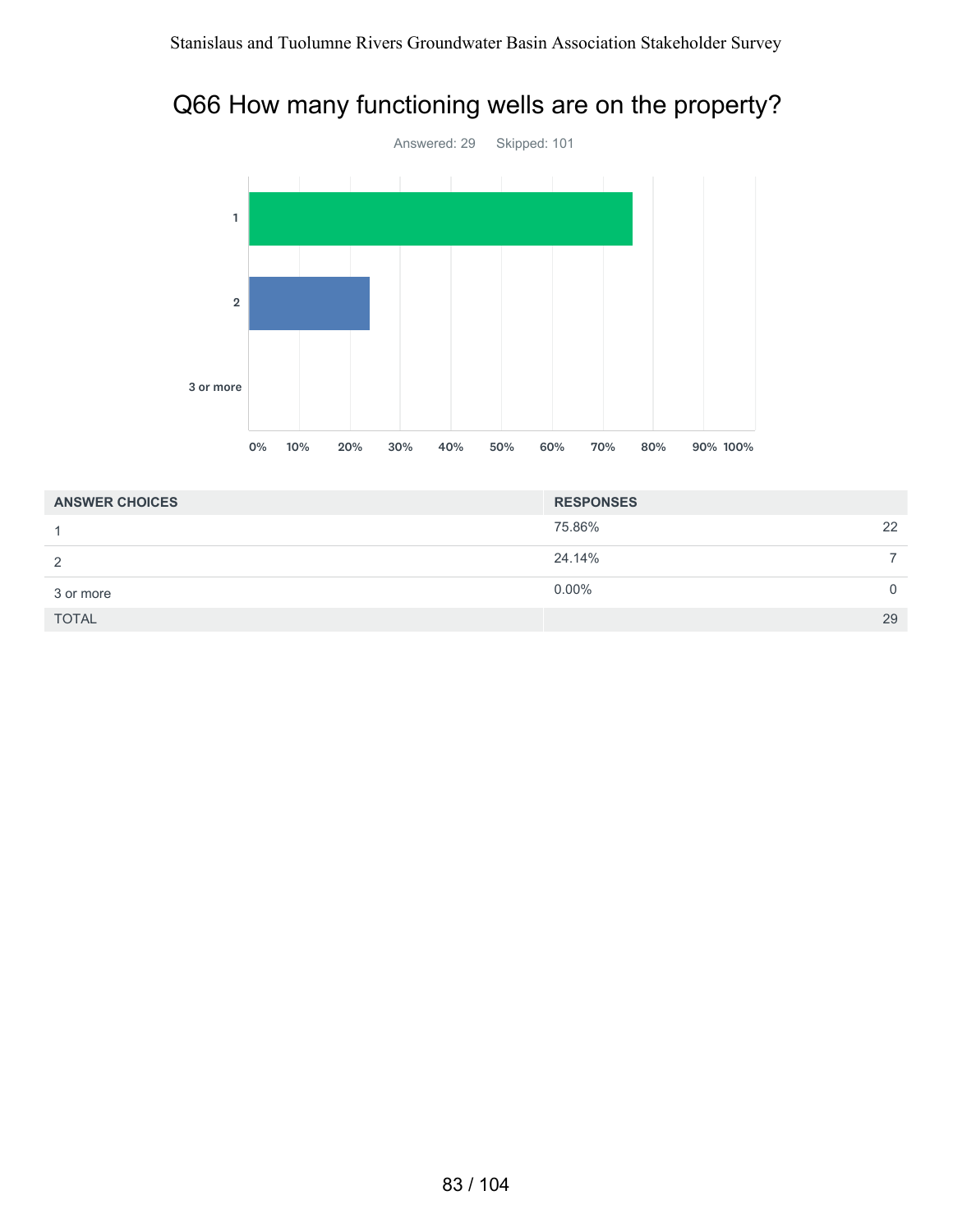# Q66 How many functioning wells are on the property?



| <b>ANSWER CHOICES</b> | <b>RESPONSES</b> |    |
|-----------------------|------------------|----|
|                       | 75.86%           | 22 |
| 2                     | 24.14%           |    |
| 3 or more             | $0.00\%$         | 0  |
| <b>TOTAL</b>          |                  | 29 |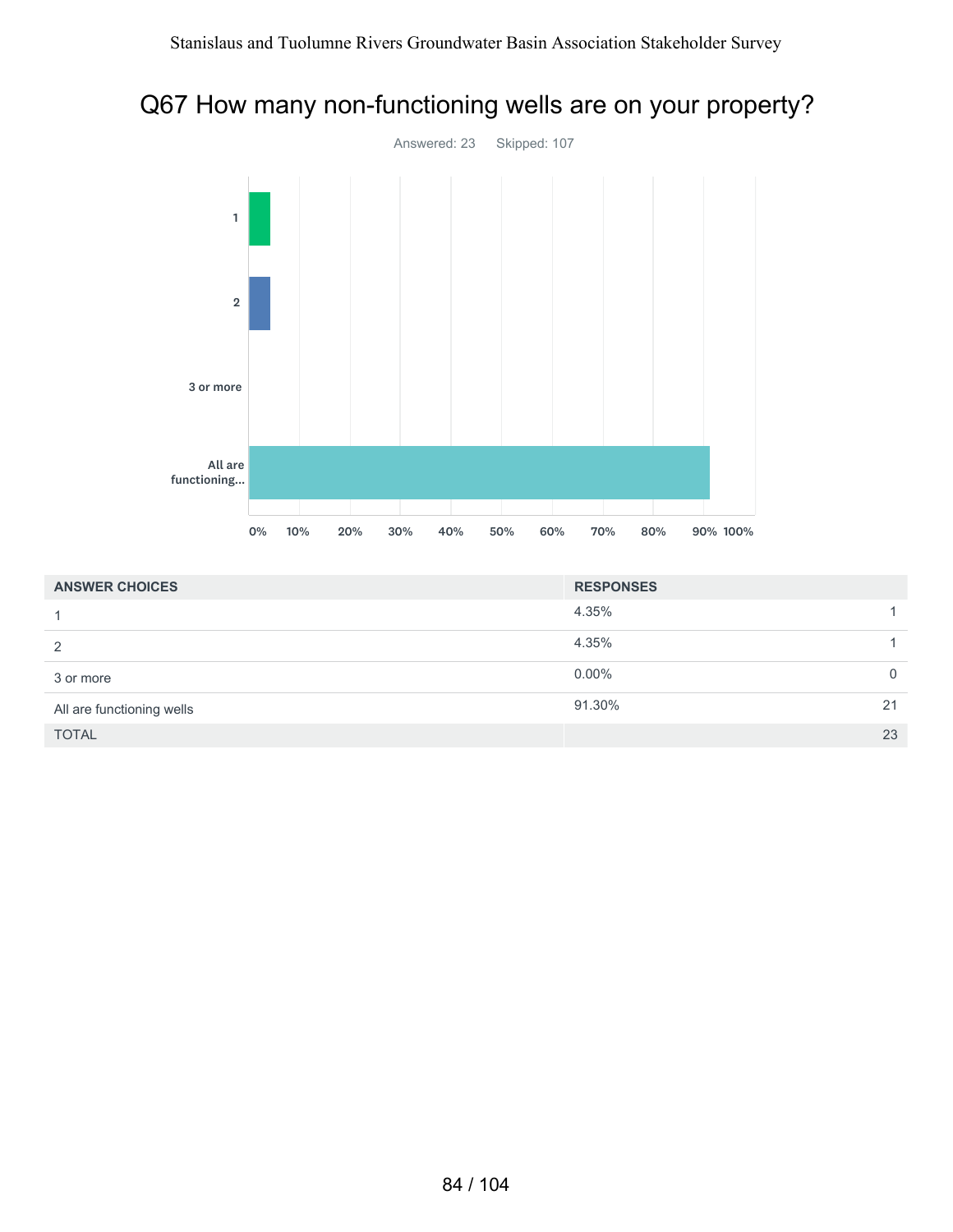### Q67 How many non-functioning wells are on your property?



| <b>ANSWER CHOICES</b>     | <b>RESPONSES</b> |    |
|---------------------------|------------------|----|
|                           | 4.35%            |    |
| 2                         | 4.35%            |    |
| 3 or more                 | $0.00\%$         | 0  |
| All are functioning wells | 91.30%           | 21 |
| <b>TOTAL</b>              |                  | 23 |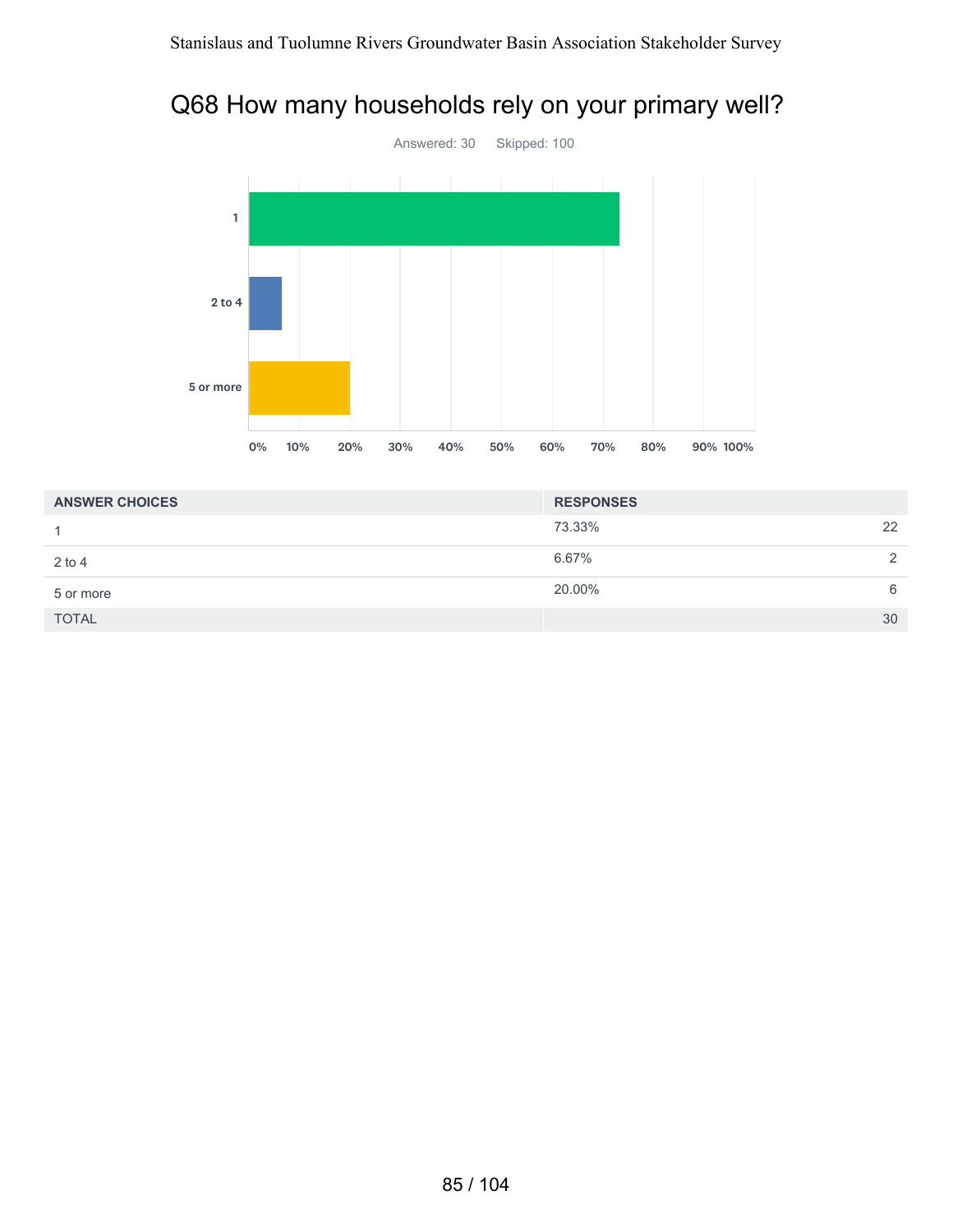#### Q68 How many households rely on your primary well?



| <b>ANSWER CHOICES</b> | <b>RESPONSES</b> |    |
|-----------------------|------------------|----|
|                       | 73.33%           | 22 |
| $2$ to 4              | 6.67%            | 2  |
| 5 or more             | 20.00%           | 6  |
| <b>TOTAL</b>          |                  | 30 |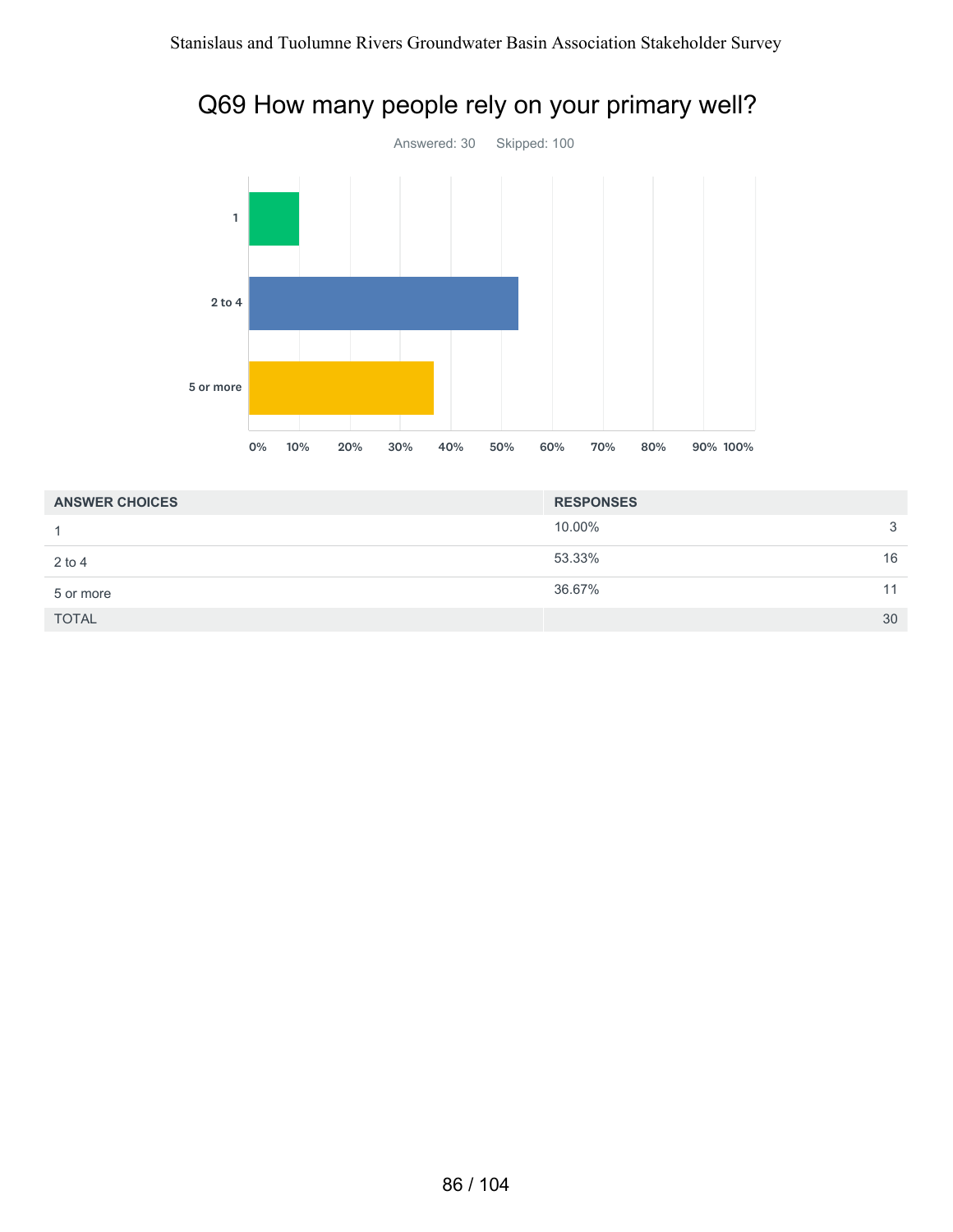

### Q69 How many people rely on your primary well?

| <b>ANSWER CHOICES</b> | <b>RESPONSES</b> |    |
|-----------------------|------------------|----|
|                       | 10.00%           | 3  |
| $2$ to 4              | 53.33%           | 16 |
| 5 or more             | 36.67%           | 11 |
| <b>TOTAL</b>          |                  | 30 |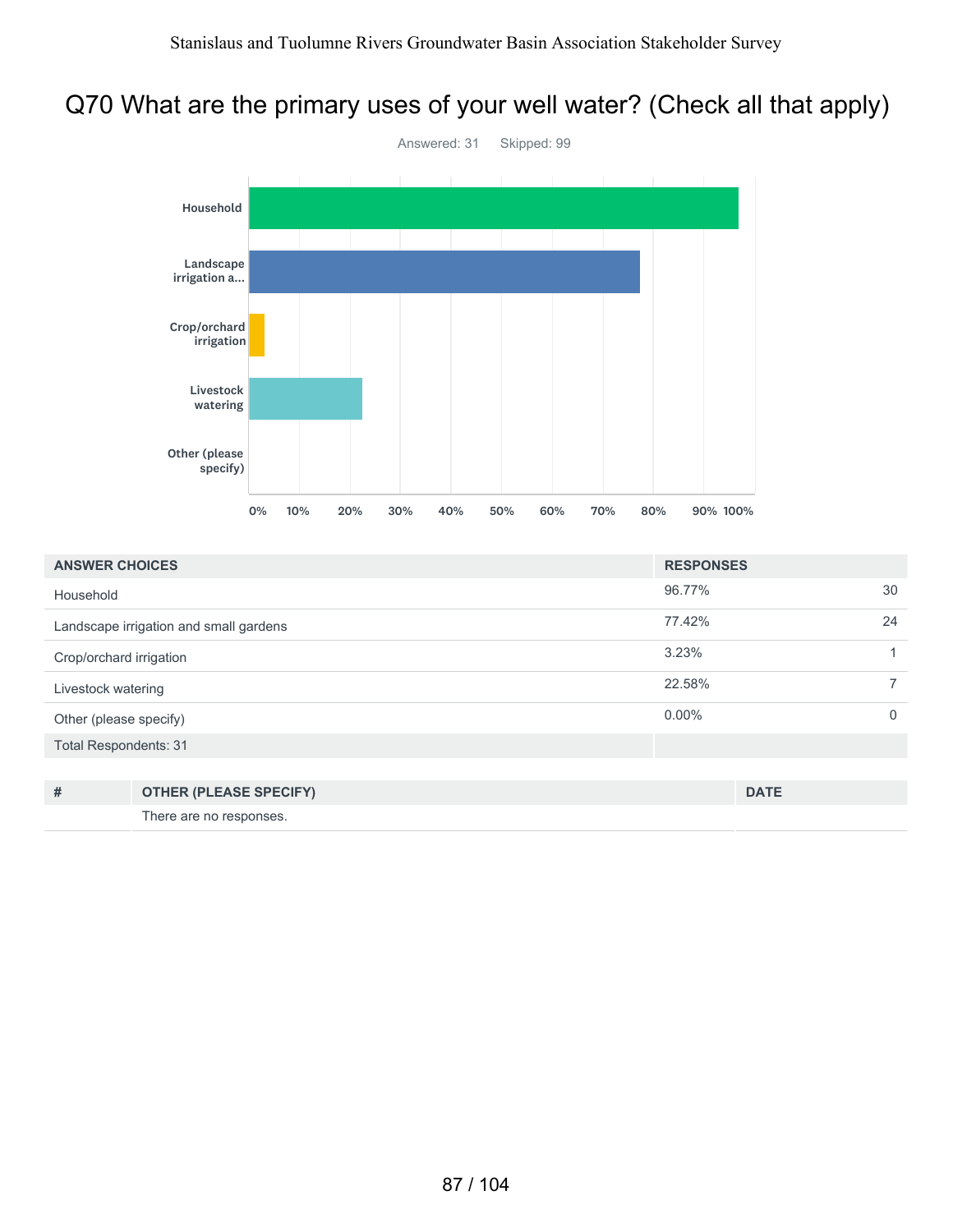### Q70 What are the primary uses of your well water? (Check all that apply)



| <b>ANSWER CHOICES</b>                  |                               | <b>RESPONSES</b> |             |    |
|----------------------------------------|-------------------------------|------------------|-------------|----|
| Household                              |                               | 96.77%           |             | 30 |
| Landscape irrigation and small gardens |                               | 77.42%           |             | 24 |
| Crop/orchard irrigation                |                               | 3.23%            |             |    |
| Livestock watering                     |                               | 22.58%           |             |    |
| Other (please specify)                 |                               | $0.00\%$         |             | 0  |
| <b>Total Respondents: 31</b>           |                               |                  |             |    |
|                                        |                               |                  |             |    |
| #                                      | <b>OTHER (PLEASE SPECIFY)</b> |                  | <b>DATE</b> |    |

There are no responses.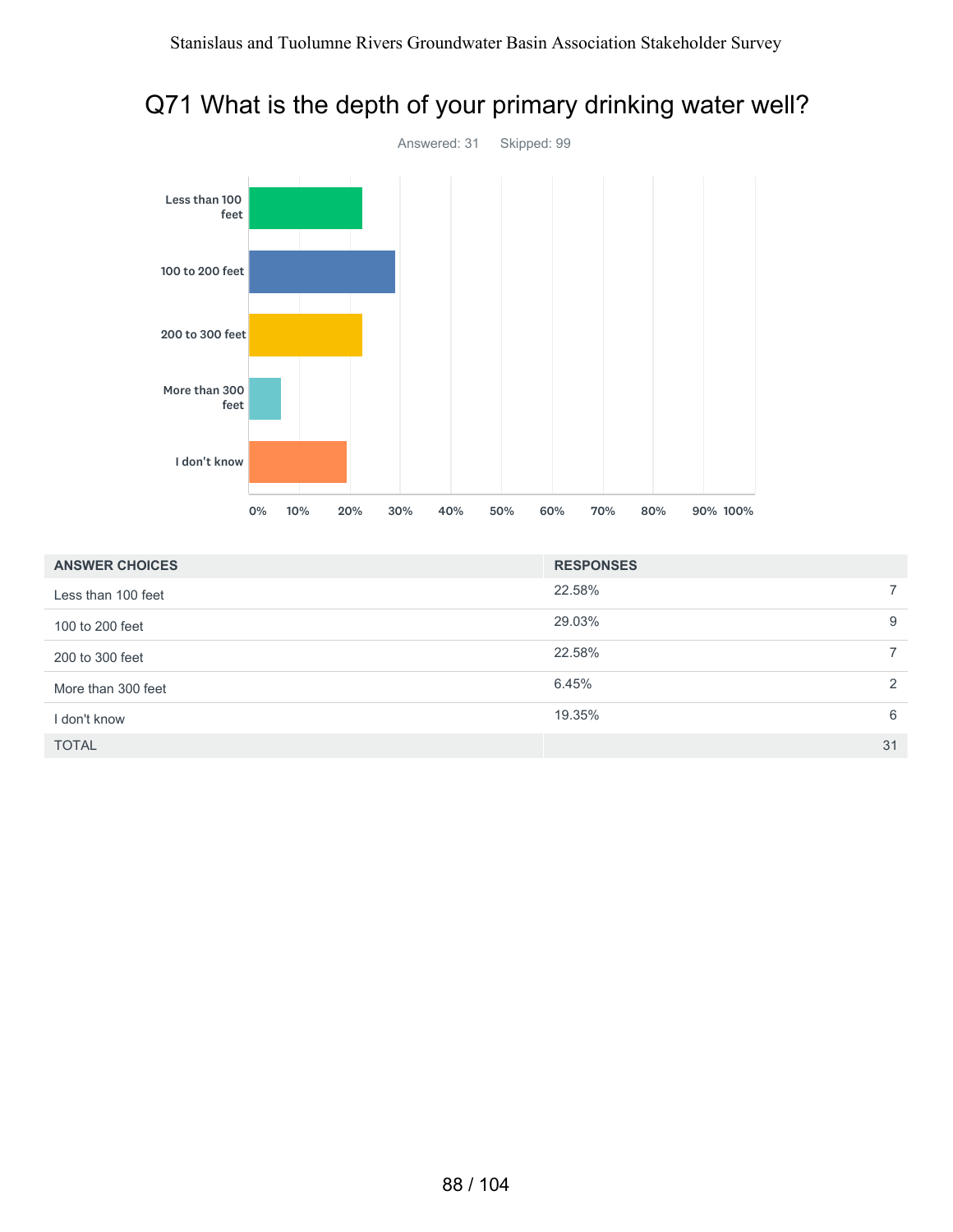

#### Q71 What is the depth of your primary drinking water well?

| <b>ANSWER CHOICES</b> | <b>RESPONSES</b> |               |
|-----------------------|------------------|---------------|
| Less than 100 feet    | 22.58%           |               |
| 100 to 200 feet       | 29.03%           | 9             |
| 200 to 300 feet       | 22.58%           |               |
| More than 300 feet    | 6.45%            | $\mathcal{P}$ |
| I don't know          | 19.35%           | 6             |
| <b>TOTAL</b>          |                  | 31            |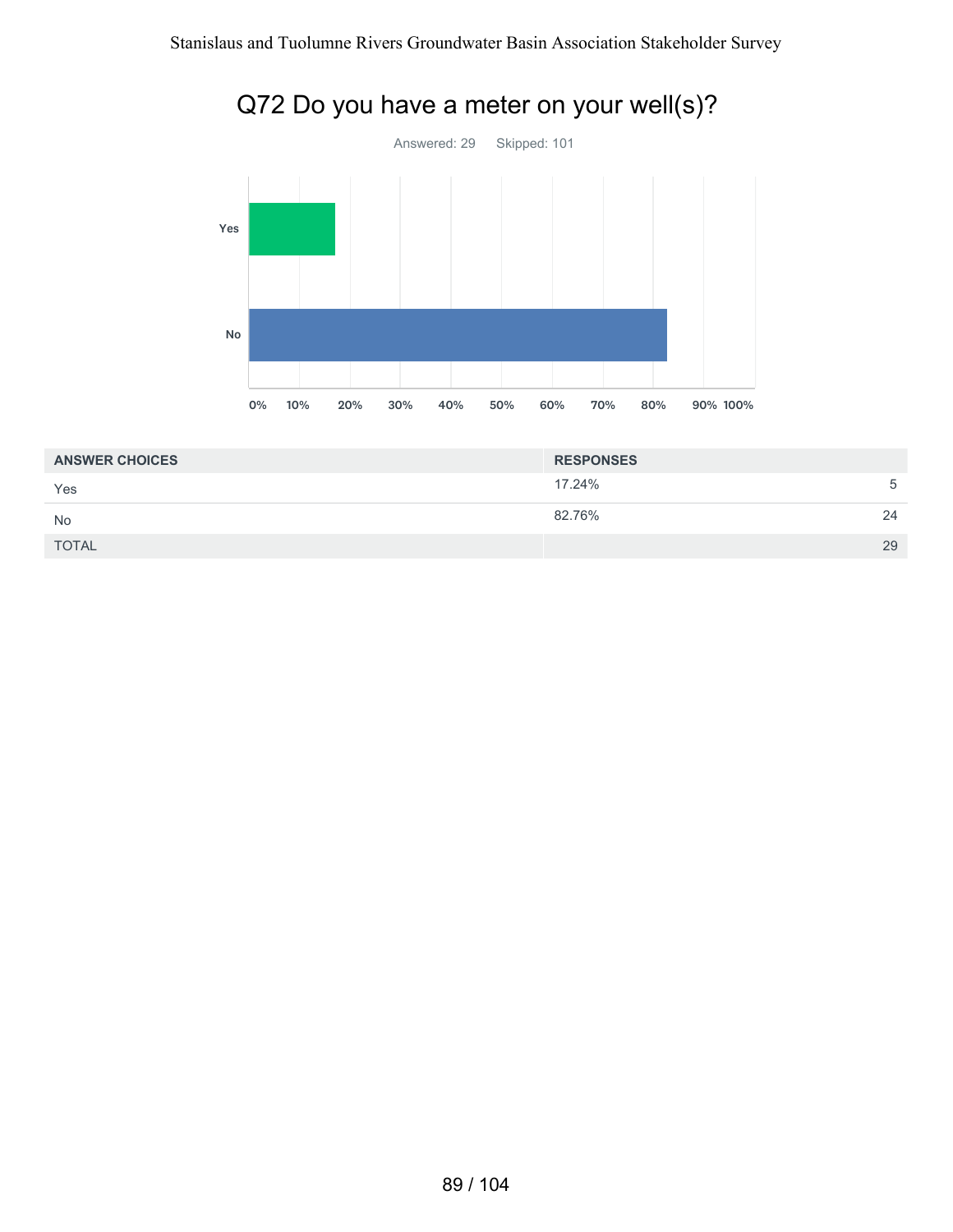

| <b>ANSWER CHOICES</b> | <b>RESPONSES</b> |    |
|-----------------------|------------------|----|
| Yes                   | 17.24%           | 5  |
| <b>No</b>             | 82.76%           | 24 |
| <b>TOTAL</b>          |                  | 29 |

# Q72 Do you have a meter on your well(s)?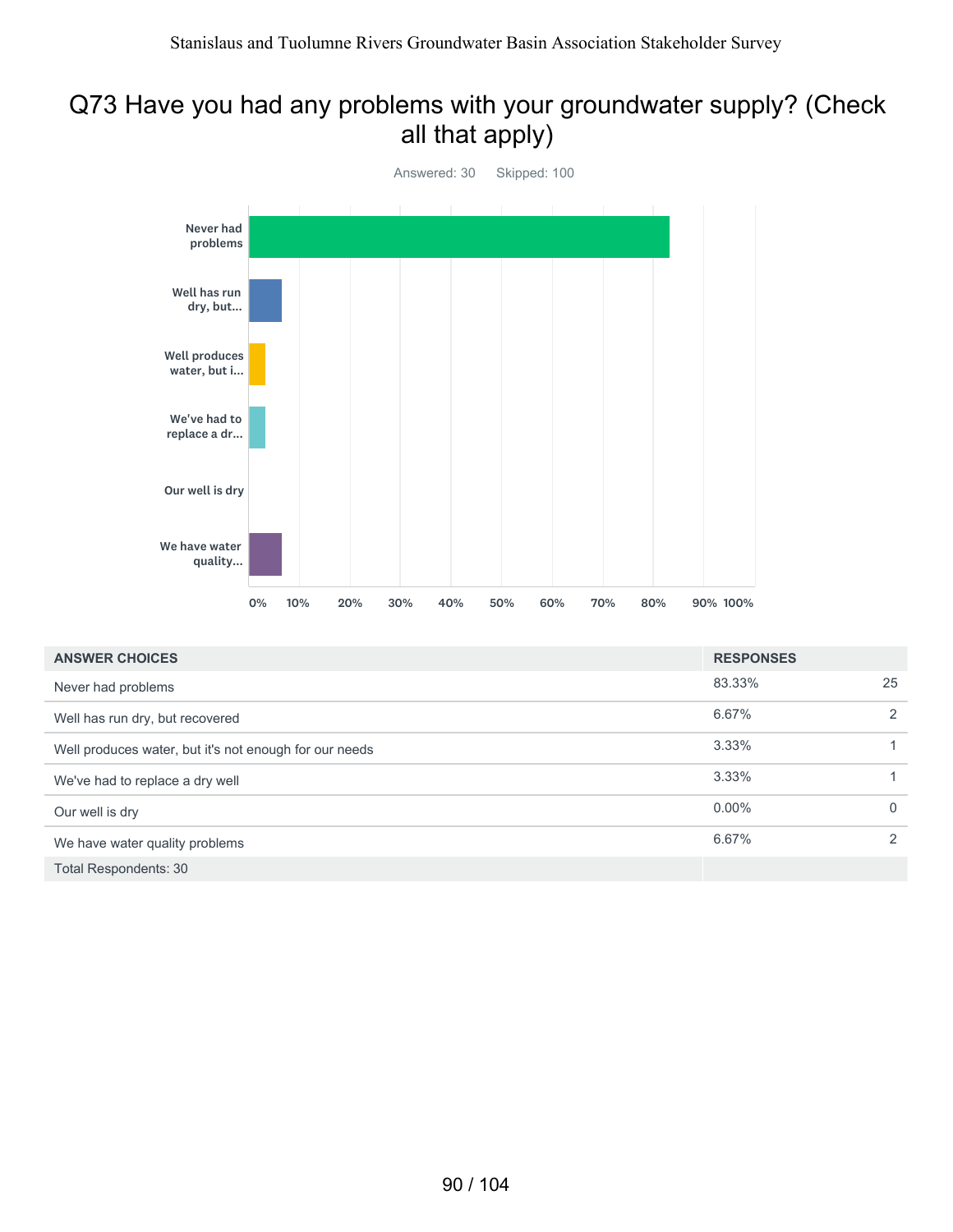#### Q73 Have you had any problems with your groundwater supply? (Check all that apply)



| <b>ANSWER CHOICES</b>                                  | <b>RESPONSES</b> |               |
|--------------------------------------------------------|------------------|---------------|
| Never had problems                                     | 83.33%           | 25            |
| Well has run dry, but recovered                        | 6.67%            | 2             |
| Well produces water, but it's not enough for our needs | 3.33%            |               |
| We've had to replace a dry well                        | 3.33%            |               |
| Our well is dry                                        | $0.00\%$         | $\Omega$      |
| We have water quality problems                         | 6.67%            | $\mathcal{P}$ |
| Total Respondents: 30                                  |                  |               |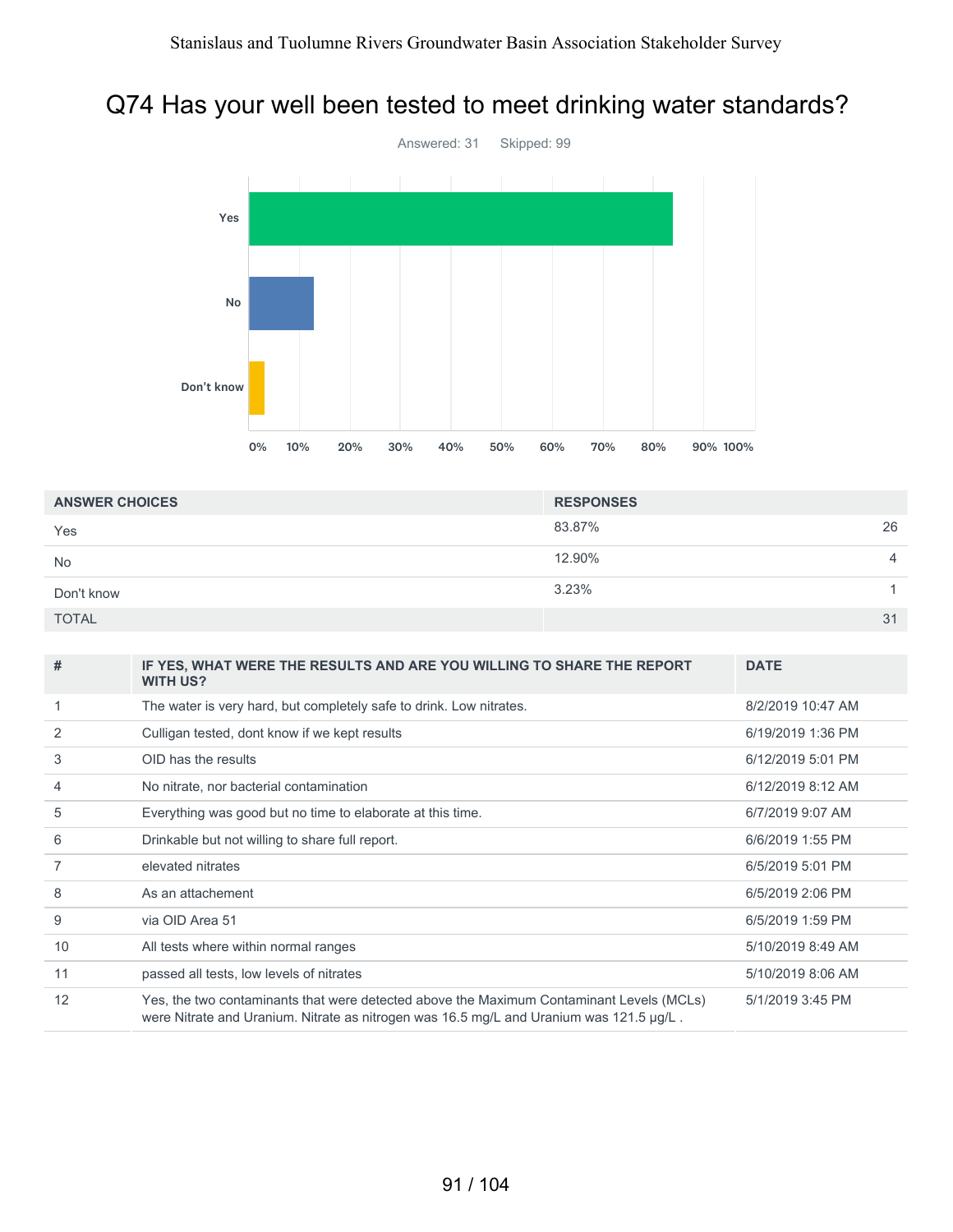#### Q74 Has your well been tested to meet drinking water standards?



| <b>ANSWER CHOICES</b> | <b>RESPONSES</b> |                |
|-----------------------|------------------|----------------|
| Yes                   | 83.87%           | 26             |
| <b>No</b>             | 12.90%           | $\overline{4}$ |
| Don't know            | 3.23%            |                |
| <b>TOTAL</b>          | 31               |                |

| #  | IF YES, WHAT WERE THE RESULTS AND ARE YOU WILLING TO SHARE THE REPORT<br><b>WITH US?</b>                                                                                            | <b>DATE</b>       |
|----|-------------------------------------------------------------------------------------------------------------------------------------------------------------------------------------|-------------------|
|    | The water is very hard, but completely safe to drink. Low nitrates.                                                                                                                 | 8/2/2019 10:47 AM |
| 2  | Culligan tested, dont know if we kept results                                                                                                                                       | 6/19/2019 1:36 PM |
| 3  | OID has the results                                                                                                                                                                 | 6/12/2019 5:01 PM |
| 4  | No nitrate, nor bacterial contamination                                                                                                                                             | 6/12/2019 8:12 AM |
| 5  | Everything was good but no time to elaborate at this time.                                                                                                                          | 6/7/2019 9:07 AM  |
| 6  | Drinkable but not willing to share full report.                                                                                                                                     | 6/6/2019 1:55 PM  |
| 7  | elevated nitrates                                                                                                                                                                   | 6/5/2019 5:01 PM  |
| 8  | As an attachement                                                                                                                                                                   | 6/5/2019 2:06 PM  |
| 9  | via OID Area 51                                                                                                                                                                     | 6/5/2019 1:59 PM  |
| 10 | All tests where within normal ranges                                                                                                                                                | 5/10/2019 8:49 AM |
| 11 | passed all tests, low levels of nitrates                                                                                                                                            | 5/10/2019 8:06 AM |
| 12 | Yes, the two contaminants that were detected above the Maximum Contaminant Levels (MCLs)<br>were Nitrate and Uranium. Nitrate as nitrogen was 16.5 mg/L and Uranium was 121.5 µg/L. | 5/1/2019 3:45 PM  |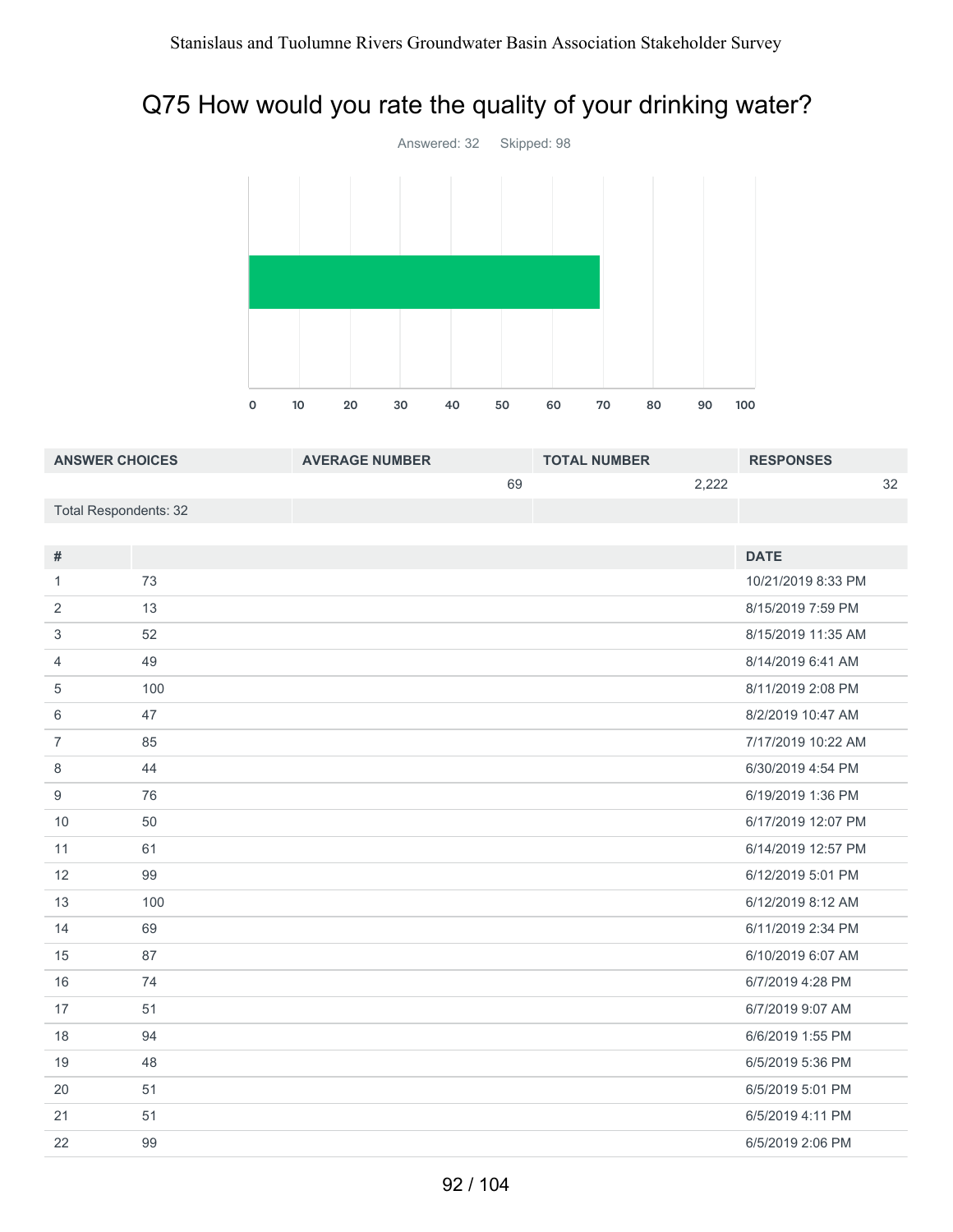## Q75 How would you rate the quality of your drinking water?



| <b>ANSWER CHOICES</b>        |     | <b>AVERAGE NUMBER</b> | <b>TOTAL NUMBER</b> |       | <b>RESPONSES</b>   |    |
|------------------------------|-----|-----------------------|---------------------|-------|--------------------|----|
|                              |     | 69                    |                     | 2,222 |                    | 32 |
| <b>Total Respondents: 32</b> |     |                       |                     |       |                    |    |
|                              |     |                       |                     |       |                    |    |
| $\#$                         |     |                       |                     |       | <b>DATE</b>        |    |
| $\mathbf{1}$                 | 73  |                       |                     |       | 10/21/2019 8:33 PM |    |
| 2                            | 13  |                       |                     |       | 8/15/2019 7:59 PM  |    |
| 3                            | 52  |                       |                     |       | 8/15/2019 11:35 AM |    |
| $\overline{4}$               | 49  |                       |                     |       | 8/14/2019 6:41 AM  |    |
| 5                            | 100 |                       |                     |       | 8/11/2019 2:08 PM  |    |
| 6                            | 47  |                       |                     |       | 8/2/2019 10:47 AM  |    |
| $\overline{7}$               | 85  |                       |                     |       | 7/17/2019 10:22 AM |    |
| $\,8\,$                      | 44  |                       |                     |       | 6/30/2019 4:54 PM  |    |
| $\boldsymbol{9}$             | 76  |                       |                     |       | 6/19/2019 1:36 PM  |    |
| 10                           | 50  |                       |                     |       | 6/17/2019 12:07 PM |    |
| 11                           | 61  |                       |                     |       | 6/14/2019 12:57 PM |    |
| 12                           | 99  |                       |                     |       | 6/12/2019 5:01 PM  |    |
| 13                           | 100 |                       |                     |       | 6/12/2019 8:12 AM  |    |
| 14                           | 69  |                       |                     |       | 6/11/2019 2:34 PM  |    |
| 15                           | 87  |                       |                     |       | 6/10/2019 6:07 AM  |    |
| 16                           | 74  |                       |                     |       | 6/7/2019 4:28 PM   |    |
| 17                           | 51  |                       |                     |       | 6/7/2019 9:07 AM   |    |
| 18                           | 94  |                       |                     |       | 6/6/2019 1:55 PM   |    |
| 19                           | 48  |                       |                     |       | 6/5/2019 5:36 PM   |    |
| 20                           | 51  |                       |                     |       | 6/5/2019 5:01 PM   |    |
| 21                           | 51  |                       |                     |       | 6/5/2019 4:11 PM   |    |
| 22                           | 99  |                       |                     |       | 6/5/2019 2:06 PM   |    |
|                              |     |                       |                     |       |                    |    |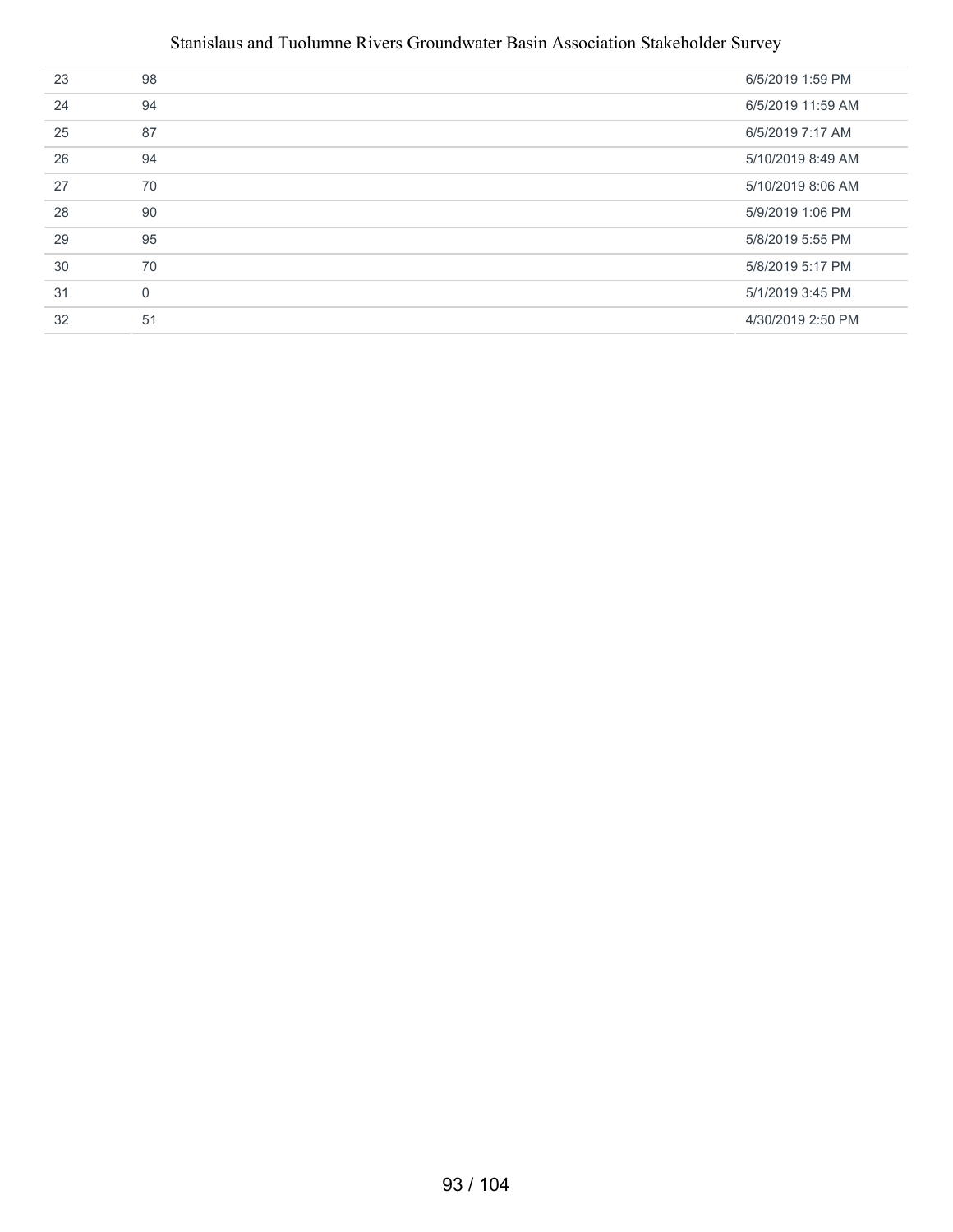#### Stanislaus and Tuolumne Rivers Groundwater Basin Association Stakeholder Survey

| 23 | 98       | 6/5/2019 1:59 PM  |
|----|----------|-------------------|
| 24 | 94       | 6/5/2019 11:59 AM |
| 25 | 87       | 6/5/2019 7:17 AM  |
| 26 | 94       | 5/10/2019 8:49 AM |
| 27 | 70       | 5/10/2019 8:06 AM |
| 28 | 90       | 5/9/2019 1:06 PM  |
| 29 | 95       | 5/8/2019 5:55 PM  |
| 30 | 70       | 5/8/2019 5:17 PM  |
| 31 | $\Omega$ | 5/1/2019 3:45 PM  |
| 32 | 51       | 4/30/2019 2:50 PM |
|    |          |                   |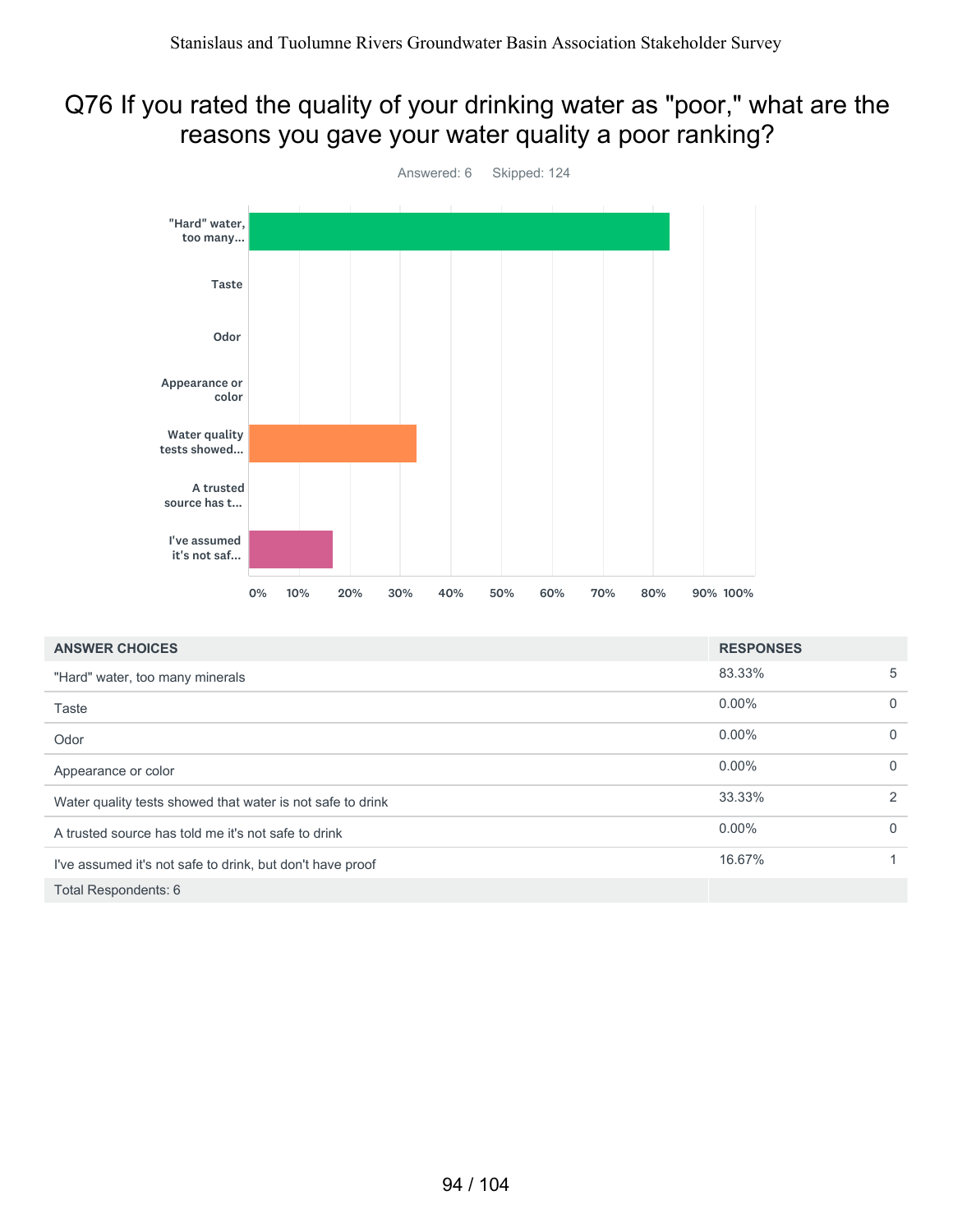#### Q76 If you rated the quality of your drinking water as "poor," what are the reasons you gave your water quality a poor ranking?



| <b>ANSWER CHOICES</b>                                      | <b>RESPONSES</b> |              |
|------------------------------------------------------------|------------------|--------------|
| "Hard" water, too many minerals                            | 83.33%           | 5            |
| Taste                                                      | $0.00\%$         | $\mathbf{0}$ |
| Odor                                                       | $0.00\%$         | $\mathbf{0}$ |
| Appearance or color                                        | $0.00\%$         | $\mathbf{0}$ |
| Water quality tests showed that water is not safe to drink | 33.33%           | 2            |
| A trusted source has told me it's not safe to drink        | $0.00\%$         | $\mathbf{0}$ |
| I've assumed it's not safe to drink, but don't have proof  | 16.67%           | 1            |
| Total Respondents: 6                                       |                  |              |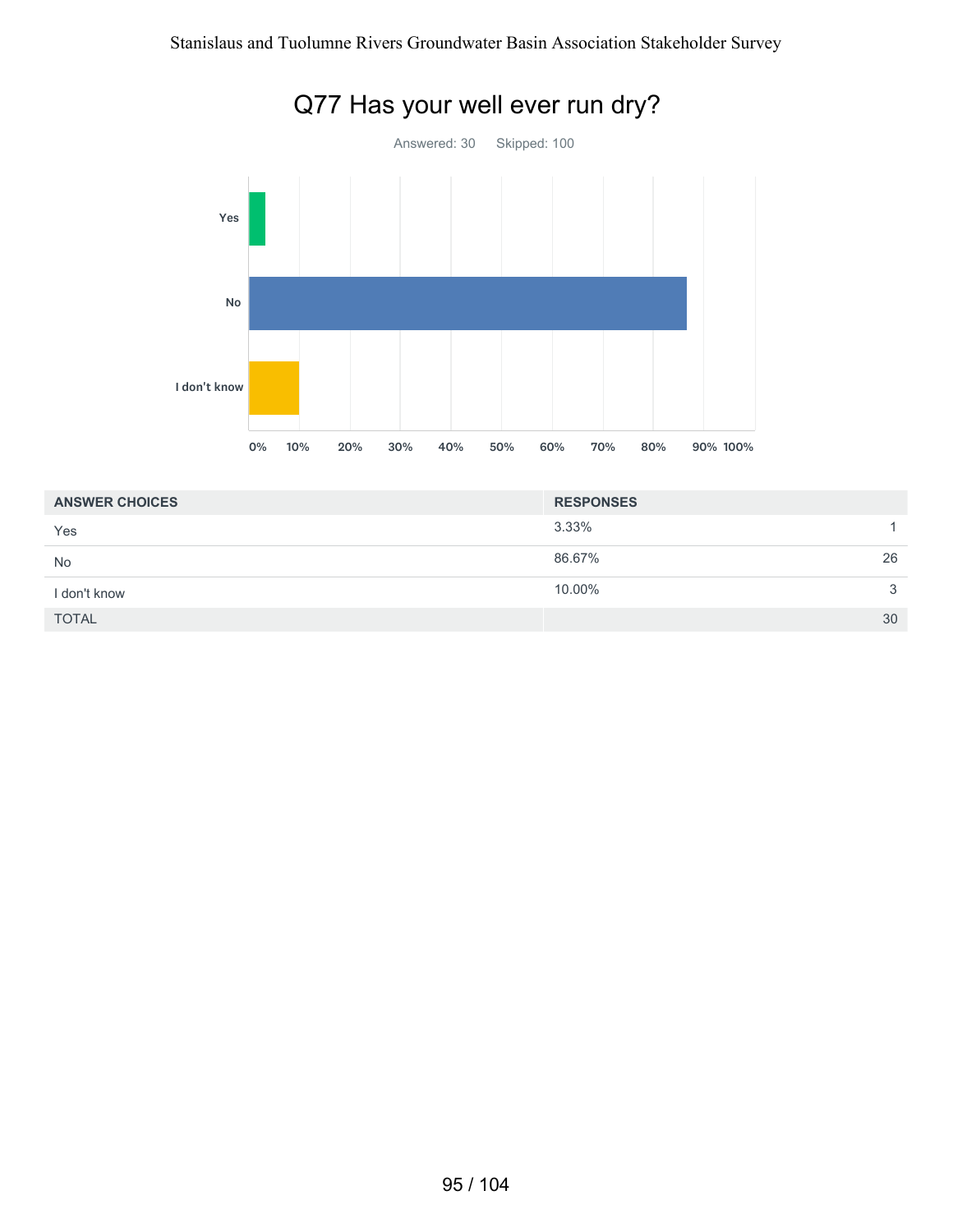

| <b>ANSWER CHOICES</b> | <b>RESPONSES</b> |              |
|-----------------------|------------------|--------------|
| Yes                   | 3.33%            |              |
| <b>No</b>             | 86.67%           | 26           |
| I don't know          | 10.00%           | $\mathbf{3}$ |
| <b>TOTAL</b>          |                  | 30           |

# Q77 Has your well ever run dry?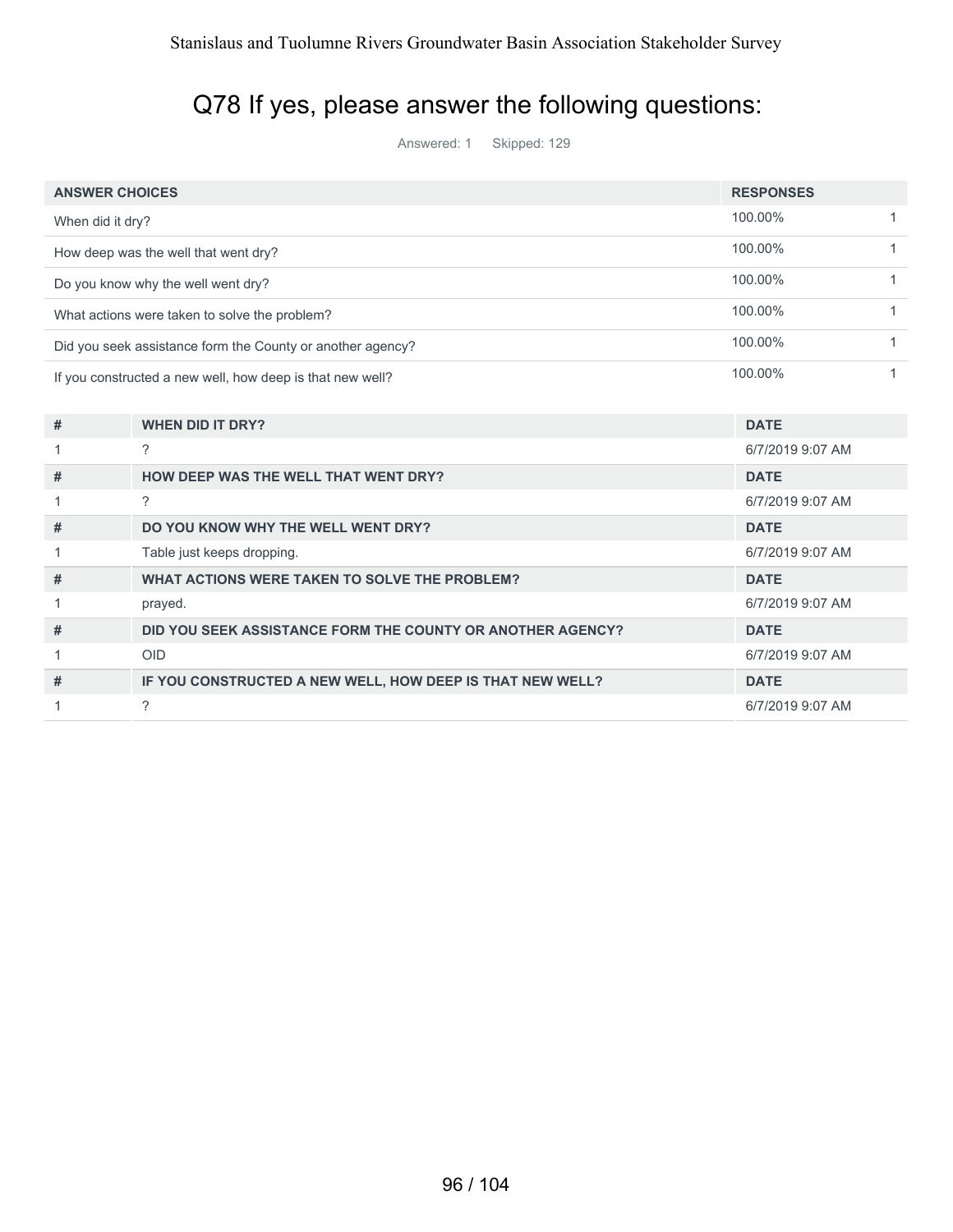## Q78 If yes, please answer the following questions:

Answered: 1 Skipped: 129

| <b>ANSWER CHOICES</b>                                     |                                                            | <b>RESPONSES</b> |              |
|-----------------------------------------------------------|------------------------------------------------------------|------------------|--------------|
| When did it dry?                                          |                                                            | 100.00%          | $\mathbf{1}$ |
| How deep was the well that went dry?                      |                                                            | 100.00%          | $\mathbf{1}$ |
|                                                           | Do you know why the well went dry?                         | 100.00%          | 1            |
|                                                           | What actions were taken to solve the problem?              | 100.00%          | $\mathbf{1}$ |
|                                                           | Did you seek assistance form the County or another agency? | 100.00%          | 1            |
| If you constructed a new well, how deep is that new well? |                                                            | 100.00%          | 1            |
|                                                           |                                                            |                  |              |
| #                                                         | <b>WHEN DID IT DRY?</b>                                    | <b>DATE</b>      |              |
| 1                                                         | ?                                                          | 6/7/2019 9:07 AM |              |
| #                                                         | <b>HOW DEEP WAS THE WELL THAT WENT DRY?</b>                | <b>DATE</b>      |              |
|                                                           | $\gamma$                                                   | 6/7/2019 9:07 AM |              |
| #                                                         | DO YOU KNOW WHY THE WELL WENT DRY?                         | <b>DATE</b>      |              |
| 1                                                         | Table just keeps dropping.                                 | 6/7/2019 9:07 AM |              |
| #                                                         | <b>WHAT ACTIONS WERE TAKEN TO SOLVE THE PROBLEM?</b>       | <b>DATE</b>      |              |
| 1                                                         | prayed.                                                    | 6/7/2019 9:07 AM |              |
| #                                                         | DID YOU SEEK ASSISTANCE FORM THE COUNTY OR ANOTHER AGENCY? | <b>DATE</b>      |              |
| 1                                                         | <b>OID</b>                                                 | 6/7/2019 9:07 AM |              |
| #                                                         | IF YOU CONSTRUCTED A NEW WELL, HOW DEEP IS THAT NEW WELL?  | <b>DATE</b>      |              |
|                                                           | ?                                                          | 6/7/2019 9:07 AM |              |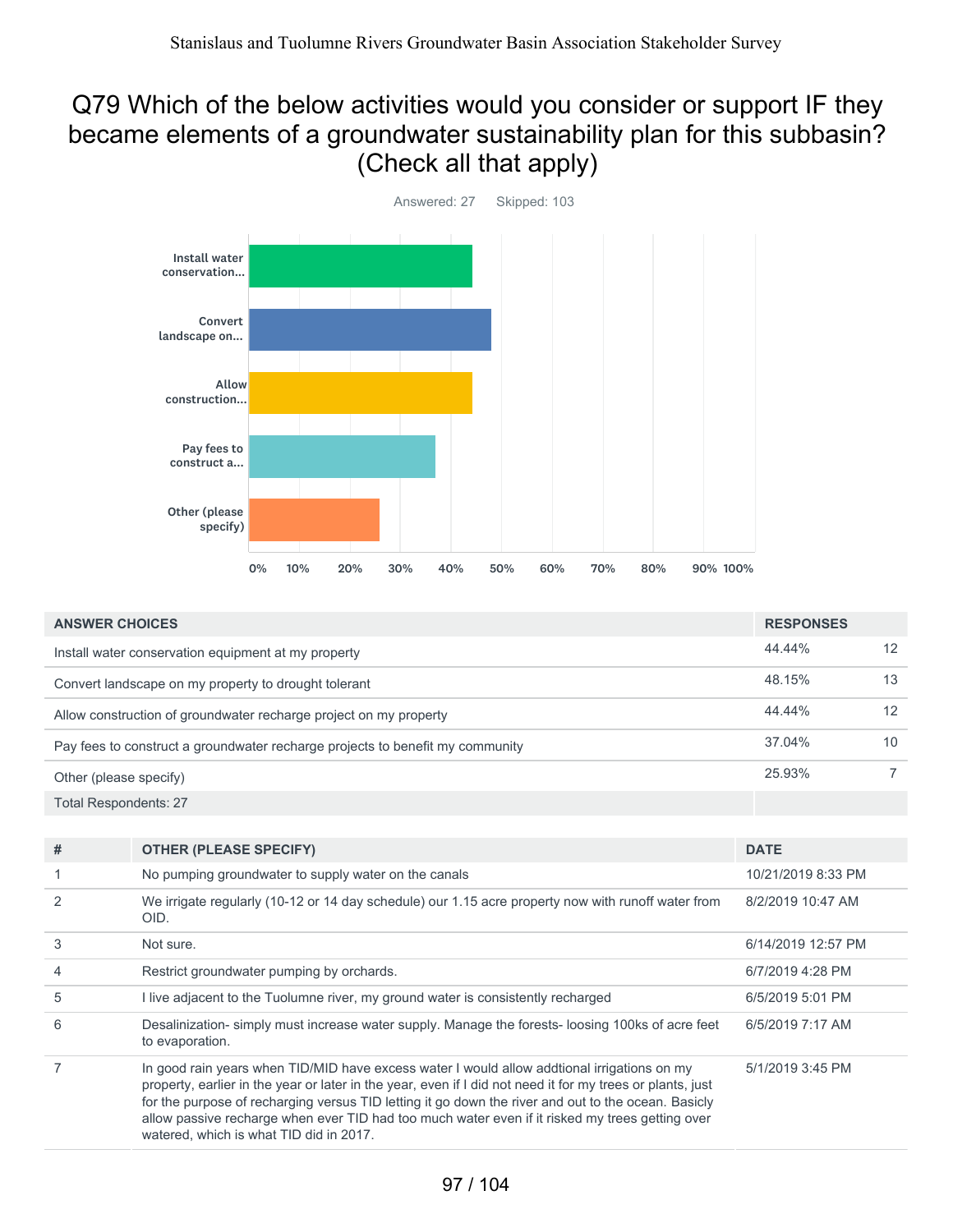#### Q79 Which of the below activities would you consider or support IF they became elements of a groundwater sustainability plan for this subbasin? (Check all that apply)



| <b>ANSWER CHOICES</b>                                                         |        | <b>RESPONSES</b> |  |
|-------------------------------------------------------------------------------|--------|------------------|--|
| Install water conservation equipment at my property                           | 44.44% | 12               |  |
| Convert landscape on my property to drought tolerant                          | 48.15% | 13               |  |
| Allow construction of groundwater recharge project on my property             | 44.44% | 12               |  |
| Pay fees to construct a groundwater recharge projects to benefit my community | 37.04% | 10               |  |
| Other (please specify)                                                        | 25.93% |                  |  |
| <b>Total Respondents: 27</b>                                                  |        |                  |  |

| #              | <b>OTHER (PLEASE SPECIFY)</b>                                                                                                                                                                                                                                                                                                                                                                                                                                  | <b>DATE</b>        |
|----------------|----------------------------------------------------------------------------------------------------------------------------------------------------------------------------------------------------------------------------------------------------------------------------------------------------------------------------------------------------------------------------------------------------------------------------------------------------------------|--------------------|
|                | No pumping groundwater to supply water on the canals                                                                                                                                                                                                                                                                                                                                                                                                           | 10/21/2019 8:33 PM |
| $\mathcal{P}$  | We irrigate regularly (10-12 or 14 day schedule) our 1.15 acre property now with runoff water from<br>OID.                                                                                                                                                                                                                                                                                                                                                     | 8/2/2019 10:47 AM  |
| 3              | Not sure.                                                                                                                                                                                                                                                                                                                                                                                                                                                      | 6/14/2019 12:57 PM |
| $\overline{4}$ | Restrict groundwater pumping by orchards.                                                                                                                                                                                                                                                                                                                                                                                                                      | 6/7/2019 4:28 PM   |
| 5              | I live adjacent to the Tuolumne river, my ground water is consistently recharged                                                                                                                                                                                                                                                                                                                                                                               | 6/5/2019 5:01 PM   |
| 6              | Desalinization- simply must increase water supply. Manage the forests-loosing 100ks of acre feet<br>to evaporation.                                                                                                                                                                                                                                                                                                                                            | 6/5/2019 7:17 AM   |
|                | In good rain years when TID/MID have excess water I would allow addtional irrigations on my<br>property, earlier in the year or later in the year, even if I did not need it for my trees or plants, just<br>for the purpose of recharging versus TID letting it go down the river and out to the ocean. Basicly<br>allow passive recharge when ever TID had too much water even if it risked my trees getting over<br>watered, which is what TID did in 2017. | 5/1/2019 3:45 PM   |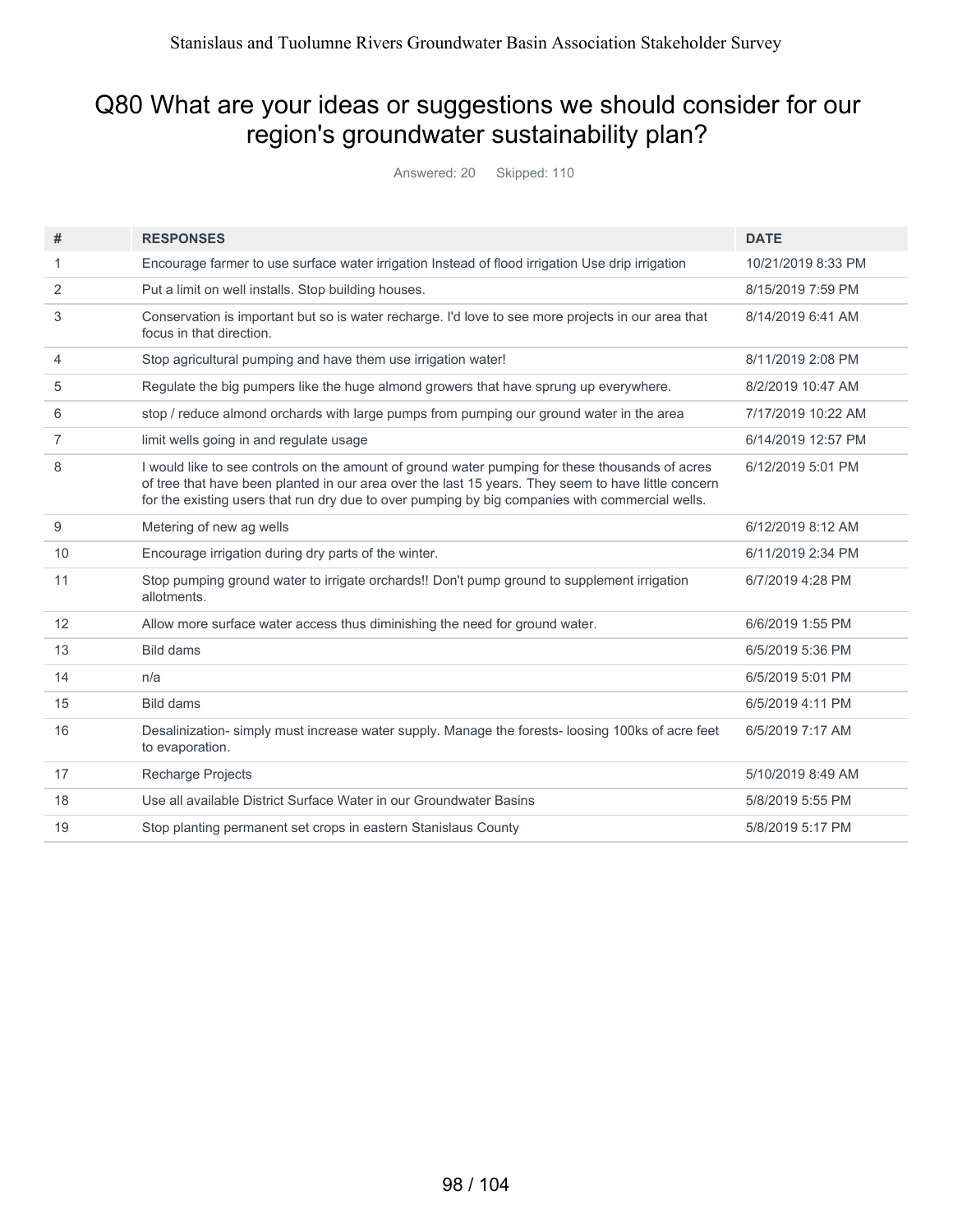#### Q80 What are your ideas or suggestions we should consider for our region's groundwater sustainability plan?

Answered: 20 Skipped: 110

| #              | <b>RESPONSES</b>                                                                                                                                                                                                                                                                                          | <b>DATE</b>        |
|----------------|-----------------------------------------------------------------------------------------------------------------------------------------------------------------------------------------------------------------------------------------------------------------------------------------------------------|--------------------|
| 1              | Encourage farmer to use surface water irrigation Instead of flood irrigation Use drip irrigation                                                                                                                                                                                                          | 10/21/2019 8:33 PM |
| 2              | Put a limit on well installs. Stop building houses.                                                                                                                                                                                                                                                       | 8/15/2019 7:59 PM  |
| 3              | Conservation is important but so is water recharge. I'd love to see more projects in our area that<br>focus in that direction.                                                                                                                                                                            | 8/14/2019 6:41 AM  |
| 4              | Stop agricultural pumping and have them use irrigation water!                                                                                                                                                                                                                                             | 8/11/2019 2:08 PM  |
| 5              | Regulate the big pumpers like the huge almond growers that have sprung up everywhere.                                                                                                                                                                                                                     | 8/2/2019 10:47 AM  |
| 6              | stop / reduce almond orchards with large pumps from pumping our ground water in the area                                                                                                                                                                                                                  | 7/17/2019 10:22 AM |
| $\overline{7}$ | limit wells going in and regulate usage                                                                                                                                                                                                                                                                   | 6/14/2019 12:57 PM |
| 8              | I would like to see controls on the amount of ground water pumping for these thousands of acres<br>of tree that have been planted in our area over the last 15 years. They seem to have little concern<br>for the existing users that run dry due to over pumping by big companies with commercial wells. | 6/12/2019 5:01 PM  |
| 9              | Metering of new ag wells                                                                                                                                                                                                                                                                                  | 6/12/2019 8:12 AM  |
| 10             | Encourage irrigation during dry parts of the winter.                                                                                                                                                                                                                                                      | 6/11/2019 2:34 PM  |
| 11             | Stop pumping ground water to irrigate orchards!! Don't pump ground to supplement irrigation<br>allotments.                                                                                                                                                                                                | 6/7/2019 4:28 PM   |
| 12             | Allow more surface water access thus diminishing the need for ground water.                                                                                                                                                                                                                               | 6/6/2019 1:55 PM   |
| 13             | <b>Bild dams</b>                                                                                                                                                                                                                                                                                          | 6/5/2019 5:36 PM   |
| 14             | n/a                                                                                                                                                                                                                                                                                                       | 6/5/2019 5:01 PM   |
| 15             | <b>Bild dams</b>                                                                                                                                                                                                                                                                                          | 6/5/2019 4:11 PM   |
| 16             | Desalinization-simply must increase water supply. Manage the forests-loosing 100ks of acre feet<br>to evaporation.                                                                                                                                                                                        | 6/5/2019 7:17 AM   |
| 17             | Recharge Projects                                                                                                                                                                                                                                                                                         | 5/10/2019 8:49 AM  |
| 18             | Use all available District Surface Water in our Groundwater Basins                                                                                                                                                                                                                                        | 5/8/2019 5:55 PM   |
| 19             | Stop planting permanent set crops in eastern Stanislaus County                                                                                                                                                                                                                                            | 5/8/2019 5:17 PM   |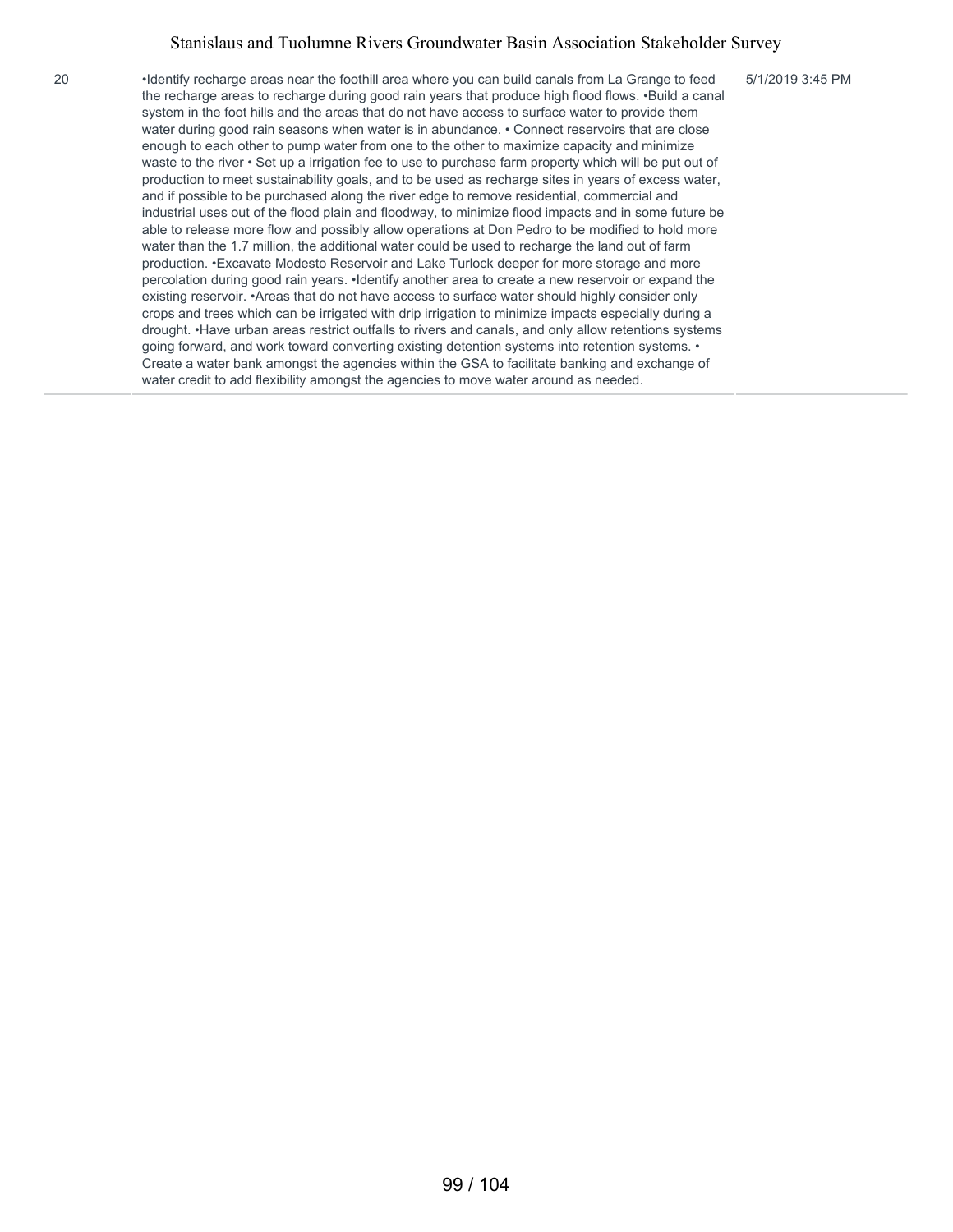5/1/2019 3:45 PM

20 •Identify recharge areas near the foothill area where you can build canals from La Grange to feed the recharge areas to recharge during good rain years that produce high flood flows. •Build a canal system in the foot hills and the areas that do not have access to surface water to provide them water during good rain seasons when water is in abundance. • Connect reservoirs that are close enough to each other to pump water from one to the other to maximize capacity and minimize waste to the river • Set up a irrigation fee to use to purchase farm property which will be put out of production to meet sustainability goals, and to be used as recharge sites in years of excess water, and if possible to be purchased along the river edge to remove residential, commercial and industrial uses out of the flood plain and floodway, to minimize flood impacts and in some future be able to release more flow and possibly allow operations at Don Pedro to be modified to hold more water than the 1.7 million, the additional water could be used to recharge the land out of farm production. •Excavate Modesto Reservoir and Lake Turlock deeper for more storage and more percolation during good rain years. •Identify another area to create a new reservoir or expand the existing reservoir. •Areas that do not have access to surface water should highly consider only crops and trees which can be irrigated with drip irrigation to minimize impacts especially during a drought. •Have urban areas restrict outfalls to rivers and canals, and only allow retentions systems going forward, and work toward converting existing detention systems into retention systems. • Create a water bank amongst the agencies within the GSA to facilitate banking and exchange of water credit to add flexibility amongst the agencies to move water around as needed.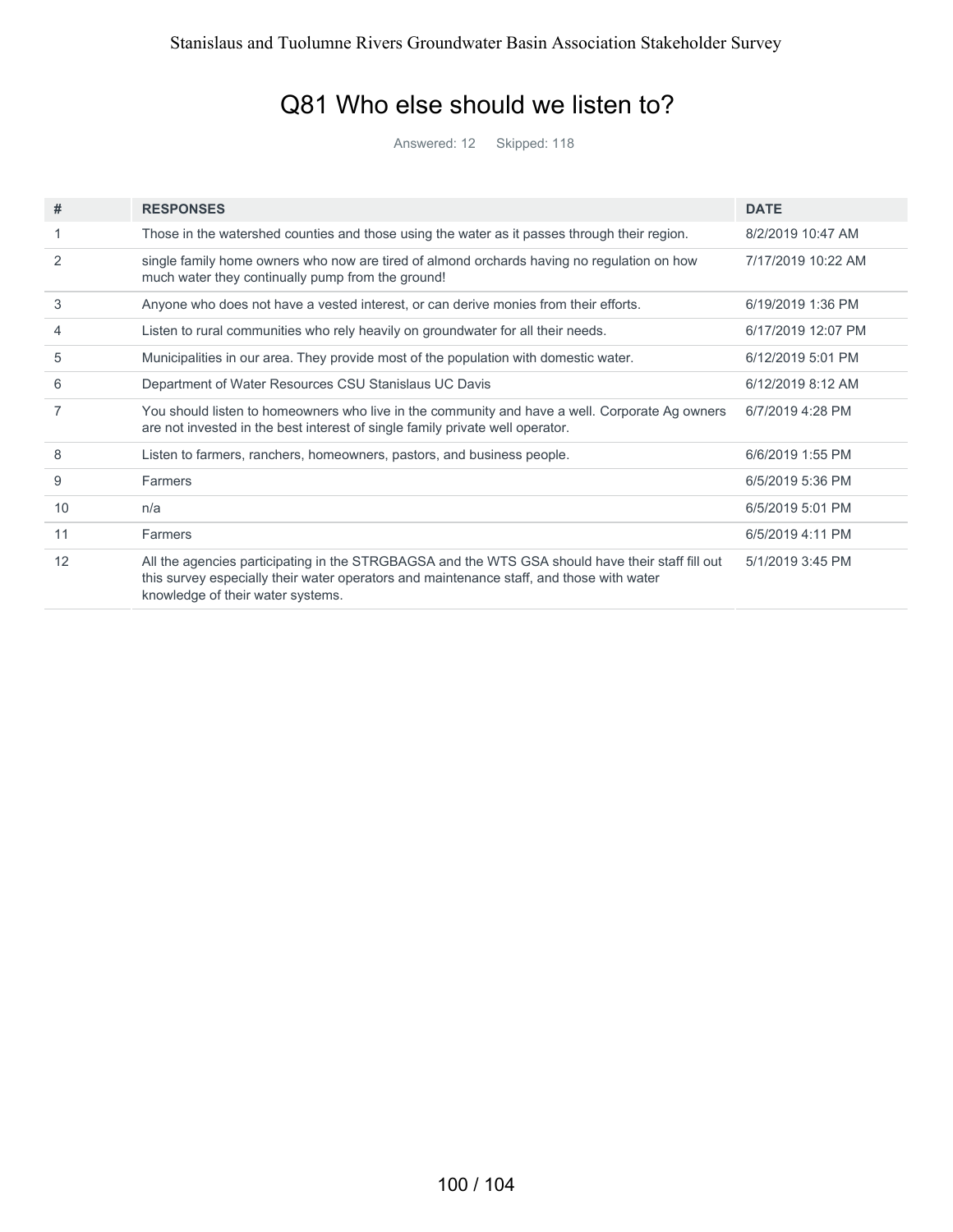#### Q81 Who else should we listen to?

Answered: 12 Skipped: 118

| #  | <b>RESPONSES</b>                                                                                                                                                                                                                  | <b>DATE</b>        |
|----|-----------------------------------------------------------------------------------------------------------------------------------------------------------------------------------------------------------------------------------|--------------------|
|    | Those in the watershed counties and those using the water as it passes through their region.                                                                                                                                      | 8/2/2019 10:47 AM  |
| 2  | single family home owners who now are tired of almond orchards having no regulation on how<br>much water they continually pump from the ground!                                                                                   | 7/17/2019 10:22 AM |
| 3  | Anyone who does not have a vested interest, or can derive monies from their efforts.                                                                                                                                              | 6/19/2019 1:36 PM  |
| 4  | Listen to rural communities who rely heavily on groundwater for all their needs.                                                                                                                                                  | 6/17/2019 12:07 PM |
| 5  | Municipalities in our area. They provide most of the population with domestic water.                                                                                                                                              | 6/12/2019 5:01 PM  |
| 6  | Department of Water Resources CSU Stanislaus UC Davis                                                                                                                                                                             | 6/12/2019 8:12 AM  |
| 7  | You should listen to homeowners who live in the community and have a well. Corporate Ag owners<br>are not invested in the best interest of single family private well operator.                                                   | 6/7/2019 4:28 PM   |
| 8  | Listen to farmers, ranchers, homeowners, pastors, and business people.                                                                                                                                                            | 6/6/2019 1:55 PM   |
| 9  | Farmers                                                                                                                                                                                                                           | 6/5/2019 5:36 PM   |
| 10 | n/a                                                                                                                                                                                                                               | 6/5/2019 5:01 PM   |
| 11 | Farmers                                                                                                                                                                                                                           | 6/5/2019 4:11 PM   |
| 12 | All the agencies participating in the STRGBAGSA and the WTS GSA should have their staff fill out<br>this survey especially their water operators and maintenance staff, and those with water<br>knowledge of their water systems. | 5/1/2019 3:45 PM   |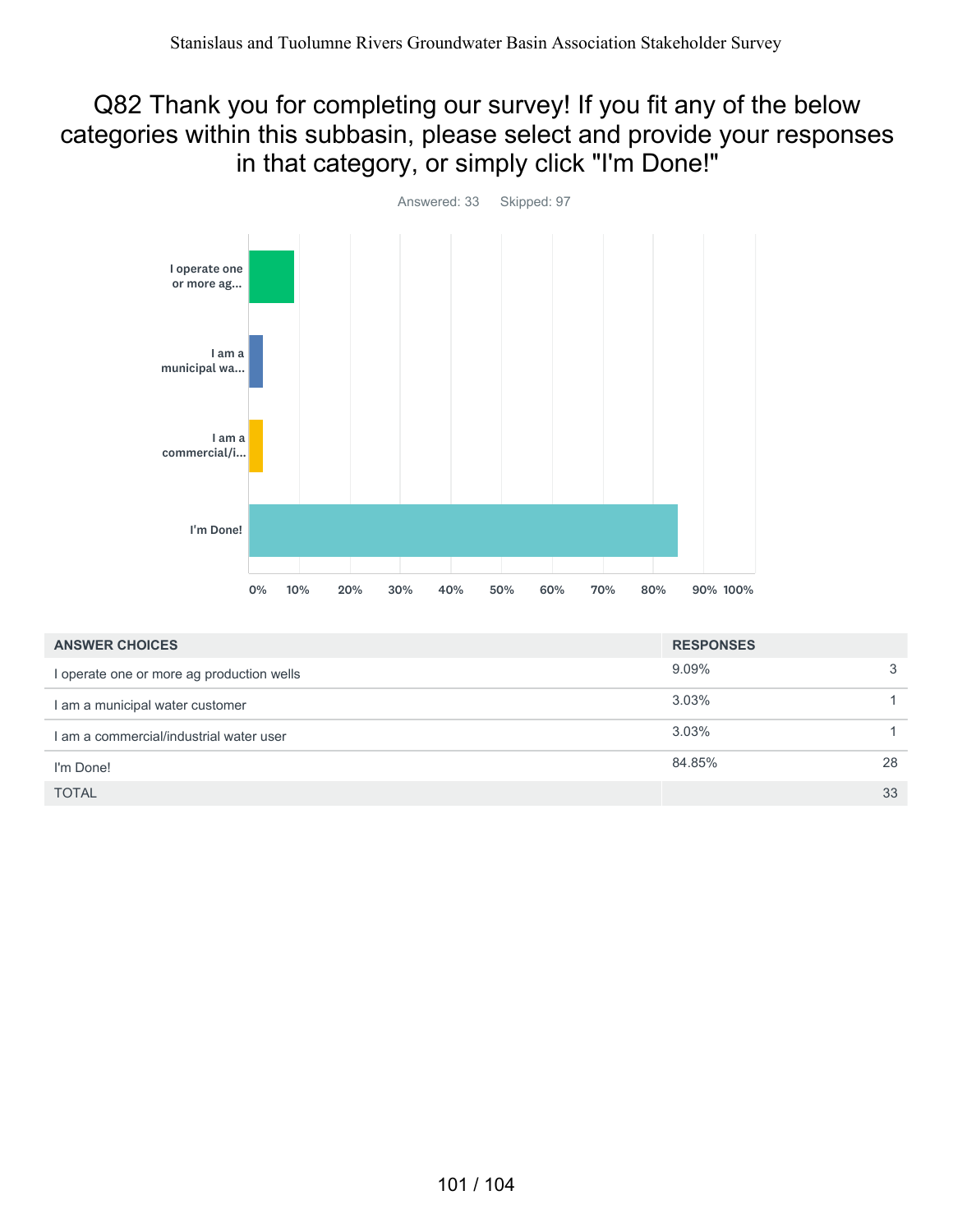#### Q82 Thank you for completing our survey! If you fit any of the below categories within this subbasin, please select and provide your responses in that category, or simply click "I'm Done!"



| <b>ANSWER CHOICES</b>                     | <b>RESPONSES</b> |    |
|-------------------------------------------|------------------|----|
| I operate one or more ag production wells | $9.09\%$         | 3  |
| I am a municipal water customer           | $3.03\%$         |    |
| I am a commercial/industrial water user   | 3.03%            |    |
| I'm Done!                                 | 84.85%           | 28 |
| <b>TOTAL</b>                              |                  | 33 |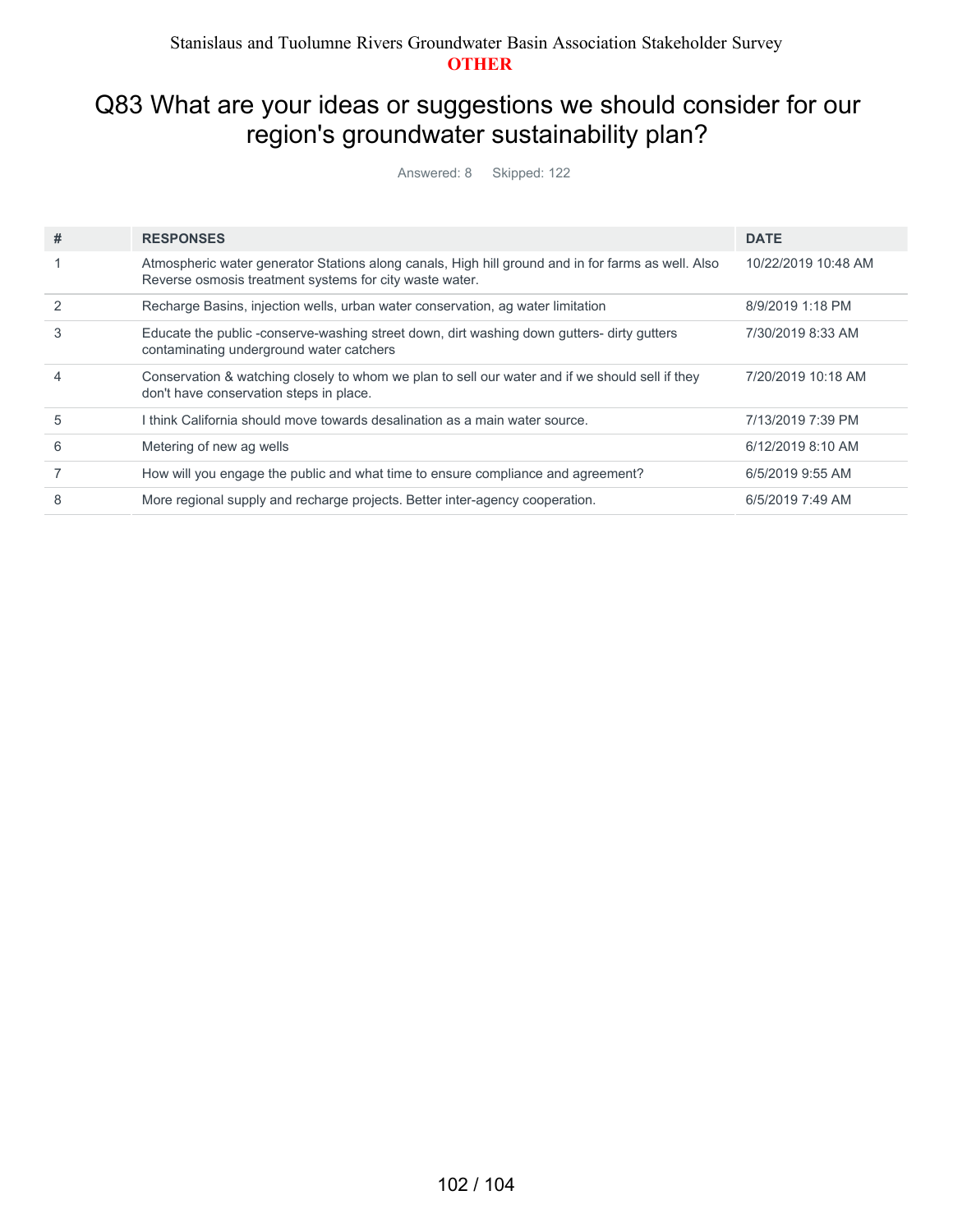#### Q83 What are your ideas or suggestions we should consider for our region's groundwater sustainability plan?

Answered: 8 Skipped: 122

| # | <b>RESPONSES</b>                                                                                                                                              | <b>DATE</b>         |
|---|---------------------------------------------------------------------------------------------------------------------------------------------------------------|---------------------|
|   | Atmospheric water generator Stations along canals, High hill ground and in for farms as well. Also<br>Reverse osmosis treatment systems for city waste water. | 10/22/2019 10:48 AM |
|   | Recharge Basins, injection wells, urban water conservation, ag water limitation                                                                               | 8/9/2019 1:18 PM    |
| 3 | Educate the public -conserve-washing street down, dirt washing down gutters- dirty gutters<br>contaminating underground water catchers                        | 7/30/2019 8:33 AM   |
| 4 | Conservation & watching closely to whom we plan to sell our water and if we should sell if they<br>don't have conservation steps in place.                    | 7/20/2019 10:18 AM  |
| 5 | I think California should move towards desalination as a main water source.                                                                                   | 7/13/2019 7:39 PM   |
| 6 | Metering of new ag wells                                                                                                                                      | 6/12/2019 8:10 AM   |
|   | How will you engage the public and what time to ensure compliance and agreement?                                                                              | 6/5/2019 9:55 AM    |
| 8 | More regional supply and recharge projects. Better inter-agency cooperation.                                                                                  | 6/5/2019 7:49 AM    |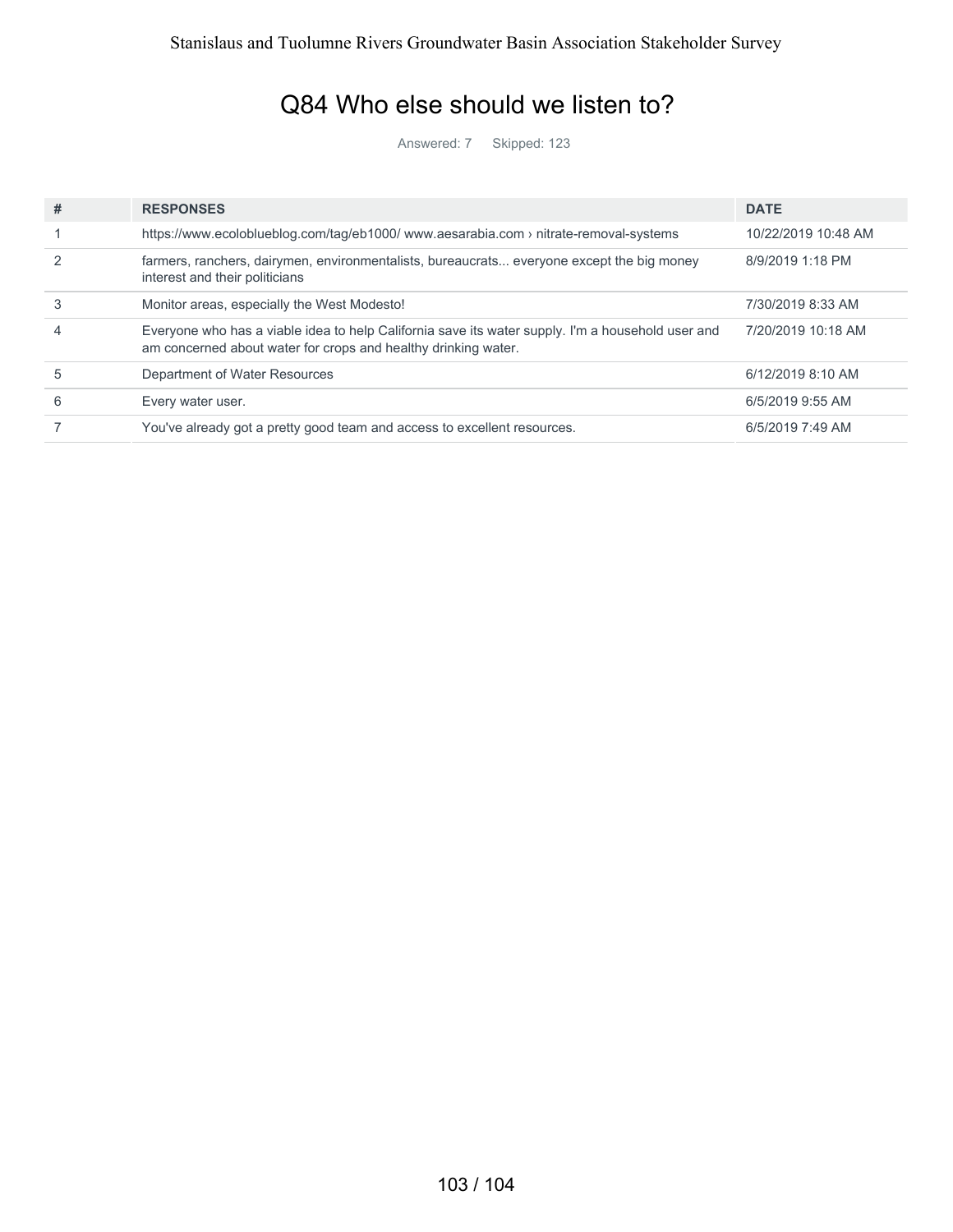#### Q84 Who else should we listen to?

Answered: 7 Skipped: 123

| # | <b>RESPONSES</b>                                                                                                                                                    | <b>DATE</b>         |
|---|---------------------------------------------------------------------------------------------------------------------------------------------------------------------|---------------------|
|   | https://www.ecoloblueblog.com/tag/eb1000/www.aesarabia.com > nitrate-removal-systems                                                                                | 10/22/2019 10:48 AM |
|   | farmers, ranchers, dairymen, environmentalists, bureaucrats everyone except the big money<br>interest and their politicians                                         | 8/9/2019 1:18 PM    |
| 3 | Monitor areas, especially the West Modesto!                                                                                                                         | 7/30/2019 8:33 AM   |
|   | Everyone who has a viable idea to help California save its water supply. I'm a household user and<br>am concerned about water for crops and healthy drinking water. | 7/20/2019 10:18 AM  |
| 5 | Department of Water Resources                                                                                                                                       | 6/12/2019 8:10 AM   |
| 6 | Every water user.                                                                                                                                                   | 6/5/2019 9:55 AM    |
|   | You've already got a pretty good team and access to excellent resources.                                                                                            | 6/5/2019 7:49 AM    |